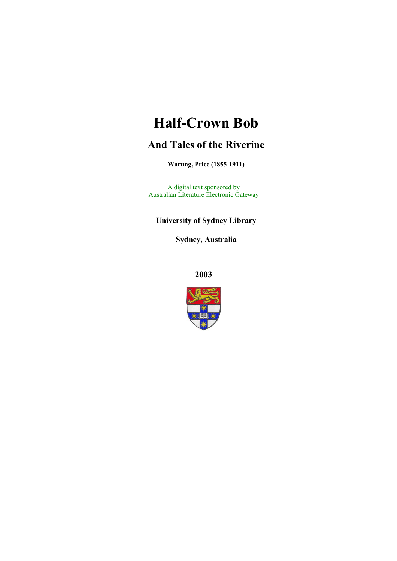# **Half-Crown Bob**

# **And Tales of the Riverine**

**Warung, Price (1855-1911)**

A digital text sponsored by Australian Literature Electronic Gateway

**University of Sydney Library** 

**Sydney, Australia** 

**2003**

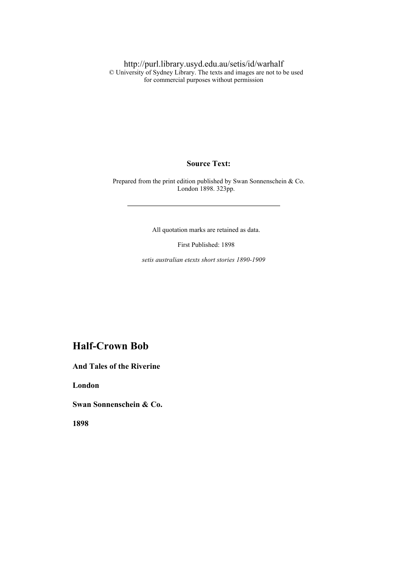http://purl.library.usyd.edu.au/setis/id/warhalf © University of Sydney Library. The texts and images are not to be used for commercial purposes without permission

**Source Text:** 

 Prepared from the print edition published by Swan Sonnenschein & Co. London 1898. 323pp.

All quotation marks are retained as data.

First Published: 1898

*setis australian etexts short stories 1890-1909*

### **Half-Crown Bob**

**And Tales of the Riverine** 

**London** 

**Swan Sonnenschein & Co.** 

**1898**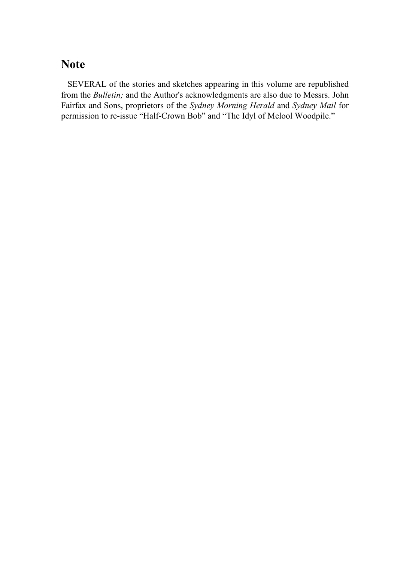# **Note**

 SEVERAL of the stories and sketches appearing in this volume are republished from the *Bulletin;* and the Author's acknowledgments are also due to Messrs. John Fairfax and Sons, proprietors of the *Sydney Morning Herald* and *Sydney Mail* for permission to re-issue "Half-Crown Bob" and "The Idyl of Melool Woodpile."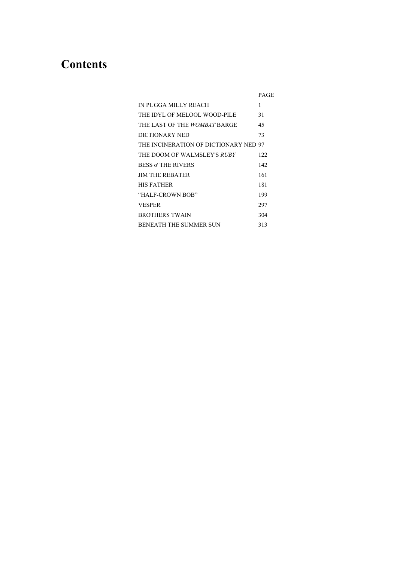# **Contents**

|                                       | PAGE |
|---------------------------------------|------|
| IN PUGGA MILLY REACH                  | 1    |
| THE IDYL OF MELOOL WOOD-PILE          | 31   |
| THE LAST OF THE <i>WOMBAT</i> BARGE   | 45   |
| DICTIONARY NED                        | 73   |
| THE INCINERATION OF DICTIONARY NED 97 |      |
| THE DOOM OF WALMSLEY'S <i>RUBY</i>    | 122  |
| <b>BESS o' THE RIVERS</b>             | 142  |
| <b>JIM THE REBATER</b>                | 161  |
| <b>HIS FATHER</b>                     | 181  |
| "HALF-CROWN BOB"                      | 199  |
| <b>VESPER</b>                         | 297  |
| <b>BROTHERS TWAIN</b>                 | 304  |
| <b>BENEATH THE SUMMER SUN</b>         | 313  |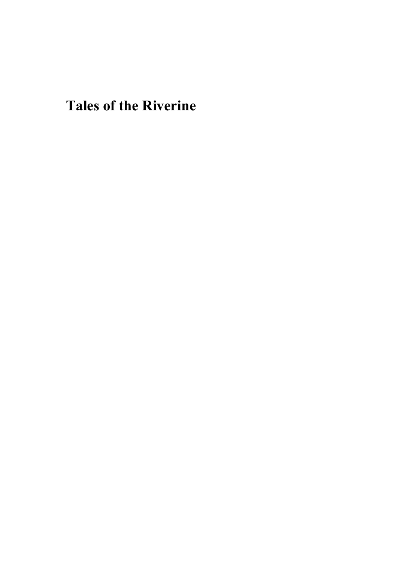**Tales of the Riverine**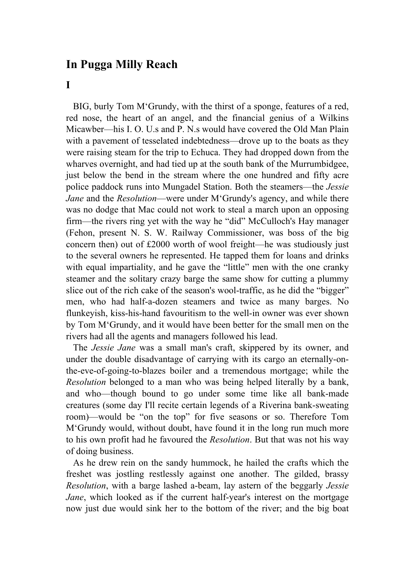## **In Pugga Milly Reach**

#### **I**

 BIG, burly Tom M'Grundy, with the thirst of a sponge, features of a red, red nose, the heart of an angel, and the financial genius of a Wilkins Micawber—his I. O. U.s and P. N.s would have covered the Old Man Plain with a pavement of tesselated indebtedness—drove up to the boats as they were raising steam for the trip to Echuca. They had dropped down from the wharves overnight, and had tied up at the south bank of the Murrumbidgee, just below the bend in the stream where the one hundred and fifty acre police paddock runs into Mungadel Station. Both the steamers—the *Jessie Jane* and the *Resolution*—were under M'Grundy's agency, and while there was no dodge that Mac could not work to steal a march upon an opposing firm—the rivers ring yet with the way he "did" McCulloch's Hay manager (Fehon, present N. S. W. Railway Commissioner, was boss of the big concern then) out of £2000 worth of wool freight—he was studiously just to the several owners he represented. He tapped them for loans and drinks with equal impartiality, and he gave the "little" men with the one cranky steamer and the solitary crazy barge the same show for cutting a plummy slice out of the rich cake of the season's wool-traffic, as he did the "bigger" men, who had half-a-dozen steamers and twice as many barges. No flunkeyish, kiss-his-hand favouritism to the well-in owner was ever shown by Tom M'Grundy, and it would have been better for the small men on the rivers had all the agents and managers followed his lead.

 The *Jessie Jane* was a small man's craft, skippered by its owner, and under the double disadvantage of carrying with its cargo an eternally-onthe-eve-of-going-to-blazes boiler and a tremendous mortgage; while the *Resolution* belonged to a man who was being helped literally by a bank, and who—though bound to go under some time like all bank-made creatures (some day I'll recite certain legends of a Riverina bank-sweating room)—would be "on the top" for five seasons or so. Therefore Tom M'Grundy would, without doubt, have found it in the long run much more to his own profit had he favoured the *Resolution*. But that was not his way of doing business.

 As he drew rein on the sandy hummock, he hailed the crafts which the freshet was jostling restlessly against one another. The gilded, brassy *Resolution*, with a barge lashed a-beam, lay astern of the beggarly *Jessie Jane*, which looked as if the current half-year's interest on the mortgage now just due would sink her to the bottom of the river; and the big boat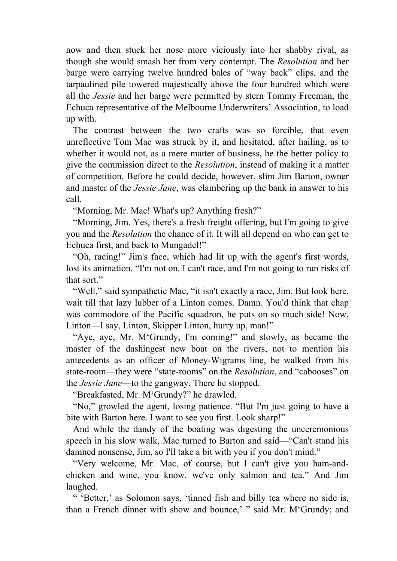now and then stuck her nose more viciously into her shabby rival, as though she would smash her from very contempt. The *Resolution* and her barge were carrying twelve hundred bales of "way back" clips, and the tarpaulined pile towered majestically above the four hundred which were all the *Jessie* and her barge were permitted by stern Tommy Freeman, the Echuca representative of the Melbourne Underwriters' Association, to load up with.

 The contrast between the two crafts was so forcible, that even unreflective Tom Mac was struck by it, and hesitated, after hailing, as to whether it would not, as a mere matter of business, be the better policy to give the commission direct to the *Resolution*, instead of making it a matter of competition. Before he could decide, however, slim Jim Barton, owner and master of the *Jessie Jane*, was clambering up the bank in answer to his call.

"Morning, Mr. Mac! What's up? Anything fresh?"

 "Morning, Jim. Yes, there's a fresh freight offering, but I'm going to give you and the *Resolution* the chance of it. It will all depend on who can get to Echuca first, and back to Mungadel!"

 "Oh, racing!" Jim's face, which had lit up with the agent's first words, lost its animation. "I'm not on. I can't race, and I'm not going to run risks of that sort."

 "Well," said sympathetic Mac, "it isn't exactly a race, Jim. But look here, wait till that lazy lubber of a Linton comes. Damn. You'd think that chap was commodore of the Pacific squadron, he puts on so much side! Now, Linton—I say, Linton, Skipper Linton, hurry up, man!"

 "Aye, aye, Mr. M'Grundy, I'm coming!" and slowly, as became the master of the dashingest new boat on the rivers, not to mention his antecedents as an officer of Money-Wigrams line, he walked from his state-room—they were "state-rooms" on the *Resolution*, and "cabooses" on the *Jessie Jane*—to the gangway. There he stopped.

"Breakfasted, Mr. M'Grundy?" he drawled.

 "No," growled the agent, losing patience. "But I'm just going to have a bite with Barton here. I want to see you first. Look sharp!"

 And while the dandy of the boating was digesting the unceremonious speech in his slow walk, Mac turned to Barton and said—"Can't stand his damned nonsense, Jim, so I'll take a bit with you if you don't mind."

 "Very welcome, Mr. Mac, of course, but I can't give you ham-andchicken and wine, you know. we've only salmon and tea." And Jim laughed.

 " 'Better,' as Solomon says, 'tinned fish and billy tea where no side is, than a French dinner with show and bounce,' " said Mr. M'Grundy; and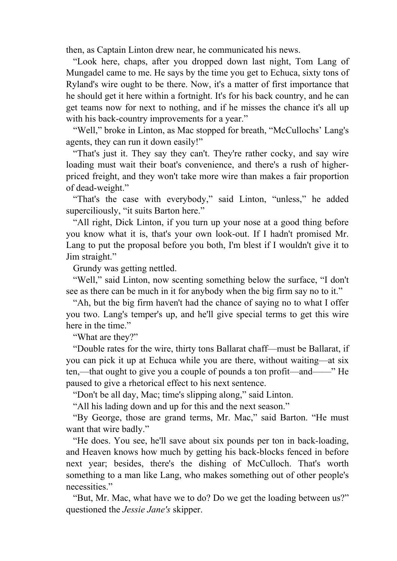then, as Captain Linton drew near, he communicated his news.

 "Look here, chaps, after you dropped down last night, Tom Lang of Mungadel came to me. He says by the time you get to Echuca, sixty tons of Ryland's wire ought to be there. Now, it's a matter of first importance that he should get it here within a fortnight. It's for his back country, and he can get teams now for next to nothing, and if he misses the chance it's all up with his back-country improvements for a year."

 "Well," broke in Linton, as Mac stopped for breath, "McCullochs' Lang's agents, they can run it down easily!"

 "That's just it. They say they can't. They're rather cocky, and say wire loading must wait their boat's convenience, and there's a rush of higherpriced freight, and they won't take more wire than makes a fair proportion of dead-weight."

 "That's the case with everybody," said Linton, "unless," he added superciliously, "it suits Barton here."

 "All right, Dick Linton, if you turn up your nose at a good thing before you know what it is, that's your own look-out. If I hadn't promised Mr. Lang to put the proposal before you both, I'm blest if I wouldn't give it to Jim straight."

Grundy was getting nettled.

 "Well," said Linton, now scenting something below the surface, "I don't see as there can be much in it for anybody when the big firm say no to it."

 "Ah, but the big firm haven't had the chance of saying no to what I offer you two. Lang's temper's up, and he'll give special terms to get this wire here in the time."

"What are they?"

 "Double rates for the wire, thirty tons Ballarat chaff—must be Ballarat, if you can pick it up at Echuca while you are there, without waiting—at six ten,—that ought to give you a couple of pounds a ton profit—and——" He paused to give a rhetorical effect to his next sentence.

"Don't be all day, Mac; time's slipping along," said Linton.

"All his lading down and up for this and the next season."

 "By George, those are grand terms, Mr. Mac," said Barton. "He must want that wire badly."

 "He does. You see, he'll save about six pounds per ton in back-loading, and Heaven knows how much by getting his back-blocks fenced in before next year; besides, there's the dishing of McCulloch. That's worth something to a man like Lang, who makes something out of other people's necessities."

 "But, Mr. Mac, what have we to do? Do we get the loading between us?" questioned the *Jessie Jane's* skipper.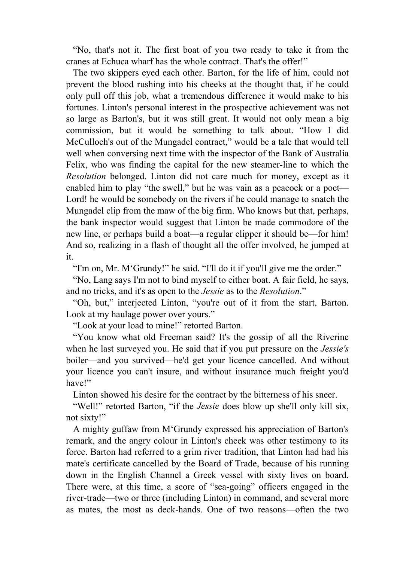"No, that's not it. The first boat of you two ready to take it from the cranes at Echuca wharf has the whole contract. That's the offer!"

 The two skippers eyed each other. Barton, for the life of him, could not prevent the blood rushing into his cheeks at the thought that, if he could only pull off this job, what a tremendous difference it would make to his fortunes. Linton's personal interest in the prospective achievement was not so large as Barton's, but it was still great. It would not only mean a big commission, but it would be something to talk about. "How I did McCulloch's out of the Mungadel contract," would be a tale that would tell well when conversing next time with the inspector of the Bank of Australia Felix, who was finding the capital for the new steamer-line to which the *Resolution* belonged. Linton did not care much for money, except as it enabled him to play "the swell," but he was vain as a peacock or a poet— Lord! he would be somebody on the rivers if he could manage to snatch the Mungadel clip from the maw of the big firm. Who knows but that, perhaps, the bank inspector would suggest that Linton be made commodore of the new line, or perhaps build a boat—a regular clipper it should be—for him! And so, realizing in a flash of thought all the offer involved, he jumped at it.

"I'm on, Mr. M'Grundy!" he said. "I'll do it if you'll give me the order."

 "No, Lang says I'm not to bind myself to either boat. A fair field, he says, and no tricks, and it's as open to the *Jessie* as to the *Resolution*."

 "Oh, but," interjected Linton, "you're out of it from the start, Barton. Look at my haulage power over yours."

"Look at your load to mine!" retorted Barton.

 "You know what old Freeman said? It's the gossip of all the Riverine when he last surveyed you. He said that if you put pressure on the *Jessie's* boiler—and you survived—he'd get your licence cancelled. And without your licence you can't insure, and without insurance much freight you'd have!"

Linton showed his desire for the contract by the bitterness of his sneer.

 "Well!" retorted Barton, "if the *Jessie* does blow up she'll only kill six, not sixty!"

 A mighty guffaw from M'Grundy expressed his appreciation of Barton's remark, and the angry colour in Linton's cheek was other testimony to its force. Barton had referred to a grim river tradition, that Linton had had his mate's certificate cancelled by the Board of Trade, because of his running down in the English Channel a Greek vessel with sixty lives on board. There were, at this time, a score of "sea-going" officers engaged in the river-trade—two or three (including Linton) in command, and several more as mates, the most as deck-hands. One of two reasons—often the two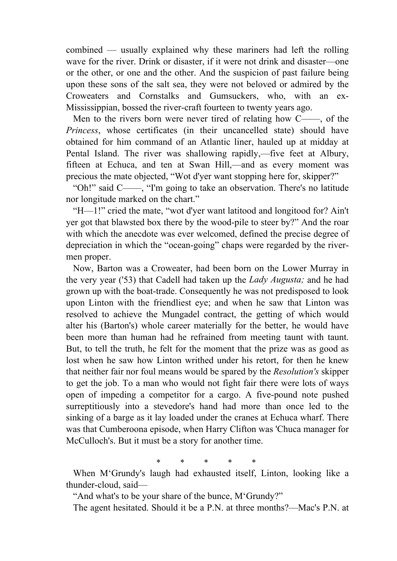combined — usually explained why these mariners had left the rolling wave for the river. Drink or disaster, if it were not drink and disaster—one or the other, or one and the other. And the suspicion of past failure being upon these sons of the salt sea, they were not beloved or admired by the Croweaters and Cornstalks and Gumsuckers, who, with an ex-Mississippian, bossed the river-craft fourteen to twenty years ago.

 Men to the rivers born were never tired of relating how C——, of the *Princess*, whose certificates (in their uncancelled state) should have obtained for him command of an Atlantic liner, hauled up at midday at Pental Island. The river was shallowing rapidly,—five feet at Albury, fifteen at Echuca, and ten at Swan Hill,—and as every moment was precious the mate objected, "Wot d'yer want stopping here for, skipper?"

 "Oh!" said C——, "I'm going to take an observation. There's no latitude nor longitude marked on the chart."

 "H—1!" cried the mate, "wot d'yer want latitood and longitood for? Ain't yer got that blawsted box there by the wood-pile to steer by?" And the roar with which the anecdote was ever welcomed, defined the precise degree of depreciation in which the "ocean-going" chaps were regarded by the rivermen proper.

 Now, Barton was a Croweater, had been born on the Lower Murray in the very year ('53) that Cadell had taken up the *Lady Augusta;* and he had grown up with the boat-trade. Consequently he was not predisposed to look upon Linton with the friendliest eye; and when he saw that Linton was resolved to achieve the Mungadel contract, the getting of which would alter his (Barton's) whole career materially for the better, he would have been more than human had he refrained from meeting taunt with taunt. But, to tell the truth, he felt for the moment that the prize was as good as lost when he saw how Linton writhed under his retort, for then he knew that neither fair nor foul means would be spared by the *Resolution's* skipper to get the job. To a man who would not fight fair there were lots of ways open of impeding a competitor for a cargo. A five-pound note pushed surreptitiously into a stevedore's hand had more than once led to the sinking of a barge as it lay loaded under the cranes at Echuca wharf. There was that Cumberoona episode, when Harry Clifton was 'Chuca manager for McCulloch's. But it must be a story for another time.

\* \* \* \* \*

 When M'Grundy's laugh had exhausted itself, Linton, looking like a thunder-cloud, said—

"And what's to be your share of the bunce, M'Grundy?"

The agent hesitated. Should it be a P.N. at three months?—Mac's P.N. at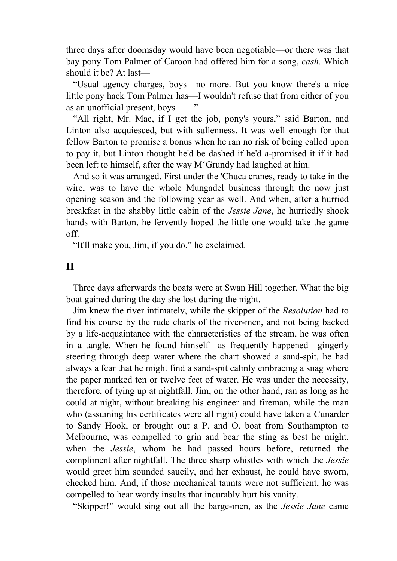three days after doomsday would have been negotiable—or there was that bay pony Tom Palmer of Caroon had offered him for a song, *cash*. Which should it be? At last—

 "Usual agency charges, boys—no more. But you know there's a nice little pony hack Tom Palmer has—I wouldn't refuse that from either of you as an unofficial present, boys——"

 "All right, Mr. Mac, if I get the job, pony's yours," said Barton, and Linton also acquiesced, but with sullenness. It was well enough for that fellow Barton to promise a bonus when he ran no risk of being called upon to pay it, but Linton thought he'd be dashed if he'd a-promised it if it had been left to himself, after the way M'Grundy had laughed at him.

 And so it was arranged. First under the 'Chuca cranes, ready to take in the wire, was to have the whole Mungadel business through the now just opening season and the following year as well. And when, after a hurried breakfast in the shabby little cabin of the *Jessie Jane*, he hurriedly shook hands with Barton, he fervently hoped the little one would take the game off.

"It'll make you, Jim, if you do," he exclaimed.

#### **II**

 Three days afterwards the boats were at Swan Hill together. What the big boat gained during the day she lost during the night.

 Jim knew the river intimately, while the skipper of the *Resolution* had to find his course by the rude charts of the river-men, and not being backed by a life-acquaintance with the characteristics of the stream, he was often in a tangle. When he found himself—as frequently happened—gingerly steering through deep water where the chart showed a sand-spit, he had always a fear that he might find a sand-spit calmly embracing a snag where the paper marked ten or twelve feet of water. He was under the necessity, therefore, of tying up at nightfall. Jim, on the other hand, ran as long as he could at night, without breaking his engineer and fireman, while the man who (assuming his certificates were all right) could have taken a Cunarder to Sandy Hook, or brought out a P. and O. boat from Southampton to Melbourne, was compelled to grin and bear the sting as best he might, when the *Jessie*, whom he had passed hours before, returned the compliment after nightfall. The three sharp whistles with which the *Jessie* would greet him sounded saucily, and her exhaust, he could have sworn, checked him. And, if those mechanical taunts were not sufficient, he was compelled to hear wordy insults that incurably hurt his vanity.

"Skipper!" would sing out all the barge-men, as the *Jessie Jane* came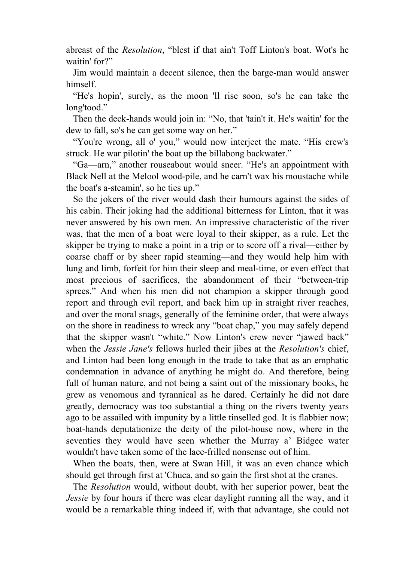abreast of the *Resolution*, "blest if that ain't Toff Linton's boat. Wot's he waitin' for?"

 Jim would maintain a decent silence, then the barge-man would answer himself.

 "He's hopin', surely, as the moon 'll rise soon, so's he can take the long'tood."

 Then the deck-hands would join in: "No, that 'tain't it. He's waitin' for the dew to fall, so's he can get some way on her."

 "You're wrong, all o' you," would now interject the mate. "His crew's struck. He war pilotin' the boat up the billabong backwater."

 "Ga—arn," another rouseabout would sneer. "He's an appointment with Black Nell at the Melool wood-pile, and he carn't wax his moustache while the boat's a-steamin', so he ties up."

 So the jokers of the river would dash their humours against the sides of his cabin. Their joking had the additional bitterness for Linton, that it was never answered by his own men. An impressive characteristic of the river was, that the men of a boat were loyal to their skipper, as a rule. Let the skipper be trying to make a point in a trip or to score off a rival—either by coarse chaff or by sheer rapid steaming—and they would help him with lung and limb, forfeit for him their sleep and meal-time, or even effect that most precious of sacrifices, the abandonment of their "between-trip sprees." And when his men did not champion a skipper through good report and through evil report, and back him up in straight river reaches, and over the moral snags, generally of the feminine order, that were always on the shore in readiness to wreck any "boat chap," you may safely depend that the skipper wasn't "white." Now Linton's crew never "jawed back" when the *Jessie Jane's* fellows hurled their jibes at the *Resolution's* chief, and Linton had been long enough in the trade to take that as an emphatic condemnation in advance of anything he might do. And therefore, being full of human nature, and not being a saint out of the missionary books, he grew as venomous and tyrannical as he dared. Certainly he did not dare greatly, democracy was too substantial a thing on the rivers twenty years ago to be assailed with impunity by a little tinselled god. It is flabbier now; boat-hands deputationize the deity of the pilot-house now, where in the seventies they would have seen whether the Murray a' Bidgee water wouldn't have taken some of the lace-frilled nonsense out of him.

 When the boats, then, were at Swan Hill, it was an even chance which should get through first at 'Chuca, and so gain the first shot at the cranes.

 The *Resolution* would, without doubt, with her superior power, beat the *Jessie* by four hours if there was clear daylight running all the way, and it would be a remarkable thing indeed if, with that advantage, she could not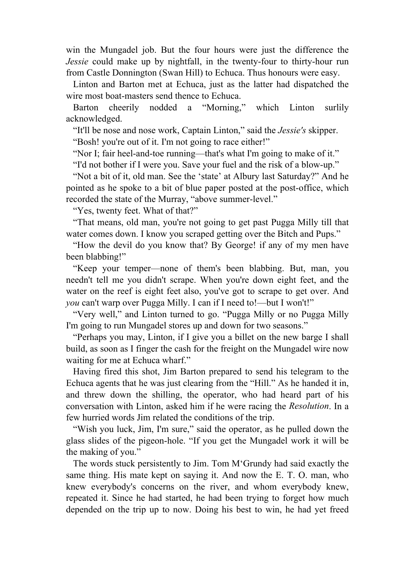win the Mungadel job. But the four hours were just the difference the *Jessie* could make up by nightfall, in the twenty-four to thirty-hour run from Castle Donnington (Swan Hill) to Echuca. Thus honours were easy.

 Linton and Barton met at Echuca, just as the latter had dispatched the wire most boat-masters send thence to Echuca.

 Barton cheerily nodded a "Morning," which Linton surlily acknowledged.

"It'll be nose and nose work, Captain Linton," said the *Jessie's* skipper.

"Bosh! you're out of it. I'm not going to race either!"

"Nor I; fair heel-and-toe running—that's what I'm going to make of it."

"I'd not bother if I were you. Save your fuel and the risk of a blow-up."

 "Not a bit of it, old man. See the 'state' at Albury last Saturday?" And he pointed as he spoke to a bit of blue paper posted at the post-office, which recorded the state of the Murray, "above summer-level."

"Yes, twenty feet. What of that?"

 "That means, old man, you're not going to get past Pugga Milly till that water comes down. I know you scraped getting over the Bitch and Pups."

 "How the devil do you know that? By George! if any of my men have been blabbing!"

 "Keep your temper—none of them's been blabbing. But, man, you needn't tell me you didn't scrape. When you're down eight feet, and the water on the reef is eight feet also, you've got to scrape to get over. And *you* can't warp over Pugga Milly. I can if I need to!—but I won't!"

 "Very well," and Linton turned to go. "Pugga Milly or no Pugga Milly I'm going to run Mungadel stores up and down for two seasons."

 "Perhaps you may, Linton, if I give you a billet on the new barge I shall build, as soon as I finger the cash for the freight on the Mungadel wire now waiting for me at Echuca wharf."

 Having fired this shot, Jim Barton prepared to send his telegram to the Echuca agents that he was just clearing from the "Hill." As he handed it in, and threw down the shilling, the operator, who had heard part of his conversation with Linton, asked him if he were racing the *Resolution*. In a few hurried words Jim related the conditions of the trip.

 "Wish you luck, Jim, I'm sure," said the operator, as he pulled down the glass slides of the pigeon-hole. "If you get the Mungadel work it will be the making of you."

 The words stuck persistently to Jim. Tom M'Grundy had said exactly the same thing. His mate kept on saying it. And now the E. T. O. man, who knew everybody's concerns on the river, and whom everybody knew, repeated it. Since he had started, he had been trying to forget how much depended on the trip up to now. Doing his best to win, he had yet freed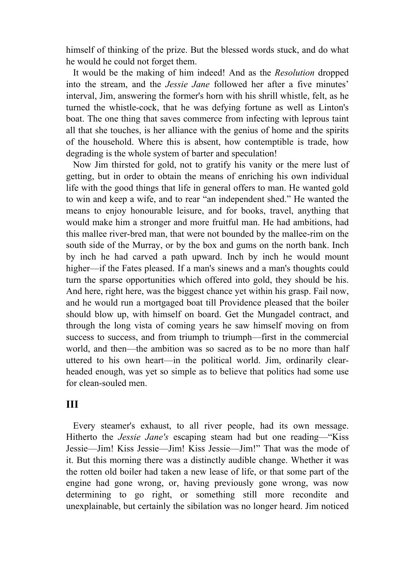himself of thinking of the prize. But the blessed words stuck, and do what he would he could not forget them.

 It would be the making of him indeed! And as the *Resolution* dropped into the stream, and the *Jessie Jane* followed her after a five minutes' interval, Jim, answering the former's horn with his shrill whistle, felt, as he turned the whistle-cock, that he was defying fortune as well as Linton's boat. The one thing that saves commerce from infecting with leprous taint all that she touches, is her alliance with the genius of home and the spirits of the household. Where this is absent, how contemptible is trade, how degrading is the whole system of barter and speculation!

 Now Jim thirsted for gold, not to gratify his vanity or the mere lust of getting, but in order to obtain the means of enriching his own individual life with the good things that life in general offers to man. He wanted gold to win and keep a wife, and to rear "an independent shed." He wanted the means to enjoy honourable leisure, and for books, travel, anything that would make him a stronger and more fruitful man. He had ambitions, had this mallee river-bred man, that were not bounded by the mallee-rim on the south side of the Murray, or by the box and gums on the north bank. Inch by inch he had carved a path upward. Inch by inch he would mount higher—if the Fates pleased. If a man's sinews and a man's thoughts could turn the sparse opportunities which offered into gold, they should be his. And here, right here, was the biggest chance yet within his grasp. Fail now, and he would run a mortgaged boat till Providence pleased that the boiler should blow up, with himself on board. Get the Mungadel contract, and through the long vista of coming years he saw himself moving on from success to success, and from triumph to triumph—first in the commercial world, and then—the ambition was so sacred as to be no more than half uttered to his own heart—in the political world. Jim, ordinarily clearheaded enough, was yet so simple as to believe that politics had some use for clean-souled men.

#### **III**

 Every steamer's exhaust, to all river people, had its own message. Hitherto the *Jessie Jane's* escaping steam had but one reading—"Kiss Jessie—Jim! Kiss Jessie—Jim! Kiss Jessie—Jim!" That was the mode of it. But this morning there was a distinctly audible change. Whether it was the rotten old boiler had taken a new lease of life, or that some part of the engine had gone wrong, or, having previously gone wrong, was now determining to go right, or something still more recondite and unexplainable, but certainly the sibilation was no longer heard. Jim noticed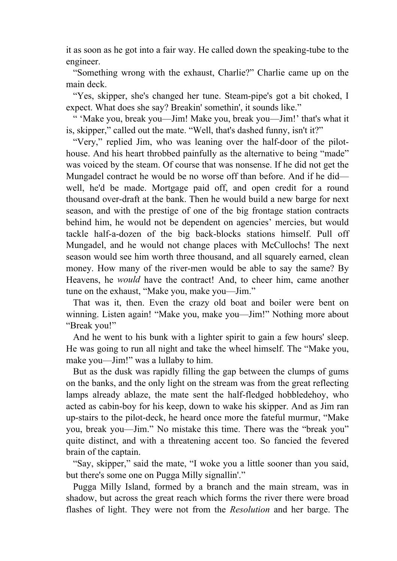it as soon as he got into a fair way. He called down the speaking-tube to the engineer.

 "Something wrong with the exhaust, Charlie?" Charlie came up on the main deck.

 "Yes, skipper, she's changed her tune. Steam-pipe's got a bit choked, I expect. What does she say? Breakin' somethin', it sounds like."

 " 'Make you, break you—Jim! Make you, break you—Jim!' that's what it is, skipper," called out the mate. "Well, that's dashed funny, isn't it?"

 "Very," replied Jim, who was leaning over the half-door of the pilothouse. And his heart throbbed painfully as the alternative to being "made" was voiced by the steam. Of course that was nonsense. If he did not get the Mungadel contract he would be no worse off than before. And if he did well, he'd be made. Mortgage paid off, and open credit for a round thousand over-draft at the bank. Then he would build a new barge for next season, and with the prestige of one of the big frontage station contracts behind him, he would not be dependent on agencies' mercies, but would tackle half-a-dozen of the big back-blocks stations himself. Pull off Mungadel, and he would not change places with McCullochs! The next season would see him worth three thousand, and all squarely earned, clean money. How many of the river-men would be able to say the same? By Heavens, he *would* have the contract! And, to cheer him, came another tune on the exhaust, "Make you, make you—Jim."

 That was it, then. Even the crazy old boat and boiler were bent on winning. Listen again! "Make you, make you—Jim!" Nothing more about "Break you!"

 And he went to his bunk with a lighter spirit to gain a few hours' sleep. He was going to run all night and take the wheel himself. The "Make you, make you—Jim!" was a lullaby to him.

 But as the dusk was rapidly filling the gap between the clumps of gums on the banks, and the only light on the stream was from the great reflecting lamps already ablaze, the mate sent the half-fledged hobbledehoy, who acted as cabin-boy for his keep, down to wake his skipper. And as Jim ran up-stairs to the pilot-deck, he heard once more the fateful murmur, "Make you, break you—Jim." No mistake this time. There was the "break you" quite distinct, and with a threatening accent too. So fancied the fevered brain of the captain.

 "Say, skipper," said the mate, "I woke you a little sooner than you said, but there's some one on Pugga Milly signallin'."

 Pugga Milly Island, formed by a branch and the main stream, was in shadow, but across the great reach which forms the river there were broad flashes of light. They were not from the *Resolution* and her barge. The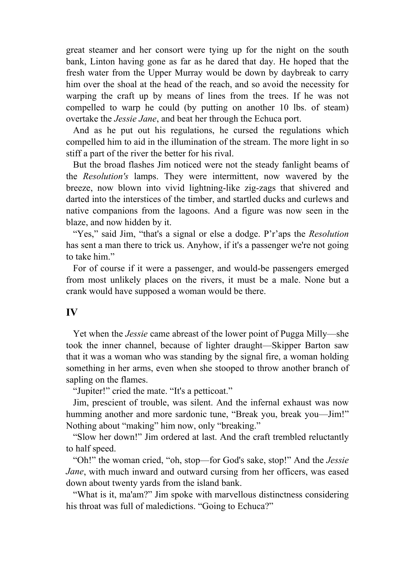great steamer and her consort were tying up for the night on the south bank, Linton having gone as far as he dared that day. He hoped that the fresh water from the Upper Murray would be down by daybreak to carry him over the shoal at the head of the reach, and so avoid the necessity for warping the craft up by means of lines from the trees. If he was not compelled to warp he could (by putting on another 10 lbs. of steam) overtake the *Jessie Jane*, and beat her through the Echuca port.

 And as he put out his regulations, he cursed the regulations which compelled him to aid in the illumination of the stream. The more light in so stiff a part of the river the better for his rival.

 But the broad flashes Jim noticed were not the steady fanlight beams of the *Resolution's* lamps. They were intermittent, now wavered by the breeze, now blown into vivid lightning-like zig-zags that shivered and darted into the interstices of the timber, and startled ducks and curlews and native companions from the lagoons. And a figure was now seen in the blaze, and now hidden by it.

 "Yes," said Jim, "that's a signal or else a dodge. P'r'aps the *Resolution* has sent a man there to trick us. Anyhow, if it's a passenger we're not going to take him"

 For of course if it were a passenger, and would-be passengers emerged from most unlikely places on the rivers, it must be a male. None but a crank would have supposed a woman would be there.

#### **IV**

 Yet when the *Jessie* came abreast of the lower point of Pugga Milly—she took the inner channel, because of lighter draught—Skipper Barton saw that it was a woman who was standing by the signal fire, a woman holding something in her arms, even when she stooped to throw another branch of sapling on the flames.

"Jupiter!" cried the mate. "It's a petticoat."

 Jim, prescient of trouble, was silent. And the infernal exhaust was now humming another and more sardonic tune, "Break you, break you—Jim!" Nothing about "making" him now, only "breaking."

 "Slow her down!" Jim ordered at last. And the craft trembled reluctantly to half speed.

 "Oh!" the woman cried, "oh, stop—for God's sake, stop!" And the *Jessie Jane*, with much inward and outward cursing from her officers, was eased down about twenty yards from the island bank.

 "What is it, ma'am?" Jim spoke with marvellous distinctness considering his throat was full of maledictions. "Going to Echuca?"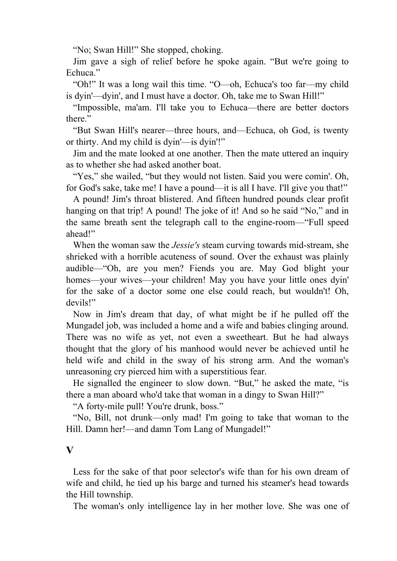"No; Swan Hill!" She stopped, choking.

 Jim gave a sigh of relief before he spoke again. "But we're going to Echuca<sup>"</sup>

 "Oh!" It was a long wail this time. "O—oh, Echuca's too far—my child is dyin'—dyin', and I must have a doctor. Oh, take me to Swan Hill!"

 "Impossible, ma'am. I'll take you to Echuca—there are better doctors there."

 "But Swan Hill's nearer—three hours, and—Echuca, oh God, is twenty or thirty. And my child is dyin'—is dyin'!"

 Jim and the mate looked at one another. Then the mate uttered an inquiry as to whether she had asked another boat.

"Yes," she wailed, "but they would not listen. Said you were comin'. Oh, for God's sake, take me! I have a pound—it is all I have. I'll give you that!"

 A pound! Jim's throat blistered. And fifteen hundred pounds clear profit hanging on that trip! A pound! The joke of it! And so he said "No," and in the same breath sent the telegraph call to the engine-room—"Full speed ahead!"

 When the woman saw the *Jessie's* steam curving towards mid-stream, she shrieked with a horrible acuteness of sound. Over the exhaust was plainly audible—"Oh, are you men? Fiends you are. May God blight your homes—your wives—your children! May you have your little ones dyin' for the sake of a doctor some one else could reach, but wouldn't! Oh, devils!"

 Now in Jim's dream that day, of what might be if he pulled off the Mungadel job, was included a home and a wife and babies clinging around. There was no wife as yet, not even a sweetheart. But he had always thought that the glory of his manhood would never be achieved until he held wife and child in the sway of his strong arm. And the woman's unreasoning cry pierced him with a superstitious fear.

 He signalled the engineer to slow down. "But," he asked the mate, "is there a man aboard who'd take that woman in a dingy to Swan Hill?"

"A forty-mile pull! You're drunk, boss."

 "No, Bill, not drunk—only mad! I'm going to take that woman to the Hill. Damn her!—and damn Tom Lang of Mungadel!"

#### **V**

 Less for the sake of that poor selector's wife than for his own dream of wife and child, he tied up his barge and turned his steamer's head towards the Hill township.

The woman's only intelligence lay in her mother love. She was one of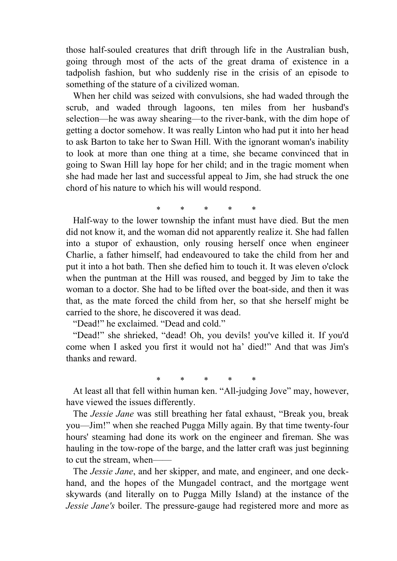those half-souled creatures that drift through life in the Australian bush, going through most of the acts of the great drama of existence in a tadpolish fashion, but who suddenly rise in the crisis of an episode to something of the stature of a civilized woman.

 When her child was seized with convulsions, she had waded through the scrub, and waded through lagoons, ten miles from her husband's selection—he was away shearing—to the river-bank, with the dim hope of getting a doctor somehow. It was really Linton who had put it into her head to ask Barton to take her to Swan Hill. With the ignorant woman's inability to look at more than one thing at a time, she became convinced that in going to Swan Hill lay hope for her child; and in the tragic moment when she had made her last and successful appeal to Jim, she had struck the one chord of his nature to which his will would respond.

\* \* \* \* \*

 Half-way to the lower township the infant must have died. But the men did not know it, and the woman did not apparently realize it. She had fallen into a stupor of exhaustion, only rousing herself once when engineer Charlie, a father himself, had endeavoured to take the child from her and put it into a hot bath. Then she defied him to touch it. It was eleven o'clock when the puntman at the Hill was roused, and begged by Jim to take the woman to a doctor. She had to be lifted over the boat-side, and then it was that, as the mate forced the child from her, so that she herself might be carried to the shore, he discovered it was dead.

"Dead!" he exclaimed. "Dead and cold."

 "Dead!" she shrieked, "dead! Oh, you devils! you've killed it. If you'd come when I asked you first it would not ha' died!" And that was Jim's thanks and reward.

\* \* \* \* \*

 At least all that fell within human ken. "All-judging Jove" may, however, have viewed the issues differently.

 The *Jessie Jane* was still breathing her fatal exhaust, "Break you, break you—Jim!" when she reached Pugga Milly again. By that time twenty-four hours' steaming had done its work on the engineer and fireman. She was hauling in the tow-rope of the barge, and the latter craft was just beginning to cut the stream, when-

 The *Jessie Jane*, and her skipper, and mate, and engineer, and one deckhand, and the hopes of the Mungadel contract, and the mortgage went skywards (and literally on to Pugga Milly Island) at the instance of the *Jessie Jane's* boiler. The pressure-gauge had registered more and more as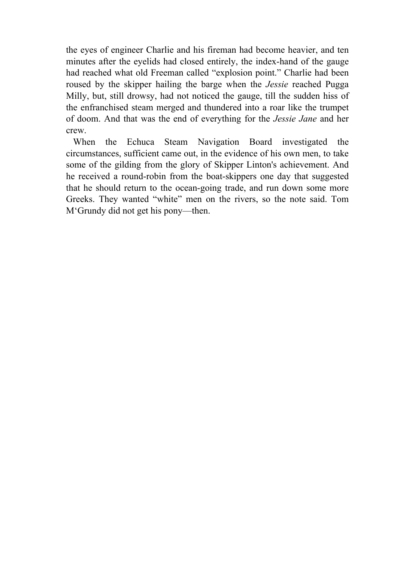the eyes of engineer Charlie and his fireman had become heavier, and ten minutes after the eyelids had closed entirely, the index-hand of the gauge had reached what old Freeman called "explosion point." Charlie had been roused by the skipper hailing the barge when the *Jessie* reached Pugga Milly, but, still drowsy, had not noticed the gauge, till the sudden hiss of the enfranchised steam merged and thundered into a roar like the trumpet of doom. And that was the end of everything for the *Jessie Jane* and her crew.

 When the Echuca Steam Navigation Board investigated the circumstances, sufficient came out, in the evidence of his own men, to take some of the gilding from the glory of Skipper Linton's achievement. And he received a round-robin from the boat-skippers one day that suggested that he should return to the ocean-going trade, and run down some more Greeks. They wanted "white" men on the rivers, so the note said. Tom M'Grundy did not get his pony—then.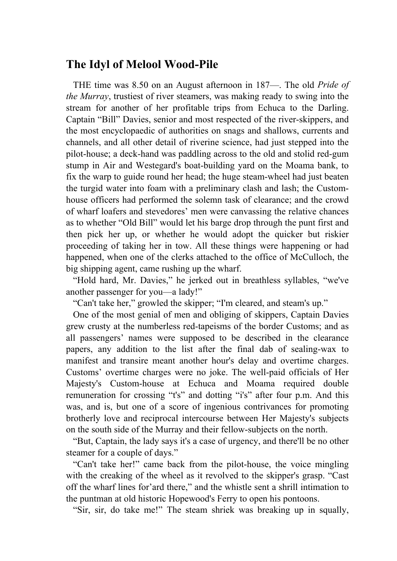## **The Idyl of Melool Wood-Pile**

 THE time was 8.50 on an August afternoon in 187—. The old *Pride of the Murray*, trustiest of river steamers, was making ready to swing into the stream for another of her profitable trips from Echuca to the Darling. Captain "Bill" Davies, senior and most respected of the river-skippers, and the most encyclopaedic of authorities on snags and shallows, currents and channels, and all other detail of riverine science, had just stepped into the pilot-house; a deck-hand was paddling across to the old and stolid red-gum stump in Air and Westegard's boat-building yard on the Moama bank, to fix the warp to guide round her head; the huge steam-wheel had just beaten the turgid water into foam with a preliminary clash and lash; the Customhouse officers had performed the solemn task of clearance; and the crowd of wharf loafers and stevedores' men were canvassing the relative chances as to whether "Old Bill" would let his barge drop through the punt first and then pick her up, or whether he would adopt the quicker but riskier proceeding of taking her in tow. All these things were happening or had happened, when one of the clerks attached to the office of McCulloch, the big shipping agent, came rushing up the wharf.

 "Hold hard, Mr. Davies," he jerked out in breathless syllables, "we've another passenger for you—a lady!"

"Can't take her," growled the skipper; "I'm cleared, and steam's up."

 One of the most genial of men and obliging of skippers, Captain Davies grew crusty at the numberless red-tapeisms of the border Customs; and as all passengers' names were supposed to be described in the clearance papers, any addition to the list after the final dab of sealing-wax to manifest and transire meant another hour's delay and overtime charges. Customs' overtime charges were no joke. The well-paid officials of Her Majesty's Custom-house at Echuca and Moama required double remuneration for crossing "t's" and dotting "i's" after four p.m. And this was, and is, but one of a score of ingenious contrivances for promoting brotherly love and reciprocal intercourse between Her Majesty's subjects on the south side of the Murray and their fellow-subjects on the north.

 "But, Captain, the lady says it's a case of urgency, and there'll be no other steamer for a couple of days."

 "Can't take her!" came back from the pilot-house, the voice mingling with the creaking of the wheel as it revolved to the skipper's grasp. "Cast off the wharf lines for'ard there," and the whistle sent a shrill intimation to the puntman at old historic Hopewood's Ferry to open his pontoons.

"Sir, sir, do take me!" The steam shriek was breaking up in squally,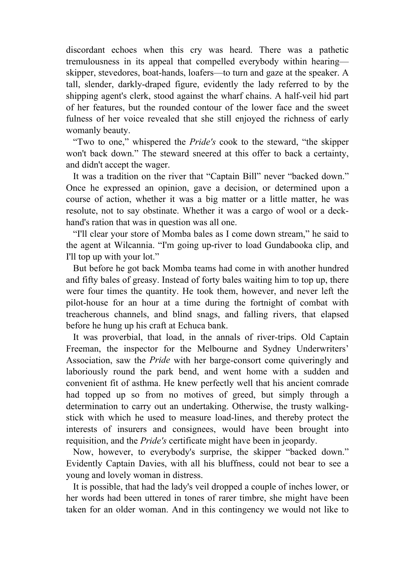discordant echoes when this cry was heard. There was a pathetic tremulousness in its appeal that compelled everybody within hearing skipper, stevedores, boat-hands, loafers—to turn and gaze at the speaker. A tall, slender, darkly-draped figure, evidently the lady referred to by the shipping agent's clerk, stood against the wharf chains. A half-veil hid part of her features, but the rounded contour of the lower face and the sweet fulness of her voice revealed that she still enjoyed the richness of early womanly beauty.

 "Two to one," whispered the *Pride's* cook to the steward, "the skipper won't back down." The steward sneered at this offer to back a certainty, and didn't accept the wager.

 It was a tradition on the river that "Captain Bill" never "backed down." Once he expressed an opinion, gave a decision, or determined upon a course of action, whether it was a big matter or a little matter, he was resolute, not to say obstinate. Whether it was a cargo of wool or a deckhand's ration that was in question was all one.

 "I'll clear your store of Momba bales as I come down stream," he said to the agent at Wilcannia. "I'm going up-river to load Gundabooka clip, and I'll top up with your lot."

 But before he got back Momba teams had come in with another hundred and fifty bales of greasy. Instead of forty bales waiting him to top up, there were four times the quantity. He took them, however, and never left the pilot-house for an hour at a time during the fortnight of combat with treacherous channels, and blind snags, and falling rivers, that elapsed before he hung up his craft at Echuca bank.

 It was proverbial, that load, in the annals of river-trips. Old Captain Freeman, the inspector for the Melbourne and Sydney Underwriters' Association, saw the *Pride* with her barge-consort come quiveringly and laboriously round the park bend, and went home with a sudden and convenient fit of asthma. He knew perfectly well that his ancient comrade had topped up so from no motives of greed, but simply through a determination to carry out an undertaking. Otherwise, the trusty walkingstick with which he used to measure load-lines, and thereby protect the interests of insurers and consignees, would have been brought into requisition, and the *Pride's* certificate might have been in jeopardy.

 Now, however, to everybody's surprise, the skipper "backed down." Evidently Captain Davies, with all his bluffness, could not bear to see a young and lovely woman in distress.

 It is possible, that had the lady's veil dropped a couple of inches lower, or her words had been uttered in tones of rarer timbre, she might have been taken for an older woman. And in this contingency we would not like to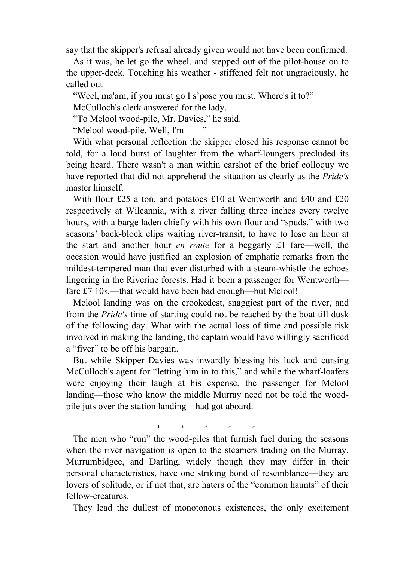say that the skipper's refusal already given would not have been confirmed.

 As it was, he let go the wheel, and stepped out of the pilot-house on to the upper-deck. Touching his weather - stiffened felt not ungraciously, he called out—

"Weel, ma'am, if you must go I s'pose you must. Where's it to?"

McCulloch's clerk answered for the lady.

"To Melool wood-pile, Mr. Davies," he said.

"Melool wood-pile. Well, I'm——"

 With what personal reflection the skipper closed his response cannot be told, for a loud burst of laughter from the wharf-loungers precluded its being heard. There wasn't a man within earshot of the brief colloquy we have reported that did not apprehend the situation as clearly as the *Pride's* master himself.

With flour £25 a ton, and potatoes £10 at Wentworth and £40 and £20 respectively at Wilcannia, with a river falling three inches every twelve hours, with a barge laden chiefly with his own flour and "spuds," with two seasons' back-block clips waiting river-transit, to have to lose an hour at the start and another hour *en route* for a beggarly £1 fare—well, the occasion would have justified an explosion of emphatic remarks from the mildest-tempered man that ever disturbed with a steam-whistle the echoes lingering in the Riverine forests. Had it been a passenger for Wentworth fare £7 10*s*.—that would have been bad enough—but Melool!

 Melool landing was on the crookedest, snaggiest part of the river, and from the *Pride's* time of starting could not be reached by the boat till dusk of the following day. What with the actual loss of time and possible risk involved in making the landing, the captain would have willingly sacrificed a "fiver" to be off his bargain.

 But while Skipper Davies was inwardly blessing his luck and cursing McCulloch's agent for "letting him in to this," and while the wharf-loafers were enjoying their laugh at his expense, the passenger for Melool landing—those who know the middle Murray need not be told the woodpile juts over the station landing—had got aboard.

\* \* \* \* \*

 The men who "run" the wood-piles that furnish fuel during the seasons when the river navigation is open to the steamers trading on the Murray, Murrumbidgee, and Darling, widely though they may differ in their personal characteristics, have one striking bond of resemblance—they are lovers of solitude, or if not that, are haters of the "common haunts" of their fellow-creatures.

They lead the dullest of monotonous existences, the only excitement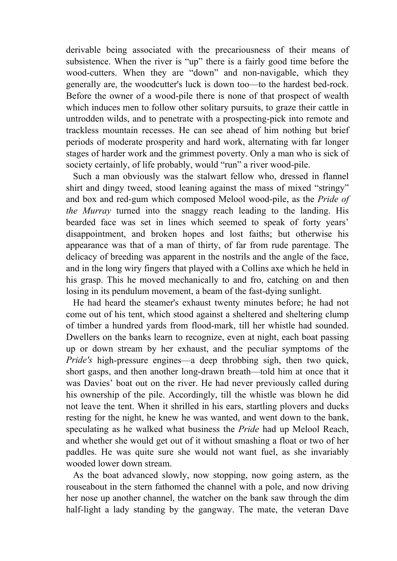derivable being associated with the precariousness of their means of subsistence. When the river is "up" there is a fairly good time before the wood-cutters. When they are "down" and non-navigable, which they generally are, the woodcutter's luck is down too—to the hardest bed-rock. Before the owner of a wood-pile there is none of that prospect of wealth which induces men to follow other solitary pursuits, to graze their cattle in untrodden wilds, and to penetrate with a prospecting-pick into remote and trackless mountain recesses. He can see ahead of him nothing but brief periods of moderate prosperity and hard work, alternating with far longer stages of harder work and the grimmest poverty. Only a man who is sick of society certainly, of life probably, would "run" a river wood-pile.

 Such a man obviously was the stalwart fellow who, dressed in flannel shirt and dingy tweed, stood leaning against the mass of mixed "stringy" and box and red-gum which composed Melool wood-pile, as the *Pride of the Murray* turned into the snaggy reach leading to the landing. His bearded face was set in lines which seemed to speak of forty years' disappointment, and broken hopes and lost faiths; but otherwise his appearance was that of a man of thirty, of far from rude parentage. The delicacy of breeding was apparent in the nostrils and the angle of the face, and in the long wiry fingers that played with a Collins axe which he held in his grasp. This he moved mechanically to and fro, catching on and then losing in its pendulum movement, a beam of the fast-dying sunlight.

 He had heard the steamer's exhaust twenty minutes before; he had not come out of his tent, which stood against a sheltered and sheltering clump of timber a hundred yards from flood-mark, till her whistle had sounded. Dwellers on the banks learn to recognize, even at night, each boat passing up or down stream by her exhaust, and the peculiar symptoms of the *Pride's* high-pressure engines—a deep throbbing sigh, then two quick, short gasps, and then another long-drawn breath—told him at once that it was Davies' boat out on the river. He had never previously called during his ownership of the pile. Accordingly, till the whistle was blown he did not leave the tent. When it shrilled in his ears, startling plovers and ducks resting for the night, he knew he was wanted, and went down to the bank, speculating as he walked what business the *Pride* had up Melool Reach, and whether she would get out of it without smashing a float or two of her paddles. He was quite sure she would not want fuel, as she invariably wooded lower down stream.

 As the boat advanced slowly, now stopping, now going astern, as the rouseabout in the stern fathomed the channel with a pole, and now driving her nose up another channel, the watcher on the bank saw through the dim half-light a lady standing by the gangway. The mate, the veteran Dave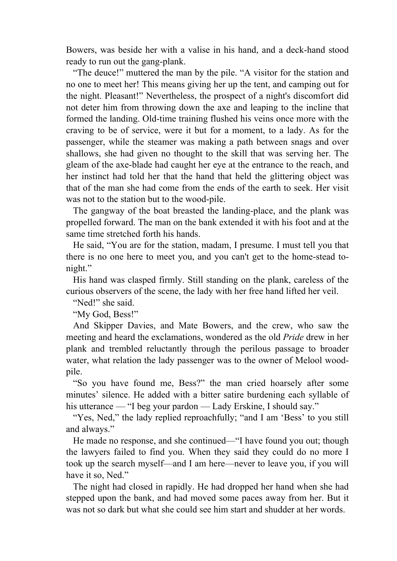Bowers, was beside her with a valise in his hand, and a deck-hand stood ready to run out the gang-plank.

 "The deuce!" muttered the man by the pile. "A visitor for the station and no one to meet her! This means giving her up the tent, and camping out for the night. Pleasant!" Nevertheless, the prospect of a night's discomfort did not deter him from throwing down the axe and leaping to the incline that formed the landing. Old-time training flushed his veins once more with the craving to be of service, were it but for a moment, to a lady. As for the passenger, while the steamer was making a path between snags and over shallows, she had given no thought to the skill that was serving her. The gleam of the axe-blade had caught her eye at the entrance to the reach, and her instinct had told her that the hand that held the glittering object was that of the man she had come from the ends of the earth to seek. Her visit was not to the station but to the wood-pile.

 The gangway of the boat breasted the landing-place, and the plank was propelled forward. The man on the bank extended it with his foot and at the same time stretched forth his hands.

 He said, "You are for the station, madam, I presume. I must tell you that there is no one here to meet you, and you can't get to the home-stead tonight."

 His hand was clasped firmly. Still standing on the plank, careless of the curious observers of the scene, the lady with her free hand lifted her veil.

"Ned!" she said.

"My God, Bess!"

 And Skipper Davies, and Mate Bowers, and the crew, who saw the meeting and heard the exclamations, wondered as the old *Pride* drew in her plank and trembled reluctantly through the perilous passage to broader water, what relation the lady passenger was to the owner of Melool woodpile.

 "So you have found me, Bess?" the man cried hoarsely after some minutes' silence. He added with a bitter satire burdening each syllable of his utterance — "I beg your pardon — Lady Erskine, I should say."

"Yes, Ned," the lady replied reproachfully; "and I am 'Bess' to you still and always."

 He made no response, and she continued—"I have found you out; though the lawyers failed to find you. When they said they could do no more I took up the search myself—and I am here—never to leave you, if you will have it so, Ned."

 The night had closed in rapidly. He had dropped her hand when she had stepped upon the bank, and had moved some paces away from her. But it was not so dark but what she could see him start and shudder at her words.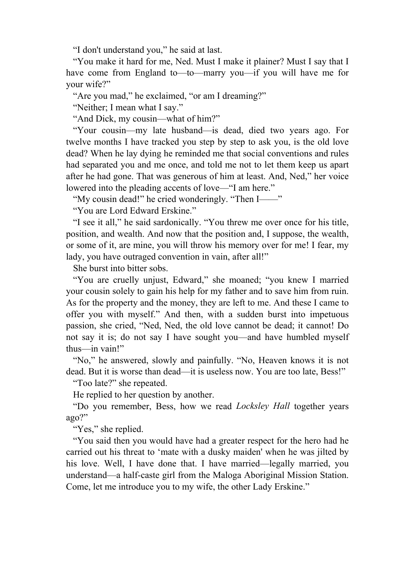"I don't understand you," he said at last.

 "You make it hard for me, Ned. Must I make it plainer? Must I say that I have come from England to—to—marry you—if you will have me for your wife?"

"Are you mad," he exclaimed, "or am I dreaming?"

"Neither; I mean what I say."

"And Dick, my cousin—what of him?"

 "Your cousin—my late husband—is dead, died two years ago. For twelve months I have tracked you step by step to ask you, is the old love dead? When he lay dying he reminded me that social conventions and rules had separated you and me once, and told me not to let them keep us apart after he had gone. That was generous of him at least. And, Ned," her voice lowered into the pleading accents of love—"I am here."

"My cousin dead!" he cried wonderingly. "Then I——"

"You are Lord Edward Erskine."

 "I see it all," he said sardonically. "You threw me over once for his title, position, and wealth. And now that the position and, I suppose, the wealth, or some of it, are mine, you will throw his memory over for me! I fear, my lady, you have outraged convention in vain, after all!"

She burst into bitter sobs.

 "You are cruelly unjust, Edward," she moaned; "you knew I married your cousin solely to gain his help for my father and to save him from ruin. As for the property and the money, they are left to me. And these I came to offer you with myself." And then, with a sudden burst into impetuous passion, she cried, "Ned, Ned, the old love cannot be dead; it cannot! Do not say it is; do not say I have sought you—and have humbled myself thus—in vain!"

 "No," he answered, slowly and painfully. "No, Heaven knows it is not dead. But it is worse than dead—it is useless now. You are too late, Bess!"

"Too late?" she repeated.

He replied to her question by another.

 "Do you remember, Bess, how we read *Locksley Hall* together years ago?"

"Yes," she replied.

 "You said then you would have had a greater respect for the hero had he carried out his threat to 'mate with a dusky maiden' when he was jilted by his love. Well, I have done that. I have married—legally married, you understand—a half-caste girl from the Maloga Aboriginal Mission Station. Come, let me introduce you to my wife, the other Lady Erskine."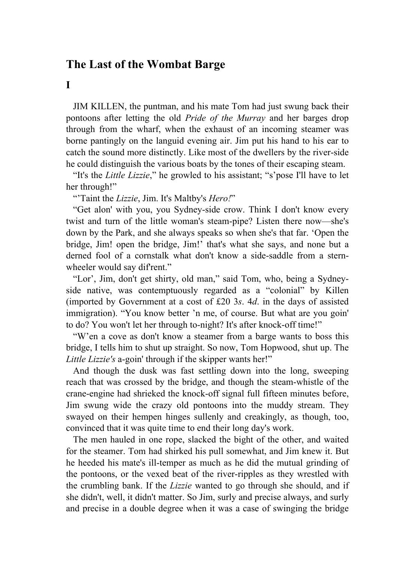# **The Last of the Wombat Barge**

**I** 

 JIM KILLEN, the puntman, and his mate Tom had just swung back their pontoons after letting the old *Pride of the Murray* and her barges drop through from the wharf, when the exhaust of an incoming steamer was borne pantingly on the languid evening air. Jim put his hand to his ear to catch the sound more distinctly. Like most of the dwellers by the river-side he could distinguish the various boats by the tones of their escaping steam.

 "It's the *Little Lizzie*," he growled to his assistant; "s'pose I'll have to let her through!"

"'Taint the *Lizzie*, Jim. It's Maltby's *Hero!*"

 "Get alon' with you, you Sydney-side crow. Think I don't know every twist and turn of the little woman's steam-pipe? Listen there now—she's down by the Park, and she always speaks so when she's that far. 'Open the bridge, Jim! open the bridge, Jim!' that's what she says, and none but a derned fool of a cornstalk what don't know a side-saddle from a sternwheeler would say diffrent."

 "Lor', Jim, don't get shirty, old man," said Tom, who, being a Sydneyside native, was contemptuously regarded as a "colonial" by Killen (imported by Government at a cost of £20 3*s*. 4*d*. in the days of assisted immigration). "You know better 'n me, of course. But what are you goin' to do? You won't let her through to-night? It's after knock-off time!"

 "W'en a cove as don't know a steamer from a barge wants to boss this bridge, I tells him to shut up straight. So now, Tom Hopwood, shut up. The *Little Lizzie's* a-goin' through if the skipper wants her!"

 And though the dusk was fast settling down into the long, sweeping reach that was crossed by the bridge, and though the steam-whistle of the crane-engine had shrieked the knock-off signal full fifteen minutes before, Jim swung wide the crazy old pontoons into the muddy stream. They swayed on their hempen hinges sullenly and creakingly, as though, too, convinced that it was quite time to end their long day's work.

 The men hauled in one rope, slacked the bight of the other, and waited for the steamer. Tom had shirked his pull somewhat, and Jim knew it. But he heeded his mate's ill-temper as much as he did the mutual grinding of the pontoons, or the vexed beat of the river-ripples as they wrestled with the crumbling bank. If the *Lizzie* wanted to go through she should, and if she didn't, well, it didn't matter. So Jim, surly and precise always, and surly and precise in a double degree when it was a case of swinging the bridge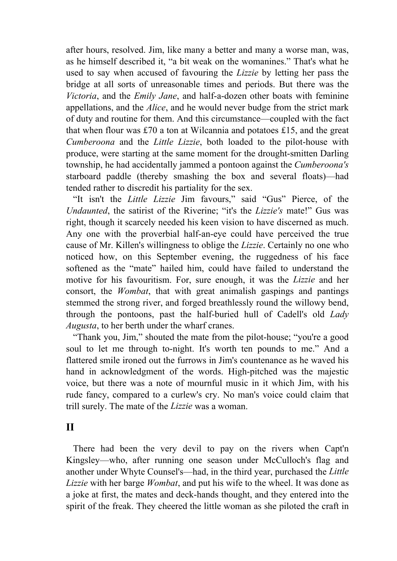after hours, resolved. Jim, like many a better and many a worse man, was, as he himself described it, "a bit weak on the womanines." That's what he used to say when accused of favouring the *Lizzie* by letting her pass the bridge at all sorts of unreasonable times and periods. But there was the *Victoria*, and the *Emily Jane*, and half-a-dozen other boats with feminine appellations, and the *Alice*, and he would never budge from the strict mark of duty and routine for them. And this circumstance—coupled with the fact that when flour was £70 a ton at Wilcannia and potatoes £15, and the great *Cumberoona* and the *Little Lizzie*, both loaded to the pilot-house with produce, were starting at the same moment for the drought-smitten Darling township, he had accidentally jammed a pontoon against the *Cumberoona's* starboard paddle (thereby smashing the box and several floats)—had tended rather to discredit his partiality for the sex.

 "It isn't the *Little Lizzie* Jim favours," said "Gus" Pierce, of the *Undaunted*, the satirist of the Riverine; "it's the *Lizzie's* mate!" Gus was right, though it scarcely needed his keen vision to have discerned as much. Any one with the proverbial half-an-eye could have perceived the true cause of Mr. Killen's willingness to oblige the *Lizzie*. Certainly no one who noticed how, on this September evening, the ruggedness of his face softened as the "mate" hailed him, could have failed to understand the motive for his favouritism. For, sure enough, it was the *Lizzie* and her consort, the *Wombat*, that with great animalish gaspings and pantings stemmed the strong river, and forged breathlessly round the willowy bend, through the pontoons, past the half-buried hull of Cadell's old *Lady Augusta*, to her berth under the wharf cranes.

 "Thank you, Jim," shouted the mate from the pilot-house; "you're a good soul to let me through to-night. It's worth ten pounds to me." And a flattered smile ironed out the furrows in Jim's countenance as he waved his hand in acknowledgment of the words. High-pitched was the majestic voice, but there was a note of mournful music in it which Jim, with his rude fancy, compared to a curlew's cry. No man's voice could claim that trill surely. The mate of the *Lizzie* was a woman.

### **II**

 There had been the very devil to pay on the rivers when Capt'n Kingsley—who, after running one season under McCulloch's flag and another under Whyte Counsel's—had, in the third year, purchased the *Little Lizzie* with her barge *Wombat*, and put his wife to the wheel. It was done as a joke at first, the mates and deck-hands thought, and they entered into the spirit of the freak. They cheered the little woman as she piloted the craft in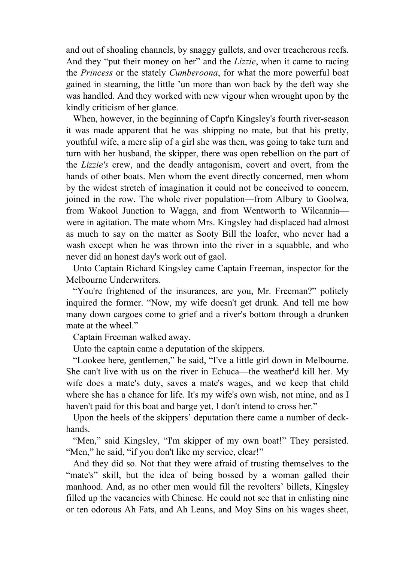and out of shoaling channels, by snaggy gullets, and over treacherous reefs. And they "put their money on her" and the *Lizzie*, when it came to racing the *Princess* or the stately *Cumberoona*, for what the more powerful boat gained in steaming, the little 'un more than won back by the deft way she was handled. And they worked with new vigour when wrought upon by the kindly criticism of her glance.

 When, however, in the beginning of Capt'n Kingsley's fourth river-season it was made apparent that he was shipping no mate, but that his pretty, youthful wife, a mere slip of a girl she was then, was going to take turn and turn with her husband, the skipper, there was open rebellion on the part of the *Lizzie's* crew, and the deadly antagonism, covert and overt, from the hands of other boats. Men whom the event directly concerned, men whom by the widest stretch of imagination it could not be conceived to concern, joined in the row. The whole river population—from Albury to Goolwa, from Wakool Junction to Wagga, and from Wentworth to Wilcannia were in agitation. The mate whom Mrs. Kingsley had displaced had almost as much to say on the matter as Sooty Bill the loafer, who never had a wash except when he was thrown into the river in a squabble, and who never did an honest day's work out of gaol.

 Unto Captain Richard Kingsley came Captain Freeman, inspector for the Melbourne Underwriters.

 "You're frightened of the insurances, are you, Mr. Freeman?" politely inquired the former. "Now, my wife doesn't get drunk. And tell me how many down cargoes come to grief and a river's bottom through a drunken mate at the wheel."

Captain Freeman walked away.

Unto the captain came a deputation of the skippers.

 "Lookee here, gentlemen," he said, "I've a little girl down in Melbourne. She can't live with us on the river in Echuca—the weather'd kill her. My wife does a mate's duty, saves a mate's wages, and we keep that child where she has a chance for life. It's my wife's own wish, not mine, and as I haven't paid for this boat and barge yet, I don't intend to cross her."

 Upon the heels of the skippers' deputation there came a number of deckhands.

"Men," said Kingsley, "I'm skipper of my own boat!" They persisted. "Men," he said, "if you don't like my service, clear!"

 And they did so. Not that they were afraid of trusting themselves to the "mate's" skill, but the idea of being bossed by a woman galled their manhood. And, as no other men would fill the revolters' billets, Kingsley filled up the vacancies with Chinese. He could not see that in enlisting nine or ten odorous Ah Fats, and Ah Leans, and Moy Sins on his wages sheet,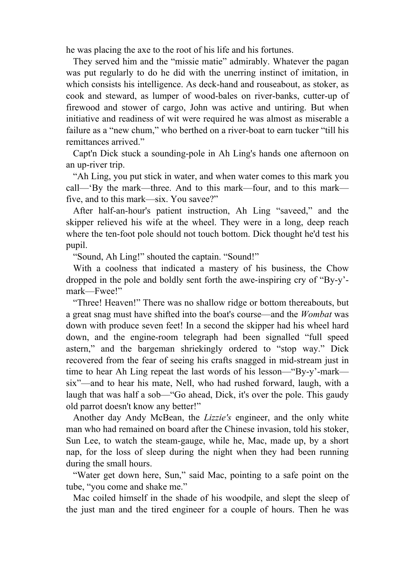he was placing the axe to the root of his life and his fortunes.

 They served him and the "missie matie" admirably. Whatever the pagan was put regularly to do he did with the unerring instinct of imitation, in which consists his intelligence. As deck-hand and rouseabout, as stoker, as cook and steward, as lumper of wood-bales on river-banks, cutter-up of firewood and stower of cargo, John was active and untiring. But when initiative and readiness of wit were required he was almost as miserable a failure as a "new chum," who berthed on a river-boat to earn tucker "till his remittances arrived."

 Capt'n Dick stuck a sounding-pole in Ah Ling's hands one afternoon on an up-river trip.

 "Ah Ling, you put stick in water, and when water comes to this mark you call—'By the mark—three. And to this mark—four, and to this mark five, and to this mark—six. You savee?"

 After half-an-hour's patient instruction, Ah Ling "saveed," and the skipper relieved his wife at the wheel. They were in a long, deep reach where the ten-foot pole should not touch bottom. Dick thought he'd test his pupil.

"Sound, Ah Ling!" shouted the captain. "Sound!"

 With a coolness that indicated a mastery of his business, the Chow dropped in the pole and boldly sent forth the awe-inspiring cry of "By-y' mark—Fwee!"

 "Three! Heaven!" There was no shallow ridge or bottom thereabouts, but a great snag must have shifted into the boat's course—and the *Wombat* was down with produce seven feet! In a second the skipper had his wheel hard down, and the engine-room telegraph had been signalled "full speed astern," and the bargeman shriekingly ordered to "stop way." Dick recovered from the fear of seeing his crafts snagged in mid-stream just in time to hear Ah Ling repeat the last words of his lesson—"By-y'-mark six"—and to hear his mate, Nell, who had rushed forward, laugh, with a laugh that was half a sob—"Go ahead, Dick, it's over the pole. This gaudy old parrot doesn't know any better!"

 Another day Andy McBean, the *Lizzie's* engineer, and the only white man who had remained on board after the Chinese invasion, told his stoker, Sun Lee, to watch the steam-gauge, while he, Mac, made up, by a short nap, for the loss of sleep during the night when they had been running during the small hours.

 "Water get down here, Sun," said Mac, pointing to a safe point on the tube, "you come and shake me."

 Mac coiled himself in the shade of his woodpile, and slept the sleep of the just man and the tired engineer for a couple of hours. Then he was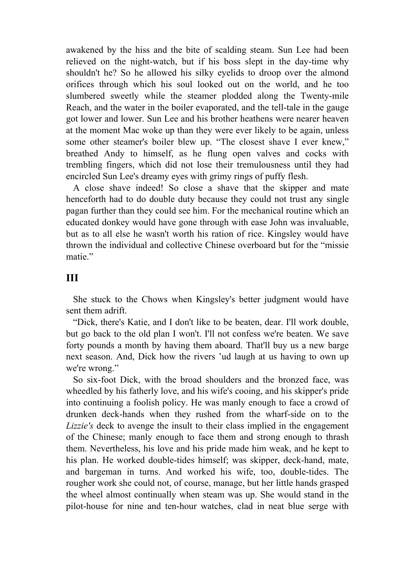awakened by the hiss and the bite of scalding steam. Sun Lee had been relieved on the night-watch, but if his boss slept in the day-time why shouldn't he? So he allowed his silky eyelids to droop over the almond orifices through which his soul looked out on the world, and he too slumbered sweetly while the steamer plodded along the Twenty-mile Reach, and the water in the boiler evaporated, and the tell-tale in the gauge got lower and lower. Sun Lee and his brother heathens were nearer heaven at the moment Mac woke up than they were ever likely to be again, unless some other steamer's boiler blew up. "The closest shave I ever knew," breathed Andy to himself, as he flung open valves and cocks with trembling fingers, which did not lose their tremulousness until they had encircled Sun Lee's dreamy eyes with grimy rings of puffy flesh.

 A close shave indeed! So close a shave that the skipper and mate henceforth had to do double duty because they could not trust any single pagan further than they could see him. For the mechanical routine which an educated donkey would have gone through with ease John was invaluable, but as to all else he wasn't worth his ration of rice. Kingsley would have thrown the individual and collective Chinese overboard but for the "missie matie."

## **III**

 She stuck to the Chows when Kingsley's better judgment would have sent them adrift

 "Dick, there's Katie, and I don't like to be beaten, dear. I'll work double, but go back to the old plan I won't. I'll not confess we're beaten. We save forty pounds a month by having them aboard. That'll buy us a new barge next season. And, Dick how the rivers 'ud laugh at us having to own up we're wrong."

 So six-foot Dick, with the broad shoulders and the bronzed face, was wheedled by his fatherly love, and his wife's cooing, and his skipper's pride into continuing a foolish policy. He was manly enough to face a crowd of drunken deck-hands when they rushed from the wharf-side on to the *Lizzie's* deck to avenge the insult to their class implied in the engagement of the Chinese; manly enough to face them and strong enough to thrash them. Nevertheless, his love and his pride made him weak, and he kept to his plan. He worked double-tides himself; was skipper, deck-hand, mate, and bargeman in turns. And worked his wife, too, double-tides. The rougher work she could not, of course, manage, but her little hands grasped the wheel almost continually when steam was up. She would stand in the pilot-house for nine and ten-hour watches, clad in neat blue serge with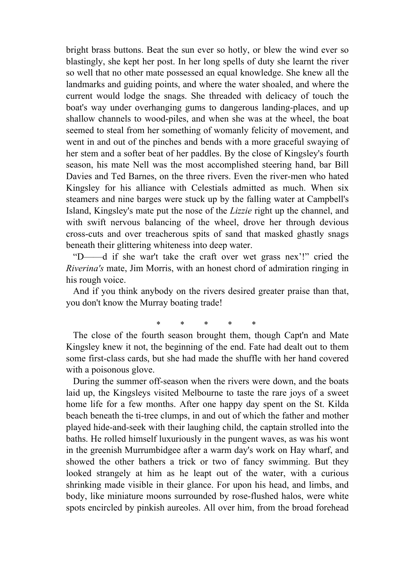bright brass buttons. Beat the sun ever so hotly, or blew the wind ever so blastingly, she kept her post. In her long spells of duty she learnt the river so well that no other mate possessed an equal knowledge. She knew all the landmarks and guiding points, and where the water shoaled, and where the current would lodge the snags. She threaded with delicacy of touch the boat's way under overhanging gums to dangerous landing-places, and up shallow channels to wood-piles, and when she was at the wheel, the boat seemed to steal from her something of womanly felicity of movement, and went in and out of the pinches and bends with a more graceful swaying of her stem and a softer beat of her paddles. By the close of Kingsley's fourth season, his mate Nell was the most accomplished steering hand, bar Bill Davies and Ted Barnes, on the three rivers. Even the river-men who hated Kingsley for his alliance with Celestials admitted as much. When six steamers and nine barges were stuck up by the falling water at Campbell's Island, Kingsley's mate put the nose of the *Lizzie* right up the channel, and with swift nervous balancing of the wheel, drove her through devious cross-cuts and over treacherous spits of sand that masked ghastly snags beneath their glittering whiteness into deep water.

 "D——d if she war't take the craft over wet grass nex'!" cried the *Riverina's* mate, Jim Morris, with an honest chord of admiration ringing in his rough voice.

 And if you think anybody on the rivers desired greater praise than that, you don't know the Murray boating trade!

\* \* \* \* \*

 The close of the fourth season brought them, though Capt'n and Mate Kingsley knew it not, the beginning of the end. Fate had dealt out to them some first-class cards, but she had made the shuffle with her hand covered with a poisonous glove.

 During the summer off-season when the rivers were down, and the boats laid up, the Kingsleys visited Melbourne to taste the rare joys of a sweet home life for a few months. After one happy day spent on the St. Kilda beach beneath the ti-tree clumps, in and out of which the father and mother played hide-and-seek with their laughing child, the captain strolled into the baths. He rolled himself luxuriously in the pungent waves, as was his wont in the greenish Murrumbidgee after a warm day's work on Hay wharf, and showed the other bathers a trick or two of fancy swimming. But they looked strangely at him as he leapt out of the water, with a curious shrinking made visible in their glance. For upon his head, and limbs, and body, like miniature moons surrounded by rose-flushed halos, were white spots encircled by pinkish aureoles. All over him, from the broad forehead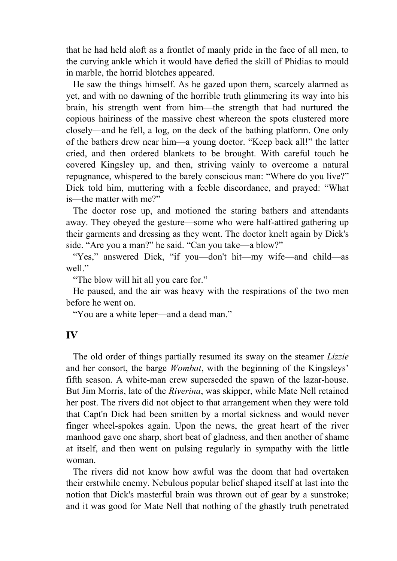that he had held aloft as a frontlet of manly pride in the face of all men, to the curving ankle which it would have defied the skill of Phidias to mould in marble, the horrid blotches appeared.

 He saw the things himself. As he gazed upon them, scarcely alarmed as yet, and with no dawning of the horrible truth glimmering its way into his brain, his strength went from him—the strength that had nurtured the copious hairiness of the massive chest whereon the spots clustered more closely—and he fell, a log, on the deck of the bathing platform. One only of the bathers drew near him—a young doctor. "Keep back all!" the latter cried, and then ordered blankets to be brought. With careful touch he covered Kingsley up, and then, striving vainly to overcome a natural repugnance, whispered to the barely conscious man: "Where do you live?" Dick told him, muttering with a feeble discordance, and prayed: "What is—the matter with me?"

 The doctor rose up, and motioned the staring bathers and attendants away. They obeyed the gesture—some who were half-attired gathering up their garments and dressing as they went. The doctor knelt again by Dick's side. "Are you a man?" he said. "Can you take—a blow?"

 "Yes," answered Dick, "if you—don't hit—my wife—and child—as well"

"The blow will hit all you care for."

 He paused, and the air was heavy with the respirations of the two men before he went on.

"You are a white leper—and a dead man."

#### **IV**

 The old order of things partially resumed its sway on the steamer *Lizzie* and her consort, the barge *Wombat*, with the beginning of the Kingsleys' fifth season. A white-man crew superseded the spawn of the lazar-house. But Jim Morris, late of the *Riverina*, was skipper, while Mate Nell retained her post. The rivers did not object to that arrangement when they were told that Capt'n Dick had been smitten by a mortal sickness and would never finger wheel-spokes again. Upon the news, the great heart of the river manhood gave one sharp, short beat of gladness, and then another of shame at itself, and then went on pulsing regularly in sympathy with the little woman.

 The rivers did not know how awful was the doom that had overtaken their erstwhile enemy. Nebulous popular belief shaped itself at last into the notion that Dick's masterful brain was thrown out of gear by a sunstroke; and it was good for Mate Nell that nothing of the ghastly truth penetrated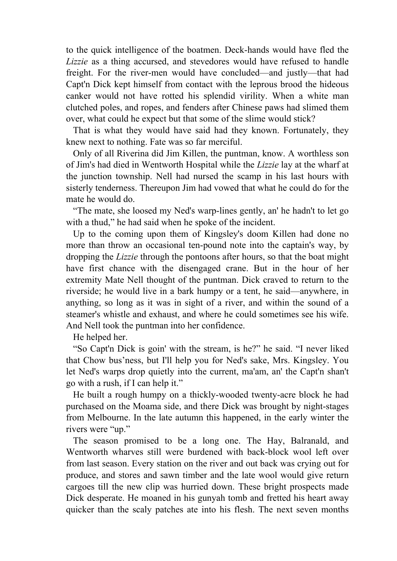to the quick intelligence of the boatmen. Deck-hands would have fled the *Lizzie* as a thing accursed, and stevedores would have refused to handle freight. For the river-men would have concluded—and justly—that had Capt'n Dick kept himself from contact with the leprous brood the hideous canker would not have rotted his splendid virility. When a white man clutched poles, and ropes, and fenders after Chinese paws had slimed them over, what could he expect but that some of the slime would stick?

 That is what they would have said had they known. Fortunately, they knew next to nothing. Fate was so far merciful.

 Only of all Riverina did Jim Killen, the puntman, know. A worthless son of Jim's had died in Wentworth Hospital while the *Lizzie* lay at the wharf at the junction township. Nell had nursed the scamp in his last hours with sisterly tenderness. Thereupon Jim had vowed that what he could do for the mate he would do.

 "The mate, she loosed my Ned's warp-lines gently, an' he hadn't to let go with a thud," he had said when he spoke of the incident.

 Up to the coming upon them of Kingsley's doom Killen had done no more than throw an occasional ten-pound note into the captain's way, by dropping the *Lizzie* through the pontoons after hours, so that the boat might have first chance with the disengaged crane. But in the hour of her extremity Mate Nell thought of the puntman. Dick craved to return to the riverside; he would live in a bark humpy or a tent, he said—anywhere, in anything, so long as it was in sight of a river, and within the sound of a steamer's whistle and exhaust, and where he could sometimes see his wife. And Nell took the puntman into her confidence.

He helped her.

 "So Capt'n Dick is goin' with the stream, is he?" he said. "I never liked that Chow bus'ness, but I'll help you for Ned's sake, Mrs. Kingsley. You let Ned's warps drop quietly into the current, ma'am, an' the Capt'n shan't go with a rush, if I can help it."

 He built a rough humpy on a thickly-wooded twenty-acre block he had purchased on the Moama side, and there Dick was brought by night-stages from Melbourne. In the late autumn this happened, in the early winter the rivers were "up."

 The season promised to be a long one. The Hay, Balranald, and Wentworth wharves still were burdened with back-block wool left over from last season. Every station on the river and out back was crying out for produce, and stores and sawn timber and the late wool would give return cargoes till the new clip was hurried down. These bright prospects made Dick desperate. He moaned in his gunyah tomb and fretted his heart away quicker than the scaly patches ate into his flesh. The next seven months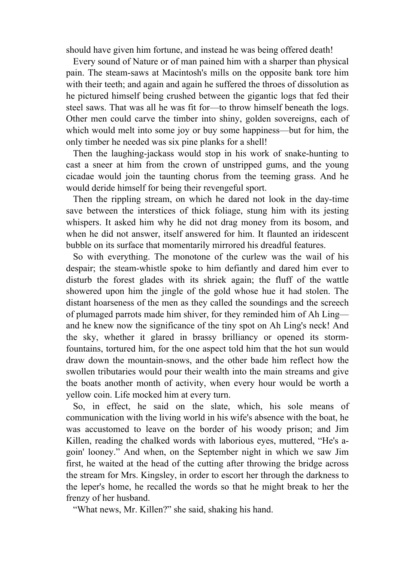should have given him fortune, and instead he was being offered death!

 Every sound of Nature or of man pained him with a sharper than physical pain. The steam-saws at Macintosh's mills on the opposite bank tore him with their teeth; and again and again he suffered the throes of dissolution as he pictured himself being crushed between the gigantic logs that fed their steel saws. That was all he was fit for—to throw himself beneath the logs. Other men could carve the timber into shiny, golden sovereigns, each of which would melt into some joy or buy some happiness—but for him, the only timber he needed was six pine planks for a shell!

 Then the laughing-jackass would stop in his work of snake-hunting to cast a sneer at him from the crown of unstripped gums, and the young cicadae would join the taunting chorus from the teeming grass. And he would deride himself for being their revengeful sport.

 Then the rippling stream, on which he dared not look in the day-time save between the interstices of thick foliage, stung him with its jesting whispers. It asked him why he did not drag money from its bosom, and when he did not answer, itself answered for him. It flaunted an iridescent bubble on its surface that momentarily mirrored his dreadful features.

 So with everything. The monotone of the curlew was the wail of his despair; the steam-whistle spoke to him defiantly and dared him ever to disturb the forest glades with its shriek again; the fluff of the wattle showered upon him the jingle of the gold whose hue it had stolen. The distant hoarseness of the men as they called the soundings and the screech of plumaged parrots made him shiver, for they reminded him of Ah Ling and he knew now the significance of the tiny spot on Ah Ling's neck! And the sky, whether it glared in brassy brilliancy or opened its stormfountains, tortured him, for the one aspect told him that the hot sun would draw down the mountain-snows, and the other bade him reflect how the swollen tributaries would pour their wealth into the main streams and give the boats another month of activity, when every hour would be worth a yellow coin. Life mocked him at every turn.

 So, in effect, he said on the slate, which, his sole means of communication with the living world in his wife's absence with the boat, he was accustomed to leave on the border of his woody prison; and Jim Killen, reading the chalked words with laborious eyes, muttered, "He's agoin' looney." And when, on the September night in which we saw Jim first, he waited at the head of the cutting after throwing the bridge across the stream for Mrs. Kingsley, in order to escort her through the darkness to the leper's home, he recalled the words so that he might break to her the frenzy of her husband.

"What news, Mr. Killen?" she said, shaking his hand.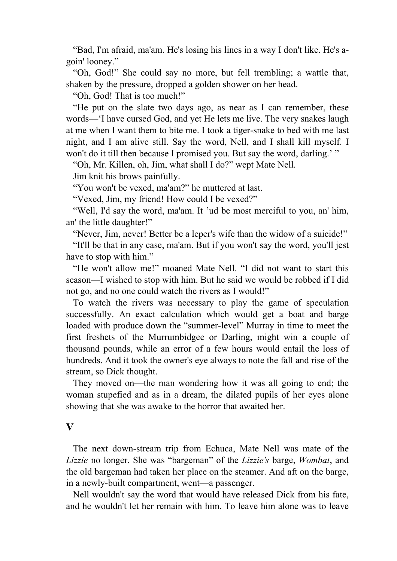"Bad, I'm afraid, ma'am. He's losing his lines in a way I don't like. He's agoin' looney."

 "Oh, God!" She could say no more, but fell trembling; a wattle that, shaken by the pressure, dropped a golden shower on her head.

"Oh, God! That is too much!"

 "He put on the slate two days ago, as near as I can remember, these words—'I have cursed God, and yet He lets me live. The very snakes laugh at me when I want them to bite me. I took a tiger-snake to bed with me last night, and I am alive still. Say the word, Nell, and I shall kill myself. I won't do it till then because I promised you. But say the word, darling.' "

"Oh, Mr. Killen, oh, Jim, what shall I do?" wept Mate Nell.

Jim knit his brows painfully.

"You won't be vexed, ma'am?" he muttered at last.

"Vexed, Jim, my friend! How could I be vexed?"

 "Well, I'd say the word, ma'am. It 'ud be most merciful to you, an' him, an' the little daughter!"

"Never, Jim, never! Better be a leper's wife than the widow of a suicide!"

 "It'll be that in any case, ma'am. But if you won't say the word, you'll jest have to stop with him."

 "He won't allow me!" moaned Mate Nell. "I did not want to start this season—I wished to stop with him. But he said we would be robbed if I did not go, and no one could watch the rivers as I would!"

 To watch the rivers was necessary to play the game of speculation successfully. An exact calculation which would get a boat and barge loaded with produce down the "summer-level" Murray in time to meet the first freshets of the Murrumbidgee or Darling, might win a couple of thousand pounds, while an error of a few hours would entail the loss of hundreds. And it took the owner's eye always to note the fall and rise of the stream, so Dick thought.

 They moved on—the man wondering how it was all going to end; the woman stupefied and as in a dream, the dilated pupils of her eyes alone showing that she was awake to the horror that awaited her.

#### **V**

 The next down-stream trip from Echuca, Mate Nell was mate of the *Lizzie* no longer. She was "bargeman" of the *Lizzie's* barge, *Wombat*, and the old bargeman had taken her place on the steamer. And aft on the barge, in a newly-built compartment, went—a passenger.

 Nell wouldn't say the word that would have released Dick from his fate, and he wouldn't let her remain with him. To leave him alone was to leave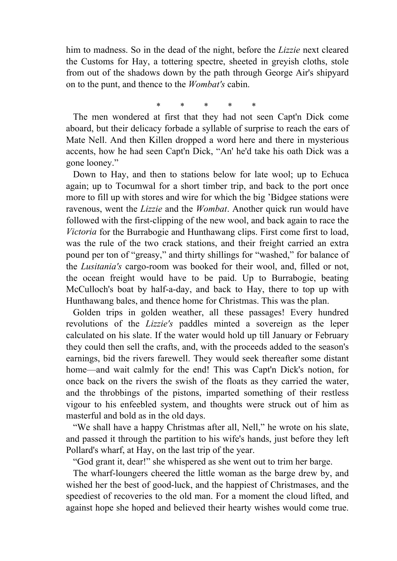him to madness. So in the dead of the night, before the *Lizzie* next cleared the Customs for Hay, a tottering spectre, sheeted in greyish cloths, stole from out of the shadows down by the path through George Air's shipyard on to the punt, and thence to the *Wombat's* cabin.

\* \* \* \* \*

 The men wondered at first that they had not seen Capt'n Dick come aboard, but their delicacy forbade a syllable of surprise to reach the ears of Mate Nell. And then Killen dropped a word here and there in mysterious accents, how he had seen Capt'n Dick, "An' he'd take his oath Dick was a gone looney."

 Down to Hay, and then to stations below for late wool; up to Echuca again; up to Tocumwal for a short timber trip, and back to the port once more to fill up with stores and wire for which the big 'Bidgee stations were ravenous, went the *Lizzie* and the *Wombat*. Another quick run would have followed with the first-clipping of the new wool, and back again to race the *Victoria* for the Burrabogie and Hunthawang clips. First come first to load, was the rule of the two crack stations, and their freight carried an extra pound per ton of "greasy," and thirty shillings for "washed," for balance of the *Lusitania's* cargo-room was booked for their wool, and, filled or not, the ocean freight would have to be paid. Up to Burrabogie, beating McCulloch's boat by half-a-day, and back to Hay, there to top up with Hunthawang bales, and thence home for Christmas. This was the plan.

 Golden trips in golden weather, all these passages! Every hundred revolutions of the *Lizzie's* paddles minted a sovereign as the leper calculated on his slate. If the water would hold up till January or February they could then sell the crafts, and, with the proceeds added to the season's earnings, bid the rivers farewell. They would seek thereafter some distant home—and wait calmly for the end! This was Capt'n Dick's notion, for once back on the rivers the swish of the floats as they carried the water, and the throbbings of the pistons, imparted something of their restless vigour to his enfeebled system, and thoughts were struck out of him as masterful and bold as in the old days.

 "We shall have a happy Christmas after all, Nell," he wrote on his slate, and passed it through the partition to his wife's hands, just before they left Pollard's wharf, at Hay, on the last trip of the year.

"God grant it, dear!" she whispered as she went out to trim her barge.

 The wharf-loungers cheered the little woman as the barge drew by, and wished her the best of good-luck, and the happiest of Christmases, and the speediest of recoveries to the old man. For a moment the cloud lifted, and against hope she hoped and believed their hearty wishes would come true.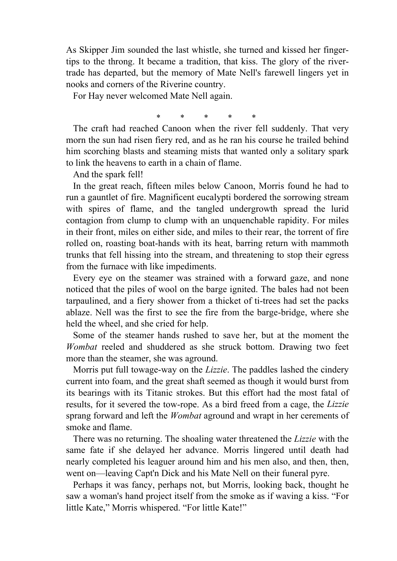As Skipper Jim sounded the last whistle, she turned and kissed her fingertips to the throng. It became a tradition, that kiss. The glory of the rivertrade has departed, but the memory of Mate Nell's farewell lingers yet in nooks and corners of the Riverine country.

For Hay never welcomed Mate Nell again.

\* \* \* \* \*

 The craft had reached Canoon when the river fell suddenly. That very morn the sun had risen fiery red, and as he ran his course he trailed behind him scorching blasts and steaming mists that wanted only a solitary spark to link the heavens to earth in a chain of flame.

And the spark fell!

 In the great reach, fifteen miles below Canoon, Morris found he had to run a gauntlet of fire. Magnificent eucalypti bordered the sorrowing stream with spires of flame, and the tangled undergrowth spread the lurid contagion from clump to clump with an unquenchable rapidity. For miles in their front, miles on either side, and miles to their rear, the torrent of fire rolled on, roasting boat-hands with its heat, barring return with mammoth trunks that fell hissing into the stream, and threatening to stop their egress from the furnace with like impediments.

 Every eye on the steamer was strained with a forward gaze, and none noticed that the piles of wool on the barge ignited. The bales had not been tarpaulined, and a fiery shower from a thicket of ti-trees had set the packs ablaze. Nell was the first to see the fire from the barge-bridge, where she held the wheel, and she cried for help.

 Some of the steamer hands rushed to save her, but at the moment the *Wombat* reeled and shuddered as she struck bottom. Drawing two feet more than the steamer, she was aground.

 Morris put full towage-way on the *Lizzie*. The paddles lashed the cindery current into foam, and the great shaft seemed as though it would burst from its bearings with its Titanic strokes. But this effort had the most fatal of results, for it severed the tow-rope. As a bird freed from a cage, the *Lizzie* sprang forward and left the *Wombat* aground and wrapt in her cerements of smoke and flame.

 There was no returning. The shoaling water threatened the *Lizzie* with the same fate if she delayed her advance. Morris lingered until death had nearly completed his leaguer around him and his men also, and then, then, went on—leaving Capt'n Dick and his Mate Nell on their funeral pyre.

 Perhaps it was fancy, perhaps not, but Morris, looking back, thought he saw a woman's hand project itself from the smoke as if waving a kiss. "For little Kate," Morris whispered. "For little Kate!"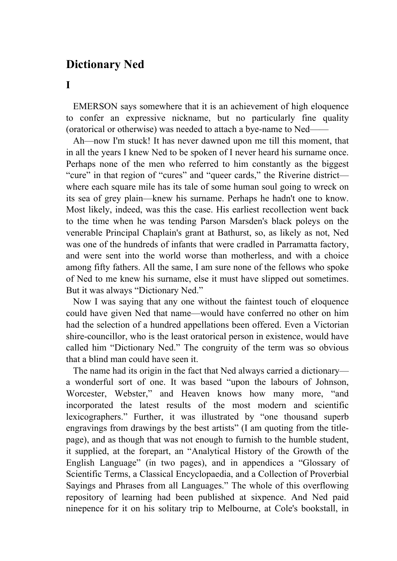# **Dictionary Ned**

**I** 

 EMERSON says somewhere that it is an achievement of high eloquence to confer an expressive nickname, but no particularly fine quality (oratorical or otherwise) was needed to attach a bye-name to Ned——

 Ah—now I'm stuck! It has never dawned upon me till this moment, that in all the years I knew Ned to be spoken of I never heard his surname once. Perhaps none of the men who referred to him constantly as the biggest "cure" in that region of "cures" and "queer cards," the Riverine district where each square mile has its tale of some human soul going to wreck on its sea of grey plain—knew his surname. Perhaps he hadn't one to know. Most likely, indeed, was this the case. His earliest recollection went back to the time when he was tending Parson Marsden's black poleys on the venerable Principal Chaplain's grant at Bathurst, so, as likely as not, Ned was one of the hundreds of infants that were cradled in Parramatta factory, and were sent into the world worse than motherless, and with a choice among fifty fathers. All the same, I am sure none of the fellows who spoke of Ned to me knew his surname, else it must have slipped out sometimes. But it was always "Dictionary Ned."

 Now I was saying that any one without the faintest touch of eloquence could have given Ned that name—would have conferred no other on him had the selection of a hundred appellations been offered. Even a Victorian shire-councillor, who is the least oratorical person in existence, would have called him "Dictionary Ned." The congruity of the term was so obvious that a blind man could have seen it.

 The name had its origin in the fact that Ned always carried a dictionary a wonderful sort of one. It was based "upon the labours of Johnson, Worcester, Webster," and Heaven knows how many more, "and incorporated the latest results of the most modern and scientific lexicographers." Further, it was illustrated by "one thousand superb engravings from drawings by the best artists" (I am quoting from the titlepage), and as though that was not enough to furnish to the humble student, it supplied, at the forepart, an "Analytical History of the Growth of the English Language" (in two pages), and in appendices a "Glossary of Scientific Terms, a Classical Encyclopaedia, and a Collection of Proverbial Sayings and Phrases from all Languages." The whole of this overflowing repository of learning had been published at sixpence. And Ned paid ninepence for it on his solitary trip to Melbourne, at Cole's bookstall, in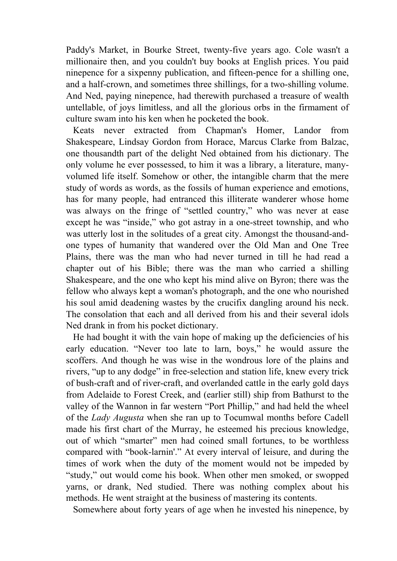Paddy's Market, in Bourke Street, twenty-five years ago. Cole wasn't a millionaire then, and you couldn't buy books at English prices. You paid ninepence for a sixpenny publication, and fifteen-pence for a shilling one, and a half-crown, and sometimes three shillings, for a two-shilling volume. And Ned, paying ninepence, had therewith purchased a treasure of wealth untellable, of joys limitless, and all the glorious orbs in the firmament of culture swam into his ken when he pocketed the book.

 Keats never extracted from Chapman's Homer, Landor from Shakespeare, Lindsay Gordon from Horace, Marcus Clarke from Balzac, one thousandth part of the delight Ned obtained from his dictionary. The only volume he ever possessed, to him it was a library, a literature, manyvolumed life itself. Somehow or other, the intangible charm that the mere study of words as words, as the fossils of human experience and emotions, has for many people, had entranced this illiterate wanderer whose home was always on the fringe of "settled country," who was never at ease except he was "inside," who got astray in a one-street township, and who was utterly lost in the solitudes of a great city. Amongst the thousand-andone types of humanity that wandered over the Old Man and One Tree Plains, there was the man who had never turned in till he had read a chapter out of his Bible; there was the man who carried a shilling Shakespeare, and the one who kept his mind alive on Byron; there was the fellow who always kept a woman's photograph, and the one who nourished his soul amid deadening wastes by the crucifix dangling around his neck. The consolation that each and all derived from his and their several idols Ned drank in from his pocket dictionary.

 He had bought it with the vain hope of making up the deficiencies of his early education. "Never too late to larn, boys," he would assure the scoffers. And though he was wise in the wondrous lore of the plains and rivers, "up to any dodge" in free-selection and station life, knew every trick of bush-craft and of river-craft, and overlanded cattle in the early gold days from Adelaide to Forest Creek, and (earlier still) ship from Bathurst to the valley of the Wannon in far western "Port Phillip," and had held the wheel of the *Lady Augusta* when she ran up to Tocumwal months before Cadell made his first chart of the Murray, he esteemed his precious knowledge, out of which "smarter" men had coined small fortunes, to be worthless compared with "book-larnin'." At every interval of leisure, and during the times of work when the duty of the moment would not be impeded by "study," out would come his book. When other men smoked, or swopped yarns, or drank, Ned studied. There was nothing complex about his methods. He went straight at the business of mastering its contents.

Somewhere about forty years of age when he invested his ninepence, by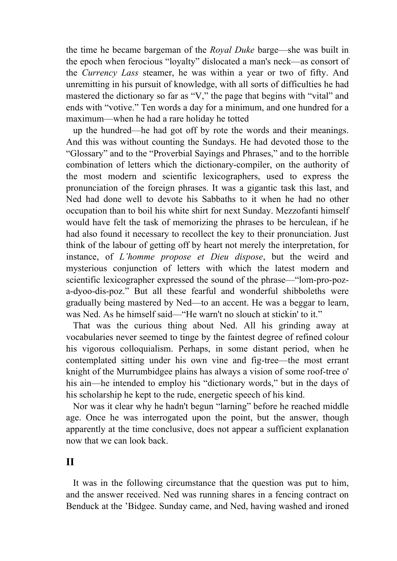the time he became bargeman of the *Royal Duke* barge—she was built in the epoch when ferocious "loyalty" dislocated a man's neck—as consort of the *Currency Lass* steamer, he was within a year or two of fifty. And unremitting in his pursuit of knowledge, with all sorts of difficulties he had mastered the dictionary so far as "V," the page that begins with "vital" and ends with "votive." Ten words a day for a minimum, and one hundred for a maximum—when he had a rare holiday he totted

 up the hundred—he had got off by rote the words and their meanings. And this was without counting the Sundays. He had devoted those to the "Glossary" and to the "Proverbial Sayings and Phrases," and to the horrible combination of letters which the dictionary-compiler, on the authority of the most modern and scientific lexicographers, used to express the pronunciation of the foreign phrases. It was a gigantic task this last, and Ned had done well to devote his Sabbaths to it when he had no other occupation than to boil his white shirt for next Sunday. Mezzofanti himself would have felt the task of memorizing the phrases to be herculean, if he had also found it necessary to recollect the key to their pronunciation. Just think of the labour of getting off by heart not merely the interpretation, for instance, of *L'homme propose et Dieu dispose*, but the weird and mysterious conjunction of letters with which the latest modern and scientific lexicographer expressed the sound of the phrase—"lom-pro-poza-dyoo-dis-poz." But all these fearful and wonderful shibboleths were gradually being mastered by Ned—to an accent. He was a beggar to learn, was Ned. As he himself said—"He warn't no slouch at stickin' to it."

 That was the curious thing about Ned. All his grinding away at vocabularies never seemed to tinge by the faintest degree of refined colour his vigorous colloquialism. Perhaps, in some distant period, when he contemplated sitting under his own vine and fig-tree—the most errant knight of the Murrumbidgee plains has always a vision of some roof-tree o' his ain—he intended to employ his "dictionary words," but in the days of his scholarship he kept to the rude, energetic speech of his kind.

 Nor was it clear why he hadn't begun "larning" before he reached middle age. Once he was interrogated upon the point, but the answer, though apparently at the time conclusive, does not appear a sufficient explanation now that we can look back.

### **II**

 It was in the following circumstance that the question was put to him, and the answer received. Ned was running shares in a fencing contract on Benduck at the 'Bidgee. Sunday came, and Ned, having washed and ironed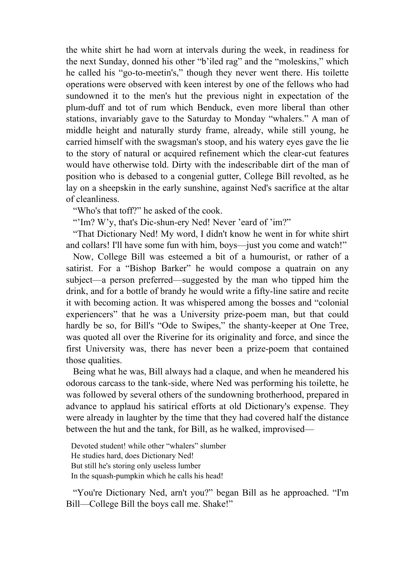the white shirt he had worn at intervals during the week, in readiness for the next Sunday, donned his other "b'iled rag" and the "moleskins," which he called his "go-to-meetin's," though they never went there. His toilette operations were observed with keen interest by one of the fellows who had sundowned it to the men's hut the previous night in expectation of the plum-duff and tot of rum which Benduck, even more liberal than other stations, invariably gave to the Saturday to Monday "whalers." A man of middle height and naturally sturdy frame, already, while still young, he carried himself with the swagsman's stoop, and his watery eyes gave the lie to the story of natural or acquired refinement which the clear-cut features would have otherwise told. Dirty with the indescribable dirt of the man of position who is debased to a congenial gutter, College Bill revolted, as he lay on a sheepskin in the early sunshine, against Ned's sacrifice at the altar of cleanliness.

"Who's that toff?" he asked of the cook.

"'Im? W'y, that's Dic-shun-ery Ned! Never 'eard of 'im?"

 "That Dictionary Ned! My word, I didn't know he went in for white shirt and collars! I'll have some fun with him, boys—just you come and watch!"

 Now, College Bill was esteemed a bit of a humourist, or rather of a satirist. For a "Bishop Barker" he would compose a quatrain on any subject—a person preferred—suggested by the man who tipped him the drink, and for a bottle of brandy he would write a fifty-line satire and recite it with becoming action. It was whispered among the bosses and "colonial experiencers" that he was a University prize-poem man, but that could hardly be so, for Bill's "Ode to Swipes," the shanty-keeper at One Tree, was quoted all over the Riverine for its originality and force, and since the first University was, there has never been a prize-poem that contained those qualities.

 Being what he was, Bill always had a claque, and when he meandered his odorous carcass to the tank-side, where Ned was performing his toilette, he was followed by several others of the sundowning brotherhood, prepared in advance to applaud his satirical efforts at old Dictionary's expense. They were already in laughter by the time that they had covered half the distance between the hut and the tank, for Bill, as he walked, improvised—

Devoted student! while other "whalers" slumber He studies hard, does Dictionary Ned! But still he's storing only useless lumber In the squash-pumpkin which he calls his head!

 "You're Dictionary Ned, arn't you?" began Bill as he approached. "I'm Bill—College Bill the boys call me. Shake!"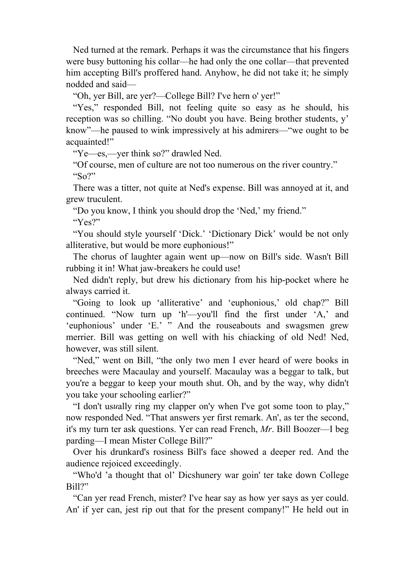Ned turned at the remark. Perhaps it was the circumstance that his fingers were busy buttoning his collar—he had only the one collar—that prevented him accepting Bill's proffered hand. Anyhow, he did not take it; he simply nodded and said—

"Oh, yer Bill, are yer?—College Bill? I've hern o' yer!"

"Yes," responded Bill, not feeling quite so easy as he should, his reception was so chilling. "No doubt you have. Being brother students, y' know"—he paused to wink impressively at his admirers—"we ought to be acquainted!"

"Ye—es,—yer think so?" drawled Ned.

 "Of course, men of culture are not too numerous on the river country." " $\mathcal{S}^{\alpha}$ 

 There was a titter, not quite at Ned's expense. Bill was annoyed at it, and grew truculent.

 "Do you know, I think you should drop the 'Ned,' my friend." "Yes?"

 "You should style yourself 'Dick.' 'Dictionary Dick' would be not only alliterative, but would be more euphonious!"

 The chorus of laughter again went up—now on Bill's side. Wasn't Bill rubbing it in! What jaw-breakers he could use!

 Ned didn't reply, but drew his dictionary from his hip-pocket where he always carried it.

 "Going to look up 'alliterative' and 'euphonious,' old chap?" Bill continued. "Now turn up 'h'—you'll find the first under 'A,' and 'euphonious' under 'E.' " And the rouseabouts and swagsmen grew merrier. Bill was getting on well with his chiacking of old Ned! Ned, however, was still silent.

 "Ned," went on Bill, "the only two men I ever heard of were books in breeches were Macaulay and yourself. Macaulay was a beggar to talk, but you're a beggar to keep your mouth shut. Oh, and by the way, why didn't you take your schooling earlier?"

 "I don't us*u*ally ring my clapper on'y when I've got some toon to play," now responded Ned. "That answers yer first remark. An', as ter the second, it's my turn ter ask questions. Yer can read French, *Mr*. Bill Boozer—I beg parding—I mean Mister College Bill?"

 Over his drunkard's rosiness Bill's face showed a deeper red. And the audience rejoiced exceedingly.

 "Who'd 'a thought that ol' Dicshunery war goin' ter take down College Bill?"

 "Can yer read French, mister? I've hear say as how yer says as yer could. An' if yer can, jest rip out that for the present company!" He held out in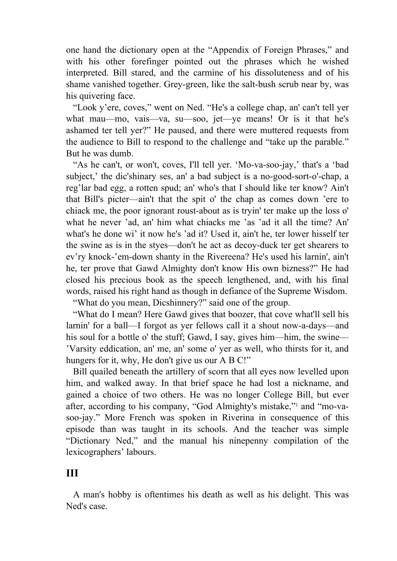one hand the dictionary open at the "Appendix of Foreign Phrases," and with his other forefinger pointed out the phrases which he wished interpreted. Bill stared, and the carmine of his dissoluteness and of his shame vanished together. Grey-green, like the salt-bush scrub near by, was his quivering face.

 "Look y'ere, coves," went on Ned. "He's a college chap, an' can't tell yer what mau—mo, vais—va, su—soo, jet—ye means! Or is it that he's ashamed ter tell yer?" He paused, and there were muttered requests from the audience to Bill to respond to the challenge and "take up the parable." But he was dumb.

 "As he can't, or won't, coves, I'll tell yer. 'Mo-va-soo-jay,' that's a 'bad subject,' the dic'shinary ses, an' a bad subject is a no-good-sort-o'-chap, a reg'lar bad egg, a rotten spud; an' who's that I should like ter know? Ain't that Bill's picter—ain't that the spit o' the chap as comes down 'ere to chiack me, the poor ignorant roust-about as is tryin' ter make up the loss o' what he never 'ad, an' him what chiacks me 'as 'ad it all the time? An' what's he done wi' it now he's 'ad it? Used it, ain't he, ter lower hisself ter the swine as is in the styes—don't he act as decoy-duck ter get shearers to ev'ry knock-'em-down shanty in the Rivereena? He's used his larnin', ain't he, ter prove that Gawd Almighty don't know His own bizness?" He had closed his precious book as the speech lengthened, and, with his final words, raised his right hand as though in defiance of the Supreme Wisdom.

"What do you mean, Dicshinnery?" said one of the group.

 "What do I mean? Here Gawd gives that boozer, that cove what'll sell his larnin' for a ball—I forgot as yer fellows call it a shout now-a-days—and his soul for a bottle o' the stuff; Gawd, I say, gives him—him, the swine— 'Varsity eddication, an' me, an' some o' yer as well, who thirsts for it, and hungers for it, why, He don't give us our A B C!"

 Bill quailed beneath the artillery of scorn that all eyes now levelled upon him, and walked away. In that brief space he had lost a nickname, and gained a choice of two others. He was no longer College Bill, but ever after, according to his company, "God Almighty's mistake,"1 and "mo-vasoo-jay." More French was spoken in Riverina in consequence of this episode than was taught in its schools. And the teacher was simple "Dictionary Ned," and the manual his ninepenny compilation of the lexicographers' labours.

## **III**

 A man's hobby is oftentimes his death as well as his delight. This was Ned's case.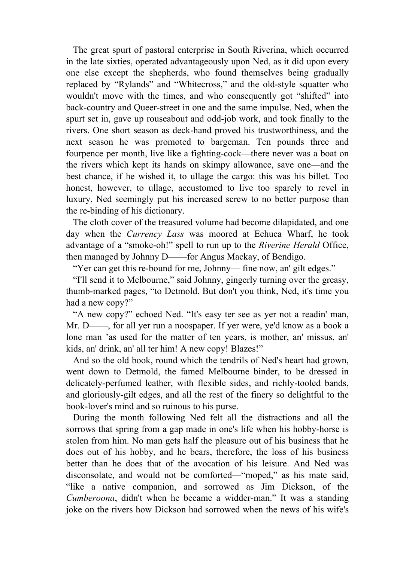The great spurt of pastoral enterprise in South Riverina, which occurred in the late sixties, operated advantageously upon Ned, as it did upon every one else except the shepherds, who found themselves being gradually replaced by "Rylands" and "Whitecross," and the old-style squatter who wouldn't move with the times, and who consequently got "shifted" into back-country and Queer-street in one and the same impulse. Ned, when the spurt set in, gave up rouseabout and odd-job work, and took finally to the rivers. One short season as deck-hand proved his trustworthiness, and the next season he was promoted to bargeman. Ten pounds three and fourpence per month, live like a fighting-cock—there never was a boat on the rivers which kept its hands on skimpy allowance, save one—and the best chance, if he wished it, to ullage the cargo: this was his billet. Too honest, however, to ullage, accustomed to live too sparely to revel in luxury, Ned seemingly put his increased screw to no better purpose than the re-binding of his dictionary.

 The cloth cover of the treasured volume had become dilapidated, and one day when the *Currency Lass* was moored at Echuca Wharf, he took advantage of a "smoke-oh!" spell to run up to the *Riverine Herald* Office, then managed by Johnny D——for Angus Mackay, of Bendigo.

"Yer can get this re-bound for me, Johnny— fine now, an' gilt edges."

 "I'll send it to Melbourne," said Johnny, gingerly turning over the greasy, thumb-marked pages, "to Detmold. But don't you think, Ned, it's time you had a new copy?"

 "A new copy?" echoed Ned. "It's easy ter see as yer not a readin' man, Mr. D——, for all yer run a noospaper. If yer were, ye'd know as a book a lone man 'as used for the matter of ten years, is mother, an' missus, an' kids, an' drink, an' all ter him! A new copy! Blazes!"

 And so the old book, round which the tendrils of Ned's heart had grown, went down to Detmold, the famed Melbourne binder, to be dressed in delicately-perfumed leather, with flexible sides, and richly-tooled bands, and gloriously-gilt edges, and all the rest of the finery so delightful to the book-lover's mind and so ruinous to his purse.

 During the month following Ned felt all the distractions and all the sorrows that spring from a gap made in one's life when his hobby-horse is stolen from him. No man gets half the pleasure out of his business that he does out of his hobby, and he bears, therefore, the loss of his business better than he does that of the avocation of his leisure. And Ned was disconsolate, and would not be comforted—"moped," as his mate said, "like a native companion, and sorrowed as Jim Dickson, of the *Cumberoona*, didn't when he became a widder-man." It was a standing joke on the rivers how Dickson had sorrowed when the news of his wife's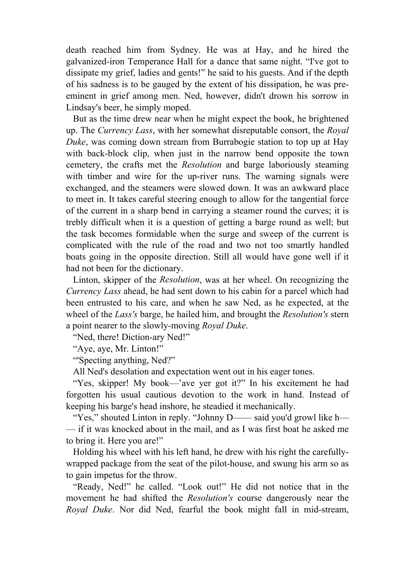death reached him from Sydney. He was at Hay, and he hired the galvanized-iron Temperance Hall for a dance that same night. "I've got to dissipate my grief, ladies and gents!" he said to his guests. And if the depth of his sadness is to be gauged by the extent of his dissipation, he was preeminent in grief among men. Ned, however, didn't drown his sorrow in Lindsay's beer, he simply moped.

 But as the time drew near when he might expect the book, he brightened up. The *Currency Lass*, with her somewhat disreputable consort, the *Royal Duke*, was coming down stream from Burrabogie station to top up at Hay with back-block clip, when just in the narrow bend opposite the town cemetery, the crafts met the *Resolution* and barge laboriously steaming with timber and wire for the up-river runs. The warning signals were exchanged, and the steamers were slowed down. It was an awkward place to meet in. It takes careful steering enough to allow for the tangential force of the current in a sharp bend in carrying a steamer round the curves; it is trebly difficult when it is a question of getting a barge round as well; but the task becomes formidable when the surge and sweep of the current is complicated with the rule of the road and two not too smartly handled boats going in the opposite direction. Still all would have gone well if it had not been for the dictionary.

 Linton, skipper of the *Resolution*, was at her wheel. On recognizing the *Currency Lass* ahead, he had sent down to his cabin for a parcel which had been entrusted to his care, and when he saw Ned, as he expected, at the wheel of the *Lass's* barge, he hailed him, and brought the *Resolution's* stern a point nearer to the slowly-moving *Royal Duke*.

"Ned, there! Diction-ary Ned!"

"Aye, aye, Mr. Linton!"

"'Specting anything, Ned?"

All Ned's desolation and expectation went out in his eager tones.

 "Yes, skipper! My book—'ave yer got it?" In his excitement he had forgotten his usual cautious devotion to the work in hand. Instead of keeping his barge's head inshore, he steadied it mechanically.

 "Yes," shouted Linton in reply. "Johnny D—— said you'd growl like h— — if it was knocked about in the mail, and as I was first boat he asked me to bring it. Here you are!"

 Holding his wheel with his left hand, he drew with his right the carefullywrapped package from the seat of the pilot-house, and swung his arm so as to gain impetus for the throw.

 "Ready, Ned!" he called. "Look out!" He did not notice that in the movement he had shifted the *Resolution's* course dangerously near the *Royal Duke*. Nor did Ned, fearful the book might fall in mid-stream,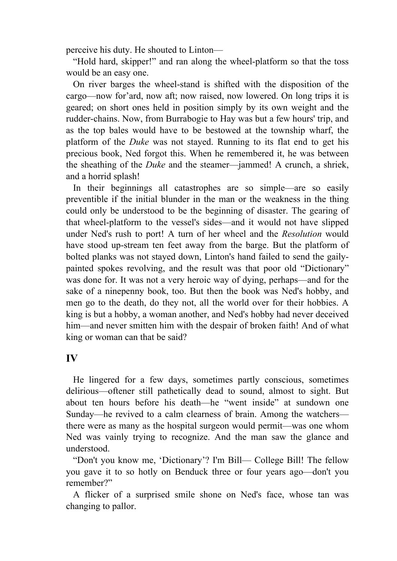perceive his duty. He shouted to Linton—

 "Hold hard, skipper!" and ran along the wheel-platform so that the toss would be an easy one.

 On river barges the wheel-stand is shifted with the disposition of the cargo—now for'ard, now aft; now raised, now lowered. On long trips it is geared; on short ones held in position simply by its own weight and the rudder-chains. Now, from Burrabogie to Hay was but a few hours' trip, and as the top bales would have to be bestowed at the township wharf, the platform of the *Duke* was not stayed. Running to its flat end to get his precious book, Ned forgot this. When he remembered it, he was between the sheathing of the *Duke* and the steamer—jammed! A crunch, a shriek, and a horrid splash!

 In their beginnings all catastrophes are so simple—are so easily preventible if the initial blunder in the man or the weakness in the thing could only be understood to be the beginning of disaster. The gearing of that wheel-platform to the vessel's sides—and it would not have slipped under Ned's rush to port! A turn of her wheel and the *Resolution* would have stood up-stream ten feet away from the barge. But the platform of bolted planks was not stayed down, Linton's hand failed to send the gailypainted spokes revolving, and the result was that poor old "Dictionary" was done for. It was not a very heroic way of dying, perhaps—and for the sake of a ninepenny book, too. But then the book was Ned's hobby, and men go to the death, do they not, all the world over for their hobbies. A king is but a hobby, a woman another, and Ned's hobby had never deceived him—and never smitten him with the despair of broken faith! And of what king or woman can that be said?

#### **IV**

 He lingered for a few days, sometimes partly conscious, sometimes delirious—oftener still pathetically dead to sound, almost to sight. But about ten hours before his death—he "went inside" at sundown one Sunday—he revived to a calm clearness of brain. Among the watchers there were as many as the hospital surgeon would permit—was one whom Ned was vainly trying to recognize. And the man saw the glance and understood.

 "Don't you know me, 'Dictionary'? I'm Bill— College Bill! The fellow you gave it to so hotly on Benduck three or four years ago—don't you remember?"

 A flicker of a surprised smile shone on Ned's face, whose tan was changing to pallor.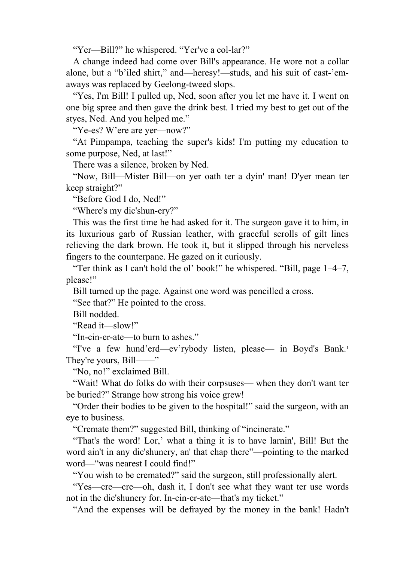"Yer—Bill?" he whispered. "Yer've a col-lar?"

 A change indeed had come over Bill's appearance. He wore not a collar alone, but a "b'iled shirt," and—heresy!—studs, and his suit of cast-'emaways was replaced by Geelong-tweed slops.

 "Yes, I'm Bill! I pulled up, Ned, soon after you let me have it. I went on one big spree and then gave the drink best. I tried my best to get out of the styes, Ned. And you helped me."

"Ye-es? W'ere are yer—now?"

 "At Pimpampa, teaching the super's kids! I'm putting my education to some purpose, Ned, at last!"

There was a silence, broken by Ned.

 "Now, Bill—Mister Bill—on yer oath ter a dyin' man! D'yer mean ter keep straight?"

"Before God I do, Ned!"

"Where's my dic'shun-ery?"

 This was the first time he had asked for it. The surgeon gave it to him, in its luxurious garb of Russian leather, with graceful scrolls of gilt lines relieving the dark brown. He took it, but it slipped through his nerveless fingers to the counterpane. He gazed on it curiously.

 "Ter think as I can't hold the ol' book!" he whispered. "Bill, page 1–4–7, please!"

Bill turned up the page. Against one word was pencilled a cross.

"See that?" He pointed to the cross.

Bill nodded.

"Read it—slow!"

"In-cin-er-ate—to burn to ashes."

 "I've a few hund'erd—ev'rybody listen, please— in Boyd's Bank.1 They're yours, Bill——"

"No, no!" exclaimed Bill.

 "Wait! What do folks do with their corpsuses— when they don't want ter be buried?" Strange how strong his voice grew!

 "Order their bodies to be given to the hospital!" said the surgeon, with an eye to business.

"Cremate them?" suggested Bill, thinking of "incinerate."

 "That's the word! Lor,' what a thing it is to have larnin', Bill! But the word ain't in any dic'shunery, an' that chap there"—pointing to the marked word—"was nearest I could find!"

"You wish to be cremated?" said the surgeon, still professionally alert.

 "Yes—cre—cre—oh, dash it, I don't see what they want ter use words not in the dic'shunery for. In-cin-er-ate—that's my ticket."

"And the expenses will be defrayed by the money in the bank! Hadn't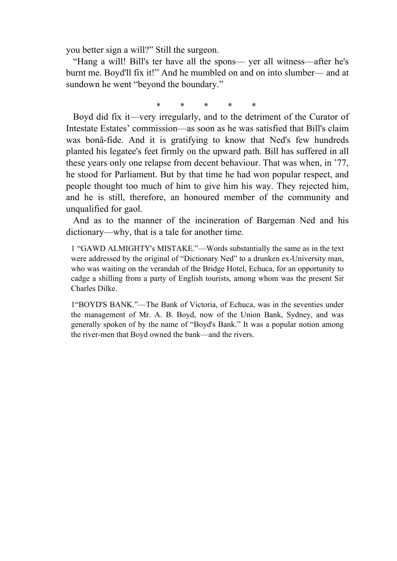you better sign a will?" Still the surgeon.

 "Hang a will! Bill's ter have all the spons— yer all witness—after he's burnt me. Boyd'll fix it!" And he mumbled on and on into slumber— and at sundown he went "beyond the boundary."

\* \* \* \* \*

 Boyd did fix it—very irregularly, and to the detriment of the Curator of Intestate Estates' commission—as soon as he was satisfied that Bill's claim was bonâ-fide. And it is gratifying to know that Ned's few hundreds planted his legatee's feet firmly on the upward path. Bill has suffered in all these years only one relapse from decent behaviour. That was when, in '77, he stood for Parliament. But by that time he had won popular respect, and people thought too much of him to give him his way. They rejected him, and he is still, therefore, an honoured member of the community and unqualified for gaol.

 And as to the manner of the incineration of Bargeman Ned and his dictionary—why, that is a tale for another time.

1 "GAWD ALMIGHTY's MISTAKE."—Words substantially the same as in the text were addressed by the original of "Dictionary Ned" to a drunken ex-University man, who was waiting on the verandah of the Bridge Hotel, Echuca, for an opportunity to cadge a shilling from a party of English tourists, among whom was the present Sir Charles Dilke.

1"BOYD'S BANK."—The Bank of Victoria, of Echuca, was in the seventies under the management of Mr. A. B. Boyd, now of the Union Bank, Sydney, and was generally spoken of by the name of "Boyd's Bank." It was a popular notion among the river-men that Boyd owned the bank—and the rivers.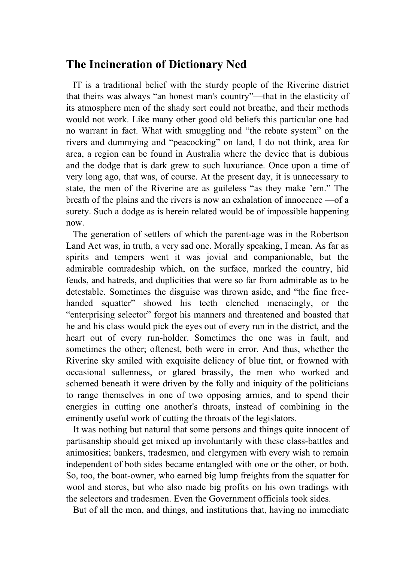## **The Incineration of Dictionary Ned**

 IT is a traditional belief with the sturdy people of the Riverine district that theirs was always "an honest man's country"—that in the elasticity of its atmosphere men of the shady sort could not breathe, and their methods would not work. Like many other good old beliefs this particular one had no warrant in fact. What with smuggling and "the rebate system" on the rivers and dummying and "peacocking" on land, I do not think, area for area, a region can be found in Australia where the device that is dubious and the dodge that is dark grew to such luxuriance. Once upon a time of very long ago, that was, of course. At the present day, it is unnecessary to state, the men of the Riverine are as guileless "as they make 'em." The breath of the plains and the rivers is now an exhalation of innocence —of a surety. Such a dodge as is herein related would be of impossible happening now.

 The generation of settlers of which the parent-age was in the Robertson Land Act was, in truth, a very sad one. Morally speaking, I mean. As far as spirits and tempers went it was jovial and companionable, but the admirable comradeship which, on the surface, marked the country, hid feuds, and hatreds, and duplicities that were so far from admirable as to be detestable. Sometimes the disguise was thrown aside, and "the fine freehanded squatter" showed his teeth clenched menacingly, or the "enterprising selector" forgot his manners and threatened and boasted that he and his class would pick the eyes out of every run in the district, and the heart out of every run-holder. Sometimes the one was in fault, and sometimes the other; oftenest, both were in error. And thus, whether the Riverine sky smiled with exquisite delicacy of blue tint, or frowned with occasional sullenness, or glared brassily, the men who worked and schemed beneath it were driven by the folly and iniquity of the politicians to range themselves in one of two opposing armies, and to spend their energies in cutting one another's throats, instead of combining in the eminently useful work of cutting the throats of the legislators.

 It was nothing but natural that some persons and things quite innocent of partisanship should get mixed up involuntarily with these class-battles and animosities; bankers, tradesmen, and clergymen with every wish to remain independent of both sides became entangled with one or the other, or both. So, too, the boat-owner, who earned big lump freights from the squatter for wool and stores, but who also made big profits on his own tradings with the selectors and tradesmen. Even the Government officials took sides.

But of all the men, and things, and institutions that, having no immediate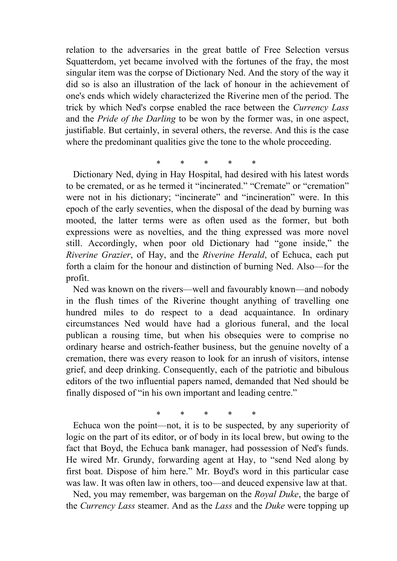relation to the adversaries in the great battle of Free Selection versus Squatterdom, yet became involved with the fortunes of the fray, the most singular item was the corpse of Dictionary Ned. And the story of the way it did so is also an illustration of the lack of honour in the achievement of one's ends which widely characterized the Riverine men of the period. The trick by which Ned's corpse enabled the race between the *Currency Lass* and the *Pride of the Darling* to be won by the former was, in one aspect, justifiable. But certainly, in several others, the reverse. And this is the case where the predominant qualities give the tone to the whole proceeding.

\* \* \* \* \*

 Dictionary Ned, dying in Hay Hospital, had desired with his latest words to be cremated, or as he termed it "incinerated." "Cremate" or "cremation" were not in his dictionary; "incinerate" and "incineration" were. In this epoch of the early seventies, when the disposal of the dead by burning was mooted, the latter terms were as often used as the former, but both expressions were as novelties, and the thing expressed was more novel still. Accordingly, when poor old Dictionary had "gone inside," the *Riverine Grazier*, of Hay, and the *Riverine Herald*, of Echuca, each put forth a claim for the honour and distinction of burning Ned. Also—for the profit.

 Ned was known on the rivers—well and favourably known—and nobody in the flush times of the Riverine thought anything of travelling one hundred miles to do respect to a dead acquaintance. In ordinary circumstances Ned would have had a glorious funeral, and the local publican a rousing time, but when his obsequies were to comprise no ordinary hearse and ostrich-feather business, but the genuine novelty of a cremation, there was every reason to look for an inrush of visitors, intense grief, and deep drinking. Consequently, each of the patriotic and bibulous editors of the two influential papers named, demanded that Ned should be finally disposed of "in his own important and leading centre."

\* \* \* \* \*

 Echuca won the point—not, it is to be suspected, by any superiority of logic on the part of its editor, or of body in its local brew, but owing to the fact that Boyd, the Echuca bank manager, had possession of Ned's funds. He wired Mr. Grundy, forwarding agent at Hay, to "send Ned along by first boat. Dispose of him here." Mr. Boyd's word in this particular case was law. It was often law in others, too—and deuced expensive law at that.

 Ned, you may remember, was bargeman on the *Royal Duke*, the barge of the *Currency Lass* steamer. And as the *Lass* and the *Duke* were topping up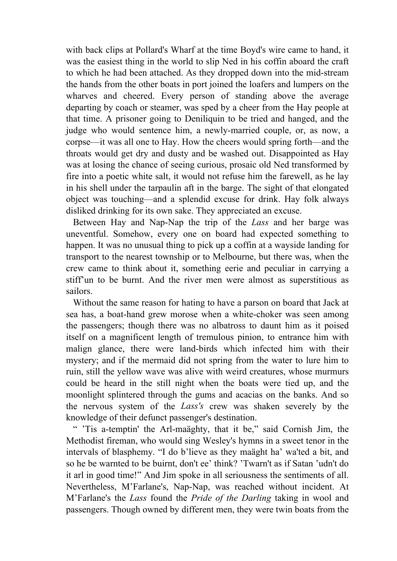with back clips at Pollard's Wharf at the time Boyd's wire came to hand, it was the easiest thing in the world to slip Ned in his coffin aboard the craft to which he had been attached. As they dropped down into the mid-stream the hands from the other boats in port joined the loafers and lumpers on the wharves and cheered. Every person of standing above the average departing by coach or steamer, was sped by a cheer from the Hay people at that time. A prisoner going to Deniliquin to be tried and hanged, and the judge who would sentence him, a newly-married couple, or, as now, a corpse—it was all one to Hay. How the cheers would spring forth—and the throats would get dry and dusty and be washed out. Disappointed as Hay was at losing the chance of seeing curious, prosaic old Ned transformed by fire into a poetic white salt, it would not refuse him the farewell, as he lay in his shell under the tarpaulin aft in the barge. The sight of that elongated object was touching—and a splendid excuse for drink. Hay folk always disliked drinking for its own sake. They appreciated an excuse.

 Between Hay and Nap-Nap the trip of the *Lass* and her barge was uneventful. Somehow, every one on board had expected something to happen. It was no unusual thing to pick up a coffin at a wayside landing for transport to the nearest township or to Melbourne, but there was, when the crew came to think about it, something eerie and peculiar in carrying a stiff'un to be burnt. And the river men were almost as superstitious as sailors.

 Without the same reason for hating to have a parson on board that Jack at sea has, a boat-hand grew morose when a white-choker was seen among the passengers; though there was no albatross to daunt him as it poised itself on a magnificent length of tremulous pinion, to entrance him with malign glance, there were land-birds which infected him with their mystery; and if the mermaid did not spring from the water to lure him to ruin, still the yellow wave was alive with weird creatures, whose murmurs could be heard in the still night when the boats were tied up, and the moonlight splintered through the gums and acacias on the banks. And so the nervous system of the *Lass's* crew was shaken severely by the knowledge of their defunct passenger's destination.

 " 'Tis a-temptin' the Arl-maäghty, that it be," said Cornish Jim, the Methodist fireman, who would sing Wesley's hymns in a sweet tenor in the intervals of blasphemy. "I do b'lieve as they maäght ha' wa'ted a bit, and so he be warnted to be buirnt, don't ee' think? 'Twarn't as if Satan 'udn't do it arl in good time!" And Jim spoke in all seriousness the sentiments of all. Nevertheless, M'Farlane's, Nap-Nap, was reached without incident. At M'Farlane's the *Lass* found the *Pride of the Darling* taking in wool and passengers. Though owned by different men, they were twin boats from the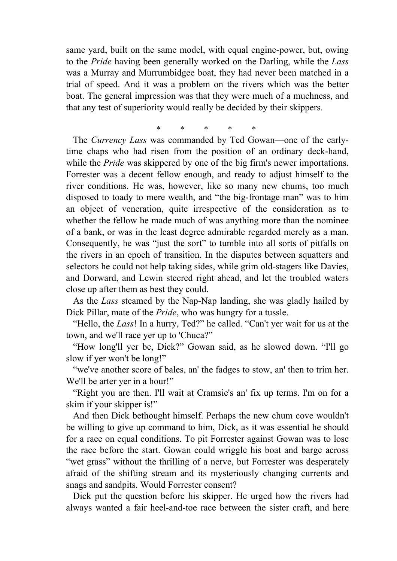same yard, built on the same model, with equal engine-power, but, owing to the *Pride* having been generally worked on the Darling, while the *Lass* was a Murray and Murrumbidgee boat, they had never been matched in a trial of speed. And it was a problem on the rivers which was the better boat. The general impression was that they were much of a muchness, and that any test of superiority would really be decided by their skippers.

\* \* \* \* \* The *Currency Lass* was commanded by Ted Gowan—one of the earlytime chaps who had risen from the position of an ordinary deck-hand, while the *Pride* was skippered by one of the big firm's newer importations. Forrester was a decent fellow enough, and ready to adjust himself to the river conditions. He was, however, like so many new chums, too much disposed to toady to mere wealth, and "the big-frontage man" was to him an object of veneration, quite irrespective of the consideration as to whether the fellow he made much of was anything more than the nominee of a bank, or was in the least degree admirable regarded merely as a man. Consequently, he was "just the sort" to tumble into all sorts of pitfalls on the rivers in an epoch of transition. In the disputes between squatters and selectors he could not help taking sides, while grim old-stagers like Davies, and Dorward, and Lewin steered right ahead, and let the troubled waters close up after them as best they could.

 As the *Lass* steamed by the Nap-Nap landing, she was gladly hailed by Dick Pillar, mate of the *Pride*, who was hungry for a tussle.

 "Hello, the *Lass*! In a hurry, Ted?" he called. "Can't yer wait for us at the town, and we'll race yer up to 'Chuca?"

 "How long'll yer be, Dick?" Gowan said, as he slowed down. "I'll go slow if yer won't be long!"

 "we've another score of bales, an' the fadges to stow, an' then to trim her. We'll be arter yer in a hour!"

 "Right you are then. I'll wait at Cramsie's an' fix up terms. I'm on for a skim if your skipper is!"

 And then Dick bethought himself. Perhaps the new chum cove wouldn't be willing to give up command to him, Dick, as it was essential he should for a race on equal conditions. To pit Forrester against Gowan was to lose the race before the start. Gowan could wriggle his boat and barge across "wet grass" without the thrilling of a nerve, but Forrester was desperately afraid of the shifting stream and its mysteriously changing currents and snags and sandpits. Would Forrester consent?

 Dick put the question before his skipper. He urged how the rivers had always wanted a fair heel-and-toe race between the sister craft, and here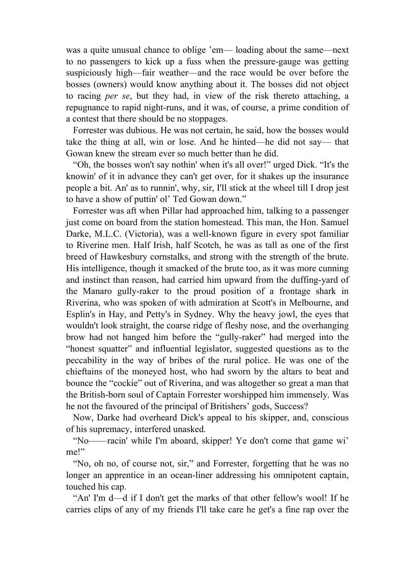was a quite unusual chance to oblige 'em— loading about the same—next to no passengers to kick up a fuss when the pressure-gauge was getting suspiciously high—fair weather—and the race would be over before the bosses (owners) would know anything about it. The bosses did not object to racing *per se*, but they had, in view of the risk thereto attaching, a repugnance to rapid night-runs, and it was, of course, a prime condition of a contest that there should be no stoppages.

 Forrester was dubious. He was not certain, he said, how the bosses would take the thing at all, win or lose. And he hinted—he did not say— that Gowan knew the stream ever so much better than he did.

 "Oh, the bosses won't say nothin' when it's all over!" urged Dick. "It's the knowin' of it in advance they can't get over, for it shakes up the insurance people a bit. An' as to runnin', why, sir, I'll stick at the wheel till I drop jest to have a show of puttin' ol' Ted Gowan down."

 Forrester was aft when Pillar had approached him, talking to a passenger just come on board from the station homestead. This man, the Hon. Samuel Darke, M.L.C. (Victoria), was a well-known figure in every spot familiar to Riverine men. Half Irish, half Scotch, he was as tall as one of the first breed of Hawkesbury cornstalks, and strong with the strength of the brute. His intelligence, though it smacked of the brute too, as it was more cunning and instinct than reason, had carried him upward from the duffing-yard of the Manaro gully-raker to the proud position of a frontage shark in Riverina, who was spoken of with admiration at Scott's in Melbourne, and Esplin's in Hay, and Petty's in Sydney. Why the heavy jowl, the eyes that wouldn't look straight, the coarse ridge of fleshy nose, and the overhanging brow had not hanged him before the "gully-raker" had merged into the "honest squatter" and influential legislator, suggested questions as to the peccability in the way of bribes of the rural police. He was one of the chieftains of the moneyed host, who had sworn by the altars to beat and bounce the "cockie" out of Riverina, and was altogether so great a man that the British-born soul of Captain Forrester worshipped him immensely. Was he not the favoured of the principal of Britishers' gods, Success?

 Now, Darke had overheard Dick's appeal to his skipper, and, conscious of his supremacy, interfered unasked.

 "No——racin' while I'm aboard, skipper! Ye don't come that game wi' me!"

 "No, oh no, of course not, sir," and Forrester, forgetting that he was no longer an apprentice in an ocean-liner addressing his omnipotent captain, touched his cap.

 "An' I'm d—d if I don't get the marks of that other fellow's wool! If he carries clips of any of my friends I'll take care he get's a fine rap over the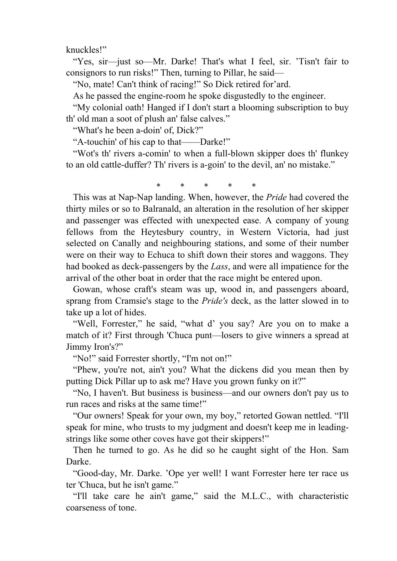knuckles!"

 "Yes, sir—just so—Mr. Darke! That's what I feel, sir. 'Tisn't fair to consignors to run risks!" Then, turning to Pillar, he said—

"No, mate! Can't think of racing!" So Dick retired for'ard.

As he passed the engine-room he spoke disgustedly to the engineer.

 "My colonial oath! Hanged if I don't start a blooming subscription to buy th' old man a soot of plush an' false calves."

"What's he been a-doin' of, Dick?"

"A-touchin' of his cap to that——Darke!"

 "Wot's th' rivers a-comin' to when a full-blown skipper does th' flunkey to an old cattle-duffer? Th' rivers is a-goin' to the devil, an' no mistake."

\* \* \* \* \*

 This was at Nap-Nap landing. When, however, the *Pride* had covered the thirty miles or so to Balranald, an alteration in the resolution of her skipper and passenger was effected with unexpected ease. A company of young fellows from the Heytesbury country, in Western Victoria, had just selected on Canally and neighbouring stations, and some of their number were on their way to Echuca to shift down their stores and waggons. They had booked as deck-passengers by the *Lass*, and were all impatience for the arrival of the other boat in order that the race might be entered upon.

 Gowan, whose craft's steam was up, wood in, and passengers aboard, sprang from Cramsie's stage to the *Pride's* deck, as the latter slowed in to take up a lot of hides.

 "Well, Forrester," he said, "what d' you say? Are you on to make a match of it? First through 'Chuca punt—losers to give winners a spread at Jimmy Iron's?"

"No!" said Forrester shortly, "I'm not on!"

 "Phew, you're not, ain't you? What the dickens did you mean then by putting Dick Pillar up to ask me? Have you grown funky on it?"

 "No, I haven't. But business is business—and our owners don't pay us to run races and risks at the same time!"

 "Our owners! Speak for your own, my boy," retorted Gowan nettled. "I'll speak for mine, who trusts to my judgment and doesn't keep me in leadingstrings like some other coves have got their skippers!"

 Then he turned to go. As he did so he caught sight of the Hon. Sam Darke.

 "Good-day, Mr. Darke. 'Ope yer well! I want Forrester here ter race us ter 'Chuca, but he isn't game."

 "I'll take care he ain't game," said the M.L.C., with characteristic coarseness of tone.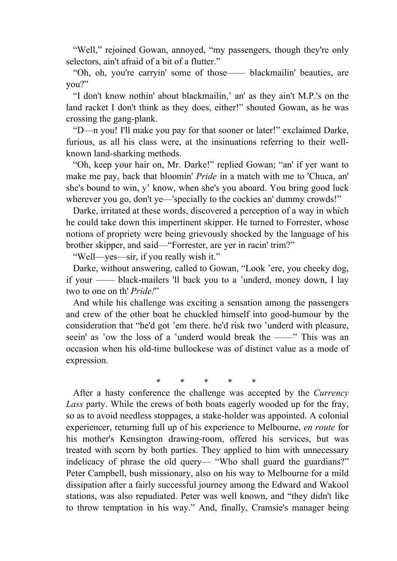"Well," rejoined Gowan, annoyed, "my passengers, though they're only selectors, ain't afraid of a bit of a flutter."

 "Oh, oh, you're carryin' some of those—— blackmailin' beauties, are you?"

 "I don't know nothin' about blackmailin,' an' as they ain't M.P.'s on the land racket I don't think as they does, either!" shouted Gowan, as he was crossing the gang-plank.

 "D—n you! I'll make you pay for that sooner or later!" exclaimed Darke, furious, as all his class were, at the insinuations referring to their wellknown land-sharking methods.

 "Oh, keep your hair on, Mr. Darke!" replied Gowan; "an' if yer want to make me pay, back that bloomin' *Pride* in a match with me to 'Chuca, an' she's bound to win, y' know, when she's you aboard. You bring good luck wherever you go, don't ye—'specially to the cockies an' dummy crowds!"

 Darke, irritated at these words, discovered a perception of a way in which he could take down this impertinent skipper. He turned to Forrester, whose notions of propriety were being grievously shocked by the language of his brother skipper, and said—"Forrester, are yer in racin' trim?"

"Well—yes—sir, if you really wish it."

 Darke, without answering, called to Gowan, "Look 'ere, you cheeky dog, if your —— black-mailers 'll back you to a 'underd, money down, I lay two to one on th' *Pride!*"

 And while his challenge was exciting a sensation among the passengers and crew of the other boat he chuckled himself into good-humour by the consideration that "he'd got 'em there. he'd risk two 'underd with pleasure, seein' as 'ow the loss of a 'underd would break the ——" This was an occasion when his old-time bullockese was of distinct value as a mode of expression.

\* \* \* \* \*

 After a hasty conference the challenge was accepted by the *Currency Lass* party. While the crews of both boats eagerly wooded up for the fray, so as to avoid needless stoppages, a stake-holder was appointed. A colonial experiencer, returning full up of his experience to Melbourne, *en route* for his mother's Kensington drawing-room, offered his services, but was treated with scorn by both parties. They applied to him with unnecessary indelicacy of phrase the old query— "Who shall guard the guardians?" Peter Campbell, bush missionary, also on his way to Melbourne for a mild dissipation after a fairly successful journey among the Edward and Wakool stations, was also repudiated. Peter was well known, and "they didn't like to throw temptation in his way." And, finally, Cramsie's manager being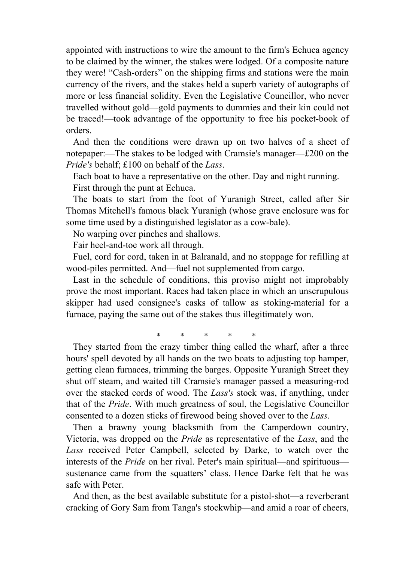appointed with instructions to wire the amount to the firm's Echuca agency to be claimed by the winner, the stakes were lodged. Of a composite nature they were! "Cash-orders" on the shipping firms and stations were the main currency of the rivers, and the stakes held a superb variety of autographs of more or less financial solidity. Even the Legislative Councillor, who never travelled without gold—gold payments to dummies and their kin could not be traced!—took advantage of the opportunity to free his pocket-book of orders.

 And then the conditions were drawn up on two halves of a sheet of notepaper:—The stakes to be lodged with Cramsie's manager—£200 on the *Pride's* behalf; £100 on behalf of the *Lass*.

 Each boat to have a representative on the other. Day and night running. First through the punt at Echuca.

 The boats to start from the foot of Yuranigh Street, called after Sir Thomas Mitchell's famous black Yuranigh (whose grave enclosure was for some time used by a distinguished legislator as a cow-bale).

No warping over pinches and shallows.

Fair heel-and-toe work all through.

 Fuel, cord for cord, taken in at Balranald, and no stoppage for refilling at wood-piles permitted. And—fuel not supplemented from cargo.

 Last in the schedule of conditions, this proviso might not improbably prove the most important. Races had taken place in which an unscrupulous skipper had used consignee's casks of tallow as stoking-material for a furnace, paying the same out of the stakes thus illegitimately won.

\* \* \* \* \*

 They started from the crazy timber thing called the wharf, after a three hours' spell devoted by all hands on the two boats to adjusting top hamper, getting clean furnaces, trimming the barges. Opposite Yuranigh Street they shut off steam, and waited till Cramsie's manager passed a measuring-rod over the stacked cords of wood. The *Lass's* stock was, if anything, under that of the *Pride*. With much greatness of soul, the Legislative Councillor consented to a dozen sticks of firewood being shoved over to the *Lass*.

 Then a brawny young blacksmith from the Camperdown country, Victoria, was dropped on the *Pride* as representative of the *Lass*, and the *Lass* received Peter Campbell, selected by Darke, to watch over the interests of the *Pride* on her rival. Peter's main spiritual—and spirituous sustenance came from the squatters' class. Hence Darke felt that he was safe with Peter.

 And then, as the best available substitute for a pistol-shot—a reverberant cracking of Gory Sam from Tanga's stockwhip—and amid a roar of cheers,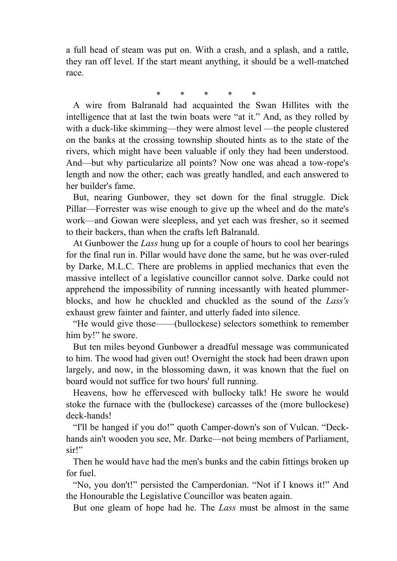a full head of steam was put on. With a crash, and a splash, and a rattle, they ran off level. If the start meant anything, it should be a well-matched race.

\* \* \* \* \*

 A wire from Balranald had acquainted the Swan Hillites with the intelligence that at last the twin boats were "at it." And, as they rolled by with a duck-like skimming—they were almost level —the people clustered on the banks at the crossing township shouted hints as to the state of the rivers, which might have been valuable if only they had been understood. And—but why particularize all points? Now one was ahead a tow-rope's length and now the other; each was greatly handled, and each answered to her builder's fame.

 But, nearing Gunbower, they set down for the final struggle. Dick Pillar—Forrester was wise enough to give up the wheel and do the mate's work—and Gowan were sleepless, and yet each was fresher, so it seemed to their backers, than when the crafts left Balranald.

 At Gunbower the *Lass* hung up for a couple of hours to cool her bearings for the final run in. Pillar would have done the same, but he was over-ruled by Darke, M.L.C. There are problems in applied mechanics that even the massive intellect of a legislative councillor cannot solve. Darke could not apprehend the impossibility of running incessantly with heated plummerblocks, and how he chuckled and chuckled as the sound of the *Lass's* exhaust grew fainter and fainter, and utterly faded into silence.

 "He would give those——(bullockese) selectors somethink to remember him by!" he swore.

 But ten miles beyond Gunbower a dreadful message was communicated to him. The wood had given out! Overnight the stock had been drawn upon largely, and now, in the blossoming dawn, it was known that the fuel on board would not suffice for two hours' full running.

 Heavens, how he effervesced with bullocky talk! He swore he would stoke the furnace with the (bullockese) carcasses of the (more bullockese) deck-hands!

 "I'll be hanged if you do!" quoth Camper-down's son of Vulcan. "Deckhands ain't wooden you see, Mr. Darke—not being members of Parliament, sir!"

 Then he would have had the men's bunks and the cabin fittings broken up for fuel.

 "No, you don't!" persisted the Camperdonian. "Not if I knows it!" And the Honourable the Legislative Councillor was beaten again.

But one gleam of hope had he. The *Lass* must be almost in the same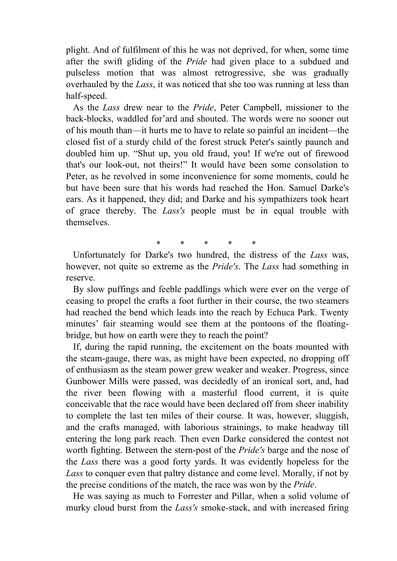plight. And of fulfilment of this he was not deprived, for when, some time after the swift gliding of the *Pride* had given place to a subdued and pulseless motion that was almost retrogressive, she was gradually overhauled by the *Lass*, it was noticed that she too was running at less than half-speed.

 As the *Lass* drew near to the *Pride*, Peter Campbell, missioner to the back-blocks, waddled for'ard and shouted. The words were no sooner out of his mouth than—it hurts me to have to relate so painful an incident—the closed fist of a sturdy child of the forest struck Peter's saintly paunch and doubled him up. "Shut up, you old fraud, you! If we're out of firewood that's our look-out, not theirs!" It would have been some consolation to Peter, as he revolved in some inconvenience for some moments, could he but have been sure that his words had reached the Hon. Samuel Darke's ears. As it happened, they did; and Darke and his sympathizers took heart of grace thereby. The *Lass's* people must be in equal trouble with themselves.

\* \* \* \* \*

 Unfortunately for Darke's two hundred, the distress of the *Lass* was, however, not quite so extreme as the *Pride's*. The *Lass* had something in reserve.

 By slow puffings and feeble paddlings which were ever on the verge of ceasing to propel the crafts a foot further in their course, the two steamers had reached the bend which leads into the reach by Echuca Park. Twenty minutes' fair steaming would see them at the pontoons of the floatingbridge, but how on earth were they to reach the point?

 If, during the rapid running, the excitement on the boats mounted with the steam-gauge, there was, as might have been expected, no dropping off of enthusiasm as the steam power grew weaker and weaker. Progress, since Gunbower Mills were passed, was decidedly of an ironical sort, and, had the river been flowing with a masterful flood current, it is quite conceivable that the race would have been declared off from sheer inability to complete the last ten miles of their course. It was, however, sluggish, and the crafts managed, with laborious strainings, to make headway till entering the long park reach. Then even Darke considered the contest not worth fighting. Between the stern-post of the *Pride's* barge and the nose of the *Lass* there was a good forty yards. It was evidently hopeless for the *Lass* to conquer even that paltry distance and come level. Morally, if not by the precise conditions of the match, the race was won by the *Pride*.

 He was saying as much to Forrester and Pillar, when a solid volume of murky cloud burst from the *Lass's* smoke-stack, and with increased firing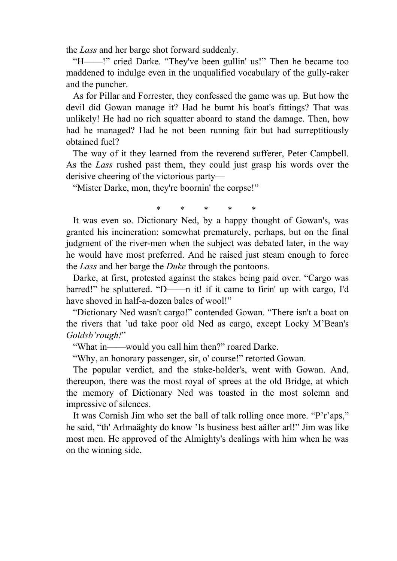the *Lass* and her barge shot forward suddenly.

 "H——!" cried Darke. "They've been gullin' us!" Then he became too maddened to indulge even in the unqualified vocabulary of the gully-raker and the puncher.

 As for Pillar and Forrester, they confessed the game was up. But how the devil did Gowan manage it? Had he burnt his boat's fittings? That was unlikely! He had no rich squatter aboard to stand the damage. Then, how had he managed? Had he not been running fair but had surreptitiously obtained fuel?

 The way of it they learned from the reverend sufferer, Peter Campbell. As the *Lass* rushed past them, they could just grasp his words over the derisive cheering of the victorious party—

"Mister Darke, mon, they're boornin' the corpse!"

\* \* \* \* \*

 It was even so. Dictionary Ned, by a happy thought of Gowan's, was granted his incineration: somewhat prematurely, perhaps, but on the final judgment of the river-men when the subject was debated later, in the way he would have most preferred. And he raised just steam enough to force the *Lass* and her barge the *Duke* through the pontoons.

 Darke, at first, protested against the stakes being paid over. "Cargo was barred!" he spluttered. "D——n it! if it came to firin' up with cargo, I'd have shoved in half-a-dozen bales of wool!"

 "Dictionary Ned wasn't cargo!" contended Gowan. "There isn't a boat on the rivers that 'ud take poor old Ned as cargo, except Locky M'Bean's *Goldsb'rough!*"

"What in——would you call him then?" roared Darke.

"Why, an honorary passenger, sir, o' course!" retorted Gowan.

 The popular verdict, and the stake-holder's, went with Gowan. And, thereupon, there was the most royal of sprees at the old Bridge, at which the memory of Dictionary Ned was toasted in the most solemn and impressive of silences.

 It was Cornish Jim who set the ball of talk rolling once more. "P'r'aps," he said, "th' Arlmaäghty do know 'Is business best aäfter arl!" Jim was like most men. He approved of the Almighty's dealings with him when he was on the winning side.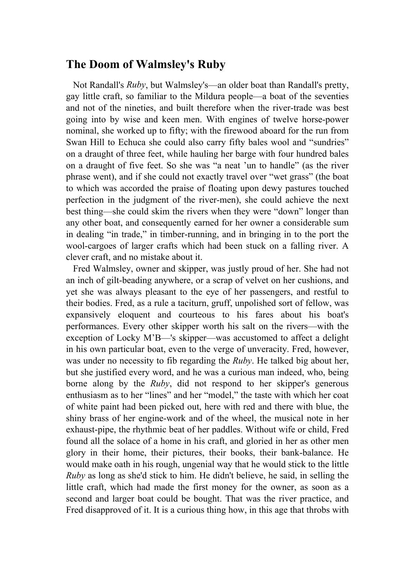## **The Doom of Walmsley's Ruby**

 Not Randall's *Ruby*, but Walmsley's—an older boat than Randall's pretty, gay little craft, so familiar to the Mildura people—a boat of the seventies and not of the nineties, and built therefore when the river-trade was best going into by wise and keen men. With engines of twelve horse-power nominal, she worked up to fifty; with the firewood aboard for the run from Swan Hill to Echuca she could also carry fifty bales wool and "sundries" on a draught of three feet, while hauling her barge with four hundred bales on a draught of five feet. So she was "a neat 'un to handle" (as the river phrase went), and if she could not exactly travel over "wet grass" (the boat to which was accorded the praise of floating upon dewy pastures touched perfection in the judgment of the river-men), she could achieve the next best thing—she could skim the rivers when they were "down" longer than any other boat, and consequently earned for her owner a considerable sum in dealing "in trade," in timber-running, and in bringing in to the port the wool-cargoes of larger crafts which had been stuck on a falling river. A clever craft, and no mistake about it.

 Fred Walmsley, owner and skipper, was justly proud of her. She had not an inch of gilt-beading anywhere, or a scrap of velvet on her cushions, and yet she was always pleasant to the eye of her passengers, and restful to their bodies. Fred, as a rule a taciturn, gruff, unpolished sort of fellow, was expansively eloquent and courteous to his fares about his boat's performances. Every other skipper worth his salt on the rivers—with the exception of Locky M'B—'s skipper—was accustomed to affect a delight in his own particular boat, even to the verge of unveracity. Fred, however, was under no necessity to fib regarding the *Ruby*. He talked big about her, but she justified every word, and he was a curious man indeed, who, being borne along by the *Ruby*, did not respond to her skipper's generous enthusiasm as to her "lines" and her "model," the taste with which her coat of white paint had been picked out, here with red and there with blue, the shiny brass of her engine-work and of the wheel, the musical note in her exhaust-pipe, the rhythmic beat of her paddles. Without wife or child, Fred found all the solace of a home in his craft, and gloried in her as other men glory in their home, their pictures, their books, their bank-balance. He would make oath in his rough, ungenial way that he would stick to the little *Ruby* as long as she'd stick to him. He didn't believe, he said, in selling the little craft, which had made the first money for the owner, as soon as a second and larger boat could be bought. That was the river practice, and Fred disapproved of it. It is a curious thing how, in this age that throbs with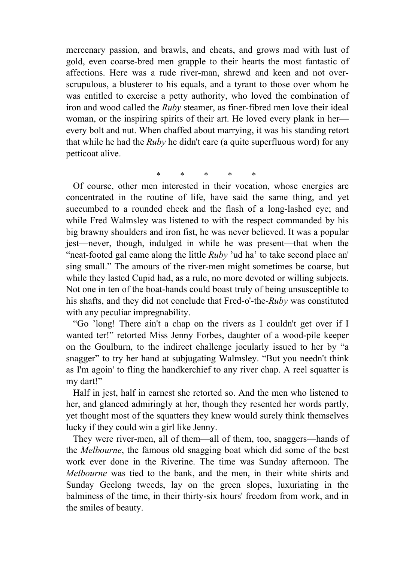mercenary passion, and brawls, and cheats, and grows mad with lust of gold, even coarse-bred men grapple to their hearts the most fantastic of affections. Here was a rude river-man, shrewd and keen and not overscrupulous, a blusterer to his equals, and a tyrant to those over whom he was entitled to exercise a petty authority, who loved the combination of iron and wood called the *Ruby* steamer, as finer-fibred men love their ideal woman, or the inspiring spirits of their art. He loved every plank in her every bolt and nut. When chaffed about marrying, it was his standing retort that while he had the *Ruby* he didn't care (a quite superfluous word) for any petticoat alive.

 Of course, other men interested in their vocation, whose energies are concentrated in the routine of life, have said the same thing, and yet succumbed to a rounded cheek and the flash of a long-lashed eye; and while Fred Walmsley was listened to with the respect commanded by his big brawny shoulders and iron fist, he was never believed. It was a popular jest—never, though, indulged in while he was present—that when the "neat-footed gal came along the little *Ruby* 'ud ha' to take second place an' sing small." The amours of the river-men might sometimes be coarse, but while they lasted Cupid had, as a rule, no more devoted or willing subjects. Not one in ten of the boat-hands could boast truly of being unsusceptible to his shafts, and they did not conclude that Fred-o'-the-*Ruby* was constituted with any peculiar impregnability.

 "Go 'long! There ain't a chap on the rivers as I couldn't get over if I wanted ter!" retorted Miss Jenny Forbes, daughter of a wood-pile keeper on the Goulburn, to the indirect challenge jocularly issued to her by "a snagger" to try her hand at subjugating Walmsley. "But you needn't think as I'm agoin' to fling the handkerchief to any river chap. A reel squatter is my dart!"

 Half in jest, half in earnest she retorted so. And the men who listened to her, and glanced admiringly at her, though they resented her words partly, yet thought most of the squatters they knew would surely think themselves lucky if they could win a girl like Jenny.

 They were river-men, all of them—all of them, too, snaggers—hands of the *Melbourne*, the famous old snagging boat which did some of the best work ever done in the Riverine. The time was Sunday afternoon. The *Melbourne* was tied to the bank, and the men, in their white shirts and Sunday Geelong tweeds, lay on the green slopes, luxuriating in the balminess of the time, in their thirty-six hours' freedom from work, and in the smiles of beauty.

\* \* \* \* \*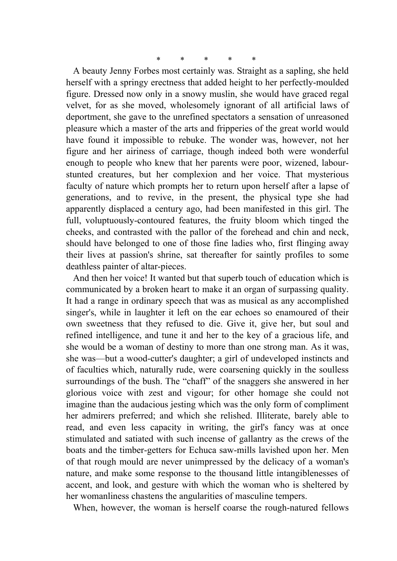\* \* \* \* \*

 A beauty Jenny Forbes most certainly was. Straight as a sapling, she held herself with a springy erectness that added height to her perfectly-moulded figure. Dressed now only in a snowy muslin, she would have graced regal velvet, for as she moved, wholesomely ignorant of all artificial laws of deportment, she gave to the unrefined spectators a sensation of unreasoned pleasure which a master of the arts and fripperies of the great world would have found it impossible to rebuke. The wonder was, however, not her figure and her airiness of carriage, though indeed both were wonderful enough to people who knew that her parents were poor, wizened, labourstunted creatures, but her complexion and her voice. That mysterious faculty of nature which prompts her to return upon herself after a lapse of generations, and to revive, in the present, the physical type she had apparently displaced a century ago, had been manifested in this girl. The full, voluptuously-contoured features, the fruity bloom which tinged the cheeks, and contrasted with the pallor of the forehead and chin and neck, should have belonged to one of those fine ladies who, first flinging away their lives at passion's shrine, sat thereafter for saintly profiles to some deathless painter of altar-pieces.

 And then her voice! It wanted but that superb touch of education which is communicated by a broken heart to make it an organ of surpassing quality. It had a range in ordinary speech that was as musical as any accomplished singer's, while in laughter it left on the ear echoes so enamoured of their own sweetness that they refused to die. Give it, give her, but soul and refined intelligence, and tune it and her to the key of a gracious life, and she would be a woman of destiny to more than one strong man. As it was, she was—but a wood-cutter's daughter; a girl of undeveloped instincts and of faculties which, naturally rude, were coarsening quickly in the soulless surroundings of the bush. The "chaff" of the snaggers she answered in her glorious voice with zest and vigour; for other homage she could not imagine than the audacious jesting which was the only form of compliment her admirers preferred; and which she relished. Illiterate, barely able to read, and even less capacity in writing, the girl's fancy was at once stimulated and satiated with such incense of gallantry as the crews of the boats and the timber-getters for Echuca saw-mills lavished upon her. Men of that rough mould are never unimpressed by the delicacy of a woman's nature, and make some response to the thousand little intangiblenesses of accent, and look, and gesture with which the woman who is sheltered by her womanliness chastens the angularities of masculine tempers.

When, however, the woman is herself coarse the rough-natured fellows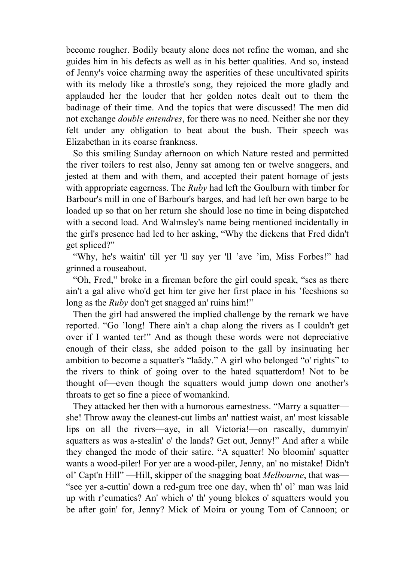become rougher. Bodily beauty alone does not refine the woman, and she guides him in his defects as well as in his better qualities. And so, instead of Jenny's voice charming away the asperities of these uncultivated spirits with its melody like a throstle's song, they rejoiced the more gladly and applauded her the louder that her golden notes dealt out to them the badinage of their time. And the topics that were discussed! The men did not exchange *double entendres*, for there was no need. Neither she nor they felt under any obligation to beat about the bush. Their speech was Elizabethan in its coarse frankness.

 So this smiling Sunday afternoon on which Nature rested and permitted the river toilers to rest also, Jenny sat among ten or twelve snaggers, and jested at them and with them, and accepted their patent homage of jests with appropriate eagerness. The *Ruby* had left the Goulburn with timber for Barbour's mill in one of Barbour's barges, and had left her own barge to be loaded up so that on her return she should lose no time in being dispatched with a second load. And Walmsley's name being mentioned incidentally in the girl's presence had led to her asking, "Why the dickens that Fred didn't get spliced?"

 "Why, he's waitin' till yer 'll say yer 'll 'ave 'im, Miss Forbes!" had grinned a rouseabout.

 "Oh, Fred," broke in a fireman before the girl could speak, "ses as there ain't a gal alive who'd get him ter give her first place in his 'fecshions so long as the *Ruby* don't get snagged an' ruins him!"

 Then the girl had answered the implied challenge by the remark we have reported. "Go 'long! There ain't a chap along the rivers as I couldn't get over if I wanted ter!" And as though these words were not depreciative enough of their class, she added poison to the gall by insinuating her ambition to become a squatter's "laädy." A girl who belonged "o' rights" to the rivers to think of going over to the hated squatterdom! Not to be thought of—even though the squatters would jump down one another's throats to get so fine a piece of womankind.

 They attacked her then with a humorous earnestness. "Marry a squatter she! Throw away the cleanest-cut limbs an' nattiest waist, an' most kissable lips on all the rivers—aye, in all Victoria!—on rascally, dummyin' squatters as was a-stealin' o' the lands? Get out, Jenny!" And after a while they changed the mode of their satire. "A squatter! No bloomin' squatter wants a wood-piler! For yer are a wood-piler, Jenny, an' no mistake! Didn't ol' Capt'n Hill" —Hill, skipper of the snagging boat *Melbourne*, that was— "see yer a-cuttin' down a red-gum tree one day, when th' ol' man was laid up with r'eumatics? An' which o' th' young blokes o' squatters would you be after goin' for, Jenny? Mick of Moira or young Tom of Cannoon; or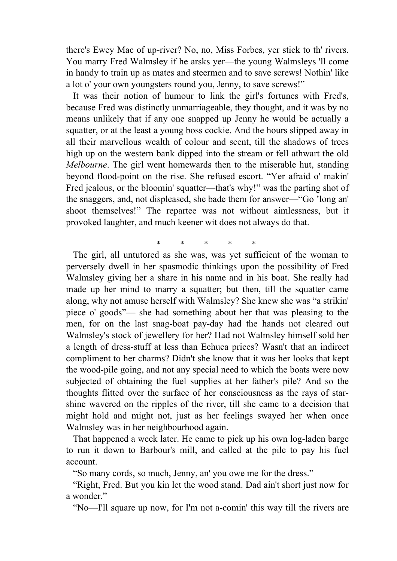there's Ewey Mac of up-river? No, no, Miss Forbes, yer stick to th' rivers. You marry Fred Walmsley if he arsks yer—the young Walmsleys 'll come in handy to train up as mates and steermen and to save screws! Nothin' like a lot o' your own youngsters round you, Jenny, to save screws!"

 It was their notion of humour to link the girl's fortunes with Fred's, because Fred was distinctly unmarriageable, they thought, and it was by no means unlikely that if any one snapped up Jenny he would be actually a squatter, or at the least a young boss cockie. And the hours slipped away in all their marvellous wealth of colour and scent, till the shadows of trees high up on the western bank dipped into the stream or fell athwart the old *Melbourne*. The girl went homewards then to the miserable hut, standing beyond flood-point on the rise. She refused escort. "Yer afraid o' makin' Fred jealous, or the bloomin' squatter—that's why!" was the parting shot of the snaggers, and, not displeased, she bade them for answer—"Go 'long an' shoot themselves!" The repartee was not without aimlessness, but it provoked laughter, and much keener wit does not always do that.

\* \* \* \* \* The girl, all untutored as she was, was yet sufficient of the woman to perversely dwell in her spasmodic thinkings upon the possibility of Fred Walmsley giving her a share in his name and in his boat. She really had made up her mind to marry a squatter; but then, till the squatter came along, why not amuse herself with Walmsley? She knew she was "a strikin' piece o' goods"— she had something about her that was pleasing to the men, for on the last snag-boat pay-day had the hands not cleared out Walmsley's stock of jewellery for her? Had not Walmsley himself sold her a length of dress-stuff at less than Echuca prices? Wasn't that an indirect compliment to her charms? Didn't she know that it was her looks that kept the wood-pile going, and not any special need to which the boats were now subjected of obtaining the fuel supplies at her father's pile? And so the thoughts flitted over the surface of her consciousness as the rays of starshine wavered on the ripples of the river, till she came to a decision that might hold and might not, just as her feelings swayed her when once Walmsley was in her neighbourhood again.

 That happened a week later. He came to pick up his own log-laden barge to run it down to Barbour's mill, and called at the pile to pay his fuel account.

"So many cords, so much, Jenny, an' you owe me for the dress."

 "Right, Fred. But you kin let the wood stand. Dad ain't short just now for a wonder."

"No—I'll square up now, for I'm not a-comin' this way till the rivers are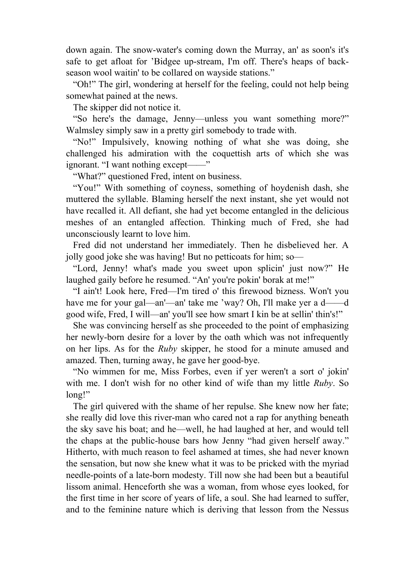down again. The snow-water's coming down the Murray, an' as soon's it's safe to get afloat for 'Bidgee up-stream, I'm off. There's heaps of backseason wool waitin' to be collared on wayside stations."

 "Oh!" The girl, wondering at herself for the feeling, could not help being somewhat pained at the news.

The skipper did not notice it.

 "So here's the damage, Jenny—unless you want something more?" Walmsley simply saw in a pretty girl somebody to trade with.

 "No!" Impulsively, knowing nothing of what she was doing, she challenged his admiration with the coquettish arts of which she was ignorant. "I want nothing except——"

"What?" questioned Fred, intent on business.

 "You!" With something of coyness, something of hoydenish dash, she muttered the syllable. Blaming herself the next instant, she yet would not have recalled it. All defiant, she had yet become entangled in the delicious meshes of an entangled affection. Thinking much of Fred, she had unconsciously learnt to love him.

 Fred did not understand her immediately. Then he disbelieved her. A jolly good joke she was having! But no petticoats for him; so—

 "Lord, Jenny! what's made you sweet upon splicin' just now?" He laughed gaily before he resumed. "An' you're pokin' borak at me!"

 "I ain't! Look here, Fred—I'm tired o' this firewood bizness. Won't you have me for your gal—an'—an' take me 'way? Oh, I'll make yer a d——d good wife, Fred, I will—an' you'll see how smart I kin be at sellin' thin's!"

 She was convincing herself as she proceeded to the point of emphasizing her newly-born desire for a lover by the oath which was not infrequently on her lips. As for the *Ruby* skipper, he stood for a minute amused and amazed. Then, turning away, he gave her good-bye.

 "No wimmen for me, Miss Forbes, even if yer weren't a sort o' jokin' with me. I don't wish for no other kind of wife than my little *Ruby*. So long!"

 The girl quivered with the shame of her repulse. She knew now her fate; she really did love this river-man who cared not a rap for anything beneath the sky save his boat; and he—well, he had laughed at her, and would tell the chaps at the public-house bars how Jenny "had given herself away." Hitherto, with much reason to feel ashamed at times, she had never known the sensation, but now she knew what it was to be pricked with the myriad needle-points of a late-born modesty. Till now she had been but a beautiful lissom animal. Henceforth she was a woman, from whose eyes looked, for the first time in her score of years of life, a soul. She had learned to suffer, and to the feminine nature which is deriving that lesson from the Nessus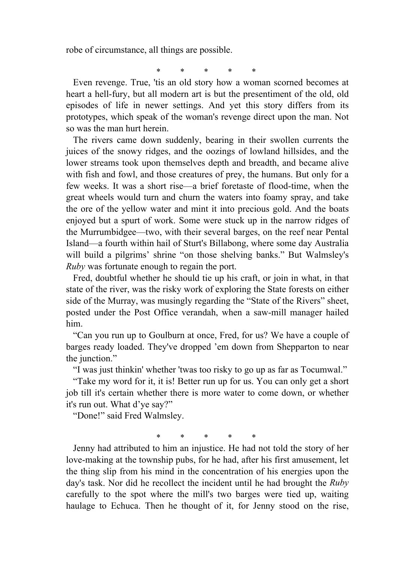robe of circumstance, all things are possible.

\* \* \* \* \*

 Even revenge. True, 'tis an old story how a woman scorned becomes at heart a hell-fury, but all modern art is but the presentiment of the old, old episodes of life in newer settings. And yet this story differs from its prototypes, which speak of the woman's revenge direct upon the man. Not so was the man hurt herein.

 The rivers came down suddenly, bearing in their swollen currents the juices of the snowy ridges, and the oozings of lowland hillsides, and the lower streams took upon themselves depth and breadth, and became alive with fish and fowl, and those creatures of prey, the humans. But only for a few weeks. It was a short rise—a brief foretaste of flood-time, when the great wheels would turn and churn the waters into foamy spray, and take the ore of the yellow water and mint it into precious gold. And the boats enjoyed but a spurt of work. Some were stuck up in the narrow ridges of the Murrumbidgee—two, with their several barges, on the reef near Pental Island—a fourth within hail of Sturt's Billabong, where some day Australia will build a pilgrims' shrine "on those shelving banks." But Walmsley's *Ruby* was fortunate enough to regain the port.

 Fred, doubtful whether he should tie up his craft, or join in what, in that state of the river, was the risky work of exploring the State forests on either side of the Murray, was musingly regarding the "State of the Rivers" sheet, posted under the Post Office verandah, when a saw-mill manager hailed him.

 "Can you run up to Goulburn at once, Fred, for us? We have a couple of barges ready loaded. They've dropped 'em down from Shepparton to near the junction."

"I was just thinkin' whether 'twas too risky to go up as far as Tocumwal."

 "Take my word for it, it is! Better run up for us. You can only get a short job till it's certain whether there is more water to come down, or whether it's run out. What d'ye say?"

"Done!" said Fred Walmsley.

\* \* \* \* \*

 Jenny had attributed to him an injustice. He had not told the story of her love-making at the township pubs, for he had, after his first amusement, let the thing slip from his mind in the concentration of his energies upon the day's task. Nor did he recollect the incident until he had brought the *Ruby* carefully to the spot where the mill's two barges were tied up, waiting haulage to Echuca. Then he thought of it, for Jenny stood on the rise,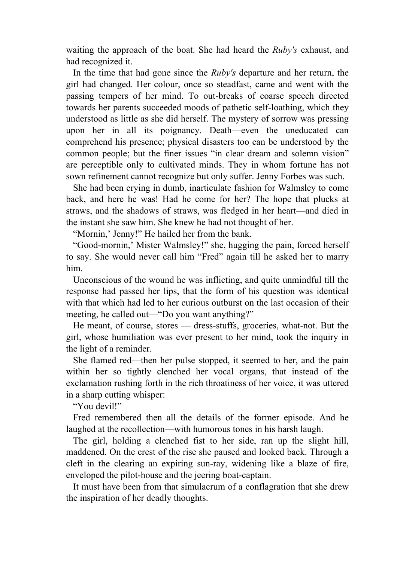waiting the approach of the boat. She had heard the *Ruby's* exhaust, and had recognized it.

 In the time that had gone since the *Ruby's* departure and her return, the girl had changed. Her colour, once so steadfast, came and went with the passing tempers of her mind. To out-breaks of coarse speech directed towards her parents succeeded moods of pathetic self-loathing, which they understood as little as she did herself. The mystery of sorrow was pressing upon her in all its poignancy. Death—even the uneducated can comprehend his presence; physical disasters too can be understood by the common people; but the finer issues "in clear dream and solemn vision" are perceptible only to cultivated minds. They in whom fortune has not sown refinement cannot recognize but only suffer. Jenny Forbes was such.

 She had been crying in dumb, inarticulate fashion for Walmsley to come back, and here he was! Had he come for her? The hope that plucks at straws, and the shadows of straws, was fledged in her heart—and died in the instant she saw him. She knew he had not thought of her.

"Mornin,' Jenny!" He hailed her from the bank.

 "Good-mornin,' Mister Walmsley!" she, hugging the pain, forced herself to say. She would never call him "Fred" again till he asked her to marry him.

 Unconscious of the wound he was inflicting, and quite unmindful till the response had passed her lips, that the form of his question was identical with that which had led to her curious outburst on the last occasion of their meeting, he called out—"Do you want anything?"

 He meant, of course, stores — dress-stuffs, groceries, what-not. But the girl, whose humiliation was ever present to her mind, took the inquiry in the light of a reminder.

 She flamed red—then her pulse stopped, it seemed to her, and the pain within her so tightly clenched her vocal organs, that instead of the exclamation rushing forth in the rich throatiness of her voice, it was uttered in a sharp cutting whisper:

"You devil!"

 Fred remembered then all the details of the former episode. And he laughed at the recollection—with humorous tones in his harsh laugh.

 The girl, holding a clenched fist to her side, ran up the slight hill, maddened. On the crest of the rise she paused and looked back. Through a cleft in the clearing an expiring sun-ray, widening like a blaze of fire, enveloped the pilot-house and the jeering boat-captain.

 It must have been from that simulacrum of a conflagration that she drew the inspiration of her deadly thoughts.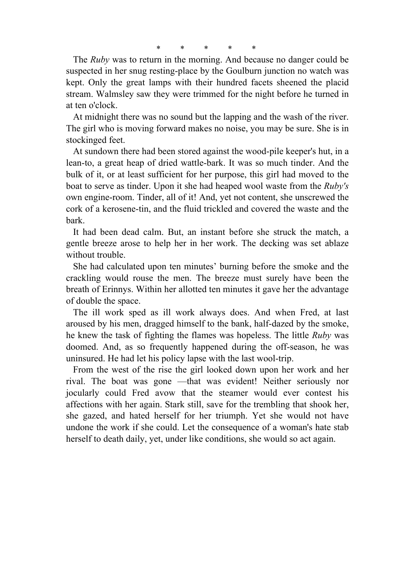\* \* \* \* \*

 The *Ruby* was to return in the morning. And because no danger could be suspected in her snug resting-place by the Goulburn junction no watch was kept. Only the great lamps with their hundred facets sheened the placid stream. Walmsley saw they were trimmed for the night before he turned in at ten o'clock.

 At midnight there was no sound but the lapping and the wash of the river. The girl who is moving forward makes no noise, you may be sure. She is in stockinged feet.

 At sundown there had been stored against the wood-pile keeper's hut, in a lean-to, a great heap of dried wattle-bark. It was so much tinder. And the bulk of it, or at least sufficient for her purpose, this girl had moved to the boat to serve as tinder. Upon it she had heaped wool waste from the *Ruby's* own engine-room. Tinder, all of it! And, yet not content, she unscrewed the cork of a kerosene-tin, and the fluid trickled and covered the waste and the bark.

 It had been dead calm. But, an instant before she struck the match, a gentle breeze arose to help her in her work. The decking was set ablaze without trouble.

 She had calculated upon ten minutes' burning before the smoke and the crackling would rouse the men. The breeze must surely have been the breath of Erinnys. Within her allotted ten minutes it gave her the advantage of double the space.

 The ill work sped as ill work always does. And when Fred, at last aroused by his men, dragged himself to the bank, half-dazed by the smoke, he knew the task of fighting the flames was hopeless. The little *Ruby* was doomed. And, as so frequently happened during the off-season, he was uninsured. He had let his policy lapse with the last wool-trip.

 From the west of the rise the girl looked down upon her work and her rival. The boat was gone —that was evident! Neither seriously nor jocularly could Fred avow that the steamer would ever contest his affections with her again. Stark still, save for the trembling that shook her, she gazed, and hated herself for her triumph. Yet she would not have undone the work if she could. Let the consequence of a woman's hate stab herself to death daily, yet, under like conditions, she would so act again.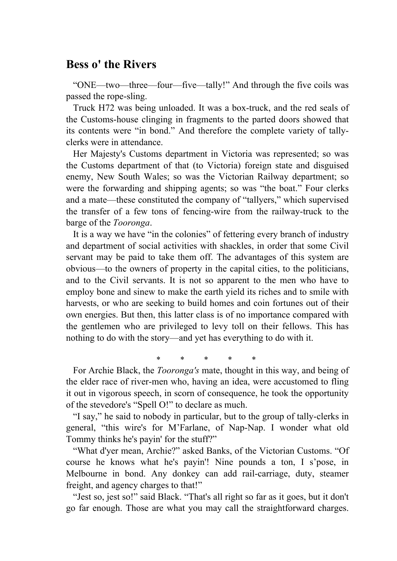## **Bess o' the Rivers**

 "ONE—two—three—four—five—tally!" And through the five coils was passed the rope-sling.

 Truck H72 was being unloaded. It was a box-truck, and the red seals of the Customs-house clinging in fragments to the parted doors showed that its contents were "in bond." And therefore the complete variety of tallyclerks were in attendance.

 Her Majesty's Customs department in Victoria was represented; so was the Customs department of that (to Victoria) foreign state and disguised enemy, New South Wales; so was the Victorian Railway department; so were the forwarding and shipping agents; so was "the boat." Four clerks and a mate—these constituted the company of "tallyers," which supervised the transfer of a few tons of fencing-wire from the railway-truck to the barge of the *Tooronga*.

 It is a way we have "in the colonies" of fettering every branch of industry and department of social activities with shackles, in order that some Civil servant may be paid to take them off. The advantages of this system are obvious—to the owners of property in the capital cities, to the politicians, and to the Civil servants. It is not so apparent to the men who have to employ bone and sinew to make the earth yield its riches and to smile with harvests, or who are seeking to build homes and coin fortunes out of their own energies. But then, this latter class is of no importance compared with the gentlemen who are privileged to levy toll on their fellows. This has nothing to do with the story—and yet has everything to do with it.

\* \* \* \* \*

 For Archie Black, the *Tooronga's* mate, thought in this way, and being of the elder race of river-men who, having an idea, were accustomed to fling it out in vigorous speech, in scorn of consequence, he took the opportunity of the stevedore's "Spell O!" to declare as much.

 "I say," he said to nobody in particular, but to the group of tally-clerks in general, "this wire's for M'Farlane, of Nap-Nap. I wonder what old Tommy thinks he's payin' for the stuff?"

 "What d'yer mean, Archie?" asked Banks, of the Victorian Customs. "Of course he knows what he's payin'! Nine pounds a ton, I s'pose, in Melbourne in bond. Any donkey can add rail-carriage, duty, steamer freight, and agency charges to that!"

 "Jest so, jest so!" said Black. "That's all right so far as it goes, but it don't go far enough. Those are what you may call the straightforward charges.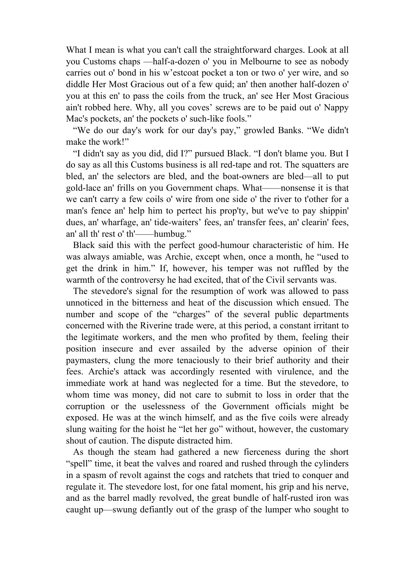What I mean is what you can't call the straightforward charges. Look at all you Customs chaps —half-a-dozen o' you in Melbourne to see as nobody carries out o' bond in his w'estcoat pocket a ton or two o' yer wire, and so diddle Her Most Gracious out of a few quid; an' then another half-dozen o' you at this en' to pass the coils from the truck, an' see Her Most Gracious ain't robbed here. Why, all you coves' screws are to be paid out o' Nappy Mac's pockets, an' the pockets o' such-like fools."

 "We do our day's work for our day's pay," growled Banks. "We didn't make the work!"

 "I didn't say as you did, did I?" pursued Black. "I don't blame you. But I do say as all this Customs business is all red-tape and rot. The squatters are bled, an' the selectors are bled, and the boat-owners are bled—all to put gold-lace an' frills on you Government chaps. What——nonsense it is that we can't carry a few coils o' wire from one side o' the river to t'other for a man's fence an' help him to pertect his prop'ty, but we've to pay shippin' dues, an' wharfage, an' tide-waiters' fees, an' transfer fees, an' clearin' fees, an' all th' rest o' th'——humbug."

 Black said this with the perfect good-humour characteristic of him. He was always amiable, was Archie, except when, once a month, he "used to get the drink in him." If, however, his temper was not ruffled by the warmth of the controversy he had excited, that of the Civil servants was.

 The stevedore's signal for the resumption of work was allowed to pass unnoticed in the bitterness and heat of the discussion which ensued. The number and scope of the "charges" of the several public departments concerned with the Riverine trade were, at this period, a constant irritant to the legitimate workers, and the men who profited by them, feeling their position insecure and ever assailed by the adverse opinion of their paymasters, clung the more tenaciously to their brief authority and their fees. Archie's attack was accordingly resented with virulence, and the immediate work at hand was neglected for a time. But the stevedore, to whom time was money, did not care to submit to loss in order that the corruption or the uselessness of the Government officials might be exposed. He was at the winch himself, and as the five coils were already slung waiting for the hoist he "let her go" without, however, the customary shout of caution. The dispute distracted him.

 As though the steam had gathered a new fierceness during the short "spell" time, it beat the valves and roared and rushed through the cylinders in a spasm of revolt against the cogs and ratchets that tried to conquer and regulate it. The stevedore lost, for one fatal moment, his grip and his nerve, and as the barrel madly revolved, the great bundle of half-rusted iron was caught up—swung defiantly out of the grasp of the lumper who sought to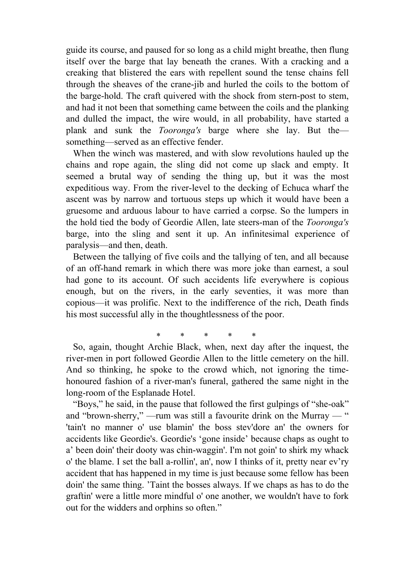guide its course, and paused for so long as a child might breathe, then flung itself over the barge that lay beneath the cranes. With a cracking and a creaking that blistered the ears with repellent sound the tense chains fell through the sheaves of the crane-jib and hurled the coils to the bottom of the barge-hold. The craft quivered with the shock from stern-post to stem, and had it not been that something came between the coils and the planking and dulled the impact, the wire would, in all probability, have started a plank and sunk the *Tooronga's* barge where she lay. But the something—served as an effective fender.

 When the winch was mastered, and with slow revolutions hauled up the chains and rope again, the sling did not come up slack and empty. It seemed a brutal way of sending the thing up, but it was the most expeditious way. From the river-level to the decking of Echuca wharf the ascent was by narrow and tortuous steps up which it would have been a gruesome and arduous labour to have carried a corpse. So the lumpers in the hold tied the body of Geordie Allen, late steers-man of the *Tooronga's* barge, into the sling and sent it up. An infinitesimal experience of paralysis—and then, death.

 Between the tallying of five coils and the tallying of ten, and all because of an off-hand remark in which there was more joke than earnest, a soul had gone to its account. Of such accidents life everywhere is copious enough, but on the rivers, in the early seventies, it was more than copious—it was prolific. Next to the indifference of the rich, Death finds his most successful ally in the thoughtlessness of the poor.

\* \* \* \* \*

 So, again, thought Archie Black, when, next day after the inquest, the river-men in port followed Geordie Allen to the little cemetery on the hill. And so thinking, he spoke to the crowd which, not ignoring the timehonoured fashion of a river-man's funeral, gathered the same night in the long-room of the Esplanade Hotel.

 "Boys," he said, in the pause that followed the first gulpings of "she-oak" and "brown-sherry," —rum was still a favourite drink on the Murray — " 'tain't no manner o' use blamin' the boss stev'dore an' the owners for accidents like Geordie's. Geordie's 'gone inside' because chaps as ought to a' been doin' their dooty was chin-waggin'. I'm not goin' to shirk my whack o' the blame. I set the ball a-rollin', an', now I thinks of it, pretty near ev'ry accident that has happened in my time is just because some fellow has been doin' the same thing. 'Taint the bosses always. If we chaps as has to do the graftin' were a little more mindful o' one another, we wouldn't have to fork out for the widders and orphins so often."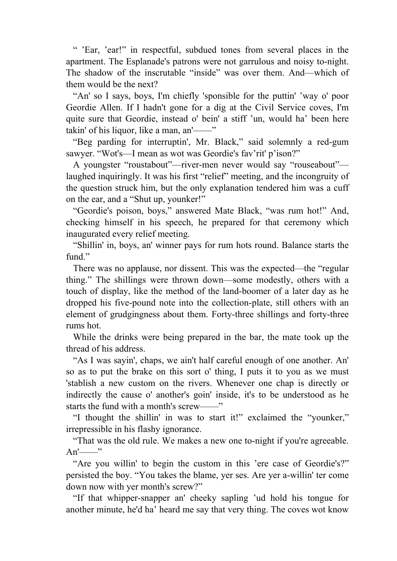" 'Ear, 'ear!" in respectful, subdued tones from several places in the apartment. The Esplanade's patrons were not garrulous and noisy to-night. The shadow of the inscrutable "inside" was over them. And—which of them would be the next?

 "An' so I says, boys, I'm chiefly 'sponsible for the puttin' 'way o' poor Geordie Allen. If I hadn't gone for a dig at the Civil Service coves, I'm quite sure that Geordie, instead o' bein' a stiff 'un, would ha' been here takin' of his liquor, like a man, an'——"

 "Beg parding for interruptin', Mr. Black," said solemnly a red-gum sawyer. "Wot's—I mean as wot was Geordie's fav'rit' p'ison?"

 A youngster "roustabout"—river-men never would say "rouseabout" laughed inquiringly. It was his first "relief" meeting, and the incongruity of the question struck him, but the only explanation tendered him was a cuff on the ear, and a "Shut up, younker!"

 "Geordie's poison, boys," answered Mate Black, "was rum hot!" And, checking himself in his speech, he prepared for that ceremony which inaugurated every relief meeting.

 "Shillin' in, boys, an' winner pays for rum hots round. Balance starts the fund"

 There was no applause, nor dissent. This was the expected—the "regular thing." The shillings were thrown down—some modestly, others with a touch of display, like the method of the land-boomer of a later day as he dropped his five-pound note into the collection-plate, still others with an element of grudgingness about them. Forty-three shillings and forty-three rums hot.

 While the drinks were being prepared in the bar, the mate took up the thread of his address.

 "As I was sayin', chaps, we ain't half careful enough of one another. An' so as to put the brake on this sort o' thing, I puts it to you as we must 'stablish a new custom on the rivers. Whenever one chap is directly or indirectly the cause o' another's goin' inside, it's to be understood as he starts the fund with a month's screw—

 "I thought the shillin' in was to start it!" exclaimed the "younker," irrepressible in his flashy ignorance.

 "That was the old rule. We makes a new one to-night if you're agreeable.  $An'$ 

 "Are you willin' to begin the custom in this 'ere case of Geordie's?" persisted the boy. "You takes the blame, yer ses. Are yer a-willin' ter come down now with yer month's screw?"

 "If that whipper-snapper an' cheeky sapling 'ud hold his tongue for another minute, he'd ha' heard me say that very thing. The coves wot know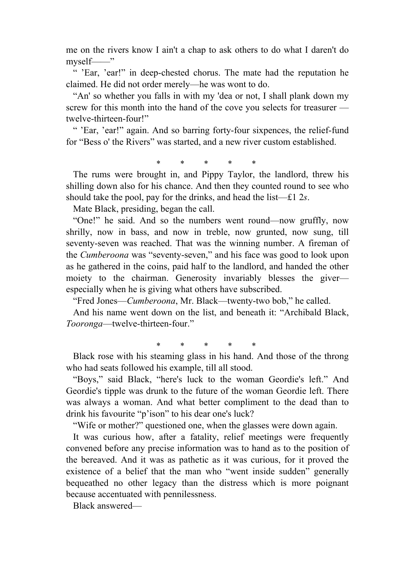me on the rivers know I ain't a chap to ask others to do what I daren't do myself-

 " 'Ear, 'ear!" in deep-chested chorus. The mate had the reputation he claimed. He did not order merely—he was wont to do.

 "An' so whether you falls in with my 'dea or not, I shall plank down my screw for this month into the hand of the cove you selects for treasurer twelve-thirteen-four!"

 " 'Ear, 'ear!" again. And so barring forty-four sixpences, the relief-fund for "Bess o' the Rivers" was started, and a new river custom established.

\* \* \* \* \*

 The rums were brought in, and Pippy Taylor, the landlord, threw his shilling down also for his chance. And then they counted round to see who should take the pool, pay for the drinks, and head the list—£1 2*s*.

Mate Black, presiding, began the call.

 "One!" he said. And so the numbers went round—now gruffly, now shrilly, now in bass, and now in treble, now grunted, now sung, till seventy-seven was reached. That was the winning number. A fireman of the *Cumberoona* was "seventy-seven," and his face was good to look upon as he gathered in the coins, paid half to the landlord, and handed the other moiety to the chairman. Generosity invariably blesses the giver especially when he is giving what others have subscribed.

"Fred Jones—*Cumberoona*, Mr. Black—twenty-two bob," he called.

 And his name went down on the list, and beneath it: "Archibald Black, *Tooronga*—twelve-thirteen-four."

\* \* \* \* \*

 Black rose with his steaming glass in his hand. And those of the throng who had seats followed his example, till all stood.

 "Boys," said Black, "here's luck to the woman Geordie's left." And Geordie's tipple was drunk to the future of the woman Geordie left. There was always a woman. And what better compliment to the dead than to drink his favourite "p'ison" to his dear one's luck?

"Wife or mother?" questioned one, when the glasses were down again.

 It was curious how, after a fatality, relief meetings were frequently convened before any precise information was to hand as to the position of the bereaved. And it was as pathetic as it was curious, for it proved the existence of a belief that the man who "went inside sudden" generally bequeathed no other legacy than the distress which is more poignant because accentuated with pennilessness.

Black answered—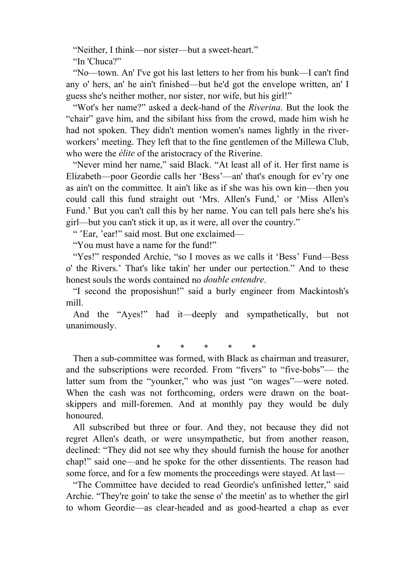"Neither, I think—nor sister—but a sweet-heart."

"In 'Chuca?"

 "No—town. An' I've got his last letters to her from his bunk—I can't find any o' hers, an' he ain't finished—but he'd got the envelope written, an' I guess she's neither mother, nor sister, nor wife, but his girl!"

 "Wot's her name?" asked a deck-hand of the *Riverina*. But the look the "chair" gave him, and the sibilant hiss from the crowd, made him wish he had not spoken. They didn't mention women's names lightly in the riverworkers' meeting. They left that to the fine gentlemen of the Millewa Club, who were the *élite* of the aristocracy of the Riverine.

 "Never mind her name," said Black. "At least all of it. Her first name is Elizabeth—poor Geordie calls her 'Bess'—an' that's enough for ev'ry one as ain't on the committee. It ain't like as if she was his own kin—then you could call this fund straight out 'Mrs. Allen's Fund,' or 'Miss Allen's Fund.' But you can't call this by her name. You can tell pals here she's his girl—but you can't stick it up, as it were, all over the country."

" 'Ear, 'ear!" said most. But one exclaimed—

"You must have a name for the fund!"

 "Yes!" responded Archie, "so I moves as we calls it 'Bess' Fund—Bess o' the Rivers.' That's like takin' her under our pertection." And to these honest souls the words contained no *double entendre*.

 "I second the proposishun!" said a burly engineer from Mackintosh's mill.

 And the "Ayes!" had it—deeply and sympathetically, but not unanimously.

\* \* \* \* \*

 Then a sub-committee was formed, with Black as chairman and treasurer, and the subscriptions were recorded. From "fivers" to "five-bobs"— the latter sum from the "younker," who was just "on wages"—were noted. When the cash was not forthcoming, orders were drawn on the boatskippers and mill-foremen. And at monthly pay they would be duly honoured.

 All subscribed but three or four. And they, not because they did not regret Allen's death, or were unsympathetic, but from another reason, declined: "They did not see why they should furnish the house for another chap!" said one—and he spoke for the other dissentients. The reason had some force, and for a few moments the proceedings were stayed. At last—

 "The Committee have decided to read Geordie's unfinished letter," said Archie. "They're goin' to take the sense o' the meetin' as to whether the girl to whom Geordie—as clear-headed and as good-hearted a chap as ever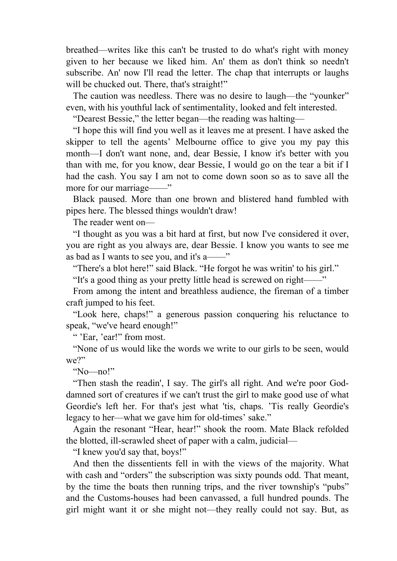breathed—writes like this can't be trusted to do what's right with money given to her because we liked him. An' them as don't think so needn't subscribe. An' now I'll read the letter. The chap that interrupts or laughs will be chucked out. There, that's straight!"

 The caution was needless. There was no desire to laugh—the "younker" even, with his youthful lack of sentimentality, looked and felt interested.

"Dearest Bessie," the letter began—the reading was halting—

 "I hope this will find you well as it leaves me at present. I have asked the skipper to tell the agents' Melbourne office to give you my pay this month—I don't want none, and, dear Bessie, I know it's better with you than with me, for you know, dear Bessie, I would go on the tear a bit if I had the cash. You say I am not to come down soon so as to save all the more for our marriage——"

 Black paused. More than one brown and blistered hand fumbled with pipes here. The blessed things wouldn't draw!

The reader went on—

 "I thought as you was a bit hard at first, but now I've considered it over, you are right as you always are, dear Bessie. I know you wants to see me as bad as I wants to see you, and it's a——"

"There's a blot here!" said Black. "He forgot he was writin' to his girl."

"It's a good thing as your pretty little head is screwed on right——"

 From among the intent and breathless audience, the fireman of a timber craft jumped to his feet.

 "Look here, chaps!" a generous passion conquering his reluctance to speak, "we've heard enough!"

" 'Ear, 'ear!" from most.

 "None of us would like the words we write to our girls to be seen, would we?"

"No—no!"

 "Then stash the readin', I say. The girl's all right. And we're poor Goddamned sort of creatures if we can't trust the girl to make good use of what Geordie's left her. For that's jest what 'tis, chaps. 'Tis really Geordie's legacy to her—what we gave him for old-times' sake."

 Again the resonant "Hear, hear!" shook the room. Mate Black refolded the blotted, ill-scrawled sheet of paper with a calm, judicial—

"I knew you'd say that, boys!"

 And then the dissentients fell in with the views of the majority. What with cash and "orders" the subscription was sixty pounds odd. That meant, by the time the boats then running trips, and the river township's "pubs" and the Customs-houses had been canvassed, a full hundred pounds. The girl might want it or she might not—they really could not say. But, as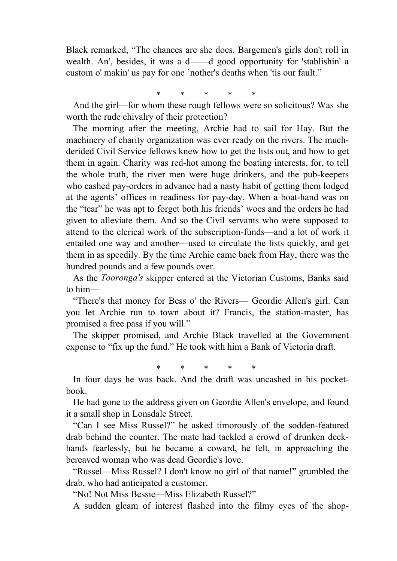Black remarked, "The chances are she does. Bargemen's girls don't roll in wealth. An', besides, it was a d——d good opportunity for 'stablishin' a custom o' makin' us pay for one 'nother's deaths when 'tis our fault."

\* \* \* \* \*

 And the girl—for whom these rough fellows were so solicitous? Was she worth the rude chivalry of their protection?

 The morning after the meeting, Archie had to sail for Hay. But the machinery of charity organization was ever ready on the rivers. The muchderided Civil Service fellows knew how to get the lists out, and how to get them in again. Charity was red-hot among the boating interests, for, to tell the whole truth, the river men were huge drinkers, and the pub-keepers who cashed pay-orders in advance had a nasty habit of getting them lodged at the agents' offices in readiness for pay-day. When a boat-hand was on the "tear" he was apt to forget both his friends' woes and the orders he had given to alleviate them. And so the Civil servants who were supposed to attend to the clerical work of the subscription-funds—and a lot of work it entailed one way and another—used to circulate the lists quickly, and get them in as speedily. By the time Archie came back from Hay, there was the hundred pounds and a few pounds over.

 As the *Tooronga's* skipper entered at the Victorian Customs, Banks said to him—

 "There's that money for Bess o' the Rivers— Geordie Allen's girl. Can you let Archie run to town about it? Francis, the station-master, has promised a free pass if you will."

 The skipper promised, and Archie Black travelled at the Government expense to "fix up the fund." He took with him a Bank of Victoria draft.

\* \* \* \* \*

 In four days he was back. And the draft was uncashed in his pocketbook.

 He had gone to the address given on Geordie Allen's envelope, and found it a small shop in Lonsdale Street.

 "Can I see Miss Russel?" he asked timorously of the sodden-featured drab behind the counter. The mate had tackled a crowd of drunken deckhands fearlessly, but he became a coward, he felt, in approaching the bereaved woman who was dead Geordie's love.

 "Russel—Miss Russel? I don't know no girl of that name!" grumbled the drab, who had anticipated a customer.

"No! Not Miss Bessie—Miss Elizabeth Russel?"

A sudden gleam of interest flashed into the filmy eyes of the shop-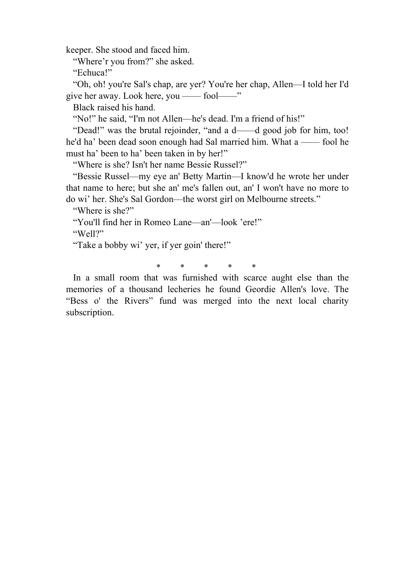keeper. She stood and faced him.

"Where'r you from?" she asked.

"Echuca!"

 "Oh, oh! you're Sal's chap, are yer? You're her chap, Allen—I told her I'd give her away. Look here, you —— fool——"

Black raised his hand.

"No!" he said, "I'm not Allen—he's dead. I'm a friend of his!"

 "Dead!" was the brutal rejoinder, "and a d——d good job for him, too! he'd ha' been dead soon enough had Sal married him. What a —— fool he must ha' been to ha' been taken in by her!"

"Where is she? Isn't her name Bessie Russel?"

 "Bessie Russel—my eye an' Betty Martin—I know'd he wrote her under that name to here; but she an' me's fallen out, an' I won't have no more to do wi' her. She's Sal Gordon—the worst girl on Melbourne streets."

"Where is she?"

"You'll find her in Romeo Lane—an'—look 'ere!"

"Well?"

"Take a bobby wi' yer, if yer goin' there!"

\* \* \* \* \*

 In a small room that was furnished with scarce aught else than the memories of a thousand lecheries he found Geordie Allen's love. The "Bess o' the Rivers" fund was merged into the next local charity subscription.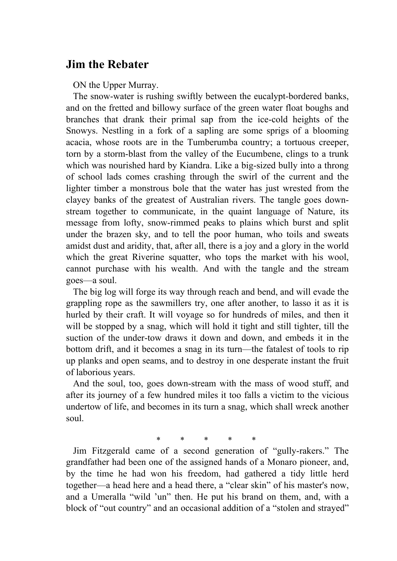## **Jim the Rebater**

ON the Upper Murray.

 The snow-water is rushing swiftly between the eucalypt-bordered banks, and on the fretted and billowy surface of the green water float boughs and branches that drank their primal sap from the ice-cold heights of the Snowys. Nestling in a fork of a sapling are some sprigs of a blooming acacia, whose roots are in the Tumberumba country; a tortuous creeper, torn by a storm-blast from the valley of the Eucumbene, clings to a trunk which was nourished hard by Kiandra. Like a big-sized bully into a throng of school lads comes crashing through the swirl of the current and the lighter timber a monstrous bole that the water has just wrested from the clayey banks of the greatest of Australian rivers. The tangle goes downstream together to communicate, in the quaint language of Nature, its message from lofty, snow-rimmed peaks to plains which burst and split under the brazen sky, and to tell the poor human, who toils and sweats amidst dust and aridity, that, after all, there is a joy and a glory in the world which the great Riverine squatter, who tops the market with his wool, cannot purchase with his wealth. And with the tangle and the stream goes—a soul.

 The big log will forge its way through reach and bend, and will evade the grappling rope as the sawmillers try, one after another, to lasso it as it is hurled by their craft. It will voyage so for hundreds of miles, and then it will be stopped by a snag, which will hold it tight and still tighter, till the suction of the under-tow draws it down and down, and embeds it in the bottom drift, and it becomes a snag in its turn—the fatalest of tools to rip up planks and open seams, and to destroy in one desperate instant the fruit of laborious years.

 And the soul, too, goes down-stream with the mass of wood stuff, and after its journey of a few hundred miles it too falls a victim to the vicious undertow of life, and becomes in its turn a snag, which shall wreck another soul.

\* \* \* \* \*

 Jim Fitzgerald came of a second generation of "gully-rakers." The grandfather had been one of the assigned hands of a Monaro pioneer, and, by the time he had won his freedom, had gathered a tidy little herd together—a head here and a head there, a "clear skin" of his master's now, and a Umeralla "wild 'un" then. He put his brand on them, and, with a block of "out country" and an occasional addition of a "stolen and strayed"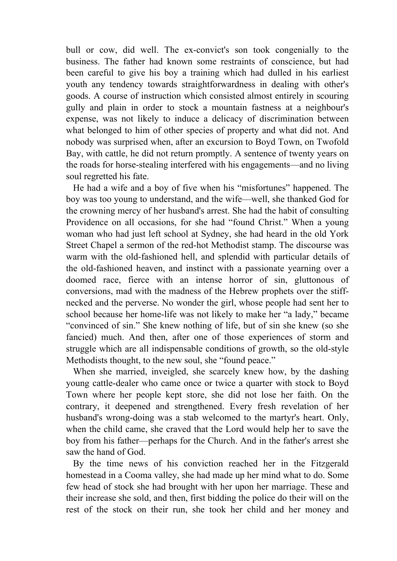bull or cow, did well. The ex-convict's son took congenially to the business. The father had known some restraints of conscience, but had been careful to give his boy a training which had dulled in his earliest youth any tendency towards straightforwardness in dealing with other's goods. A course of instruction which consisted almost entirely in scouring gully and plain in order to stock a mountain fastness at a neighbour's expense, was not likely to induce a delicacy of discrimination between what belonged to him of other species of property and what did not. And nobody was surprised when, after an excursion to Boyd Town, on Twofold Bay, with cattle, he did not return promptly. A sentence of twenty years on the roads for horse-stealing interfered with his engagements—and no living soul regretted his fate.

 He had a wife and a boy of five when his "misfortunes" happened. The boy was too young to understand, and the wife—well, she thanked God for the crowning mercy of her husband's arrest. She had the habit of consulting Providence on all occasions, for she had "found Christ." When a young woman who had just left school at Sydney, she had heard in the old York Street Chapel a sermon of the red-hot Methodist stamp. The discourse was warm with the old-fashioned hell, and splendid with particular details of the old-fashioned heaven, and instinct with a passionate yearning over a doomed race, fierce with an intense horror of sin, gluttonous of conversions, mad with the madness of the Hebrew prophets over the stiffnecked and the perverse. No wonder the girl, whose people had sent her to school because her home-life was not likely to make her "a lady," became "convinced of sin." She knew nothing of life, but of sin she knew (so she fancied) much. And then, after one of those experiences of storm and struggle which are all indispensable conditions of growth, so the old-style Methodists thought, to the new soul, she "found peace."

 When she married, inveigled, she scarcely knew how, by the dashing young cattle-dealer who came once or twice a quarter with stock to Boyd Town where her people kept store, she did not lose her faith. On the contrary, it deepened and strengthened. Every fresh revelation of her husband's wrong-doing was a stab welcomed to the martyr's heart. Only, when the child came, she craved that the Lord would help her to save the boy from his father—perhaps for the Church. And in the father's arrest she saw the hand of God.

 By the time news of his conviction reached her in the Fitzgerald homestead in a Cooma valley, she had made up her mind what to do. Some few head of stock she had brought with her upon her marriage. These and their increase she sold, and then, first bidding the police do their will on the rest of the stock on their run, she took her child and her money and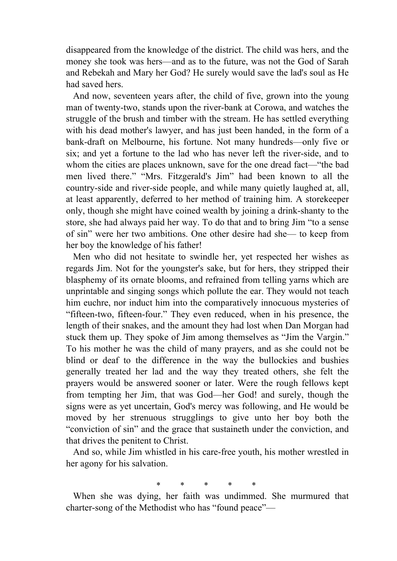disappeared from the knowledge of the district. The child was hers, and the money she took was hers—and as to the future, was not the God of Sarah and Rebekah and Mary her God? He surely would save the lad's soul as He had saved hers.

 And now, seventeen years after, the child of five, grown into the young man of twenty-two, stands upon the river-bank at Corowa, and watches the struggle of the brush and timber with the stream. He has settled everything with his dead mother's lawyer, and has just been handed, in the form of a bank-draft on Melbourne, his fortune. Not many hundreds—only five or six; and yet a fortune to the lad who has never left the river-side, and to whom the cities are places unknown, save for the one dread fact—"the bad men lived there." "Mrs. Fitzgerald's Jim" had been known to all the country-side and river-side people, and while many quietly laughed at, all, at least apparently, deferred to her method of training him. A storekeeper only, though she might have coined wealth by joining a drink-shanty to the store, she had always paid her way. To do that and to bring Jim "to a sense of sin" were her two ambitions. One other desire had she— to keep from her boy the knowledge of his father!

 Men who did not hesitate to swindle her, yet respected her wishes as regards Jim. Not for the youngster's sake, but for hers, they stripped their blasphemy of its ornate blooms, and refrained from telling yarns which are unprintable and singing songs which pollute the ear. They would not teach him euchre, nor induct him into the comparatively innocuous mysteries of "fifteen-two, fifteen-four." They even reduced, when in his presence, the length of their snakes, and the amount they had lost when Dan Morgan had stuck them up. They spoke of Jim among themselves as "Jim the Vargin." To his mother he was the child of many prayers, and as she could not be blind or deaf to the difference in the way the bullockies and bushies generally treated her lad and the way they treated others, she felt the prayers would be answered sooner or later. Were the rough fellows kept from tempting her Jim, that was God—her God! and surely, though the signs were as yet uncertain, God's mercy was following, and He would be moved by her strenuous strugglings to give unto her boy both the "conviction of sin" and the grace that sustaineth under the conviction, and that drives the penitent to Christ.

 And so, while Jim whistled in his care-free youth, his mother wrestled in her agony for his salvation.

\* \* \* \* \*

 When she was dying, her faith was undimmed. She murmured that charter-song of the Methodist who has "found peace"—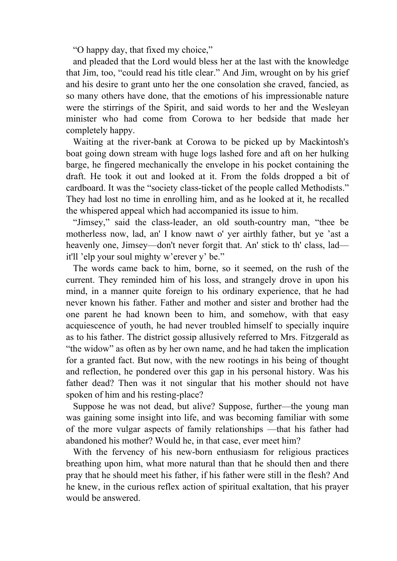"O happy day, that fixed my choice,"

 and pleaded that the Lord would bless her at the last with the knowledge that Jim, too, "could read his title clear." And Jim, wrought on by his grief and his desire to grant unto her the one consolation she craved, fancied, as so many others have done, that the emotions of his impressionable nature were the stirrings of the Spirit, and said words to her and the Wesleyan minister who had come from Corowa to her bedside that made her completely happy.

 Waiting at the river-bank at Corowa to be picked up by Mackintosh's boat going down stream with huge logs lashed fore and aft on her hulking barge, he fingered mechanically the envelope in his pocket containing the draft. He took it out and looked at it. From the folds dropped a bit of cardboard. It was the "society class-ticket of the people called Methodists." They had lost no time in enrolling him, and as he looked at it, he recalled the whispered appeal which had accompanied its issue to him.

 "Jimsey," said the class-leader, an old south-country man, "thee be motherless now, lad, an' I know nawt o' yer airthly father, but ye 'ast a heavenly one, Jimsey—don't never forgit that. An' stick to th' class, lad it'll 'elp your soul mighty w'erever y' be."

 The words came back to him, borne, so it seemed, on the rush of the current. They reminded him of his loss, and strangely drove in upon his mind, in a manner quite foreign to his ordinary experience, that he had never known his father. Father and mother and sister and brother had the one parent he had known been to him, and somehow, with that easy acquiescence of youth, he had never troubled himself to specially inquire as to his father. The district gossip allusively referred to Mrs. Fitzgerald as "the widow" as often as by her own name, and he had taken the implication for a granted fact. But now, with the new rootings in his being of thought and reflection, he pondered over this gap in his personal history. Was his father dead? Then was it not singular that his mother should not have spoken of him and his resting-place?

 Suppose he was not dead, but alive? Suppose, further—the young man was gaining some insight into life, and was becoming familiar with some of the more vulgar aspects of family relationships —that his father had abandoned his mother? Would he, in that case, ever meet him?

 With the fervency of his new-born enthusiasm for religious practices breathing upon him, what more natural than that he should then and there pray that he should meet his father, if his father were still in the flesh? And he knew, in the curious reflex action of spiritual exaltation, that his prayer would be answered.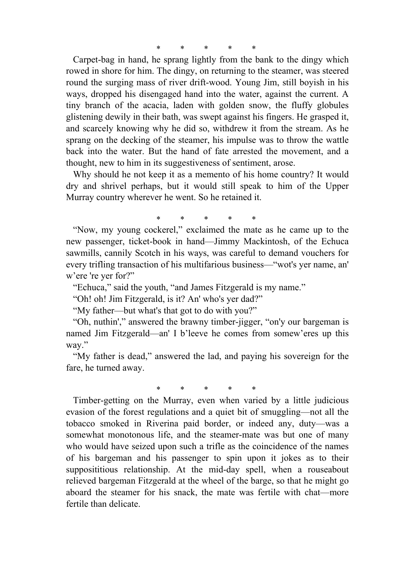Carpet-bag in hand, he sprang lightly from the bank to the dingy which rowed in shore for him. The dingy, on returning to the steamer, was steered round the surging mass of river drift-wood. Young Jim, still boyish in his ways, dropped his disengaged hand into the water, against the current. A tiny branch of the acacia, laden with golden snow, the fluffy globules glistening dewily in their bath, was swept against his fingers. He grasped it, and scarcely knowing why he did so, withdrew it from the stream. As he sprang on the decking of the steamer, his impulse was to throw the wattle back into the water. But the hand of fate arrested the movement, and a thought, new to him in its suggestiveness of sentiment, arose.

 Why should he not keep it as a memento of his home country? It would dry and shrivel perhaps, but it would still speak to him of the Upper Murray country wherever he went. So he retained it.

\* \* \* \* \*

 "Now, my young cockerel," exclaimed the mate as he came up to the new passenger, ticket-book in hand—Jimmy Mackintosh, of the Echuca sawmills, cannily Scotch in his ways, was careful to demand vouchers for every trifling transaction of his multifarious business—"wot's yer name, an' w'ere 're yer for?"

"Echuca," said the youth, "and James Fitzgerald is my name."

"Oh! oh! Jim Fitzgerald, is it? An' who's yer dad?"

"My father—but what's that got to do with you?"

 "Oh, nuthin'," answered the brawny timber-jigger, "on'y our bargeman is named Jim Fitzgerald—an' I b'leeve he comes from somew'eres up this way."

 "My father is dead," answered the lad, and paying his sovereign for the fare, he turned away.

\* \* \* \* \*

 Timber-getting on the Murray, even when varied by a little judicious evasion of the forest regulations and a quiet bit of smuggling—not all the tobacco smoked in Riverina paid border, or indeed any, duty—was a somewhat monotonous life, and the steamer-mate was but one of many who would have seized upon such a trifle as the coincidence of the names of his bargeman and his passenger to spin upon it jokes as to their supposititious relationship. At the mid-day spell, when a rouseabout relieved bargeman Fitzgerald at the wheel of the barge, so that he might go aboard the steamer for his snack, the mate was fertile with chat—more fertile than delicate.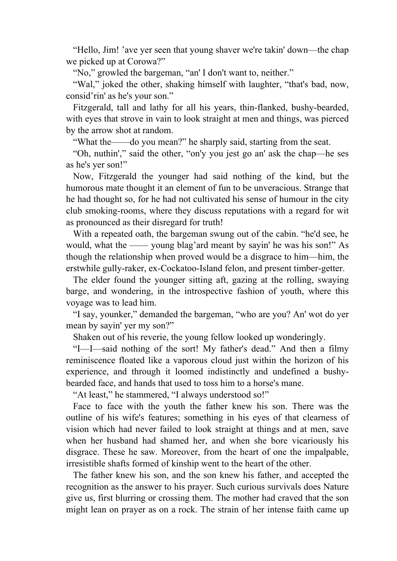"Hello, Jim! 'ave yer seen that young shaver we're takin' down—the chap we picked up at Corowa?"

"No," growled the bargeman, "an' I don't want to, neither."

"Wal," joked the other, shaking himself with laughter, "that's bad, now, consid'rin' as he's your son."

 Fitzgerald, tall and lathy for all his years, thin-flanked, bushy-bearded, with eyes that strove in vain to look straight at men and things, was pierced by the arrow shot at random.

"What the——do you mean?" he sharply said, starting from the seat.

 "Oh, nuthin'," said the other, "on'y you jest go an' ask the chap—he ses as he's yer son!"

 Now, Fitzgerald the younger had said nothing of the kind, but the humorous mate thought it an element of fun to be unveracious. Strange that he had thought so, for he had not cultivated his sense of humour in the city club smoking-rooms, where they discuss reputations with a regard for wit as pronounced as their disregard for truth!

 With a repeated oath, the bargeman swung out of the cabin. "he'd see, he would, what the —— young blag'ard meant by sayin' he was his son!" As though the relationship when proved would be a disgrace to him—him, the erstwhile gully-raker, ex-Cockatoo-Island felon, and present timber-getter.

 The elder found the younger sitting aft, gazing at the rolling, swaying barge, and wondering, in the introspective fashion of youth, where this voyage was to lead him.

 "I say, younker," demanded the bargeman, "who are you? An' wot do yer mean by sayin' yer my son?"

Shaken out of his reverie, the young fellow looked up wonderingly.

 "I—I—said nothing of the sort! My father's dead." And then a filmy reminiscence floated like a vaporous cloud just within the horizon of his experience, and through it loomed indistinctly and undefined a bushybearded face, and hands that used to toss him to a horse's mane.

"At least," he stammered, "I always understood so!"

 Face to face with the youth the father knew his son. There was the outline of his wife's features; something in his eyes of that clearness of vision which had never failed to look straight at things and at men, save when her husband had shamed her, and when she bore vicariously his disgrace. These he saw. Moreover, from the heart of one the impalpable, irresistible shafts formed of kinship went to the heart of the other.

 The father knew his son, and the son knew his father, and accepted the recognition as the answer to his prayer. Such curious survivals does Nature give us, first blurring or crossing them. The mother had craved that the son might lean on prayer as on a rock. The strain of her intense faith came up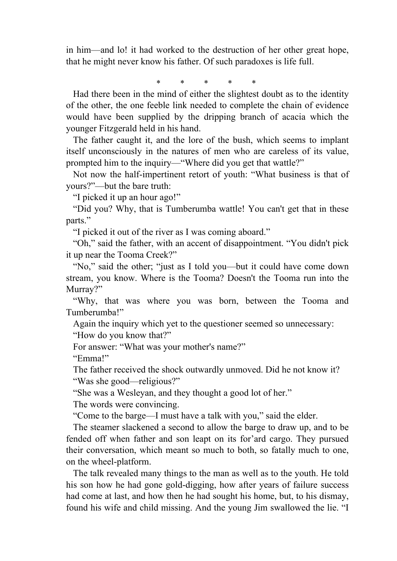in him—and lo! it had worked to the destruction of her other great hope, that he might never know his father. Of such paradoxes is life full.

\* \* \* \* \*

 Had there been in the mind of either the slightest doubt as to the identity of the other, the one feeble link needed to complete the chain of evidence would have been supplied by the dripping branch of acacia which the younger Fitzgerald held in his hand.

 The father caught it, and the lore of the bush, which seems to implant itself unconsciously in the natures of men who are careless of its value, prompted him to the inquiry—"Where did you get that wattle?"

 Not now the half-impertinent retort of youth: "What business is that of yours?"—but the bare truth:

"I picked it up an hour ago!"

 "Did you? Why, that is Tumberumba wattle! You can't get that in these parts."

"I picked it out of the river as I was coming aboard."

 "Oh," said the father, with an accent of disappointment. "You didn't pick it up near the Tooma Creek?"

 "No," said the other; "just as I told you—but it could have come down stream, you know. Where is the Tooma? Doesn't the Tooma run into the Murray?"

 "Why, that was where you was born, between the Tooma and Tumberumba!"

 Again the inquiry which yet to the questioner seemed so unnecessary: "How do you know that?"

For answer: "What was your mother's name?"

"Emma!"

 The father received the shock outwardly unmoved. Did he not know it? "Was she good—religious?"

"She was a Wesleyan, and they thought a good lot of her."

The words were convincing.

"Come to the barge—I must have a talk with you," said the elder.

 The steamer slackened a second to allow the barge to draw up, and to be fended off when father and son leapt on its for'ard cargo. They pursued their conversation, which meant so much to both, so fatally much to one, on the wheel-platform.

 The talk revealed many things to the man as well as to the youth. He told his son how he had gone gold-digging, how after years of failure success had come at last, and how then he had sought his home, but, to his dismay, found his wife and child missing. And the young Jim swallowed the lie. "I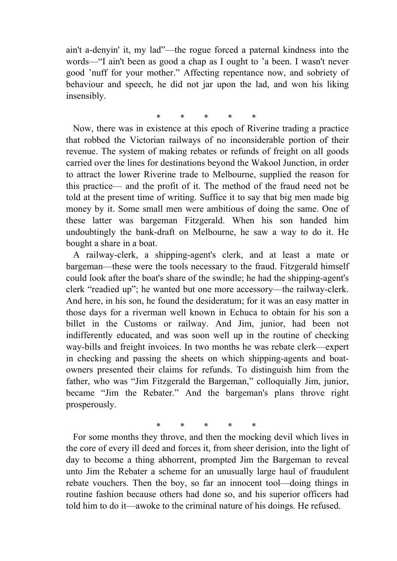ain't a-denyin' it, my lad"—the rogue forced a paternal kindness into the words—"I ain't been as good a chap as I ought to 'a been. I wasn't never good 'nuff for your mother." Affecting repentance now, and sobriety of behaviour and speech, he did not jar upon the lad, and won his liking insensibly.

\* \* \* \* \*

 Now, there was in existence at this epoch of Riverine trading a practice that robbed the Victorian railways of no inconsiderable portion of their revenue. The system of making rebates or refunds of freight on all goods carried over the lines for destinations beyond the Wakool Junction, in order to attract the lower Riverine trade to Melbourne, supplied the reason for this practice— and the profit of it. The method of the fraud need not be told at the present time of writing. Suffice it to say that big men made big money by it. Some small men were ambitious of doing the same. One of these latter was bargeman Fitzgerald. When his son handed him undoubtingly the bank-draft on Melbourne, he saw a way to do it. He bought a share in a boat.

 A railway-clerk, a shipping-agent's clerk, and at least a mate or bargeman—these were the tools necessary to the fraud. Fitzgerald himself could look after the boat's share of the swindle; he had the shipping-agent's clerk "readied up"; he wanted but one more accessory—the railway-clerk. And here, in his son, he found the desideratum; for it was an easy matter in those days for a riverman well known in Echuca to obtain for his son a billet in the Customs or railway. And Jim, junior, had been not indifferently educated, and was soon well up in the routine of checking way-bills and freight invoices. In two months he was rebate clerk—expert in checking and passing the sheets on which shipping-agents and boatowners presented their claims for refunds. To distinguish him from the father, who was "Jim Fitzgerald the Bargeman," colloquially Jim, junior, became "Jim the Rebater." And the bargeman's plans throve right prosperously.

\* \* \* \* \*

 For some months they throve, and then the mocking devil which lives in the core of every ill deed and forces it, from sheer derision, into the light of day to become a thing abhorrent, prompted Jim the Bargeman to reveal unto Jim the Rebater a scheme for an unusually large haul of fraudulent rebate vouchers. Then the boy, so far an innocent tool—doing things in routine fashion because others had done so, and his superior officers had told him to do it—awoke to the criminal nature of his doings. He refused.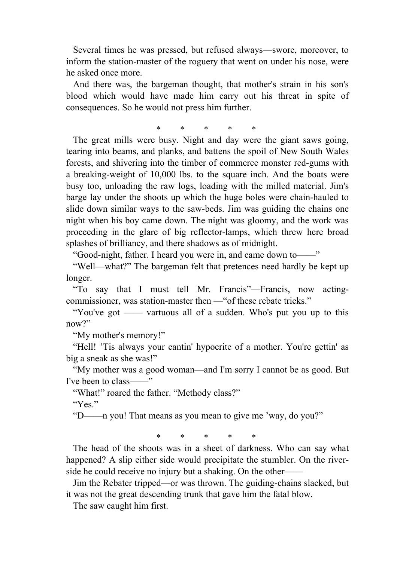Several times he was pressed, but refused always—swore, moreover, to inform the station-master of the roguery that went on under his nose, were he asked once more.

 And there was, the bargeman thought, that mother's strain in his son's blood which would have made him carry out his threat in spite of consequences. So he would not press him further.

\* \* \* \* \*

 The great mills were busy. Night and day were the giant saws going, tearing into beams, and planks, and battens the spoil of New South Wales forests, and shivering into the timber of commerce monster red-gums with a breaking-weight of 10,000 lbs. to the square inch. And the boats were busy too, unloading the raw logs, loading with the milled material. Jim's barge lay under the shoots up which the huge boles were chain-hauled to slide down similar ways to the saw-beds. Jim was guiding the chains one night when his boy came down. The night was gloomy, and the work was proceeding in the glare of big reflector-lamps, which threw here broad splashes of brilliancy, and there shadows as of midnight.

"Good-night, father. I heard you were in, and came down to——"

 "Well—what?" The bargeman felt that pretences need hardly be kept up longer.

 "To say that I must tell Mr. Francis"—Francis, now actingcommissioner, was station-master then —"of these rebate tricks."

 "You've got —— vartuous all of a sudden. Who's put you up to this now?"

"My mother's memory!"

 "Hell! 'Tis always your cantin' hypocrite of a mother. You're gettin' as big a sneak as she was!"

 "My mother was a good woman—and I'm sorry I cannot be as good. But I've been to class——"

"What!" roared the father. "Methody class?"

"Yes."

"D——n you! That means as you mean to give me 'way, do you?"

\* \* \* \* \*

 The head of the shoots was in a sheet of darkness. Who can say what happened? A slip either side would precipitate the stumbler. On the riverside he could receive no injury but a shaking. On the other—

 Jim the Rebater tripped—or was thrown. The guiding-chains slacked, but it was not the great descending trunk that gave him the fatal blow.

The saw caught him first.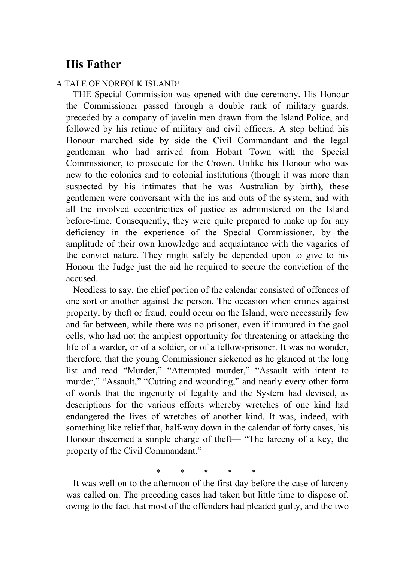# **His Father**

#### A TALE OF NORFOLK ISLAND1

 THE Special Commission was opened with due ceremony. His Honour the Commissioner passed through a double rank of military guards, preceded by a company of javelin men drawn from the Island Police, and followed by his retinue of military and civil officers. A step behind his Honour marched side by side the Civil Commandant and the legal gentleman who had arrived from Hobart Town with the Special Commissioner, to prosecute for the Crown. Unlike his Honour who was new to the colonies and to colonial institutions (though it was more than suspected by his intimates that he was Australian by birth), these gentlemen were conversant with the ins and outs of the system, and with all the involved eccentricities of justice as administered on the Island before-time. Consequently, they were quite prepared to make up for any deficiency in the experience of the Special Commissioner, by the amplitude of their own knowledge and acquaintance with the vagaries of the convict nature. They might safely be depended upon to give to his Honour the Judge just the aid he required to secure the conviction of the accused.

 Needless to say, the chief portion of the calendar consisted of offences of one sort or another against the person. The occasion when crimes against property, by theft or fraud, could occur on the Island, were necessarily few and far between, while there was no prisoner, even if immured in the gaol cells, who had not the amplest opportunity for threatening or attacking the life of a warder, or of a soldier, or of a fellow-prisoner. It was no wonder, therefore, that the young Commissioner sickened as he glanced at the long list and read "Murder," "Attempted murder," "Assault with intent to murder," "Assault," "Cutting and wounding," and nearly every other form of words that the ingenuity of legality and the System had devised, as descriptions for the various efforts whereby wretches of one kind had endangered the lives of wretches of another kind. It was, indeed, with something like relief that, half-way down in the calendar of forty cases, his Honour discerned a simple charge of theft— "The larceny of a key, the property of the Civil Commandant."

\* \* \* \* \*

 It was well on to the afternoon of the first day before the case of larceny was called on. The preceding cases had taken but little time to dispose of, owing to the fact that most of the offenders had pleaded guilty, and the two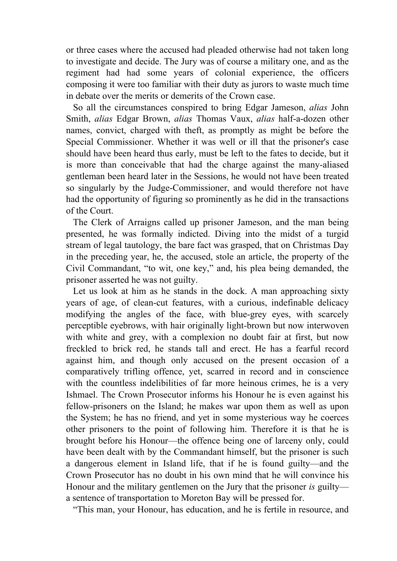or three cases where the accused had pleaded otherwise had not taken long to investigate and decide. The Jury was of course a military one, and as the regiment had had some years of colonial experience, the officers composing it were too familiar with their duty as jurors to waste much time in debate over the merits or demerits of the Crown case.

 So all the circumstances conspired to bring Edgar Jameson, *alias* John Smith, *alias* Edgar Brown, *alias* Thomas Vaux, *alias* half-a-dozen other names, convict, charged with theft, as promptly as might be before the Special Commissioner. Whether it was well or ill that the prisoner's case should have been heard thus early, must be left to the fates to decide, but it is more than conceivable that had the charge against the many-aliased gentleman been heard later in the Sessions, he would not have been treated so singularly by the Judge-Commissioner, and would therefore not have had the opportunity of figuring so prominently as he did in the transactions of the Court.

 The Clerk of Arraigns called up prisoner Jameson, and the man being presented, he was formally indicted. Diving into the midst of a turgid stream of legal tautology, the bare fact was grasped, that on Christmas Day in the preceding year, he, the accused, stole an article, the property of the Civil Commandant, "to wit, one key," and, his plea being demanded, the prisoner asserted he was not guilty.

 Let us look at him as he stands in the dock. A man approaching sixty years of age, of clean-cut features, with a curious, indefinable delicacy modifying the angles of the face, with blue-grey eyes, with scarcely perceptible eyebrows, with hair originally light-brown but now interwoven with white and grey, with a complexion no doubt fair at first, but now freckled to brick red, he stands tall and erect. He has a fearful record against him, and though only accused on the present occasion of a comparatively trifling offence, yet, scarred in record and in conscience with the countless indelibilities of far more heinous crimes, he is a very Ishmael. The Crown Prosecutor informs his Honour he is even against his fellow-prisoners on the Island; he makes war upon them as well as upon the System; he has no friend, and yet in some mysterious way he coerces other prisoners to the point of following him. Therefore it is that he is brought before his Honour—the offence being one of larceny only, could have been dealt with by the Commandant himself, but the prisoner is such a dangerous element in Island life, that if he is found guilty—and the Crown Prosecutor has no doubt in his own mind that he will convince his Honour and the military gentlemen on the Jury that the prisoner *is* guilty a sentence of transportation to Moreton Bay will be pressed for.

"This man, your Honour, has education, and he is fertile in resource, and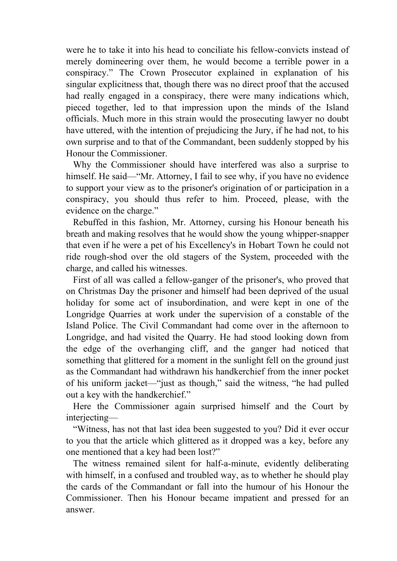were he to take it into his head to conciliate his fellow-convicts instead of merely domineering over them, he would become a terrible power in a conspiracy." The Crown Prosecutor explained in explanation of his singular explicitness that, though there was no direct proof that the accused had really engaged in a conspiracy, there were many indications which, pieced together, led to that impression upon the minds of the Island officials. Much more in this strain would the prosecuting lawyer no doubt have uttered, with the intention of prejudicing the Jury, if he had not, to his own surprise and to that of the Commandant, been suddenly stopped by his Honour the Commissioner.

 Why the Commissioner should have interfered was also a surprise to himself. He said—"Mr. Attorney, I fail to see why, if you have no evidence to support your view as to the prisoner's origination of or participation in a conspiracy, you should thus refer to him. Proceed, please, with the evidence on the charge."

 Rebuffed in this fashion, Mr. Attorney, cursing his Honour beneath his breath and making resolves that he would show the young whipper-snapper that even if he were a pet of his Excellency's in Hobart Town he could not ride rough-shod over the old stagers of the System, proceeded with the charge, and called his witnesses.

 First of all was called a fellow-ganger of the prisoner's, who proved that on Christmas Day the prisoner and himself had been deprived of the usual holiday for some act of insubordination, and were kept in one of the Longridge Quarries at work under the supervision of a constable of the Island Police. The Civil Commandant had come over in the afternoon to Longridge, and had visited the Quarry. He had stood looking down from the edge of the overhanging cliff, and the ganger had noticed that something that glittered for a moment in the sunlight fell on the ground just as the Commandant had withdrawn his handkerchief from the inner pocket of his uniform jacket—"just as though," said the witness, "he had pulled out a key with the handkerchief."

 Here the Commissioner again surprised himself and the Court by interjecting—

 "Witness, has not that last idea been suggested to you? Did it ever occur to you that the article which glittered as it dropped was a key, before any one mentioned that a key had been lost?"

 The witness remained silent for half-a-minute, evidently deliberating with himself, in a confused and troubled way, as to whether he should play the cards of the Commandant or fall into the humour of his Honour the Commissioner. Then his Honour became impatient and pressed for an answer.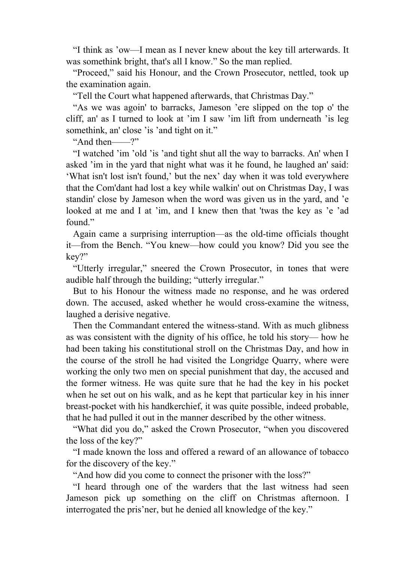"I think as 'ow—I mean as I never knew about the key till arterwards. It was somethink bright, that's all I know." So the man replied.

 "Proceed," said his Honour, and the Crown Prosecutor, nettled, took up the examination again.

"Tell the Court what happened afterwards, that Christmas Day."

 "As we was agoin' to barracks, Jameson 'ere slipped on the top o' the cliff, an' as I turned to look at 'im I saw 'im lift from underneath 'is leg somethink, an' close 'is 'and tight on it."

"And then——?"

 "I watched 'im 'old 'is 'and tight shut all the way to barracks. An' when I asked 'im in the yard that night what was it he found, he laughed an' said: 'What isn't lost isn't found,' but the nex' day when it was told everywhere that the Com'dant had lost a key while walkin' out on Christmas Day, I was standin' close by Jameson when the word was given us in the yard, and 'e looked at me and I at 'im, and I knew then that 'twas the key as 'e 'ad found."

 Again came a surprising interruption—as the old-time officials thought it—from the Bench. "You knew—how could you know? Did you see the key?"

 "Utterly irregular," sneered the Crown Prosecutor, in tones that were audible half through the building; "utterly irregular."

 But to his Honour the witness made no response, and he was ordered down. The accused, asked whether he would cross-examine the witness, laughed a derisive negative.

 Then the Commandant entered the witness-stand. With as much glibness as was consistent with the dignity of his office, he told his story— how he had been taking his constitutional stroll on the Christmas Day, and how in the course of the stroll he had visited the Longridge Quarry, where were working the only two men on special punishment that day, the accused and the former witness. He was quite sure that he had the key in his pocket when he set out on his walk, and as he kept that particular key in his inner breast-pocket with his handkerchief, it was quite possible, indeed probable, that he had pulled it out in the manner described by the other witness.

 "What did you do," asked the Crown Prosecutor, "when you discovered the loss of the key?"

 "I made known the loss and offered a reward of an allowance of tobacco for the discovery of the key."

"And how did you come to connect the prisoner with the loss?"

 "I heard through one of the warders that the last witness had seen Jameson pick up something on the cliff on Christmas afternoon. I interrogated the pris'ner, but he denied all knowledge of the key."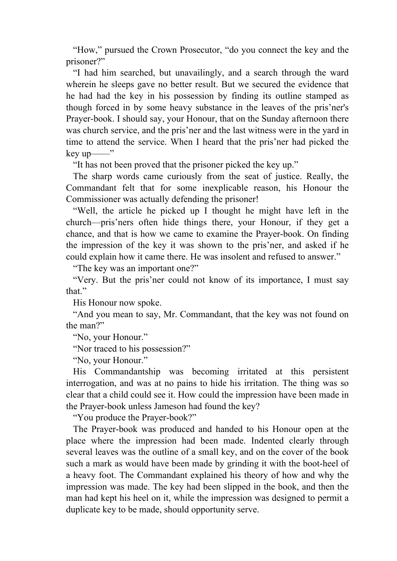"How," pursued the Crown Prosecutor, "do you connect the key and the prisoner?"

 "I had him searched, but unavailingly, and a search through the ward wherein he sleeps gave no better result. But we secured the evidence that he had had the key in his possession by finding its outline stamped as though forced in by some heavy substance in the leaves of the pris'ner's Prayer-book. I should say, your Honour, that on the Sunday afternoon there was church service, and the pris'ner and the last witness were in the yard in time to attend the service. When I heard that the pris'ner had picked the key up——"

"It has not been proved that the prisoner picked the key up."

 The sharp words came curiously from the seat of justice. Really, the Commandant felt that for some inexplicable reason, his Honour the Commissioner was actually defending the prisoner!

 "Well, the article he picked up I thought he might have left in the church—pris'ners often hide things there, your Honour, if they get a chance, and that is how we came to examine the Prayer-book. On finding the impression of the key it was shown to the pris'ner, and asked if he could explain how it came there. He was insolent and refused to answer."

"The key was an important one?"

 "Very. But the pris'ner could not know of its importance, I must say that."

His Honour now spoke.

 "And you mean to say, Mr. Commandant, that the key was not found on the man?"

"No, your Honour."

"Nor traced to his possession?"

"No, your Honour."

 His Commandantship was becoming irritated at this persistent interrogation, and was at no pains to hide his irritation. The thing was so clear that a child could see it. How could the impression have been made in the Prayer-book unless Jameson had found the key?

"You produce the Prayer-book?"

 The Prayer-book was produced and handed to his Honour open at the place where the impression had been made. Indented clearly through several leaves was the outline of a small key, and on the cover of the book such a mark as would have been made by grinding it with the boot-heel of a heavy foot. The Commandant explained his theory of how and why the impression was made. The key had been slipped in the book, and then the man had kept his heel on it, while the impression was designed to permit a duplicate key to be made, should opportunity serve.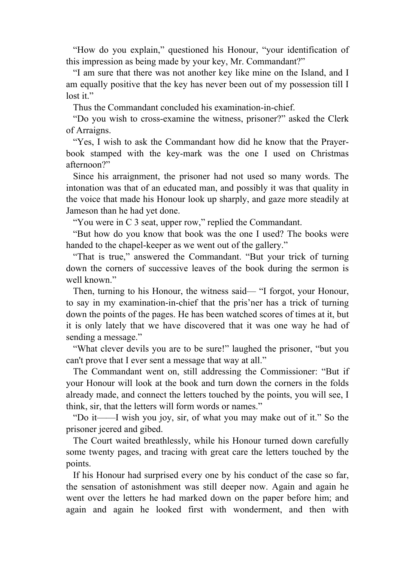"How do you explain," questioned his Honour, "your identification of this impression as being made by your key, Mr. Commandant?"

 "I am sure that there was not another key like mine on the Island, and I am equally positive that the key has never been out of my possession till I lost it."

Thus the Commandant concluded his examination-in-chief.

 "Do you wish to cross-examine the witness, prisoner?" asked the Clerk of Arraigns.

 "Yes, I wish to ask the Commandant how did he know that the Prayerbook stamped with the key-mark was the one I used on Christmas afternoon?"

 Since his arraignment, the prisoner had not used so many words. The intonation was that of an educated man, and possibly it was that quality in the voice that made his Honour look up sharply, and gaze more steadily at Jameson than he had yet done.

"You were in C 3 seat, upper row," replied the Commandant.

 "But how do you know that book was the one I used? The books were handed to the chapel-keeper as we went out of the gallery."

 "That is true," answered the Commandant. "But your trick of turning down the corners of successive leaves of the book during the sermon is well known."

 Then, turning to his Honour, the witness said— "I forgot, your Honour, to say in my examination-in-chief that the pris'ner has a trick of turning down the points of the pages. He has been watched scores of times at it, but it is only lately that we have discovered that it was one way he had of sending a message."

 "What clever devils you are to be sure!" laughed the prisoner, "but you can't prove that I ever sent a message that way at all."

 The Commandant went on, still addressing the Commissioner: "But if your Honour will look at the book and turn down the corners in the folds already made, and connect the letters touched by the points, you will see, I think, sir, that the letters will form words or names."

 "Do it——I wish you joy, sir, of what you may make out of it." So the prisoner jeered and gibed.

 The Court waited breathlessly, while his Honour turned down carefully some twenty pages, and tracing with great care the letters touched by the points.

 If his Honour had surprised every one by his conduct of the case so far, the sensation of astonishment was still deeper now. Again and again he went over the letters he had marked down on the paper before him; and again and again he looked first with wonderment, and then with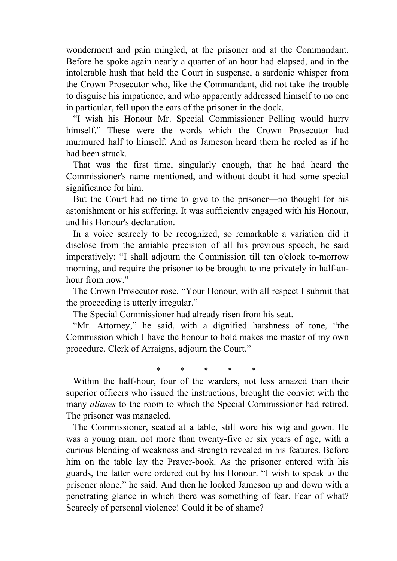wonderment and pain mingled, at the prisoner and at the Commandant. Before he spoke again nearly a quarter of an hour had elapsed, and in the intolerable hush that held the Court in suspense, a sardonic whisper from the Crown Prosecutor who, like the Commandant, did not take the trouble to disguise his impatience, and who apparently addressed himself to no one in particular, fell upon the ears of the prisoner in the dock.

 "I wish his Honour Mr. Special Commissioner Pelling would hurry himself." These were the words which the Crown Prosecutor had murmured half to himself. And as Jameson heard them he reeled as if he had been struck.

 That was the first time, singularly enough, that he had heard the Commissioner's name mentioned, and without doubt it had some special significance for him.

 But the Court had no time to give to the prisoner—no thought for his astonishment or his suffering. It was sufficiently engaged with his Honour, and his Honour's declaration.

 In a voice scarcely to be recognized, so remarkable a variation did it disclose from the amiable precision of all his previous speech, he said imperatively: "I shall adjourn the Commission till ten o'clock to-morrow morning, and require the prisoner to be brought to me privately in half-anhour from now."

 The Crown Prosecutor rose. "Your Honour, with all respect I submit that the proceeding is utterly irregular."

The Special Commissioner had already risen from his seat.

 "Mr. Attorney," he said, with a dignified harshness of tone, "the Commission which I have the honour to hold makes me master of my own procedure. Clerk of Arraigns, adjourn the Court."

\* \* \* \* \*

 Within the half-hour, four of the warders, not less amazed than their superior officers who issued the instructions, brought the convict with the many *aliases* to the room to which the Special Commissioner had retired. The prisoner was manacled.

 The Commissioner, seated at a table, still wore his wig and gown. He was a young man, not more than twenty-five or six years of age, with a curious blending of weakness and strength revealed in his features. Before him on the table lay the Prayer-book. As the prisoner entered with his guards, the latter were ordered out by his Honour. "I wish to speak to the prisoner alone," he said. And then he looked Jameson up and down with a penetrating glance in which there was something of fear. Fear of what? Scarcely of personal violence! Could it be of shame?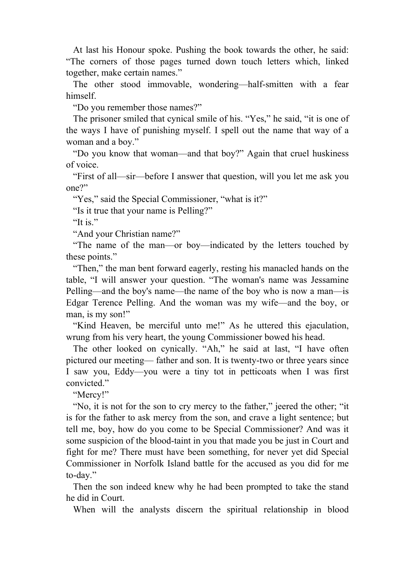At last his Honour spoke. Pushing the book towards the other, he said: "The corners of those pages turned down touch letters which, linked together, make certain names."

 The other stood immovable, wondering—half-smitten with a fear himself.

"Do you remember those names?"

 The prisoner smiled that cynical smile of his. "Yes," he said, "it is one of the ways I have of punishing myself. I spell out the name that way of a woman and a boy."

 "Do you know that woman—and that boy?" Again that cruel huskiness of voice.

 "First of all—sir—before I answer that question, will you let me ask you one?"

"Yes," said the Special Commissioner, "what is it?"

"Is it true that your name is Pelling?"

"It is."

"And your Christian name?"

 "The name of the man—or boy—indicated by the letters touched by these points."

 "Then," the man bent forward eagerly, resting his manacled hands on the table, "I will answer your question. "The woman's name was Jessamine Pelling—and the boy's name—the name of the boy who is now a man—is Edgar Terence Pelling. And the woman was my wife—and the boy, or man, is my son!"

 "Kind Heaven, be merciful unto me!" As he uttered this ejaculation, wrung from his very heart, the young Commissioner bowed his head.

 The other looked on cynically. "Ah," he said at last, "I have often pictured our meeting— father and son. It is twenty-two or three years since I saw you, Eddy—you were a tiny tot in petticoats when I was first convicted."

"Mercy!"

 "No, it is not for the son to cry mercy to the father," jeered the other; "it is for the father to ask mercy from the son, and crave a light sentence; but tell me, boy, how do you come to be Special Commissioner? And was it some suspicion of the blood-taint in you that made you be just in Court and fight for me? There must have been something, for never yet did Special Commissioner in Norfolk Island battle for the accused as you did for me to-day."

 Then the son indeed knew why he had been prompted to take the stand he did in Court.

When will the analysts discern the spiritual relationship in blood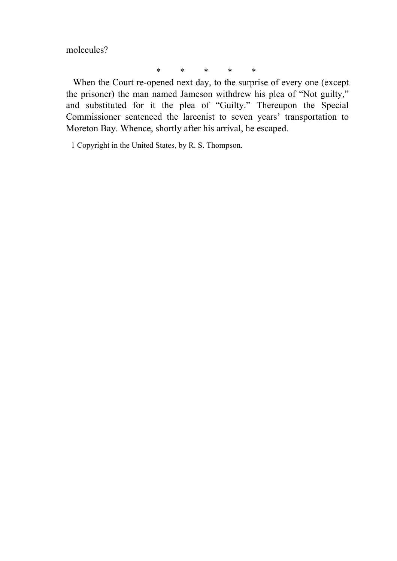molecules?

\* \* \* \* \*

 When the Court re-opened next day, to the surprise of every one (except the prisoner) the man named Jameson withdrew his plea of "Not guilty," and substituted for it the plea of "Guilty." Thereupon the Special Commissioner sentenced the larcenist to seven years' transportation to Moreton Bay. Whence, shortly after his arrival, he escaped.

1 Copyright in the United States, by R. S. Thompson.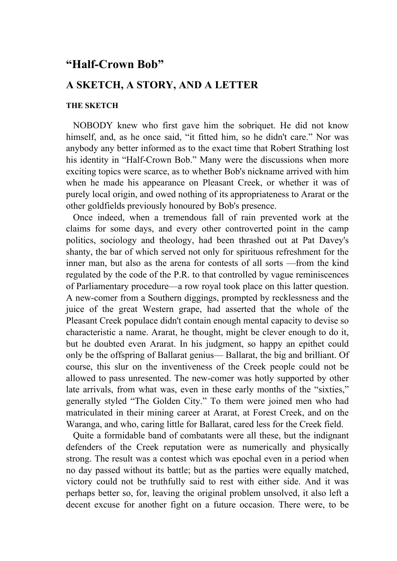## **"Half-Crown Bob"**

### **A SKETCH, A STORY, AND A LETTER**

#### **THE SKETCH**

 NOBODY knew who first gave him the sobriquet. He did not know himself, and, as he once said, "it fitted him, so he didn't care." Nor was anybody any better informed as to the exact time that Robert Strathing lost his identity in "Half-Crown Bob." Many were the discussions when more exciting topics were scarce, as to whether Bob's nickname arrived with him when he made his appearance on Pleasant Creek, or whether it was of purely local origin, and owed nothing of its appropriateness to Ararat or the other goldfields previously honoured by Bob's presence.

 Once indeed, when a tremendous fall of rain prevented work at the claims for some days, and every other controverted point in the camp politics, sociology and theology, had been thrashed out at Pat Davey's shanty, the bar of which served not only for spirituous refreshment for the inner man, but also as the arena for contests of all sorts —from the kind regulated by the code of the P.R. to that controlled by vague reminiscences of Parliamentary procedure—a row royal took place on this latter question. A new-comer from a Southern diggings, prompted by recklessness and the juice of the great Western grape, had asserted that the whole of the Pleasant Creek populace didn't contain enough mental capacity to devise so characteristic a name. Ararat, he thought, might be clever enough to do it, but he doubted even Ararat. In his judgment, so happy an epithet could only be the offspring of Ballarat genius— Ballarat, the big and brilliant. Of course, this slur on the inventiveness of the Creek people could not be allowed to pass unresented. The new-comer was hotly supported by other late arrivals, from what was, even in these early months of the "sixties," generally styled "The Golden City." To them were joined men who had matriculated in their mining career at Ararat, at Forest Creek, and on the Waranga, and who, caring little for Ballarat, cared less for the Creek field.

 Quite a formidable band of combatants were all these, but the indignant defenders of the Creek reputation were as numerically and physically strong. The result was a contest which was epochal even in a period when no day passed without its battle; but as the parties were equally matched, victory could not be truthfully said to rest with either side. And it was perhaps better so, for, leaving the original problem unsolved, it also left a decent excuse for another fight on a future occasion. There were, to be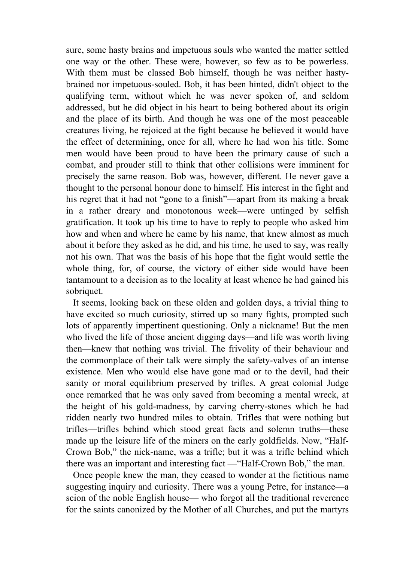sure, some hasty brains and impetuous souls who wanted the matter settled one way or the other. These were, however, so few as to be powerless. With them must be classed Bob himself, though he was neither hastybrained nor impetuous-souled. Bob, it has been hinted, didn't object to the qualifying term, without which he was never spoken of, and seldom addressed, but he did object in his heart to being bothered about its origin and the place of its birth. And though he was one of the most peaceable creatures living, he rejoiced at the fight because he believed it would have the effect of determining, once for all, where he had won his title. Some men would have been proud to have been the primary cause of such a combat, and prouder still to think that other collisions were imminent for precisely the same reason. Bob was, however, different. He never gave a thought to the personal honour done to himself. His interest in the fight and his regret that it had not "gone to a finish"—apart from its making a break in a rather dreary and monotonous week—were untinged by selfish gratification. It took up his time to have to reply to people who asked him how and when and where he came by his name, that knew almost as much about it before they asked as he did, and his time, he used to say, was really not his own. That was the basis of his hope that the fight would settle the whole thing, for, of course, the victory of either side would have been tantamount to a decision as to the locality at least whence he had gained his sobriquet.

 It seems, looking back on these olden and golden days, a trivial thing to have excited so much curiosity, stirred up so many fights, prompted such lots of apparently impertinent questioning. Only a nickname! But the men who lived the life of those ancient digging days—and life was worth living then—knew that nothing was trivial. The frivolity of their behaviour and the commonplace of their talk were simply the safety-valves of an intense existence. Men who would else have gone mad or to the devil, had their sanity or moral equilibrium preserved by trifles. A great colonial Judge once remarked that he was only saved from becoming a mental wreck, at the height of his gold-madness, by carving cherry-stones which he had ridden nearly two hundred miles to obtain. Trifles that were nothing but trifles—trifles behind which stood great facts and solemn truths—these made up the leisure life of the miners on the early goldfields. Now, "Half-Crown Bob," the nick-name, was a trifle; but it was a trifle behind which there was an important and interesting fact —"Half-Crown Bob," the man.

 Once people knew the man, they ceased to wonder at the fictitious name suggesting inquiry and curiosity. There was a young Petre, for instance—a scion of the noble English house— who forgot all the traditional reverence for the saints canonized by the Mother of all Churches, and put the martyrs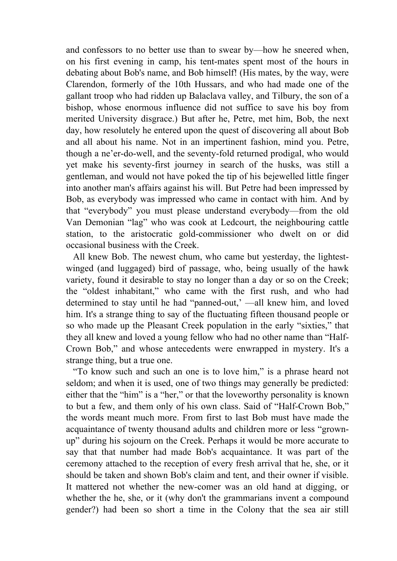and confessors to no better use than to swear by—how he sneered when, on his first evening in camp, his tent-mates spent most of the hours in debating about Bob's name, and Bob himself! (His mates, by the way, were Clarendon, formerly of the 10th Hussars, and who had made one of the gallant troop who had ridden up Balaclava valley, and Tilbury, the son of a bishop, whose enormous influence did not suffice to save his boy from merited University disgrace.) But after he, Petre, met him, Bob, the next day, how resolutely he entered upon the quest of discovering all about Bob and all about his name. Not in an impertinent fashion, mind you. Petre, though a ne'er-do-well, and the seventy-fold returned prodigal, who would yet make his seventy-first journey in search of the husks, was still a gentleman, and would not have poked the tip of his bejewelled little finger into another man's affairs against his will. But Petre had been impressed by Bob, as everybody was impressed who came in contact with him. And by that "everybody" you must please understand everybody—from the old Van Demonian "lag" who was cook at Ledcourt, the neighbouring cattle station, to the aristocratic gold-commissioner who dwelt on or did occasional business with the Creek.

 All knew Bob. The newest chum, who came but yesterday, the lightestwinged (and luggaged) bird of passage, who, being usually of the hawk variety, found it desirable to stay no longer than a day or so on the Creek; the "oldest inhabitant," who came with the first rush, and who had determined to stay until he had "panned-out,' —all knew him, and loved him. It's a strange thing to say of the fluctuating fifteen thousand people or so who made up the Pleasant Creek population in the early "sixties," that they all knew and loved a young fellow who had no other name than "Half-Crown Bob," and whose antecedents were enwrapped in mystery. It's a strange thing, but a true one.

 "To know such and such an one is to love him," is a phrase heard not seldom; and when it is used, one of two things may generally be predicted: either that the "him" is a "her," or that the loveworthy personality is known to but a few, and them only of his own class. Said of "Half-Crown Bob," the words meant much more. From first to last Bob must have made the acquaintance of twenty thousand adults and children more or less "grownup" during his sojourn on the Creek. Perhaps it would be more accurate to say that that number had made Bob's acquaintance. It was part of the ceremony attached to the reception of every fresh arrival that he, she, or it should be taken and shown Bob's claim and tent, and their owner if visible. It mattered not whether the new-comer was an old hand at digging, or whether the he, she, or it (why don't the grammarians invent a compound gender?) had been so short a time in the Colony that the sea air still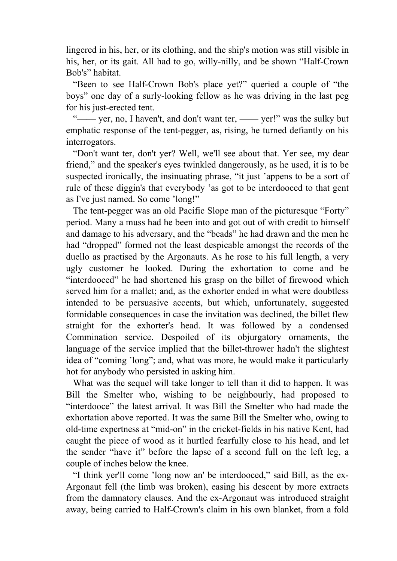lingered in his, her, or its clothing, and the ship's motion was still visible in his, her, or its gait. All had to go, willy-nilly, and be shown "Half-Crown Bob's" habitat.

 "Been to see Half-Crown Bob's place yet?" queried a couple of "the boys" one day of a surly-looking fellow as he was driving in the last peg for his just-erected tent.

 "—— yer, no, I haven't, and don't want ter, —— yer!" was the sulky but emphatic response of the tent-pegger, as, rising, he turned defiantly on his interrogators.

 "Don't want ter, don't yer? Well, we'll see about that. Yer see, my dear friend," and the speaker's eyes twinkled dangerously, as he used, it is to be suspected ironically, the insinuating phrase, "it just 'appens to be a sort of rule of these diggin's that everybody 'as got to be interdooced to that gent as I've just named. So come 'long!"

 The tent-pegger was an old Pacific Slope man of the picturesque "Forty" period. Many a muss had he been into and got out of with credit to himself and damage to his adversary, and the "beads" he had drawn and the men he had "dropped" formed not the least despicable amongst the records of the duello as practised by the Argonauts. As he rose to his full length, a very ugly customer he looked. During the exhortation to come and be "interdooced" he had shortened his grasp on the billet of firewood which served him for a mallet; and, as the exhorter ended in what were doubtless intended to be persuasive accents, but which, unfortunately, suggested formidable consequences in case the invitation was declined, the billet flew straight for the exhorter's head. It was followed by a condensed Commination service. Despoiled of its objurgatory ornaments, the language of the service implied that the billet-thrower hadn't the slightest idea of "coming 'long"; and, what was more, he would make it particularly hot for anybody who persisted in asking him.

 What was the sequel will take longer to tell than it did to happen. It was Bill the Smelter who, wishing to be neighbourly, had proposed to "interdooce" the latest arrival. It was Bill the Smelter who had made the exhortation above reported. It was the same Bill the Smelter who, owing to old-time expertness at "mid-on" in the cricket-fields in his native Kent, had caught the piece of wood as it hurtled fearfully close to his head, and let the sender "have it" before the lapse of a second full on the left leg, a couple of inches below the knee.

 "I think yer'll come 'long now an' be interdooced," said Bill, as the ex-Argonaut fell (the limb was broken), easing his descent by more extracts from the damnatory clauses. And the ex-Argonaut was introduced straight away, being carried to Half-Crown's claim in his own blanket, from a fold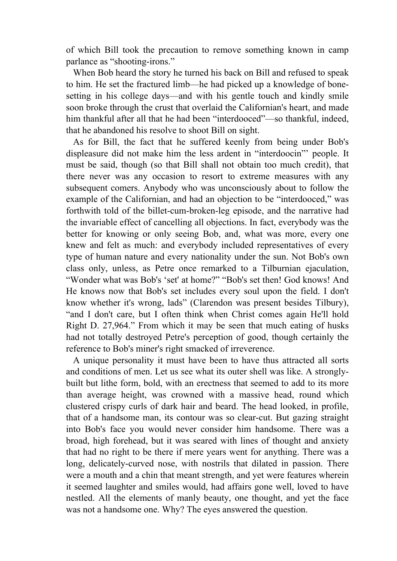of which Bill took the precaution to remove something known in camp parlance as "shooting-irons."

 When Bob heard the story he turned his back on Bill and refused to speak to him. He set the fractured limb—he had picked up a knowledge of bonesetting in his college days—and with his gentle touch and kindly smile soon broke through the crust that overlaid the Californian's heart, and made him thankful after all that he had been "interdooced"—so thankful, indeed, that he abandoned his resolve to shoot Bill on sight.

 As for Bill, the fact that he suffered keenly from being under Bob's displeasure did not make him the less ardent in "interdoocin"' people. It must be said, though (so that Bill shall not obtain too much credit), that there never was any occasion to resort to extreme measures with any subsequent comers. Anybody who was unconsciously about to follow the example of the Californian, and had an objection to be "interdooced," was forthwith told of the billet-cum-broken-leg episode, and the narrative had the invariable effect of cancelling all objections. In fact, everybody was the better for knowing or only seeing Bob, and, what was more, every one knew and felt as much: and everybody included representatives of every type of human nature and every nationality under the sun. Not Bob's own class only, unless, as Petre once remarked to a Tilburnian ejaculation, "Wonder what was Bob's 'set' at home?" "Bob's set then! God knows! And He knows now that Bob's set includes every soul upon the field. I don't know whether it's wrong, lads" (Clarendon was present besides Tilbury), "and I don't care, but I often think when Christ comes again He'll hold Right D. 27,964." From which it may be seen that much eating of husks had not totally destroyed Petre's perception of good, though certainly the reference to Bob's miner's right smacked of irreverence.

 A unique personality it must have been to have thus attracted all sorts and conditions of men. Let us see what its outer shell was like. A stronglybuilt but lithe form, bold, with an erectness that seemed to add to its more than average height, was crowned with a massive head, round which clustered crispy curls of dark hair and beard. The head looked, in profile, that of a handsome man, its contour was so clear-cut. But gazing straight into Bob's face you would never consider him handsome. There was a broad, high forehead, but it was seared with lines of thought and anxiety that had no right to be there if mere years went for anything. There was a long, delicately-curved nose, with nostrils that dilated in passion. There were a mouth and a chin that meant strength, and yet were features wherein it seemed laughter and smiles would, had affairs gone well, loved to have nestled. All the elements of manly beauty, one thought, and yet the face was not a handsome one. Why? The eyes answered the question.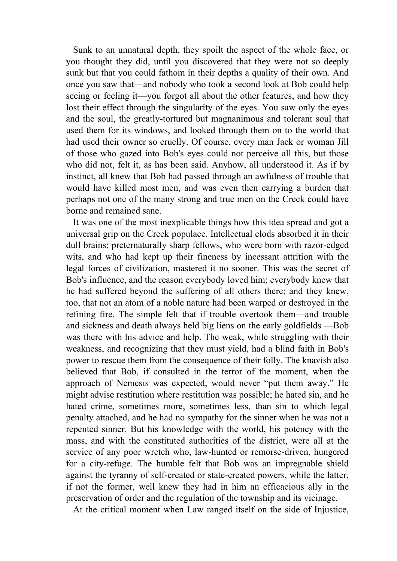Sunk to an unnatural depth, they spoilt the aspect of the whole face, or you thought they did, until you discovered that they were not so deeply sunk but that you could fathom in their depths a quality of their own. And once you saw that—and nobody who took a second look at Bob could help seeing or feeling it—you forgot all about the other features, and how they lost their effect through the singularity of the eyes. You saw only the eyes and the soul, the greatly-tortured but magnanimous and tolerant soul that used them for its windows, and looked through them on to the world that had used their owner so cruelly. Of course, every man Jack or woman Jill of those who gazed into Bob's eyes could not perceive all this, but those who did not, felt it, as has been said. Anyhow, all understood it. As if by instinct, all knew that Bob had passed through an awfulness of trouble that would have killed most men, and was even then carrying a burden that perhaps not one of the many strong and true men on the Creek could have borne and remained sane.

 It was one of the most inexplicable things how this idea spread and got a universal grip on the Creek populace. Intellectual clods absorbed it in their dull brains; preternaturally sharp fellows, who were born with razor-edged wits, and who had kept up their fineness by incessant attrition with the legal forces of civilization, mastered it no sooner. This was the secret of Bob's influence, and the reason everybody loved him; everybody knew that he had suffered beyond the suffering of all others there; and they knew, too, that not an atom of a noble nature had been warped or destroyed in the refining fire. The simple felt that if trouble overtook them—and trouble and sickness and death always held big liens on the early goldfields —Bob was there with his advice and help. The weak, while struggling with their weakness, and recognizing that they must yield, had a blind faith in Bob's power to rescue them from the consequence of their folly. The knavish also believed that Bob, if consulted in the terror of the moment, when the approach of Nemesis was expected, would never "put them away." He might advise restitution where restitution was possible; he hated sin, and he hated crime, sometimes more, sometimes less, than sin to which legal penalty attached, and he had no sympathy for the sinner when he was not a repented sinner. But his knowledge with the world, his potency with the mass, and with the constituted authorities of the district, were all at the service of any poor wretch who, law-hunted or remorse-driven, hungered for a city-refuge. The humble felt that Bob was an impregnable shield against the tyranny of self-created or state-created powers, while the latter, if not the former, well knew they had in him an efficacious ally in the preservation of order and the regulation of the township and its vicinage.

At the critical moment when Law ranged itself on the side of Injustice,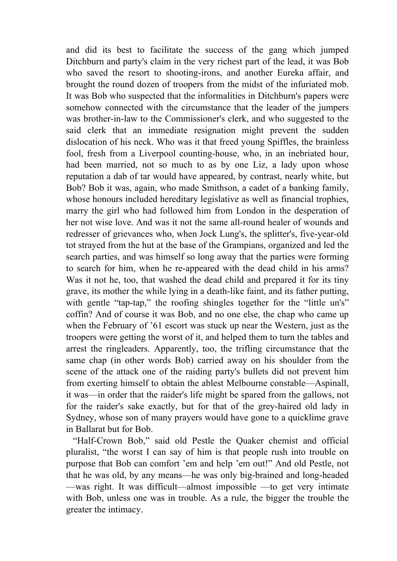and did its best to facilitate the success of the gang which jumped Ditchburn and party's claim in the very richest part of the lead, it was Bob who saved the resort to shooting-irons, and another Eureka affair, and brought the round dozen of troopers from the midst of the infuriated mob. It was Bob who suspected that the informalities in Ditchburn's papers were somehow connected with the circumstance that the leader of the jumpers was brother-in-law to the Commissioner's clerk, and who suggested to the said clerk that an immediate resignation might prevent the sudden dislocation of his neck. Who was it that freed young Spiffles, the brainless fool, fresh from a Liverpool counting-house, who, in an inebriated hour, had been married, not so much to as by one Liz, a lady upon whose reputation a dab of tar would have appeared, by contrast, nearly white, but Bob? Bob it was, again, who made Smithson, a cadet of a banking family, whose honours included hereditary legislative as well as financial trophies, marry the girl who had followed him from London in the desperation of her not wise love. And was it not the same all-round healer of wounds and redresser of grievances who, when Jock Lung's, the splitter's, five-year-old tot strayed from the hut at the base of the Grampians, organized and led the search parties, and was himself so long away that the parties were forming to search for him, when he re-appeared with the dead child in his arms? Was it not he, too, that washed the dead child and prepared it for its tiny grave, its mother the while lying in a death-like faint, and its father putting, with gentle "tap-tap," the roofing shingles together for the "little un's" coffin? And of course it was Bob, and no one else, the chap who came up when the February of '61 escort was stuck up near the Western, just as the troopers were getting the worst of it, and helped them to turn the tables and arrest the ringleaders. Apparently, too, the trifling circumstance that the same chap (in other words Bob) carried away on his shoulder from the scene of the attack one of the raiding party's bullets did not prevent him from exerting himself to obtain the ablest Melbourne constable—Aspinall, it was—in order that the raider's life might be spared from the gallows, not for the raider's sake exactly, but for that of the grey-haired old lady in Sydney, whose son of many prayers would have gone to a quicklime grave in Ballarat but for Bob.

 "Half-Crown Bob," said old Pestle the Quaker chemist and official pluralist, "the worst I can say of him is that people rush into trouble on purpose that Bob can comfort 'em and help 'em out!" And old Pestle, not that he was old, by any means—he was only big-brained and long-headed —was right. It was difficult—almost impossible —to get very intimate with Bob, unless one was in trouble. As a rule, the bigger the trouble the greater the intimacy.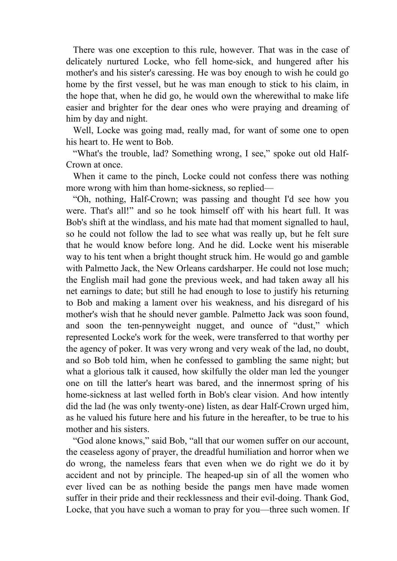There was one exception to this rule, however. That was in the case of delicately nurtured Locke, who fell home-sick, and hungered after his mother's and his sister's caressing. He was boy enough to wish he could go home by the first vessel, but he was man enough to stick to his claim, in the hope that, when he did go, he would own the wherewithal to make life easier and brighter for the dear ones who were praying and dreaming of him by day and night.

 Well, Locke was going mad, really mad, for want of some one to open his heart to. He went to Bob.

 "What's the trouble, lad? Something wrong, I see," spoke out old Half-Crown at once.

 When it came to the pinch, Locke could not confess there was nothing more wrong with him than home-sickness, so replied—

 "Oh, nothing, Half-Crown; was passing and thought I'd see how you were. That's all!" and so he took himself off with his heart full. It was Bob's shift at the windlass, and his mate had that moment signalled to haul, so he could not follow the lad to see what was really up, but he felt sure that he would know before long. And he did. Locke went his miserable way to his tent when a bright thought struck him. He would go and gamble with Palmetto Jack, the New Orleans cardsharper. He could not lose much; the English mail had gone the previous week, and had taken away all his net earnings to date; but still he had enough to lose to justify his returning to Bob and making a lament over his weakness, and his disregard of his mother's wish that he should never gamble. Palmetto Jack was soon found, and soon the ten-pennyweight nugget, and ounce of "dust," which represented Locke's work for the week, were transferred to that worthy per the agency of poker. It was very wrong and very weak of the lad, no doubt, and so Bob told him, when he confessed to gambling the same night; but what a glorious talk it caused, how skilfully the older man led the younger one on till the latter's heart was bared, and the innermost spring of his home-sickness at last welled forth in Bob's clear vision. And how intently did the lad (he was only twenty-one) listen, as dear Half-Crown urged him, as he valued his future here and his future in the hereafter, to be true to his mother and his sisters.

 "God alone knows," said Bob, "all that our women suffer on our account, the ceaseless agony of prayer, the dreadful humiliation and horror when we do wrong, the nameless fears that even when we do right we do it by accident and not by principle. The heaped-up sin of all the women who ever lived can be as nothing beside the pangs men have made women suffer in their pride and their recklessness and their evil-doing. Thank God, Locke, that you have such a woman to pray for you—three such women. If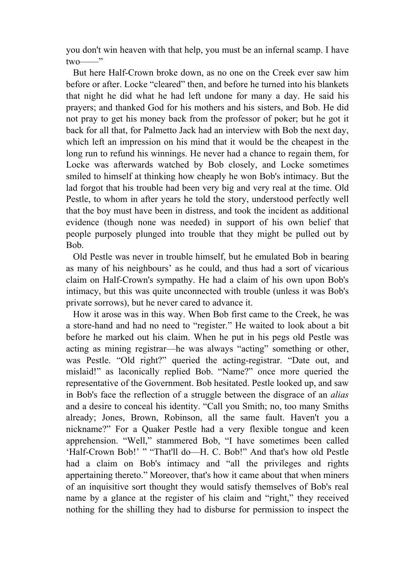you don't win heaven with that help, you must be an infernal scamp. I have  $two$   $\overline{\phantom{...}}$ "

 But here Half-Crown broke down, as no one on the Creek ever saw him before or after. Locke "cleared" then, and before he turned into his blankets that night he did what he had left undone for many a day. He said his prayers; and thanked God for his mothers and his sisters, and Bob. He did not pray to get his money back from the professor of poker; but he got it back for all that, for Palmetto Jack had an interview with Bob the next day, which left an impression on his mind that it would be the cheapest in the long run to refund his winnings. He never had a chance to regain them, for Locke was afterwards watched by Bob closely, and Locke sometimes smiled to himself at thinking how cheaply he won Bob's intimacy. But the lad forgot that his trouble had been very big and very real at the time. Old Pestle, to whom in after years he told the story, understood perfectly well that the boy must have been in distress, and took the incident as additional evidence (though none was needed) in support of his own belief that people purposely plunged into trouble that they might be pulled out by Bob.

 Old Pestle was never in trouble himself, but he emulated Bob in bearing as many of his neighbours' as he could, and thus had a sort of vicarious claim on Half-Crown's sympathy. He had a claim of his own upon Bob's intimacy, but this was quite unconnected with trouble (unless it was Bob's private sorrows), but he never cared to advance it.

 How it arose was in this way. When Bob first came to the Creek, he was a store-hand and had no need to "register." He waited to look about a bit before he marked out his claim. When he put in his pegs old Pestle was acting as mining registrar—he was always "acting" something or other, was Pestle. "Old right?" queried the acting-registrar. "Date out, and mislaid!" as laconically replied Bob. "Name?" once more queried the representative of the Government. Bob hesitated. Pestle looked up, and saw in Bob's face the reflection of a struggle between the disgrace of an *alias* and a desire to conceal his identity. "Call you Smith; no, too many Smiths already; Jones, Brown, Robinson, all the same fault. Haven't you a nickname?" For a Quaker Pestle had a very flexible tongue and keen apprehension. "Well," stammered Bob, "I have sometimes been called 'Half-Crown Bob!' " "That'll do—H. C. Bob!" And that's how old Pestle had a claim on Bob's intimacy and "all the privileges and rights appertaining thereto." Moreover, that's how it came about that when miners of an inquisitive sort thought they would satisfy themselves of Bob's real name by a glance at the register of his claim and "right," they received nothing for the shilling they had to disburse for permission to inspect the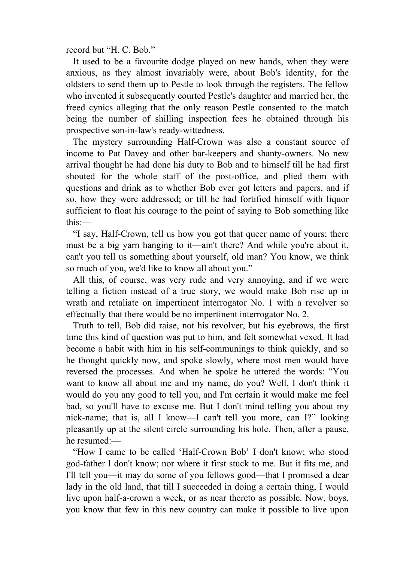record but "H. C. Bob."

 It used to be a favourite dodge played on new hands, when they were anxious, as they almost invariably were, about Bob's identity, for the oldsters to send them up to Pestle to look through the registers. The fellow who invented it subsequently courted Pestle's daughter and married her, the freed cynics alleging that the only reason Pestle consented to the match being the number of shilling inspection fees he obtained through his prospective son-in-law's ready-wittedness.

 The mystery surrounding Half-Crown was also a constant source of income to Pat Davey and other bar-keepers and shanty-owners. No new arrival thought he had done his duty to Bob and to himself till he had first shouted for the whole staff of the post-office, and plied them with questions and drink as to whether Bob ever got letters and papers, and if so, how they were addressed; or till he had fortified himself with liquor sufficient to float his courage to the point of saying to Bob something like this:—

 "I say, Half-Crown, tell us how you got that queer name of yours; there must be a big yarn hanging to it—ain't there? And while you're about it, can't you tell us something about yourself, old man? You know, we think so much of you, we'd like to know all about you."

 All this, of course, was very rude and very annoying, and if we were telling a fiction instead of a true story, we would make Bob rise up in wrath and retaliate on impertinent interrogator No. 1 with a revolver so effectually that there would be no impertinent interrogator No. 2.

 Truth to tell, Bob did raise, not his revolver, but his eyebrows, the first time this kind of question was put to him, and felt somewhat vexed. It had become a habit with him in his self-communings to think quickly, and so he thought quickly now, and spoke slowly, where most men would have reversed the processes. And when he spoke he uttered the words: "You want to know all about me and my name, do you? Well, I don't think it would do you any good to tell you, and I'm certain it would make me feel bad, so you'll have to excuse me. But I don't mind telling you about my nick-name; that is, all I know—I can't tell you more, can I?" looking pleasantly up at the silent circle surrounding his hole. Then, after a pause, he resumed:—

 "How I came to be called 'Half-Crown Bob' I don't know; who stood god-father I don't know; nor where it first stuck to me. But it fits me, and I'll tell you—it may do some of you fellows good—that I promised a dear lady in the old land, that till I succeeded in doing a certain thing, I would live upon half-a-crown a week, or as near thereto as possible. Now, boys, you know that few in this new country can make it possible to live upon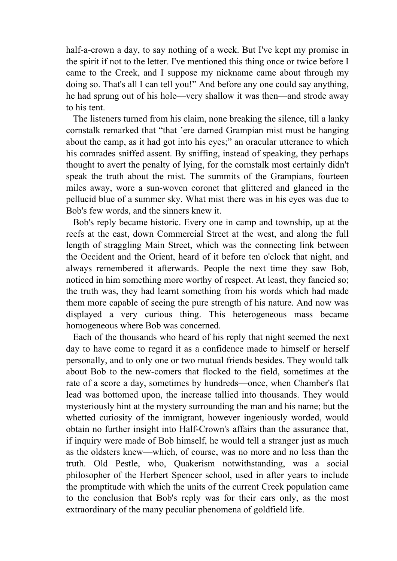half-a-crown a day, to say nothing of a week. But I've kept my promise in the spirit if not to the letter. I've mentioned this thing once or twice before I came to the Creek, and I suppose my nickname came about through my doing so. That's all I can tell you!" And before any one could say anything, he had sprung out of his hole—very shallow it was then—and strode away to his tent.

 The listeners turned from his claim, none breaking the silence, till a lanky cornstalk remarked that "that 'ere darned Grampian mist must be hanging about the camp, as it had got into his eyes;" an oracular utterance to which his comrades sniffed assent. By sniffing, instead of speaking, they perhaps thought to avert the penalty of lying, for the cornstalk most certainly didn't speak the truth about the mist. The summits of the Grampians, fourteen miles away, wore a sun-woven coronet that glittered and glanced in the pellucid blue of a summer sky. What mist there was in his eyes was due to Bob's few words, and the sinners knew it.

 Bob's reply became historic. Every one in camp and township, up at the reefs at the east, down Commercial Street at the west, and along the full length of straggling Main Street, which was the connecting link between the Occident and the Orient, heard of it before ten o'clock that night, and always remembered it afterwards. People the next time they saw Bob, noticed in him something more worthy of respect. At least, they fancied so; the truth was, they had learnt something from his words which had made them more capable of seeing the pure strength of his nature. And now was displayed a very curious thing. This heterogeneous mass became homogeneous where Bob was concerned.

 Each of the thousands who heard of his reply that night seemed the next day to have come to regard it as a confidence made to himself or herself personally, and to only one or two mutual friends besides. They would talk about Bob to the new-comers that flocked to the field, sometimes at the rate of a score a day, sometimes by hundreds—once, when Chamber's flat lead was bottomed upon, the increase tallied into thousands. They would mysteriously hint at the mystery surrounding the man and his name; but the whetted curiosity of the immigrant, however ingeniously worded, would obtain no further insight into Half-Crown's affairs than the assurance that, if inquiry were made of Bob himself, he would tell a stranger just as much as the oldsters knew—which, of course, was no more and no less than the truth. Old Pestle, who, Quakerism notwithstanding, was a social philosopher of the Herbert Spencer school, used in after years to include the promptitude with which the units of the current Creek population came to the conclusion that Bob's reply was for their ears only, as the most extraordinary of the many peculiar phenomena of goldfield life.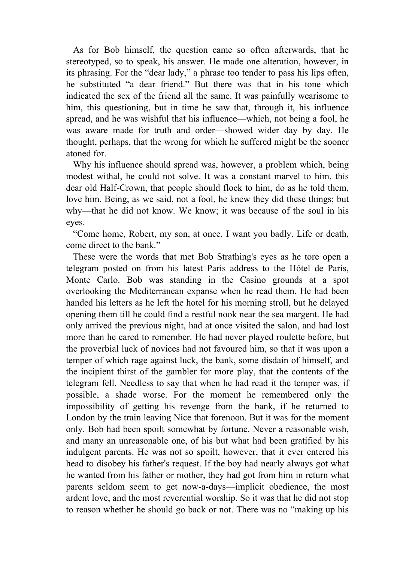As for Bob himself, the question came so often afterwards, that he stereotyped, so to speak, his answer. He made one alteration, however, in its phrasing. For the "dear lady," a phrase too tender to pass his lips often, he substituted "a dear friend." But there was that in his tone which indicated the sex of the friend all the same. It was painfully wearisome to him, this questioning, but in time he saw that, through it, his influence spread, and he was wishful that his influence—which, not being a fool, he was aware made for truth and order—showed wider day by day. He thought, perhaps, that the wrong for which he suffered might be the sooner atoned for.

 Why his influence should spread was, however, a problem which, being modest withal, he could not solve. It was a constant marvel to him, this dear old Half-Crown, that people should flock to him, do as he told them, love him. Being, as we said, not a fool, he knew they did these things; but why—that he did not know. We know; it was because of the soul in his eyes.

 "Come home, Robert, my son, at once. I want you badly. Life or death, come direct to the bank."

 These were the words that met Bob Strathing's eyes as he tore open a telegram posted on from his latest Paris address to the Hôtel de Paris, Monte Carlo. Bob was standing in the Casino grounds at a spot overlooking the Mediterranean expanse when he read them. He had been handed his letters as he left the hotel for his morning stroll, but he delayed opening them till he could find a restful nook near the sea margent. He had only arrived the previous night, had at once visited the salon, and had lost more than he cared to remember. He had never played roulette before, but the proverbial luck of novices had not favoured him, so that it was upon a temper of which rage against luck, the bank, some disdain of himself, and the incipient thirst of the gambler for more play, that the contents of the telegram fell. Needless to say that when he had read it the temper was, if possible, a shade worse. For the moment he remembered only the impossibility of getting his revenge from the bank, if he returned to London by the train leaving Nice that forenoon. But it was for the moment only. Bob had been spoilt somewhat by fortune. Never a reasonable wish, and many an unreasonable one, of his but what had been gratified by his indulgent parents. He was not so spoilt, however, that it ever entered his head to disobey his father's request. If the boy had nearly always got what he wanted from his father or mother, they had got from him in return what parents seldom seem to get now-a-days—implicit obedience, the most ardent love, and the most reverential worship. So it was that he did not stop to reason whether he should go back or not. There was no "making up his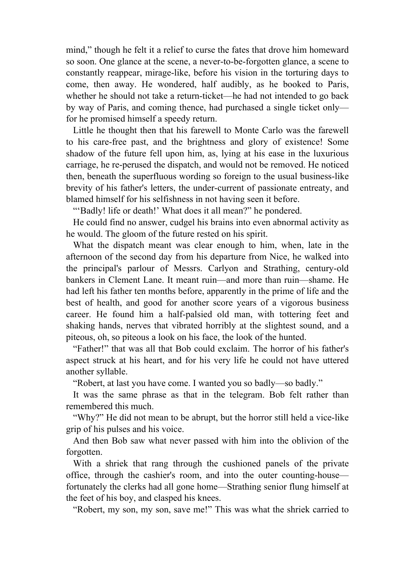mind," though he felt it a relief to curse the fates that drove him homeward so soon. One glance at the scene, a never-to-be-forgotten glance, a scene to constantly reappear, mirage-like, before his vision in the torturing days to come, then away. He wondered, half audibly, as he booked to Paris, whether he should not take a return-ticket—he had not intended to go back by way of Paris, and coming thence, had purchased a single ticket only for he promised himself a speedy return.

 Little he thought then that his farewell to Monte Carlo was the farewell to his care-free past, and the brightness and glory of existence! Some shadow of the future fell upon him, as, lying at his ease in the luxurious carriage, he re-perused the dispatch, and would not be removed. He noticed then, beneath the superfluous wording so foreign to the usual business-like brevity of his father's letters, the under-current of passionate entreaty, and blamed himself for his selfishness in not having seen it before.

""Badly! life or death!' What does it all mean?" he pondered.

 He could find no answer, cudgel his brains into even abnormal activity as he would. The gloom of the future rested on his spirit.

 What the dispatch meant was clear enough to him, when, late in the afternoon of the second day from his departure from Nice, he walked into the principal's parlour of Messrs. Carlyon and Strathing, century-old bankers in Clement Lane. It meant ruin—and more than ruin—shame. He had left his father ten months before, apparently in the prime of life and the best of health, and good for another score years of a vigorous business career. He found him a half-palsied old man, with tottering feet and shaking hands, nerves that vibrated horribly at the slightest sound, and a piteous, oh, so piteous a look on his face, the look of the hunted.

 "Father!" that was all that Bob could exclaim. The horror of his father's aspect struck at his heart, and for his very life he could not have uttered another syllable.

"Robert, at last you have come. I wanted you so badly—so badly."

 It was the same phrase as that in the telegram. Bob felt rather than remembered this much.

 "Why?" He did not mean to be abrupt, but the horror still held a vice-like grip of his pulses and his voice.

 And then Bob saw what never passed with him into the oblivion of the forgotten.

 With a shriek that rang through the cushioned panels of the private office, through the cashier's room, and into the outer counting-house fortunately the clerks had all gone home—Strathing senior flung himself at the feet of his boy, and clasped his knees.

"Robert, my son, my son, save me!" This was what the shriek carried to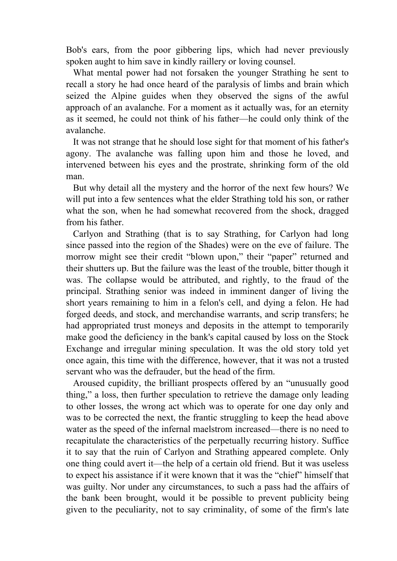Bob's ears, from the poor gibbering lips, which had never previously spoken aught to him save in kindly raillery or loving counsel.

 What mental power had not forsaken the younger Strathing he sent to recall a story he had once heard of the paralysis of limbs and brain which seized the Alpine guides when they observed the signs of the awful approach of an avalanche. For a moment as it actually was, for an eternity as it seemed, he could not think of his father—he could only think of the avalanche.

 It was not strange that he should lose sight for that moment of his father's agony. The avalanche was falling upon him and those he loved, and intervened between his eyes and the prostrate, shrinking form of the old man.

 But why detail all the mystery and the horror of the next few hours? We will put into a few sentences what the elder Strathing told his son, or rather what the son, when he had somewhat recovered from the shock, dragged from his father.

 Carlyon and Strathing (that is to say Strathing, for Carlyon had long since passed into the region of the Shades) were on the eve of failure. The morrow might see their credit "blown upon," their "paper" returned and their shutters up. But the failure was the least of the trouble, bitter though it was. The collapse would be attributed, and rightly, to the fraud of the principal. Strathing senior was indeed in imminent danger of living the short years remaining to him in a felon's cell, and dying a felon. He had forged deeds, and stock, and merchandise warrants, and scrip transfers; he had appropriated trust moneys and deposits in the attempt to temporarily make good the deficiency in the bank's capital caused by loss on the Stock Exchange and irregular mining speculation. It was the old story told yet once again, this time with the difference, however, that it was not a trusted servant who was the defrauder, but the head of the firm.

 Aroused cupidity, the brilliant prospects offered by an "unusually good thing," a loss, then further speculation to retrieve the damage only leading to other losses, the wrong act which was to operate for one day only and was to be corrected the next, the frantic struggling to keep the head above water as the speed of the infernal maelstrom increased—there is no need to recapitulate the characteristics of the perpetually recurring history. Suffice it to say that the ruin of Carlyon and Strathing appeared complete. Only one thing could avert it—the help of a certain old friend. But it was useless to expect his assistance if it were known that it was the "chief" himself that was guilty. Nor under any circumstances, to such a pass had the affairs of the bank been brought, would it be possible to prevent publicity being given to the peculiarity, not to say criminality, of some of the firm's late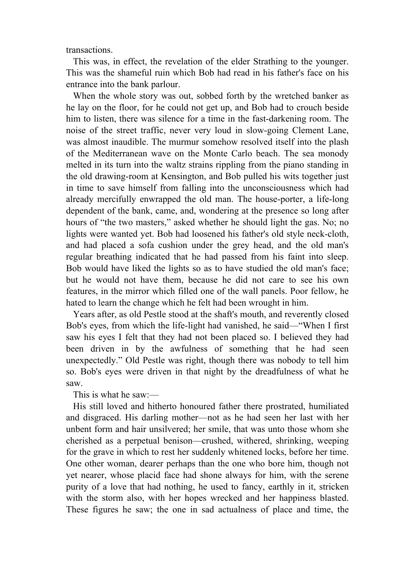transactions.

 This was, in effect, the revelation of the elder Strathing to the younger. This was the shameful ruin which Bob had read in his father's face on his entrance into the bank parlour.

 When the whole story was out, sobbed forth by the wretched banker as he lay on the floor, for he could not get up, and Bob had to crouch beside him to listen, there was silence for a time in the fast-darkening room. The noise of the street traffic, never very loud in slow-going Clement Lane, was almost inaudible. The murmur somehow resolved itself into the plash of the Mediterranean wave on the Monte Carlo beach. The sea monody melted in its turn into the waltz strains rippling from the piano standing in the old drawing-room at Kensington, and Bob pulled his wits together just in time to save himself from falling into the unconsciousness which had already mercifully enwrapped the old man. The house-porter, a life-long dependent of the bank, came, and, wondering at the presence so long after hours of "the two masters," asked whether he should light the gas. No; no lights were wanted yet. Bob had loosened his father's old style neck-cloth, and had placed a sofa cushion under the grey head, and the old man's regular breathing indicated that he had passed from his faint into sleep. Bob would have liked the lights so as to have studied the old man's face; but he would not have them, because he did not care to see his own features, in the mirror which filled one of the wall panels. Poor fellow, he hated to learn the change which he felt had been wrought in him.

 Years after, as old Pestle stood at the shaft's mouth, and reverently closed Bob's eyes, from which the life-light had vanished, he said—"When I first saw his eyes I felt that they had not been placed so. I believed they had been driven in by the awfulness of something that he had seen unexpectedly." Old Pestle was right, though there was nobody to tell him so. Bob's eyes were driven in that night by the dreadfulness of what he saw.

This is what he saw:—

 His still loved and hitherto honoured father there prostrated, humiliated and disgraced. His darling mother—not as he had seen her last with her unbent form and hair unsilvered; her smile, that was unto those whom she cherished as a perpetual benison—crushed, withered, shrinking, weeping for the grave in which to rest her suddenly whitened locks, before her time. One other woman, dearer perhaps than the one who bore him, though not yet nearer, whose placid face had shone always for him, with the serene purity of a love that had nothing, he used to fancy, earthly in it, stricken with the storm also, with her hopes wrecked and her happiness blasted. These figures he saw; the one in sad actualness of place and time, the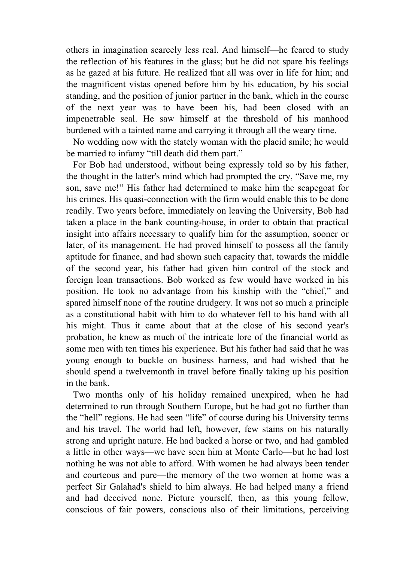others in imagination scarcely less real. And himself—he feared to study the reflection of his features in the glass; but he did not spare his feelings as he gazed at his future. He realized that all was over in life for him; and the magnificent vistas opened before him by his education, by his social standing, and the position of junior partner in the bank, which in the course of the next year was to have been his, had been closed with an impenetrable seal. He saw himself at the threshold of his manhood burdened with a tainted name and carrying it through all the weary time.

 No wedding now with the stately woman with the placid smile; he would be married to infamy "till death did them part."

 For Bob had understood, without being expressly told so by his father, the thought in the latter's mind which had prompted the cry, "Save me, my son, save me!" His father had determined to make him the scapegoat for his crimes. His quasi-connection with the firm would enable this to be done readily. Two years before, immediately on leaving the University, Bob had taken a place in the bank counting-house, in order to obtain that practical insight into affairs necessary to qualify him for the assumption, sooner or later, of its management. He had proved himself to possess all the family aptitude for finance, and had shown such capacity that, towards the middle of the second year, his father had given him control of the stock and foreign loan transactions. Bob worked as few would have worked in his position. He took no advantage from his kinship with the "chief," and spared himself none of the routine drudgery. It was not so much a principle as a constitutional habit with him to do whatever fell to his hand with all his might. Thus it came about that at the close of his second year's probation, he knew as much of the intricate lore of the financial world as some men with ten times his experience. But his father had said that he was young enough to buckle on business harness, and had wished that he should spend a twelvemonth in travel before finally taking up his position in the bank.

 Two months only of his holiday remained unexpired, when he had determined to run through Southern Europe, but he had got no further than the "hell" regions. He had seen "life" of course during his University terms and his travel. The world had left, however, few stains on his naturally strong and upright nature. He had backed a horse or two, and had gambled a little in other ways—we have seen him at Monte Carlo—but he had lost nothing he was not able to afford. With women he had always been tender and courteous and pure—the memory of the two women at home was a perfect Sir Galahad's shield to him always. He had helped many a friend and had deceived none. Picture yourself, then, as this young fellow, conscious of fair powers, conscious also of their limitations, perceiving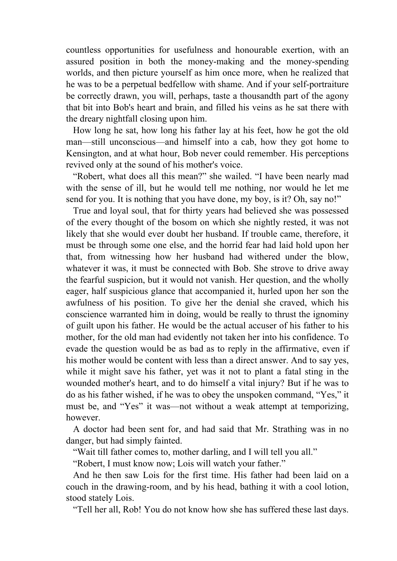countless opportunities for usefulness and honourable exertion, with an assured position in both the money-making and the money-spending worlds, and then picture yourself as him once more, when he realized that he was to be a perpetual bedfellow with shame. And if your self-portraiture be correctly drawn, you will, perhaps, taste a thousandth part of the agony that bit into Bob's heart and brain, and filled his veins as he sat there with the dreary nightfall closing upon him.

 How long he sat, how long his father lay at his feet, how he got the old man—still unconscious—and himself into a cab, how they got home to Kensington, and at what hour, Bob never could remember. His perceptions revived only at the sound of his mother's voice.

 "Robert, what does all this mean?" she wailed. "I have been nearly mad with the sense of ill, but he would tell me nothing, nor would he let me send for you. It is nothing that you have done, my boy, is it? Oh, say no!"

 True and loyal soul, that for thirty years had believed she was possessed of the every thought of the bosom on which she nightly rested, it was not likely that she would ever doubt her husband. If trouble came, therefore, it must be through some one else, and the horrid fear had laid hold upon her that, from witnessing how her husband had withered under the blow, whatever it was, it must be connected with Bob. She strove to drive away the fearful suspicion, but it would not vanish. Her question, and the wholly eager, half suspicious glance that accompanied it, hurled upon her son the awfulness of his position. To give her the denial she craved, which his conscience warranted him in doing, would be really to thrust the ignominy of guilt upon his father. He would be the actual accuser of his father to his mother, for the old man had evidently not taken her into his confidence. To evade the question would be as bad as to reply in the affirmative, even if his mother would be content with less than a direct answer. And to say yes, while it might save his father, yet was it not to plant a fatal sting in the wounded mother's heart, and to do himself a vital injury? But if he was to do as his father wished, if he was to obey the unspoken command, "Yes," it must be, and "Yes" it was—not without a weak attempt at temporizing, however.

 A doctor had been sent for, and had said that Mr. Strathing was in no danger, but had simply fainted.

"Wait till father comes to, mother darling, and I will tell you all."

"Robert, I must know now; Lois will watch your father."

 And he then saw Lois for the first time. His father had been laid on a couch in the drawing-room, and by his head, bathing it with a cool lotion, stood stately Lois.

"Tell her all, Rob! You do not know how she has suffered these last days.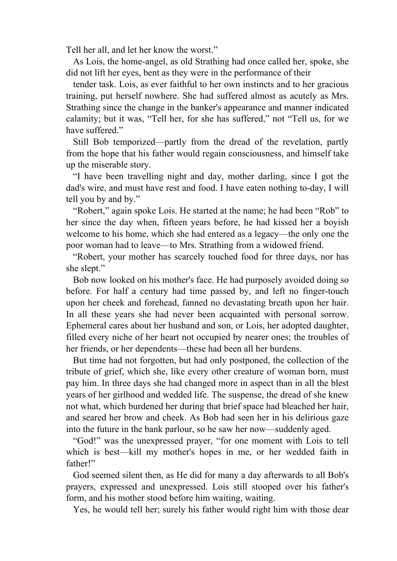Tell her all, and let her know the worst."

 As Lois, the home-angel, as old Strathing had once called her, spoke, she did not lift her eyes, bent as they were in the performance of their

 tender task. Lois, as ever faithful to her own instincts and to her gracious training, put herself nowhere. She had suffered almost as acutely as Mrs. Strathing since the change in the banker's appearance and manner indicated calamity; but it was, "Tell her, for she has suffered," not "Tell us, for we have suffered."

 Still Bob temporized—partly from the dread of the revelation, partly from the hope that his father would regain consciousness, and himself take up the miserable story.

 "I have been travelling night and day, mother darling, since I got the dad's wire, and must have rest and food. I have eaten nothing to-day, I will tell you by and by."

 "Robert," again spoke Lois. He started at the name; he had been "Rob" to her since the day when, fifteen years before, he had kissed her a boyish welcome to his home, which she had entered as a legacy—the only one the poor woman had to leave—to Mrs. Strathing from a widowed friend.

 "Robert, your mother has scarcely touched food for three days, nor has she slept."

 Bob now looked on his mother's face. He had purposely avoided doing so before. For half a century had time passed by, and left no finger-touch upon her cheek and forehead, fanned no devastating breath upon her hair. In all these years she had never been acquainted with personal sorrow. Ephemeral cares about her husband and son, or Lois, her adopted daughter, filled every niche of her heart not occupied by nearer ones; the troubles of her friends, or her dependents—these had been all her burdens.

 But time had not forgotten, but had only postponed, the collection of the tribute of grief, which she, like every other creature of woman born, must pay him. In three days she had changed more in aspect than in all the blest years of her girlhood and wedded life. The suspense, the dread of she knew not what, which burdened her during that brief space had bleached her hair, and seared her brow and cheek. As Bob had seen her in his delirious gaze into the future in the bank parlour, so he saw her now—suddenly aged.

 "God!" was the unexpressed prayer, "for one moment with Lois to tell which is best—kill my mother's hopes in me, or her wedded faith in father!"

 God seemed silent then, as He did for many a day afterwards to all Bob's prayers, expressed and unexpressed. Lois still stooped over his father's form, and his mother stood before him waiting, waiting.

Yes, he would tell her; surely his father would right him with those dear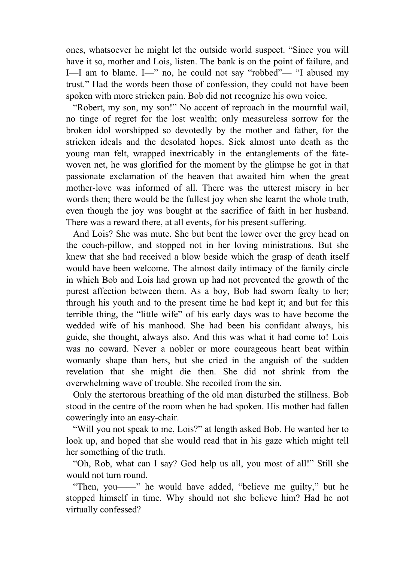ones, whatsoever he might let the outside world suspect. "Since you will have it so, mother and Lois, listen. The bank is on the point of failure, and I—I am to blame. I—" no, he could not say "robbed"— "I abused my trust." Had the words been those of confession, they could not have been spoken with more stricken pain. Bob did not recognize his own voice.

 "Robert, my son, my son!" No accent of reproach in the mournful wail, no tinge of regret for the lost wealth; only measureless sorrow for the broken idol worshipped so devotedly by the mother and father, for the stricken ideals and the desolated hopes. Sick almost unto death as the young man felt, wrapped inextricably in the entanglements of the fatewoven net, he was glorified for the moment by the glimpse he got in that passionate exclamation of the heaven that awaited him when the great mother-love was informed of all. There was the utterest misery in her words then; there would be the fullest joy when she learnt the whole truth, even though the joy was bought at the sacrifice of faith in her husband. There was a reward there, at all events, for his present suffering.

 And Lois? She was mute. She but bent the lower over the grey head on the couch-pillow, and stopped not in her loving ministrations. But she knew that she had received a blow beside which the grasp of death itself would have been welcome. The almost daily intimacy of the family circle in which Bob and Lois had grown up had not prevented the growth of the purest affection between them. As a boy, Bob had sworn fealty to her; through his youth and to the present time he had kept it; and but for this terrible thing, the "little wife" of his early days was to have become the wedded wife of his manhood. She had been his confidant always, his guide, she thought, always also. And this was what it had come to! Lois was no coward. Never a nobler or more courageous heart beat within womanly shape than hers, but she cried in the anguish of the sudden revelation that she might die then. She did not shrink from the overwhelming wave of trouble. She recoiled from the sin.

 Only the stertorous breathing of the old man disturbed the stillness. Bob stood in the centre of the room when he had spoken. His mother had fallen coweringly into an easy-chair.

 "Will you not speak to me, Lois?" at length asked Bob. He wanted her to look up, and hoped that she would read that in his gaze which might tell her something of the truth.

 "Oh, Rob, what can I say? God help us all, you most of all!" Still she would not turn round.

 "Then, you——" he would have added, "believe me guilty," but he stopped himself in time. Why should not she believe him? Had he not virtually confessed?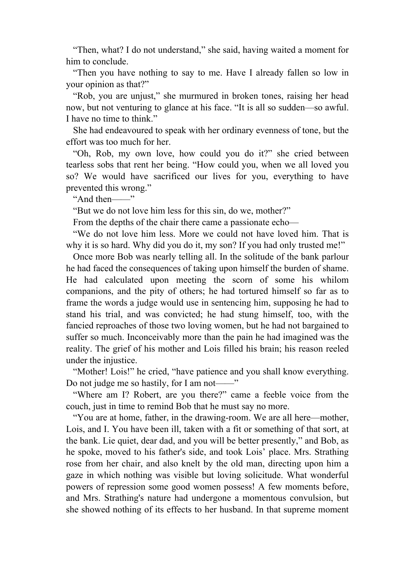"Then, what? I do not understand," she said, having waited a moment for him to conclude.

 "Then you have nothing to say to me. Have I already fallen so low in your opinion as that?"

 "Rob, you are unjust," she murmured in broken tones, raising her head now, but not venturing to glance at his face. "It is all so sudden—so awful. I have no time to think."

 She had endeavoured to speak with her ordinary evenness of tone, but the effort was too much for her.

 "Oh, Rob, my own love, how could you do it?" she cried between tearless sobs that rent her being. "How could you, when we all loved you so? We would have sacrificed our lives for you, everything to have prevented this wrong."

"And then——"

"But we do not love him less for this sin, do we, mother?"

From the depths of the chair there came a passionate echo—

 "We do not love him less. More we could not have loved him. That is why it is so hard. Why did you do it, my son? If you had only trusted me!"

 Once more Bob was nearly telling all. In the solitude of the bank parlour he had faced the consequences of taking upon himself the burden of shame. He had calculated upon meeting the scorn of some his whilom companions, and the pity of others; he had tortured himself so far as to frame the words a judge would use in sentencing him, supposing he had to stand his trial, and was convicted; he had stung himself, too, with the fancied reproaches of those two loving women, but he had not bargained to suffer so much. Inconceivably more than the pain he had imagined was the reality. The grief of his mother and Lois filled his brain; his reason reeled under the injustice.

 "Mother! Lois!" he cried, "have patience and you shall know everything. Do not judge me so hastily, for I am not——"

 "Where am I? Robert, are you there?" came a feeble voice from the couch, just in time to remind Bob that he must say no more.

 "You are at home, father, in the drawing-room. We are all here—mother, Lois, and I. You have been ill, taken with a fit or something of that sort, at the bank. Lie quiet, dear dad, and you will be better presently," and Bob, as he spoke, moved to his father's side, and took Lois' place. Mrs. Strathing rose from her chair, and also knelt by the old man, directing upon him a gaze in which nothing was visible but loving solicitude. What wonderful powers of repression some good women possess! A few moments before, and Mrs. Strathing's nature had undergone a momentous convulsion, but she showed nothing of its effects to her husband. In that supreme moment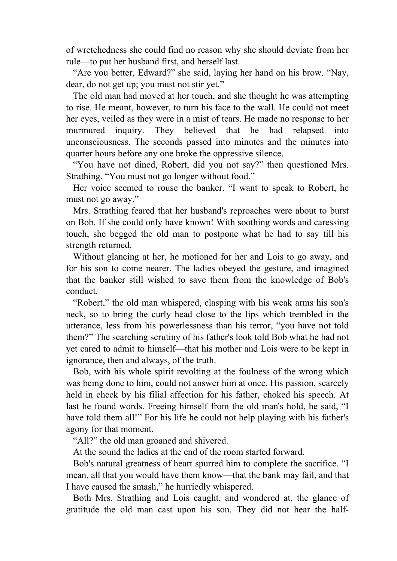of wretchedness she could find no reason why she should deviate from her rule—to put her husband first, and herself last.

 "Are you better, Edward?" she said, laying her hand on his brow. "Nay, dear, do not get up; you must not stir yet."

 The old man had moved at her touch, and she thought he was attempting to rise. He meant, however, to turn his face to the wall. He could not meet her eyes, veiled as they were in a mist of tears. He made no response to her murmured inquiry. They believed that he had relapsed into unconsciousness. The seconds passed into minutes and the minutes into quarter hours before any one broke the oppressive silence.

 "You have not dined, Robert, did you not say?" then questioned Mrs. Strathing. "You must not go longer without food."

 Her voice seemed to rouse the banker. "I want to speak to Robert, he must not go away."

 Mrs. Strathing feared that her husband's reproaches were about to burst on Bob. If she could only have known! With soothing words and caressing touch, she begged the old man to postpone what he had to say till his strength returned.

 Without glancing at her, he motioned for her and Lois to go away, and for his son to come nearer. The ladies obeyed the gesture, and imagined that the banker still wished to save them from the knowledge of Bob's conduct.

 "Robert," the old man whispered, clasping with his weak arms his son's neck, so to bring the curly head close to the lips which trembled in the utterance, less from his powerlessness than his terror, "you have not told them?" The searching scrutiny of his father's look told Bob what he had not yet cared to admit to himself—that his mother and Lois were to be kept in ignorance, then and always, of the truth.

 Bob, with his whole spirit revolting at the foulness of the wrong which was being done to him, could not answer him at once. His passion, scarcely held in check by his filial affection for his father, choked his speech. At last he found words. Freeing himself from the old man's hold, he said, "I have told them all!" For his life he could not help playing with his father's agony for that moment.

"All?" the old man groaned and shivered.

At the sound the ladies at the end of the room started forward.

 Bob's natural greatness of heart spurred him to complete the sacrifice. "I mean, all that you would have them know—that the bank may fail, and that I have caused the smash," he hurriedly whispered.

 Both Mrs. Strathing and Lois caught, and wondered at, the glance of gratitude the old man cast upon his son. They did not hear the half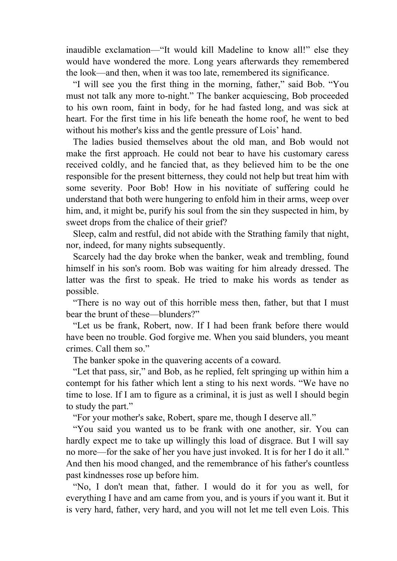inaudible exclamation—"It would kill Madeline to know all!" else they would have wondered the more. Long years afterwards they remembered the look—and then, when it was too late, remembered its significance.

 "I will see you the first thing in the morning, father," said Bob. "You must not talk any more to-night." The banker acquiescing, Bob proceeded to his own room, faint in body, for he had fasted long, and was sick at heart. For the first time in his life beneath the home roof, he went to bed without his mother's kiss and the gentle pressure of Lois' hand.

 The ladies busied themselves about the old man, and Bob would not make the first approach. He could not bear to have his customary caress received coldly, and he fancied that, as they believed him to be the one responsible for the present bitterness, they could not help but treat him with some severity. Poor Bob! How in his novitiate of suffering could he understand that both were hungering to enfold him in their arms, weep over him, and, it might be, purify his soul from the sin they suspected in him, by sweet drops from the chalice of their grief?

 Sleep, calm and restful, did not abide with the Strathing family that night, nor, indeed, for many nights subsequently.

 Scarcely had the day broke when the banker, weak and trembling, found himself in his son's room. Bob was waiting for him already dressed. The latter was the first to speak. He tried to make his words as tender as possible.

 "There is no way out of this horrible mess then, father, but that I must bear the brunt of these—blunders?"

 "Let us be frank, Robert, now. If I had been frank before there would have been no trouble. God forgive me. When you said blunders, you meant crimes. Call them so."

The banker spoke in the quavering accents of a coward.

 "Let that pass, sir," and Bob, as he replied, felt springing up within him a contempt for his father which lent a sting to his next words. "We have no time to lose. If I am to figure as a criminal, it is just as well I should begin to study the part."

"For your mother's sake, Robert, spare me, though I deserve all."

 "You said you wanted us to be frank with one another, sir. You can hardly expect me to take up willingly this load of disgrace. But I will say no more—for the sake of her you have just invoked. It is for her I do it all." And then his mood changed, and the remembrance of his father's countless past kindnesses rose up before him.

 "No, I don't mean that, father. I would do it for you as well, for everything I have and am came from you, and is yours if you want it. But it is very hard, father, very hard, and you will not let me tell even Lois. This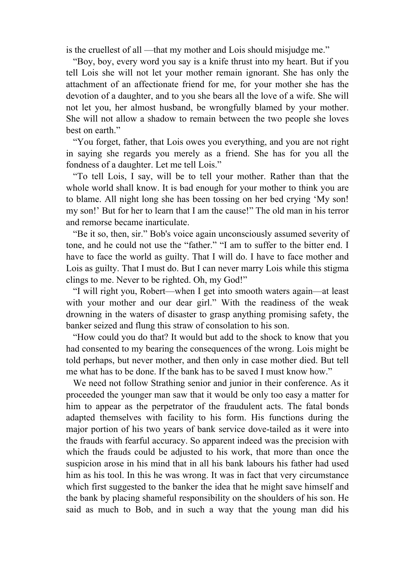is the cruellest of all —that my mother and Lois should misjudge me."

 "Boy, boy, every word you say is a knife thrust into my heart. But if you tell Lois she will not let your mother remain ignorant. She has only the attachment of an affectionate friend for me, for your mother she has the devotion of a daughter, and to you she bears all the love of a wife. She will not let you, her almost husband, be wrongfully blamed by your mother. She will not allow a shadow to remain between the two people she loves best on earth."

 "You forget, father, that Lois owes you everything, and you are not right in saying she regards you merely as a friend. She has for you all the fondness of a daughter. Let me tell Lois."

 "To tell Lois, I say, will be to tell your mother. Rather than that the whole world shall know. It is bad enough for your mother to think you are to blame. All night long she has been tossing on her bed crying 'My son! my son!' But for her to learn that I am the cause!" The old man in his terror and remorse became inarticulate.

 "Be it so, then, sir." Bob's voice again unconsciously assumed severity of tone, and he could not use the "father." "I am to suffer to the bitter end. I have to face the world as guilty. That I will do. I have to face mother and Lois as guilty. That I must do. But I can never marry Lois while this stigma clings to me. Never to be righted. Oh, my God!"

 "I will right you, Robert—when I get into smooth waters again—at least with your mother and our dear girl." With the readiness of the weak drowning in the waters of disaster to grasp anything promising safety, the banker seized and flung this straw of consolation to his son.

 "How could you do that? It would but add to the shock to know that you had consented to my bearing the consequences of the wrong. Lois might be told perhaps, but never mother, and then only in case mother died. But tell me what has to be done. If the bank has to be saved I must know how."

 We need not follow Strathing senior and junior in their conference. As it proceeded the younger man saw that it would be only too easy a matter for him to appear as the perpetrator of the fraudulent acts. The fatal bonds adapted themselves with facility to his form. His functions during the major portion of his two years of bank service dove-tailed as it were into the frauds with fearful accuracy. So apparent indeed was the precision with which the frauds could be adjusted to his work, that more than once the suspicion arose in his mind that in all his bank labours his father had used him as his tool. In this he was wrong. It was in fact that very circumstance which first suggested to the banker the idea that he might save himself and the bank by placing shameful responsibility on the shoulders of his son. He said as much to Bob, and in such a way that the young man did his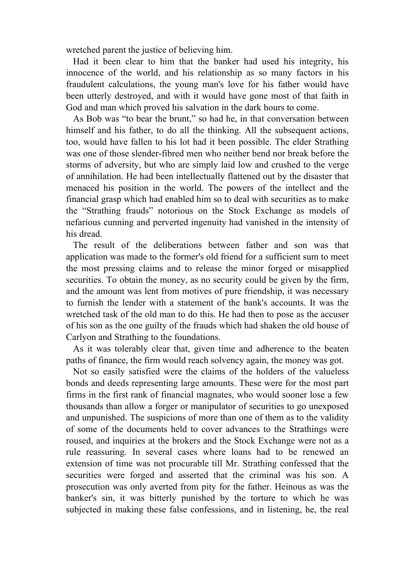wretched parent the justice of believing him.

 Had it been clear to him that the banker had used his integrity, his innocence of the world, and his relationship as so many factors in his fraudulent calculations, the young man's love for his father would have been utterly destroyed, and with it would have gone most of that faith in God and man which proved his salvation in the dark hours to come.

 As Bob was "to bear the brunt," so had he, in that conversation between himself and his father, to do all the thinking. All the subsequent actions, too, would have fallen to his lot had it been possible. The elder Strathing was one of those slender-fibred men who neither bend nor break before the storms of adversity, but who are simply laid low and crushed to the verge of annihilation. He had been intellectually flattened out by the disaster that menaced his position in the world. The powers of the intellect and the financial grasp which had enabled him so to deal with securities as to make the "Strathing frauds" notorious on the Stock Exchange as models of nefarious cunning and perverted ingenuity had vanished in the intensity of his dread.

 The result of the deliberations between father and son was that application was made to the former's old friend for a sufficient sum to meet the most pressing claims and to release the minor forged or misapplied securities. To obtain the money, as no security could be given by the firm, and the amount was lent from motives of pure friendship, it was necessary to furnish the lender with a statement of the bank's accounts. It was the wretched task of the old man to do this. He had then to pose as the accuser of his son as the one guilty of the frauds which had shaken the old house of Carlyon and Strathing to the foundations.

 As it was tolerably clear that, given time and adherence to the beaten paths of finance, the firm would reach solvency again, the money was got.

 Not so easily satisfied were the claims of the holders of the valueless bonds and deeds representing large amounts. These were for the most part firms in the first rank of financial magnates, who would sooner lose a few thousands than allow a forger or manipulator of securities to go unexposed and unpunished. The suspicions of more than one of them as to the validity of some of the documents held to cover advances to the Strathings were roused, and inquiries at the brokers and the Stock Exchange were not as a rule reassuring. In several cases where loans had to be renewed an extension of time was not procurable till Mr. Strathing confessed that the securities were forged and asserted that the criminal was his son. A prosecution was only averted from pity for the father. Heinous as was the banker's sin, it was bitterly punished by the torture to which he was subjected in making these false confessions, and in listening, he, the real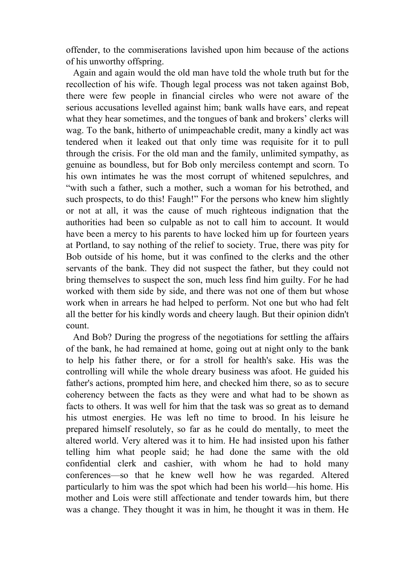offender, to the commiserations lavished upon him because of the actions of his unworthy offspring.

 Again and again would the old man have told the whole truth but for the recollection of his wife. Though legal process was not taken against Bob, there were few people in financial circles who were not aware of the serious accusations levelled against him; bank walls have ears, and repeat what they hear sometimes, and the tongues of bank and brokers' clerks will wag. To the bank, hitherto of unimpeachable credit, many a kindly act was tendered when it leaked out that only time was requisite for it to pull through the crisis. For the old man and the family, unlimited sympathy, as genuine as boundless, but for Bob only merciless contempt and scorn. To his own intimates he was the most corrupt of whitened sepulchres, and "with such a father, such a mother, such a woman for his betrothed, and such prospects, to do this! Faugh!" For the persons who knew him slightly or not at all, it was the cause of much righteous indignation that the authorities had been so culpable as not to call him to account. It would have been a mercy to his parents to have locked him up for fourteen years at Portland, to say nothing of the relief to society. True, there was pity for Bob outside of his home, but it was confined to the clerks and the other servants of the bank. They did not suspect the father, but they could not bring themselves to suspect the son, much less find him guilty. For he had worked with them side by side, and there was not one of them but whose work when in arrears he had helped to perform. Not one but who had felt all the better for his kindly words and cheery laugh. But their opinion didn't count.

 And Bob? During the progress of the negotiations for settling the affairs of the bank, he had remained at home, going out at night only to the bank to help his father there, or for a stroll for health's sake. His was the controlling will while the whole dreary business was afoot. He guided his father's actions, prompted him here, and checked him there, so as to secure coherency between the facts as they were and what had to be shown as facts to others. It was well for him that the task was so great as to demand his utmost energies. He was left no time to brood. In his leisure he prepared himself resolutely, so far as he could do mentally, to meet the altered world. Very altered was it to him. He had insisted upon his father telling him what people said; he had done the same with the old confidential clerk and cashier, with whom he had to hold many conferences—so that he knew well how he was regarded. Altered particularly to him was the spot which had been his world—his home. His mother and Lois were still affectionate and tender towards him, but there was a change. They thought it was in him, he thought it was in them. He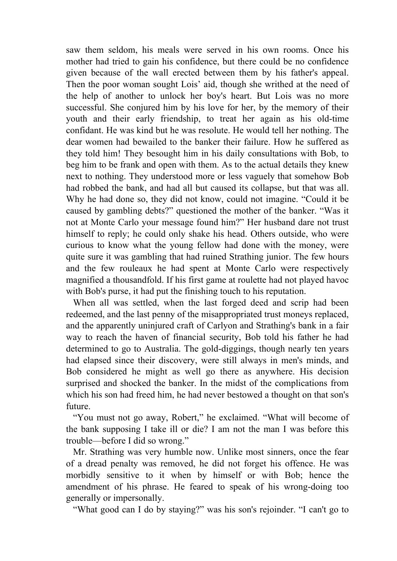saw them seldom, his meals were served in his own rooms. Once his mother had tried to gain his confidence, but there could be no confidence given because of the wall erected between them by his father's appeal. Then the poor woman sought Lois' aid, though she writhed at the need of the help of another to unlock her boy's heart. But Lois was no more successful. She conjured him by his love for her, by the memory of their youth and their early friendship, to treat her again as his old-time confidant. He was kind but he was resolute. He would tell her nothing. The dear women had bewailed to the banker their failure. How he suffered as they told him! They besought him in his daily consultations with Bob, to beg him to be frank and open with them. As to the actual details they knew next to nothing. They understood more or less vaguely that somehow Bob had robbed the bank, and had all but caused its collapse, but that was all. Why he had done so, they did not know, could not imagine. "Could it be caused by gambling debts?" questioned the mother of the banker. "Was it not at Monte Carlo your message found him?" Her husband dare not trust himself to reply; he could only shake his head. Others outside, who were curious to know what the young fellow had done with the money, were quite sure it was gambling that had ruined Strathing junior. The few hours and the few rouleaux he had spent at Monte Carlo were respectively magnified a thousandfold. If his first game at roulette had not played havoc with Bob's purse, it had put the finishing touch to his reputation.

 When all was settled, when the last forged deed and scrip had been redeemed, and the last penny of the misappropriated trust moneys replaced, and the apparently uninjured craft of Carlyon and Strathing's bank in a fair way to reach the haven of financial security, Bob told his father he had determined to go to Australia. The gold-diggings, though nearly ten years had elapsed since their discovery, were still always in men's minds, and Bob considered he might as well go there as anywhere. His decision surprised and shocked the banker. In the midst of the complications from which his son had freed him, he had never bestowed a thought on that son's future.

 "You must not go away, Robert," he exclaimed. "What will become of the bank supposing I take ill or die? I am not the man I was before this trouble—before I did so wrong."

 Mr. Strathing was very humble now. Unlike most sinners, once the fear of a dread penalty was removed, he did not forget his offence. He was morbidly sensitive to it when by himself or with Bob; hence the amendment of his phrase. He feared to speak of his wrong-doing too generally or impersonally.

"What good can I do by staying?" was his son's rejoinder. "I can't go to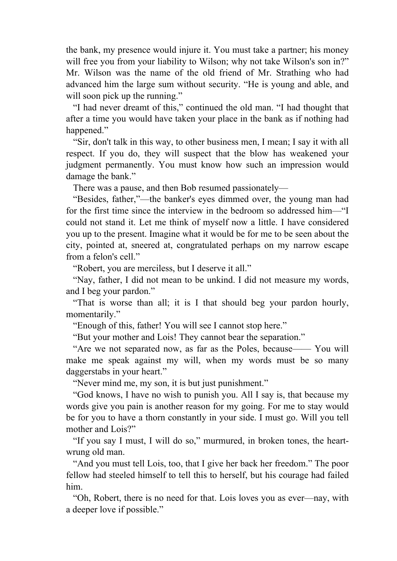the bank, my presence would injure it. You must take a partner; his money will free you from your liability to Wilson; why not take Wilson's son in?" Mr. Wilson was the name of the old friend of Mr. Strathing who had advanced him the large sum without security. "He is young and able, and will soon pick up the running."

 "I had never dreamt of this," continued the old man. "I had thought that after a time you would have taken your place in the bank as if nothing had happened."

 "Sir, don't talk in this way, to other business men, I mean; I say it with all respect. If you do, they will suspect that the blow has weakened your judgment permanently. You must know how such an impression would damage the bank."

There was a pause, and then Bob resumed passionately—

 "Besides, father,"—the banker's eyes dimmed over, the young man had for the first time since the interview in the bedroom so addressed him—"I could not stand it. Let me think of myself now a little. I have considered you up to the present. Imagine what it would be for me to be seen about the city, pointed at, sneered at, congratulated perhaps on my narrow escape from a felon's cell."

"Robert, you are merciless, but I deserve it all."

 "Nay, father, I did not mean to be unkind. I did not measure my words, and I beg your pardon."

 "That is worse than all; it is I that should beg your pardon hourly, momentarily."

"Enough of this, father! You will see I cannot stop here."

"But your mother and Lois! They cannot bear the separation."

 "Are we not separated now, as far as the Poles, because—— You will make me speak against my will, when my words must be so many daggerstabs in your heart."

"Never mind me, my son, it is but just punishment."

 "God knows, I have no wish to punish you. All I say is, that because my words give you pain is another reason for my going. For me to stay would be for you to have a thorn constantly in your side. I must go. Will you tell mother and Lois?"

 "If you say I must, I will do so," murmured, in broken tones, the heartwrung old man.

 "And you must tell Lois, too, that I give her back her freedom." The poor fellow had steeled himself to tell this to herself, but his courage had failed him.

 "Oh, Robert, there is no need for that. Lois loves you as ever—nay, with a deeper love if possible."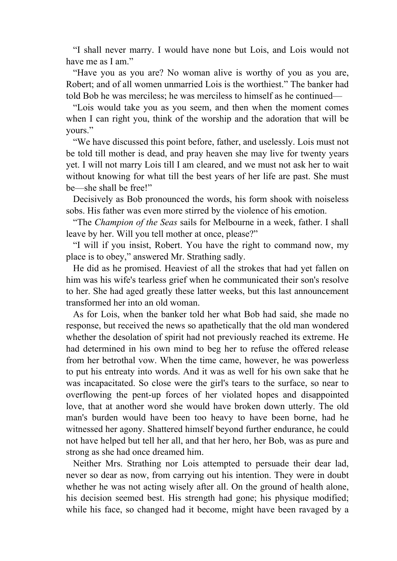"I shall never marry. I would have none but Lois, and Lois would not have me as I am."

 "Have you as you are? No woman alive is worthy of you as you are, Robert; and of all women unmarried Lois is the worthiest." The banker had told Bob he was merciless; he was merciless to himself as he continued—

 "Lois would take you as you seem, and then when the moment comes when I can right you, think of the worship and the adoration that will be yours."

 "We have discussed this point before, father, and uselessly. Lois must not be told till mother is dead, and pray heaven she may live for twenty years yet. I will not marry Lois till I am cleared, and we must not ask her to wait without knowing for what till the best years of her life are past. She must be—she shall be free!"

 Decisively as Bob pronounced the words, his form shook with noiseless sobs. His father was even more stirred by the violence of his emotion.

 "The *Champion of the Seas* sails for Melbourne in a week, father. I shall leave by her. Will you tell mother at once, please?"

 "I will if you insist, Robert. You have the right to command now, my place is to obey," answered Mr. Strathing sadly.

 He did as he promised. Heaviest of all the strokes that had yet fallen on him was his wife's tearless grief when he communicated their son's resolve to her. She had aged greatly these latter weeks, but this last announcement transformed her into an old woman.

 As for Lois, when the banker told her what Bob had said, she made no response, but received the news so apathetically that the old man wondered whether the desolation of spirit had not previously reached its extreme. He had determined in his own mind to beg her to refuse the offered release from her betrothal vow. When the time came, however, he was powerless to put his entreaty into words. And it was as well for his own sake that he was incapacitated. So close were the girl's tears to the surface, so near to overflowing the pent-up forces of her violated hopes and disappointed love, that at another word she would have broken down utterly. The old man's burden would have been too heavy to have been borne, had he witnessed her agony. Shattered himself beyond further endurance, he could not have helped but tell her all, and that her hero, her Bob, was as pure and strong as she had once dreamed him.

 Neither Mrs. Strathing nor Lois attempted to persuade their dear lad, never so dear as now, from carrying out his intention. They were in doubt whether he was not acting wisely after all. On the ground of health alone, his decision seemed best. His strength had gone; his physique modified; while his face, so changed had it become, might have been ravaged by a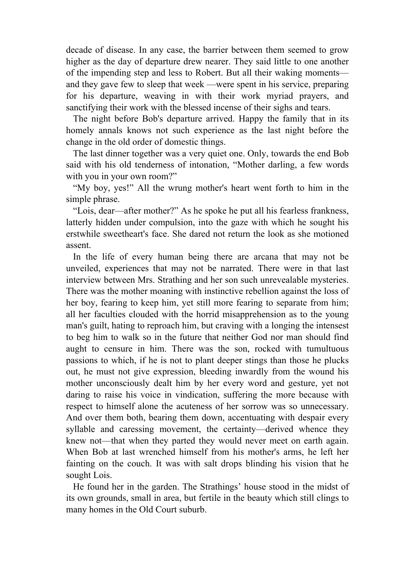decade of disease. In any case, the barrier between them seemed to grow higher as the day of departure drew nearer. They said little to one another of the impending step and less to Robert. But all their waking moments and they gave few to sleep that week —were spent in his service, preparing for his departure, weaving in with their work myriad prayers, and sanctifying their work with the blessed incense of their sighs and tears.

 The night before Bob's departure arrived. Happy the family that in its homely annals knows not such experience as the last night before the change in the old order of domestic things.

 The last dinner together was a very quiet one. Only, towards the end Bob said with his old tenderness of intonation, "Mother darling, a few words with you in your own room?"

 "My boy, yes!" All the wrung mother's heart went forth to him in the simple phrase.

 "Lois, dear—after mother?" As he spoke he put all his fearless frankness, latterly hidden under compulsion, into the gaze with which he sought his erstwhile sweetheart's face. She dared not return the look as she motioned assent.

 In the life of every human being there are arcana that may not be unveiled, experiences that may not be narrated. There were in that last interview between Mrs. Strathing and her son such unrevealable mysteries. There was the mother moaning with instinctive rebellion against the loss of her boy, fearing to keep him, yet still more fearing to separate from him; all her faculties clouded with the horrid misapprehension as to the young man's guilt, hating to reproach him, but craving with a longing the intensest to beg him to walk so in the future that neither God nor man should find aught to censure in him. There was the son, rocked with tumultuous passions to which, if he is not to plant deeper stings than those he plucks out, he must not give expression, bleeding inwardly from the wound his mother unconsciously dealt him by her every word and gesture, yet not daring to raise his voice in vindication, suffering the more because with respect to himself alone the acuteness of her sorrow was so unnecessary. And over them both, bearing them down, accentuating with despair every syllable and caressing movement, the certainty—derived whence they knew not—that when they parted they would never meet on earth again. When Bob at last wrenched himself from his mother's arms, he left her fainting on the couch. It was with salt drops blinding his vision that he sought Lois.

 He found her in the garden. The Strathings' house stood in the midst of its own grounds, small in area, but fertile in the beauty which still clings to many homes in the Old Court suburb.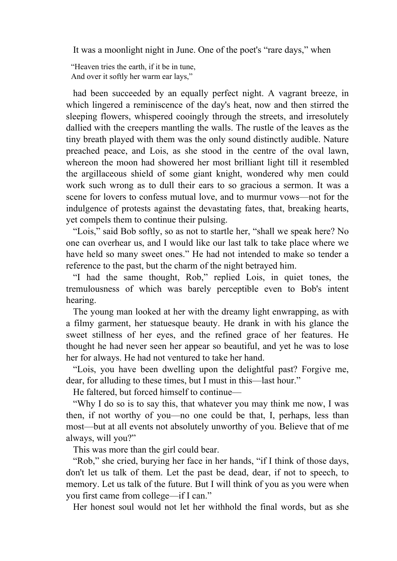It was a moonlight night in June. One of the poet's "rare days," when

"Heaven tries the earth, if it be in tune, And over it softly her warm ear lays,"

 had been succeeded by an equally perfect night. A vagrant breeze, in which lingered a reminiscence of the day's heat, now and then stirred the sleeping flowers, whispered cooingly through the streets, and irresolutely dallied with the creepers mantling the walls. The rustle of the leaves as the tiny breath played with them was the only sound distinctly audible. Nature preached peace, and Lois, as she stood in the centre of the oval lawn, whereon the moon had showered her most brilliant light till it resembled the argillaceous shield of some giant knight, wondered why men could work such wrong as to dull their ears to so gracious a sermon. It was a scene for lovers to confess mutual love, and to murmur vows—not for the indulgence of protests against the devastating fates, that, breaking hearts, yet compels them to continue their pulsing.

 "Lois," said Bob softly, so as not to startle her, "shall we speak here? No one can overhear us, and I would like our last talk to take place where we have held so many sweet ones." He had not intended to make so tender a reference to the past, but the charm of the night betrayed him.

 "I had the same thought, Rob," replied Lois, in quiet tones, the tremulousness of which was barely perceptible even to Bob's intent hearing.

 The young man looked at her with the dreamy light enwrapping, as with a filmy garment, her statuesque beauty. He drank in with his glance the sweet stillness of her eyes, and the refined grace of her features. He thought he had never seen her appear so beautiful, and yet he was to lose her for always. He had not ventured to take her hand.

 "Lois, you have been dwelling upon the delightful past? Forgive me, dear, for alluding to these times, but I must in this—last hour."

He faltered, but forced himself to continue—

 "Why I do so is to say this, that whatever you may think me now, I was then, if not worthy of you—no one could be that, I, perhaps, less than most—but at all events not absolutely unworthy of you. Believe that of me always, will you?"

This was more than the girl could bear.

"Rob," she cried, burying her face in her hands, "if I think of those days, don't let us talk of them. Let the past be dead, dear, if not to speech, to memory. Let us talk of the future. But I will think of you as you were when you first came from college—if I can."

Her honest soul would not let her withhold the final words, but as she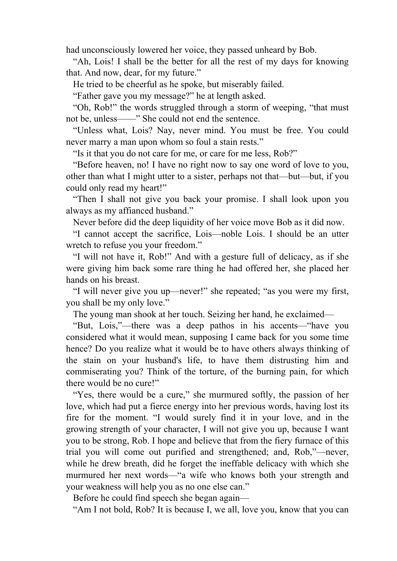had unconsciously lowered her voice, they passed unheard by Bob.

 "Ah, Lois! I shall be the better for all the rest of my days for knowing that. And now, dear, for my future."

He tried to be cheerful as he spoke, but miserably failed.

"Father gave you my message?" he at length asked.

 "Oh, Rob!" the words struggled through a storm of weeping, "that must not be, unless——" She could not end the sentence.

 "Unless what, Lois? Nay, never mind. You must be free. You could never marry a man upon whom so foul a stain rests."

"Is it that you do not care for me, or care for me less, Rob?"

 "Before heaven, no! I have no right now to say one word of love to you, other than what I might utter to a sister, perhaps not that—but—but, if you could only read my heart!"

 "Then I shall not give you back your promise. I shall look upon you always as my affianced husband."

Never before did the deep liquidity of her voice move Bob as it did now.

 "I cannot accept the sacrifice, Lois—noble Lois. I should be an utter wretch to refuse you your freedom."

 "I will not have it, Rob!" And with a gesture full of delicacy, as if she were giving him back some rare thing he had offered her, she placed her hands on his breast.

 "I will never give you up—never!" she repeated; "as you were my first, you shall be my only love."

The young man shook at her touch. Seizing her hand, he exclaimed—

 "But, Lois,"—there was a deep pathos in his accents—"have you considered what it would mean, supposing I came back for you some time hence? Do you realize what it would be to have others always thinking of the stain on your husband's life, to have them distrusting him and commiserating you? Think of the torture, of the burning pain, for which there would be no cure!"

 "Yes, there would be a cure," she murmured softly, the passion of her love, which had put a fierce energy into her previous words, having lost its fire for the moment. "I would surely find it in your love, and in the growing strength of your character, I will not give you up, because I want you to be strong, Rob. I hope and believe that from the fiery furnace of this trial you will come out purified and strengthened; and, Rob,"—never, while he drew breath, did he forget the ineffable delicacy with which she murmured her next words—"a wife who knows both your strength and your weakness will help you as no one else can."

Before he could find speech she began again—

"Am I not bold, Rob? It is because I, we all, love you, know that you can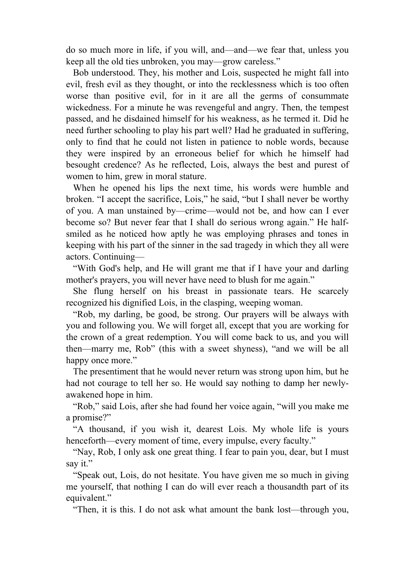do so much more in life, if you will, and—and—we fear that, unless you keep all the old ties unbroken, you may—grow careless."

 Bob understood. They, his mother and Lois, suspected he might fall into evil, fresh evil as they thought, or into the recklessness which is too often worse than positive evil, for in it are all the germs of consummate wickedness. For a minute he was revengeful and angry. Then, the tempest passed, and he disdained himself for his weakness, as he termed it. Did he need further schooling to play his part well? Had he graduated in suffering, only to find that he could not listen in patience to noble words, because they were inspired by an erroneous belief for which he himself had besought credence? As he reflected, Lois, always the best and purest of women to him, grew in moral stature.

 When he opened his lips the next time, his words were humble and broken. "I accept the sacrifice, Lois," he said, "but I shall never be worthy of you. A man unstained by—crime—would not be, and how can I ever become so? But never fear that I shall do serious wrong again." He halfsmiled as he noticed how aptly he was employing phrases and tones in keeping with his part of the sinner in the sad tragedy in which they all were actors. Continuing—

 "With God's help, and He will grant me that if I have your and darling mother's prayers, you will never have need to blush for me again."

 She flung herself on his breast in passionate tears. He scarcely recognized his dignified Lois, in the clasping, weeping woman.

 "Rob, my darling, be good, be strong. Our prayers will be always with you and following you. We will forget all, except that you are working for the crown of a great redemption. You will come back to us, and you will then—marry me, Rob" (this with a sweet shyness), "and we will be all happy once more."

 The presentiment that he would never return was strong upon him, but he had not courage to tell her so. He would say nothing to damp her newlyawakened hope in him.

 "Rob," said Lois, after she had found her voice again, "will you make me a promise?"

 "A thousand, if you wish it, dearest Lois. My whole life is yours henceforth—every moment of time, every impulse, every faculty."

 "Nay, Rob, I only ask one great thing. I fear to pain you, dear, but I must say it."

 "Speak out, Lois, do not hesitate. You have given me so much in giving me yourself, that nothing I can do will ever reach a thousandth part of its equivalent."

"Then, it is this. I do not ask what amount the bank lost—through you,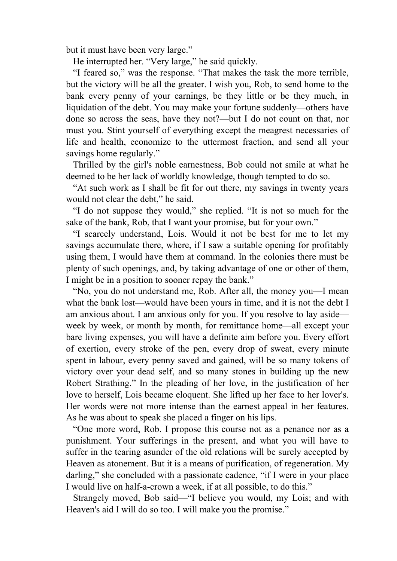but it must have been very large."

He interrupted her. "Very large," he said quickly.

 "I feared so," was the response. "That makes the task the more terrible, but the victory will be all the greater. I wish you, Rob, to send home to the bank every penny of your earnings, be they little or be they much, in liquidation of the debt. You may make your fortune suddenly—others have done so across the seas, have they not?—but I do not count on that, nor must you. Stint yourself of everything except the meagrest necessaries of life and health, economize to the uttermost fraction, and send all your savings home regularly."

 Thrilled by the girl's noble earnestness, Bob could not smile at what he deemed to be her lack of worldly knowledge, though tempted to do so.

 "At such work as I shall be fit for out there, my savings in twenty years would not clear the debt," he said.

 "I do not suppose they would," she replied. "It is not so much for the sake of the bank, Rob, that I want your promise, but for your own."

 "I scarcely understand, Lois. Would it not be best for me to let my savings accumulate there, where, if I saw a suitable opening for profitably using them, I would have them at command. In the colonies there must be plenty of such openings, and, by taking advantage of one or other of them, I might be in a position to sooner repay the bank."

 "No, you do not understand me, Rob. After all, the money you—I mean what the bank lost—would have been yours in time, and it is not the debt I am anxious about. I am anxious only for you. If you resolve to lay aside week by week, or month by month, for remittance home—all except your bare living expenses, you will have a definite aim before you. Every effort of exertion, every stroke of the pen, every drop of sweat, every minute spent in labour, every penny saved and gained, will be so many tokens of victory over your dead self, and so many stones in building up the new Robert Strathing." In the pleading of her love, in the justification of her love to herself, Lois became eloquent. She lifted up her face to her lover's. Her words were not more intense than the earnest appeal in her features. As he was about to speak she placed a finger on his lips.

 "One more word, Rob. I propose this course not as a penance nor as a punishment. Your sufferings in the present, and what you will have to suffer in the tearing asunder of the old relations will be surely accepted by Heaven as atonement. But it is a means of purification, of regeneration. My darling," she concluded with a passionate cadence, "if I were in your place I would live on half-a-crown a week, if at all possible, to do this."

 Strangely moved, Bob said—"I believe you would, my Lois; and with Heaven's aid I will do so too. I will make you the promise."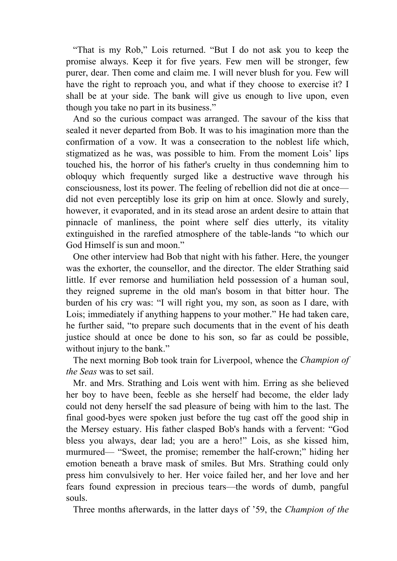"That is my Rob," Lois returned. "But I do not ask you to keep the promise always. Keep it for five years. Few men will be stronger, few purer, dear. Then come and claim me. I will never blush for you. Few will have the right to reproach you, and what if they choose to exercise it? I shall be at your side. The bank will give us enough to live upon, even though you take no part in its business."

 And so the curious compact was arranged. The savour of the kiss that sealed it never departed from Bob. It was to his imagination more than the confirmation of a vow. It was a consecration to the noblest life which, stigmatized as he was, was possible to him. From the moment Lois' lips touched his, the horror of his father's cruelty in thus condemning him to obloquy which frequently surged like a destructive wave through his consciousness, lost its power. The feeling of rebellion did not die at once did not even perceptibly lose its grip on him at once. Slowly and surely, however, it evaporated, and in its stead arose an ardent desire to attain that pinnacle of manliness, the point where self dies utterly, its vitality extinguished in the rarefied atmosphere of the table-lands "to which our God Himself is sun and moon."

 One other interview had Bob that night with his father. Here, the younger was the exhorter, the counsellor, and the director. The elder Strathing said little. If ever remorse and humiliation held possession of a human soul, they reigned supreme in the old man's bosom in that bitter hour. The burden of his cry was: "I will right you, my son, as soon as I dare, with Lois; immediately if anything happens to your mother." He had taken care, he further said, "to prepare such documents that in the event of his death justice should at once be done to his son, so far as could be possible, without injury to the bank."

 The next morning Bob took train for Liverpool, whence the *Champion of the Seas* was to set sail.

 Mr. and Mrs. Strathing and Lois went with him. Erring as she believed her boy to have been, feeble as she herself had become, the elder lady could not deny herself the sad pleasure of being with him to the last. The final good-byes were spoken just before the tug cast off the good ship in the Mersey estuary. His father clasped Bob's hands with a fervent: "God bless you always, dear lad; you are a hero!" Lois, as she kissed him, murmured— "Sweet, the promise; remember the half-crown;" hiding her emotion beneath a brave mask of smiles. But Mrs. Strathing could only press him convulsively to her. Her voice failed her, and her love and her fears found expression in precious tears—the words of dumb, pangful souls.

Three months afterwards, in the latter days of '59, the *Champion of the*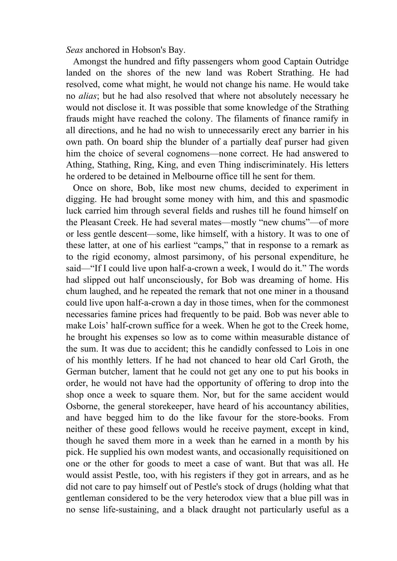*Seas* anchored in Hobson's Bay.

 Amongst the hundred and fifty passengers whom good Captain Outridge landed on the shores of the new land was Robert Strathing. He had resolved, come what might, he would not change his name. He would take no *alias*; but he had also resolved that where not absolutely necessary he would not disclose it. It was possible that some knowledge of the Strathing frauds might have reached the colony. The filaments of finance ramify in all directions, and he had no wish to unnecessarily erect any barrier in his own path. On board ship the blunder of a partially deaf purser had given him the choice of several cognomens—none correct. He had answered to Athing, Stathing, Ring, King, and even Thing indiscriminately. His letters he ordered to be detained in Melbourne office till he sent for them.

 Once on shore, Bob, like most new chums, decided to experiment in digging. He had brought some money with him, and this and spasmodic luck carried him through several fields and rushes till he found himself on the Pleasant Creek. He had several mates—mostly "new chums"—of more or less gentle descent—some, like himself, with a history. It was to one of these latter, at one of his earliest "camps," that in response to a remark as to the rigid economy, almost parsimony, of his personal expenditure, he said—"If I could live upon half-a-crown a week, I would do it." The words had slipped out half unconsciously, for Bob was dreaming of home. His chum laughed, and he repeated the remark that not one miner in a thousand could live upon half-a-crown a day in those times, when for the commonest necessaries famine prices had frequently to be paid. Bob was never able to make Lois' half-crown suffice for a week. When he got to the Creek home, he brought his expenses so low as to come within measurable distance of the sum. It was due to accident; this he candidly confessed to Lois in one of his monthly letters. If he had not chanced to hear old Carl Groth, the German butcher, lament that he could not get any one to put his books in order, he would not have had the opportunity of offering to drop into the shop once a week to square them. Nor, but for the same accident would Osborne, the general storekeeper, have heard of his accountancy abilities, and have begged him to do the like favour for the store-books. From neither of these good fellows would he receive payment, except in kind, though he saved them more in a week than he earned in a month by his pick. He supplied his own modest wants, and occasionally requisitioned on one or the other for goods to meet a case of want. But that was all. He would assist Pestle, too, with his registers if they got in arrears, and as he did not care to pay himself out of Pestle's stock of drugs (holding what that gentleman considered to be the very heterodox view that a blue pill was in no sense life-sustaining, and a black draught not particularly useful as a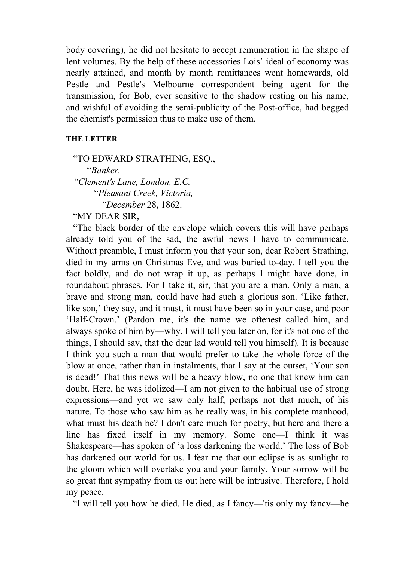body covering), he did not hesitate to accept remuneration in the shape of lent volumes. By the help of these accessories Lois' ideal of economy was nearly attained, and month by month remittances went homewards, old Pestle and Pestle's Melbourne correspondent being agent for the transmission, for Bob, ever sensitive to the shadow resting on his name, and wishful of avoiding the semi-publicity of the Post-office, had begged the chemist's permission thus to make use of them.

### **THE LETTER**

 "TO EDWARD STRATHING, ESQ., "*Banker, "Clement's Lane, London, E.C.* "*Pleasant Creek, Victoria, "December* 28, 1862.

"MY DEAR SIR,

 "The black border of the envelope which covers this will have perhaps already told you of the sad, the awful news I have to communicate. Without preamble, I must inform you that your son, dear Robert Strathing, died in my arms on Christmas Eve, and was buried to-day. I tell you the fact boldly, and do not wrap it up, as perhaps I might have done, in roundabout phrases. For I take it, sir, that you are a man. Only a man, a brave and strong man, could have had such a glorious son. 'Like father, like son,' they say, and it must, it must have been so in your case, and poor 'Half-Crown.' (Pardon me, it's the name we oftenest called him, and always spoke of him by—why, I will tell you later on, for it's not one of the things, I should say, that the dear lad would tell you himself). It is because I think you such a man that would prefer to take the whole force of the blow at once, rather than in instalments, that I say at the outset, 'Your son is dead!' That this news will be a heavy blow, no one that knew him can doubt. Here, he was idolized—I am not given to the habitual use of strong expressions—and yet we saw only half, perhaps not that much, of his nature. To those who saw him as he really was, in his complete manhood, what must his death be? I don't care much for poetry, but here and there a line has fixed itself in my memory. Some one—I think it was Shakespeare—has spoken of 'a loss darkening the world.' The loss of Bob has darkened our world for us. I fear me that our eclipse is as sunlight to the gloom which will overtake you and your family. Your sorrow will be so great that sympathy from us out here will be intrusive. Therefore, I hold my peace.

"I will tell you how he died. He died, as I fancy—'tis only my fancy—he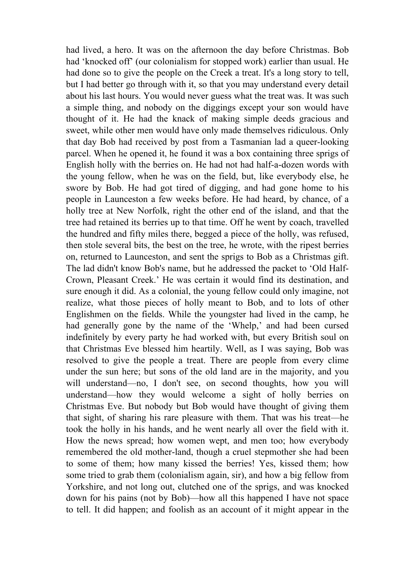had lived, a hero. It was on the afternoon the day before Christmas. Bob had 'knocked off' (our colonialism for stopped work) earlier than usual. He had done so to give the people on the Creek a treat. It's a long story to tell, but I had better go through with it, so that you may understand every detail about his last hours. You would never guess what the treat was. It was such a simple thing, and nobody on the diggings except your son would have thought of it. He had the knack of making simple deeds gracious and sweet, while other men would have only made themselves ridiculous. Only that day Bob had received by post from a Tasmanian lad a queer-looking parcel. When he opened it, he found it was a box containing three sprigs of English holly with the berries on. He had not had half-a-dozen words with the young fellow, when he was on the field, but, like everybody else, he swore by Bob. He had got tired of digging, and had gone home to his people in Launceston a few weeks before. He had heard, by chance, of a holly tree at New Norfolk, right the other end of the island, and that the tree had retained its berries up to that time. Off he went by coach, travelled the hundred and fifty miles there, begged a piece of the holly, was refused, then stole several bits, the best on the tree, he wrote, with the ripest berries on, returned to Launceston, and sent the sprigs to Bob as a Christmas gift. The lad didn't know Bob's name, but he addressed the packet to 'Old Half-Crown, Pleasant Creek.' He was certain it would find its destination, and sure enough it did. As a colonial, the young fellow could only imagine, not realize, what those pieces of holly meant to Bob, and to lots of other Englishmen on the fields. While the youngster had lived in the camp, he had generally gone by the name of the 'Whelp,' and had been cursed indefinitely by every party he had worked with, but every British soul on that Christmas Eve blessed him heartily. Well, as I was saying, Bob was resolved to give the people a treat. There are people from every clime under the sun here; but sons of the old land are in the majority, and you will understand—no, I don't see, on second thoughts, how you will understand—how they would welcome a sight of holly berries on Christmas Eve. But nobody but Bob would have thought of giving them that sight, of sharing his rare pleasure with them. That was his treat—he took the holly in his hands, and he went nearly all over the field with it. How the news spread; how women wept, and men too; how everybody remembered the old mother-land, though a cruel stepmother she had been to some of them; how many kissed the berries! Yes, kissed them; how some tried to grab them (colonialism again, sir), and how a big fellow from Yorkshire, and not long out, clutched one of the sprigs, and was knocked down for his pains (not by Bob)—how all this happened I have not space to tell. It did happen; and foolish as an account of it might appear in the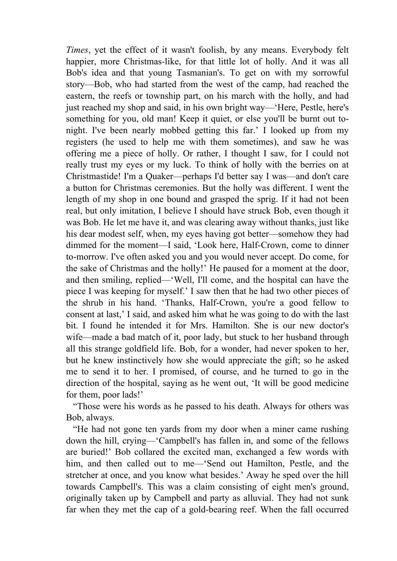*Times*, yet the effect of it wasn't foolish, by any means. Everybody felt happier, more Christmas-like, for that little lot of holly. And it was all Bob's idea and that young Tasmanian's. To get on with my sorrowful story—Bob, who had started from the west of the camp, had reached the eastern, the reefs or township part, on his march with the holly, and had just reached my shop and said, in his own bright way—'Here, Pestle, here's something for you, old man! Keep it quiet, or else you'll be burnt out tonight. I've been nearly mobbed getting this far.' I looked up from my registers (he used to help me with them sometimes), and saw he was offering me a piece of holly. Or rather, I thought I saw, for I could not really trust my eyes or my luck. To think of holly with the berries on at Christmastide! I'm a Quaker—perhaps I'd better say I was—and don't care a button for Christmas ceremonies. But the holly was different. I went the length of my shop in one bound and grasped the sprig. If it had not been real, but only imitation, I believe I should have struck Bob, even though it was Bob. He let me have it, and was clearing away without thanks, just like his dear modest self, when, my eyes having got better—somehow they had dimmed for the moment—I said, 'Look here, Half-Crown, come to dinner to-morrow. I've often asked you and you would never accept. Do come, for the sake of Christmas and the holly!' He paused for a moment at the door, and then smiling, replied—'Well, I'll come, and the hospital can have the piece I was keeping for myself.' I saw then that he had two other pieces of the shrub in his hand. 'Thanks, Half-Crown, you're a good fellow to consent at last,' I said, and asked him what he was going to do with the last bit. I found he intended it for Mrs. Hamilton. She is our new doctor's wife—made a bad match of it, poor lady, but stuck to her husband through all this strange goldfield life. Bob, for a wonder, had never spoken to her, but he knew instinctively how she would appreciate the gift; so he asked me to send it to her. I promised, of course, and he turned to go in the direction of the hospital, saying as he went out, 'It will be good medicine for them, poor lads!'

 "Those were his words as he passed to his death. Always for others was Bob, always.

 "He had not gone ten yards from my door when a miner came rushing down the hill, crying—'Campbell's has fallen in, and some of the fellows are buried!' Bob collared the excited man, exchanged a few words with him, and then called out to me—'Send out Hamilton, Pestle, and the stretcher at once, and you know what besides.' Away he sped over the hill towards Campbell's. This was a claim consisting of eight men's ground, originally taken up by Campbell and party as alluvial. They had not sunk far when they met the cap of a gold-bearing reef. When the fall occurred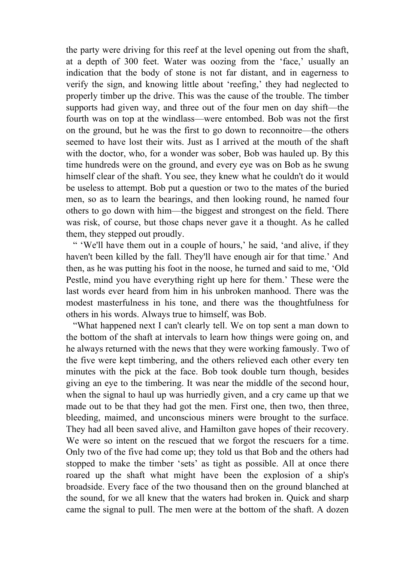the party were driving for this reef at the level opening out from the shaft, at a depth of 300 feet. Water was oozing from the 'face,' usually an indication that the body of stone is not far distant, and in eagerness to verify the sign, and knowing little about 'reefing,' they had neglected to properly timber up the drive. This was the cause of the trouble. The timber supports had given way, and three out of the four men on day shift—the fourth was on top at the windlass—were entombed. Bob was not the first on the ground, but he was the first to go down to reconnoitre—the others seemed to have lost their wits. Just as I arrived at the mouth of the shaft with the doctor, who, for a wonder was sober, Bob was hauled up. By this time hundreds were on the ground, and every eye was on Bob as he swung himself clear of the shaft. You see, they knew what he couldn't do it would be useless to attempt. Bob put a question or two to the mates of the buried men, so as to learn the bearings, and then looking round, he named four others to go down with him—the biggest and strongest on the field. There was risk, of course, but those chaps never gave it a thought. As he called them, they stepped out proudly.

" 'We'll have them out in a couple of hours,' he said, 'and alive, if they haven't been killed by the fall. They'll have enough air for that time.' And then, as he was putting his foot in the noose, he turned and said to me, 'Old Pestle, mind you have everything right up here for them.' These were the last words ever heard from him in his unbroken manhood. There was the modest masterfulness in his tone, and there was the thoughtfulness for others in his words. Always true to himself, was Bob.

 "What happened next I can't clearly tell. We on top sent a man down to the bottom of the shaft at intervals to learn how things were going on, and he always returned with the news that they were working famously. Two of the five were kept timbering, and the others relieved each other every ten minutes with the pick at the face. Bob took double turn though, besides giving an eye to the timbering. It was near the middle of the second hour, when the signal to haul up was hurriedly given, and a cry came up that we made out to be that they had got the men. First one, then two, then three, bleeding, maimed, and unconscious miners were brought to the surface. They had all been saved alive, and Hamilton gave hopes of their recovery. We were so intent on the rescued that we forgot the rescuers for a time. Only two of the five had come up; they told us that Bob and the others had stopped to make the timber 'sets' as tight as possible. All at once there roared up the shaft what might have been the explosion of a ship's broadside. Every face of the two thousand then on the ground blanched at the sound, for we all knew that the waters had broken in. Quick and sharp came the signal to pull. The men were at the bottom of the shaft. A dozen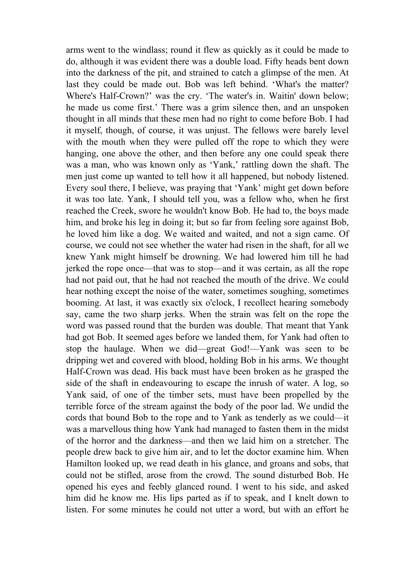arms went to the windlass; round it flew as quickly as it could be made to do, although it was evident there was a double load. Fifty heads bent down into the darkness of the pit, and strained to catch a glimpse of the men. At last they could be made out. Bob was left behind. 'What's the matter? Where's Half-Crown?' was the cry. 'The water's in. Waitin' down below; he made us come first.' There was a grim silence then, and an unspoken thought in all minds that these men had no right to come before Bob. I had it myself, though, of course, it was unjust. The fellows were barely level with the mouth when they were pulled off the rope to which they were hanging, one above the other, and then before any one could speak there was a man, who was known only as 'Yank,' rattling down the shaft. The men just come up wanted to tell how it all happened, but nobody listened. Every soul there, I believe, was praying that 'Yank' might get down before it was too late. Yank, I should tell you, was a fellow who, when he first reached the Creek, swore he wouldn't know Bob. He had to, the boys made him, and broke his leg in doing it; but so far from feeling sore against Bob, he loved him like a dog. We waited and waited, and not a sign came. Of course, we could not see whether the water had risen in the shaft, for all we knew Yank might himself be drowning. We had lowered him till he had jerked the rope once—that was to stop—and it was certain, as all the rope had not paid out, that he had not reached the mouth of the drive. We could hear nothing except the noise of the water, sometimes soughing, sometimes booming. At last, it was exactly six o'clock, I recollect hearing somebody say, came the two sharp jerks. When the strain was felt on the rope the word was passed round that the burden was double. That meant that Yank had got Bob. It seemed ages before we landed them, for Yank had often to stop the haulage. When we did—great God!—Yank was seen to be dripping wet and covered with blood, holding Bob in his arms. We thought Half-Crown was dead. His back must have been broken as he grasped the side of the shaft in endeavouring to escape the inrush of water. A log, so Yank said, of one of the timber sets, must have been propelled by the terrible force of the stream against the body of the poor lad. We undid the cords that bound Bob to the rope and to Yank as tenderly as we could—it was a marvellous thing how Yank had managed to fasten them in the midst of the horror and the darkness—and then we laid him on a stretcher. The people drew back to give him air, and to let the doctor examine him. When Hamilton looked up, we read death in his glance, and groans and sobs, that could not be stifled, arose from the crowd. The sound disturbed Bob. He opened his eyes and feebly glanced round. I went to his side, and asked him did he know me. His lips parted as if to speak, and I knelt down to listen. For some minutes he could not utter a word, but with an effort he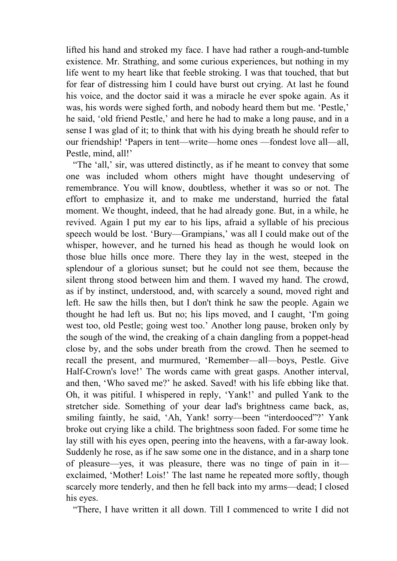lifted his hand and stroked my face. I have had rather a rough-and-tumble existence. Mr. Strathing, and some curious experiences, but nothing in my life went to my heart like that feeble stroking. I was that touched, that but for fear of distressing him I could have burst out crying. At last he found his voice, and the doctor said it was a miracle he ever spoke again. As it was, his words were sighed forth, and nobody heard them but me. 'Pestle,' he said, 'old friend Pestle,' and here he had to make a long pause, and in a sense I was glad of it; to think that with his dying breath he should refer to our friendship! 'Papers in tent—write—home ones —fondest love all—all, Pestle, mind, all!'

 "The 'all,' sir, was uttered distinctly, as if he meant to convey that some one was included whom others might have thought undeserving of remembrance. You will know, doubtless, whether it was so or not. The effort to emphasize it, and to make me understand, hurried the fatal moment. We thought, indeed, that he had already gone. But, in a while, he revived. Again I put my ear to his lips, afraid a syllable of his precious speech would be lost. 'Bury—Grampians,' was all I could make out of the whisper, however, and he turned his head as though he would look on those blue hills once more. There they lay in the west, steeped in the splendour of a glorious sunset; but he could not see them, because the silent throng stood between him and them. I waved my hand. The crowd, as if by instinct, understood, and, with scarcely a sound, moved right and left. He saw the hills then, but I don't think he saw the people. Again we thought he had left us. But no; his lips moved, and I caught, 'I'm going west too, old Pestle; going west too.' Another long pause, broken only by the sough of the wind, the creaking of a chain dangling from a poppet-head close by, and the sobs under breath from the crowd. Then he seemed to recall the present, and murmured, 'Remember—all—boys, Pestle. Give Half-Crown's love!' The words came with great gasps. Another interval, and then, 'Who saved me?' he asked. Saved! with his life ebbing like that. Oh, it was pitiful. I whispered in reply, 'Yank!' and pulled Yank to the stretcher side. Something of your dear lad's brightness came back, as, smiling faintly, he said, 'Ah, Yank! sorry—been "interdooced"?' Yank broke out crying like a child. The brightness soon faded. For some time he lay still with his eyes open, peering into the heavens, with a far-away look. Suddenly he rose, as if he saw some one in the distance, and in a sharp tone of pleasure—yes, it was pleasure, there was no tinge of pain in it exclaimed, 'Mother! Lois!' The last name he repeated more softly, though scarcely more tenderly, and then he fell back into my arms—dead; I closed his eyes.

"There, I have written it all down. Till I commenced to write I did not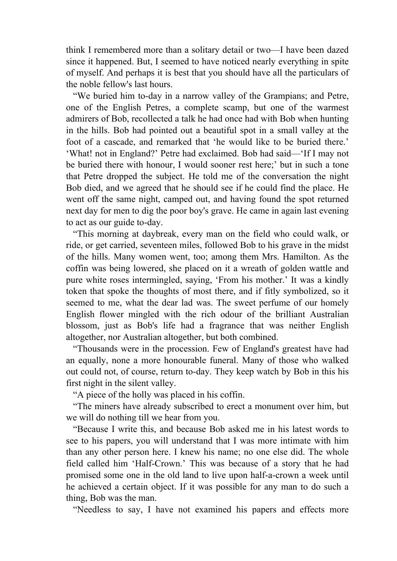think I remembered more than a solitary detail or two—I have been dazed since it happened. But, I seemed to have noticed nearly everything in spite of myself. And perhaps it is best that you should have all the particulars of the noble fellow's last hours.

 "We buried him to-day in a narrow valley of the Grampians; and Petre, one of the English Petres, a complete scamp, but one of the warmest admirers of Bob, recollected a talk he had once had with Bob when hunting in the hills. Bob had pointed out a beautiful spot in a small valley at the foot of a cascade, and remarked that 'he would like to be buried there.' 'What! not in England?' Petre had exclaimed. Bob had said—'If I may not be buried there with honour, I would sooner rest here;' but in such a tone that Petre dropped the subject. He told me of the conversation the night Bob died, and we agreed that he should see if he could find the place. He went off the same night, camped out, and having found the spot returned next day for men to dig the poor boy's grave. He came in again last evening to act as our guide to-day.

 "This morning at daybreak, every man on the field who could walk, or ride, or get carried, seventeen miles, followed Bob to his grave in the midst of the hills. Many women went, too; among them Mrs. Hamilton. As the coffin was being lowered, she placed on it a wreath of golden wattle and pure white roses intermingled, saying, 'From his mother.' It was a kindly token that spoke the thoughts of most there, and if fitly symbolized, so it seemed to me, what the dear lad was. The sweet perfume of our homely English flower mingled with the rich odour of the brilliant Australian blossom, just as Bob's life had a fragrance that was neither English altogether, nor Australian altogether, but both combined.

 "Thousands were in the procession. Few of England's greatest have had an equally, none a more honourable funeral. Many of those who walked out could not, of course, return to-day. They keep watch by Bob in this his first night in the silent valley.

"A piece of the holly was placed in his coffin.

 "The miners have already subscribed to erect a monument over him, but we will do nothing till we hear from you.

 "Because I write this, and because Bob asked me in his latest words to see to his papers, you will understand that I was more intimate with him than any other person here. I knew his name; no one else did. The whole field called him 'Half-Crown.' This was because of a story that he had promised some one in the old land to live upon half-a-crown a week until he achieved a certain object. If it was possible for any man to do such a thing, Bob was the man.

"Needless to say, I have not examined his papers and effects more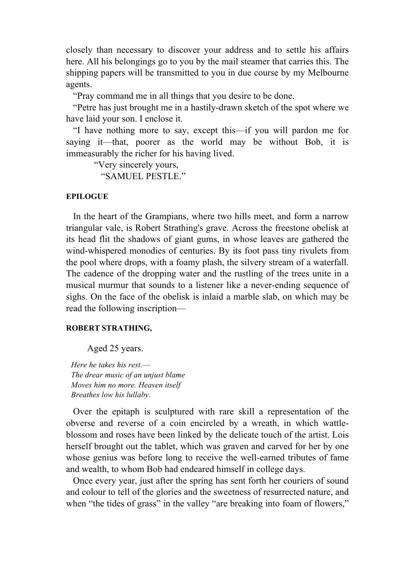closely than necessary to discover your address and to settle his affairs here. All his belongings go to you by the mail steamer that carries this. The shipping papers will be transmitted to you in due course by my Melbourne agents.

"Pray command me in all things that you desire to be done.

 "Petre has just brought me in a hastily-drawn sketch of the spot where we have laid your son. I enclose it.

 "I have nothing more to say, except this—if you will pardon me for saying it—that, poorer as the world may be without Bob, it is immeasurably the richer for his having lived.

 "Very sincerely yours, "SAMUEL PESTLE."

#### **EPILOGUE**

 In the heart of the Grampians, where two hills meet, and form a narrow triangular vale, is Robert Strathing's grave. Across the freestone obelisk at its head flit the shadows of giant gums, in whose leaves are gathered the wind-whispered monodies of centuries. By its foot pass tiny rivulets from the pool where drops, with a foamy plash, the silvery stream of a waterfall. The cadence of the dropping water and the rustling of the trees unite in a musical murmur that sounds to a listener like a never-ending sequence of sighs. On the face of the obelisk is inlaid a marble slab, on which may be read the following inscription—

#### **ROBERT STRATHING,**

Aged 25 years.

*Here he takes his rest*.— *The drear music of an unjust blame Moves him no more. Heaven itself Breathes low his lullaby*.

 Over the epitaph is sculptured with rare skill a representation of the obverse and reverse of a coin encircled by a wreath, in which wattleblossom and roses have been linked by the delicate touch of the artist. Lois herself brought out the tablet, which was graven and carved for her by one whose genius was before long to receive the well-earned tributes of fame and wealth, to whom Bob had endeared himself in college days.

 Once every year, just after the spring has sent forth her couriers of sound and colour to tell of the glories and the sweetness of resurrected nature, and when "the tides of grass" in the valley "are breaking into foam of flowers,"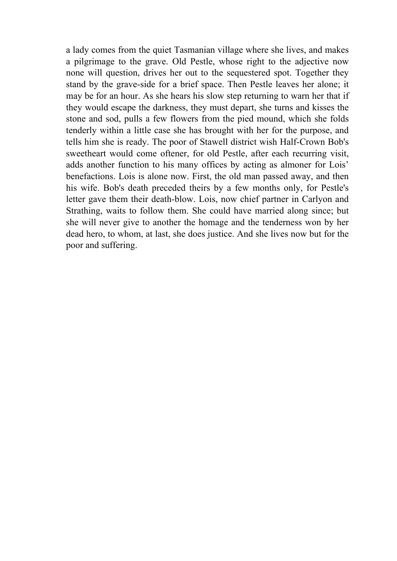a lady comes from the quiet Tasmanian village where she lives, and makes a pilgrimage to the grave. Old Pestle, whose right to the adjective now none will question, drives her out to the sequestered spot. Together they stand by the grave-side for a brief space. Then Pestle leaves her alone; it may be for an hour. As she hears his slow step returning to warn her that if they would escape the darkness, they must depart, she turns and kisses the stone and sod, pulls a few flowers from the pied mound, which she folds tenderly within a little case she has brought with her for the purpose, and tells him she is ready. The poor of Stawell district wish Half-Crown Bob's sweetheart would come oftener, for old Pestle, after each recurring visit, adds another function to his many offices by acting as almoner for Lois' benefactions. Lois is alone now. First, the old man passed away, and then his wife. Bob's death preceded theirs by a few months only, for Pestle's letter gave them their death-blow. Lois, now chief partner in Carlyon and Strathing, waits to follow them. She could have married along since; but she will never give to another the homage and the tenderness won by her dead hero, to whom, at last, she does justice. And she lives now but for the poor and suffering.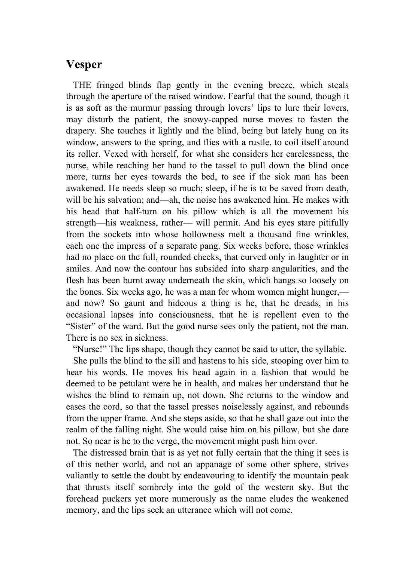# **Vesper**

 THE fringed blinds flap gently in the evening breeze, which steals through the aperture of the raised window. Fearful that the sound, though it is as soft as the murmur passing through lovers' lips to lure their lovers, may disturb the patient, the snowy-capped nurse moves to fasten the drapery. She touches it lightly and the blind, being but lately hung on its window, answers to the spring, and flies with a rustle, to coil itself around its roller. Vexed with herself, for what she considers her carelessness, the nurse, while reaching her hand to the tassel to pull down the blind once more, turns her eyes towards the bed, to see if the sick man has been awakened. He needs sleep so much; sleep, if he is to be saved from death, will be his salvation; and—ah, the noise has awakened him. He makes with his head that half-turn on his pillow which is all the movement his strength—his weakness, rather— will permit. And his eyes stare pitifully from the sockets into whose hollowness melt a thousand fine wrinkles, each one the impress of a separate pang. Six weeks before, those wrinkles had no place on the full, rounded cheeks, that curved only in laughter or in smiles. And now the contour has subsided into sharp angularities, and the flesh has been burnt away underneath the skin, which hangs so loosely on the bones. Six weeks ago, he was a man for whom women might hunger, and now? So gaunt and hideous a thing is he, that he dreads, in his occasional lapses into consciousness, that he is repellent even to the "Sister" of the ward. But the good nurse sees only the patient, not the man. There is no sex in sickness.

"Nurse!" The lips shape, though they cannot be said to utter, the syllable.

 She pulls the blind to the sill and hastens to his side, stooping over him to hear his words. He moves his head again in a fashion that would be deemed to be petulant were he in health, and makes her understand that he wishes the blind to remain up, not down. She returns to the window and eases the cord, so that the tassel presses noiselessly against, and rebounds from the upper frame. And she steps aside, so that he shall gaze out into the realm of the falling night. She would raise him on his pillow, but she dare not. So near is he to the verge, the movement might push him over.

 The distressed brain that is as yet not fully certain that the thing it sees is of this nether world, and not an appanage of some other sphere, strives valiantly to settle the doubt by endeavouring to identify the mountain peak that thrusts itself sombrely into the gold of the western sky. But the forehead puckers yet more numerously as the name eludes the weakened memory, and the lips seek an utterance which will not come.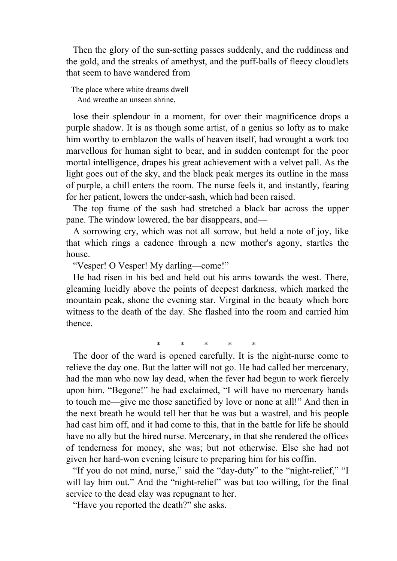Then the glory of the sun-setting passes suddenly, and the ruddiness and the gold, and the streaks of amethyst, and the puff-balls of fleecy cloudlets that seem to have wandered from

The place where white dreams dwell And wreathe an unseen shrine,

 lose their splendour in a moment, for over their magnificence drops a purple shadow. It is as though some artist, of a genius so lofty as to make him worthy to emblazon the walls of heaven itself, had wrought a work too marvellous for human sight to bear, and in sudden contempt for the poor mortal intelligence, drapes his great achievement with a velvet pall. As the light goes out of the sky, and the black peak merges its outline in the mass of purple, a chill enters the room. The nurse feels it, and instantly, fearing for her patient, lowers the under-sash, which had been raised.

 The top frame of the sash had stretched a black bar across the upper pane. The window lowered, the bar disappears, and—

 A sorrowing cry, which was not all sorrow, but held a note of joy, like that which rings a cadence through a new mother's agony, startles the house.

"Vesper! O Vesper! My darling—come!"

 He had risen in his bed and held out his arms towards the west. There, gleaming lucidly above the points of deepest darkness, which marked the mountain peak, shone the evening star. Virginal in the beauty which bore witness to the death of the day. She flashed into the room and carried him thence.

\* \* \* \* \*

 The door of the ward is opened carefully. It is the night-nurse come to relieve the day one. But the latter will not go. He had called her mercenary, had the man who now lay dead, when the fever had begun to work fiercely upon him. "Begone!" he had exclaimed, "I will have no mercenary hands to touch me—give me those sanctified by love or none at all!" And then in the next breath he would tell her that he was but a wastrel, and his people had cast him off, and it had come to this, that in the battle for life he should have no ally but the hired nurse. Mercenary, in that she rendered the offices of tenderness for money, she was; but not otherwise. Else she had not given her hard-won evening leisure to preparing him for his coffin.

 "If you do not mind, nurse," said the "day-duty" to the "night-relief," "I will lay him out." And the "night-relief" was but too willing, for the final service to the dead clay was repugnant to her.

"Have you reported the death?" she asks.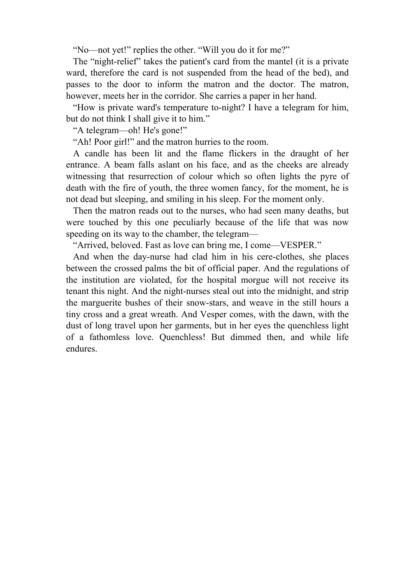"No—not yet!" replies the other. "Will you do it for me?"

 The "night-relief" takes the patient's card from the mantel (it is a private ward, therefore the card is not suspended from the head of the bed), and passes to the door to inform the matron and the doctor. The matron, however, meets her in the corridor. She carries a paper in her hand.

 "How is private ward's temperature to-night? I have a telegram for him, but do not think I shall give it to him."

"A telegram—oh! He's gone!"

"Ah! Poor girl!" and the matron hurries to the room.

 A candle has been lit and the flame flickers in the draught of her entrance. A beam falls aslant on his face, and as the cheeks are already witnessing that resurrection of colour which so often lights the pyre of death with the fire of youth, the three women fancy, for the moment, he is not dead but sleeping, and smiling in his sleep. For the moment only.

 Then the matron reads out to the nurses, who had seen many deaths, but were touched by this one peculiarly because of the life that was now speeding on its way to the chamber, the telegram—

"Arrived, beloved. Fast as love can bring me, I come—VESPER."

 And when the day-nurse had clad him in his cere-clothes, she places between the crossed palms the bit of official paper. And the regulations of the institution are violated, for the hospital morgue will not receive its tenant this night. And the night-nurses steal out into the midnight, and strip the marguerite bushes of their snow-stars, and weave in the still hours a tiny cross and a great wreath. And Vesper comes, with the dawn, with the dust of long travel upon her garments, but in her eyes the quenchless light of a fathomless love. Quenchless! But dimmed then, and while life endures.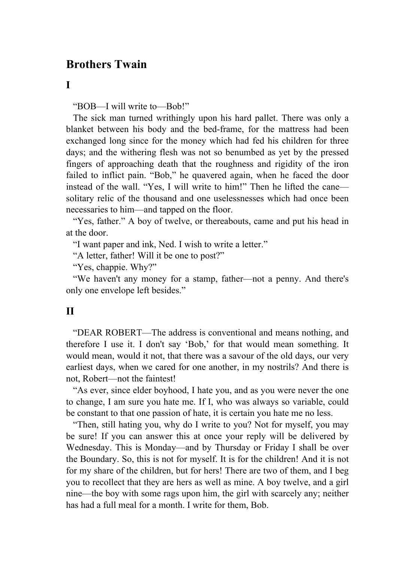# **Brothers Twain**

### **I**

"BOB—I will write to—Bob!"

 The sick man turned writhingly upon his hard pallet. There was only a blanket between his body and the bed-frame, for the mattress had been exchanged long since for the money which had fed his children for three days; and the withering flesh was not so benumbed as yet by the pressed fingers of approaching death that the roughness and rigidity of the iron failed to inflict pain. "Bob," he quavered again, when he faced the door instead of the wall. "Yes, I will write to him!" Then he lifted the cane solitary relic of the thousand and one uselessnesses which had once been necessaries to him—and tapped on the floor.

"Yes, father." A boy of twelve, or thereabouts, came and put his head in at the door.

"I want paper and ink, Ned. I wish to write a letter."

"A letter, father! Will it be one to post?"

"Yes, chappie. Why?"

 "We haven't any money for a stamp, father—not a penny. And there's only one envelope left besides."

## **II**

 "DEAR ROBERT—The address is conventional and means nothing, and therefore I use it. I don't say 'Bob,' for that would mean something. It would mean, would it not, that there was a savour of the old days, our very earliest days, when we cared for one another, in my nostrils? And there is not, Robert—not the faintest!

 "As ever, since elder boyhood, I hate you, and as you were never the one to change, I am sure you hate me. If I, who was always so variable, could be constant to that one passion of hate, it is certain you hate me no less.

 "Then, still hating you, why do I write to you? Not for myself, you may be sure! If you can answer this at once your reply will be delivered by Wednesday. This is Monday—and by Thursday or Friday I shall be over the Boundary. So, this is not for myself. It is for the children! And it is not for my share of the children, but for hers! There are two of them, and I beg you to recollect that they are hers as well as mine. A boy twelve, and a girl nine—the boy with some rags upon him, the girl with scarcely any; neither has had a full meal for a month. I write for them, Bob.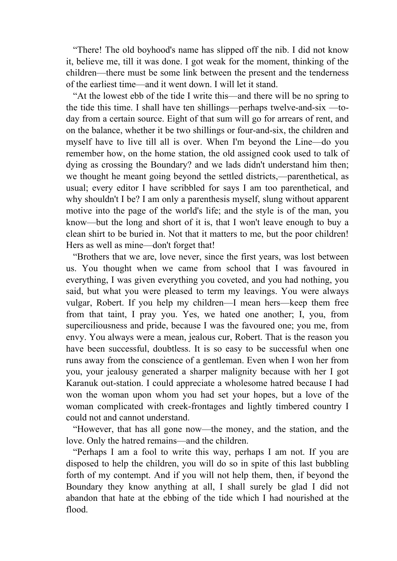"There! The old boyhood's name has slipped off the nib. I did not know it, believe me, till it was done. I got weak for the moment, thinking of the children—there must be some link between the present and the tenderness of the earliest time—and it went down. I will let it stand.

 "At the lowest ebb of the tide I write this—and there will be no spring to the tide this time. I shall have ten shillings—perhaps twelve-and-six —today from a certain source. Eight of that sum will go for arrears of rent, and on the balance, whether it be two shillings or four-and-six, the children and myself have to live till all is over. When I'm beyond the Line—do you remember how, on the home station, the old assigned cook used to talk of dying as crossing the Boundary? and we lads didn't understand him then; we thought he meant going beyond the settled districts,—parenthetical, as usual; every editor I have scribbled for says I am too parenthetical, and why shouldn't I be? I am only a parenthesis myself, slung without apparent motive into the page of the world's life; and the style is of the man, you know—but the long and short of it is, that I won't leave enough to buy a clean shirt to be buried in. Not that it matters to me, but the poor children! Hers as well as mine—don't forget that!

 "Brothers that we are, love never, since the first years, was lost between us. You thought when we came from school that I was favoured in everything, I was given everything you coveted, and you had nothing, you said, but what you were pleased to term my leavings. You were always vulgar, Robert. If you help my children—I mean hers—keep them free from that taint, I pray you. Yes, we hated one another; I, you, from superciliousness and pride, because I was the favoured one; you me, from envy. You always were a mean, jealous cur, Robert. That is the reason you have been successful, doubtless. It is so easy to be successful when one runs away from the conscience of a gentleman. Even when I won her from you, your jealousy generated a sharper malignity because with her I got Karanuk out-station. I could appreciate a wholesome hatred because I had won the woman upon whom you had set your hopes, but a love of the woman complicated with creek-frontages and lightly timbered country I could not and cannot understand.

 "However, that has all gone now—the money, and the station, and the love. Only the hatred remains—and the children.

 "Perhaps I am a fool to write this way, perhaps I am not. If you are disposed to help the children, you will do so in spite of this last bubbling forth of my contempt. And if you will not help them, then, if beyond the Boundary they know anything at all, I shall surely be glad I did not abandon that hate at the ebbing of the tide which I had nourished at the flood.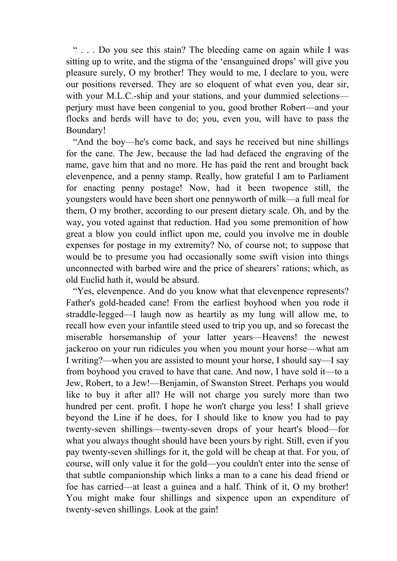" . . . Do you see this stain? The bleeding came on again while I was sitting up to write, and the stigma of the 'ensanguined drops' will give you pleasure surely, O my brother! They would to me, I declare to you, were our positions reversed. They are so eloquent of what even you, dear sir, with your M.L.C.-ship and your stations, and your dummied selections perjury must have been congenial to you, good brother Robert—and your flocks and herds will have to do; you, even you, will have to pass the Boundary!

 "And the boy—he's come back, and says he received but nine shillings for the cane. The Jew, because the lad had defaced the engraving of the name, gave him that and no more. He has paid the rent and brought back elevenpence, and a penny stamp. Really, how grateful I am to Parliament for enacting penny postage! Now, had it been twopence still, the youngsters would have been short one pennyworth of milk—a full meal for them, O my brother, according to our present dietary scale. Oh, and by the way, you voted against that reduction. Had you some premonition of how great a blow you could inflict upon me, could you involve me in double expenses for postage in my extremity? No, of course not; to suppose that would be to presume you had occasionally some swift vision into things unconnected with barbed wire and the price of shearers' rations; which, as old Euclid hath it, would be absurd.

 "Yes, elevenpence. And do you know what that elevenpence represents? Father's gold-headed cane! From the earliest boyhood when you rode it straddle-legged—I laugh now as heartily as my lung will allow me, to recall how even your infantile steed used to trip you up, and so forecast the miserable horsemanship of your latter years—Heavens! the newest jackeroo on your run ridicules you when you mount your horse—what am I writing?—when you are assisted to mount your horse, I should say—I say from boyhood you craved to have that cane. And now, I have sold it—to a Jew, Robert, to a Jew!—Benjamin, of Swanston Street. Perhaps you would like to buy it after all? He will not charge you surely more than two hundred per cent. profit. I hope he won't charge you less! I shall grieve beyond the Line if he does, for I should like to know you had to pay twenty-seven shillings—twenty-seven drops of your heart's blood—for what you always thought should have been yours by right. Still, even if you pay twenty-seven shillings for it, the gold will be cheap at that. For you, of course, will only value it for the gold—you couldn't enter into the sense of that subtle companionship which links a man to a cane his dead friend or foe has carried—at least a guinea and a half. Think of it, O my brother! You might make four shillings and sixpence upon an expenditure of twenty-seven shillings. Look at the gain!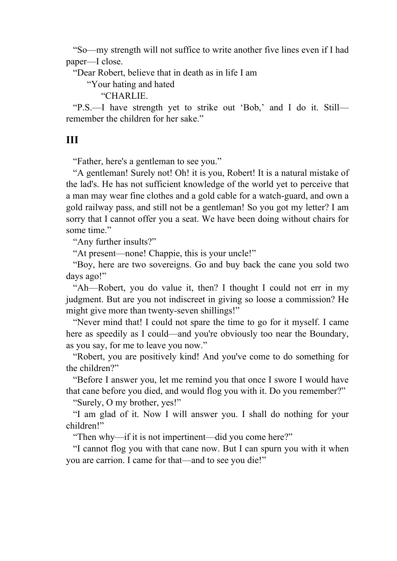"So—my strength will not suffice to write another five lines even if I had paper—I close.

"Dear Robert, believe that in death as in life I am

"Your hating and hated

"CHARLIE.

 "P.S.—I have strength yet to strike out 'Bob,' and I do it. Still remember the children for her sake."

## **III**

"Father, here's a gentleman to see you."

 "A gentleman! Surely not! Oh! it is you, Robert! It is a natural mistake of the lad's. He has not sufficient knowledge of the world yet to perceive that a man may wear fine clothes and a gold cable for a watch-guard, and own a gold railway pass, and still not be a gentleman! So you got my letter? I am sorry that I cannot offer you a seat. We have been doing without chairs for some time."

"Any further insults?"

"At present—none! Chappie, this is your uncle!"

 "Boy, here are two sovereigns. Go and buy back the cane you sold two days ago!"

 "Ah—Robert, you do value it, then? I thought I could not err in my judgment. But are you not indiscreet in giving so loose a commission? He might give more than twenty-seven shillings!"

 "Never mind that! I could not spare the time to go for it myself. I came here as speedily as I could—and you're obviously too near the Boundary, as you say, for me to leave you now."

 "Robert, you are positively kind! And you've come to do something for the children?"

 "Before I answer you, let me remind you that once I swore I would have that cane before you died, and would flog you with it. Do you remember?"

"Surely, O my brother, yes!"

 "I am glad of it. Now I will answer you. I shall do nothing for your children!"

"Then why—if it is not impertinent—did you come here?"

 "I cannot flog you with that cane now. But I can spurn you with it when you are carrion. I came for that—and to see you die!"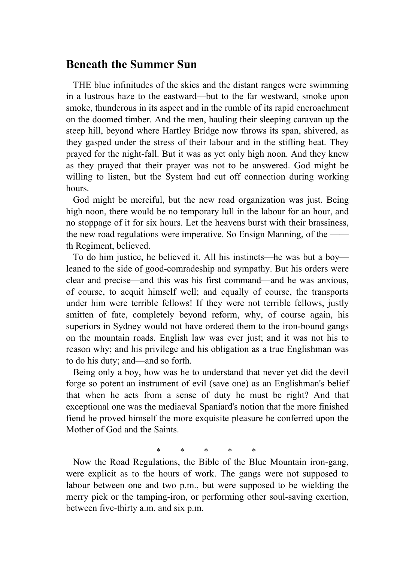## **Beneath the Summer Sun**

 THE blue infinitudes of the skies and the distant ranges were swimming in a lustrous haze to the eastward—but to the far westward, smoke upon smoke, thunderous in its aspect and in the rumble of its rapid encroachment on the doomed timber. And the men, hauling their sleeping caravan up the steep hill, beyond where Hartley Bridge now throws its span, shivered, as they gasped under the stress of their labour and in the stifling heat. They prayed for the night-fall. But it was as yet only high noon. And they knew as they prayed that their prayer was not to be answered. God might be willing to listen, but the System had cut off connection during working hours.

 God might be merciful, but the new road organization was just. Being high noon, there would be no temporary lull in the labour for an hour, and no stoppage of it for six hours. Let the heavens burst with their brassiness, the new road regulations were imperative. So Ensign Manning, of the  $$ th Regiment, believed.

 To do him justice, he believed it. All his instincts—he was but a boy leaned to the side of good-comradeship and sympathy. But his orders were clear and precise—and this was his first command—and he was anxious, of course, to acquit himself well; and equally of course, the transports under him were terrible fellows! If they were not terrible fellows, justly smitten of fate, completely beyond reform, why, of course again, his superiors in Sydney would not have ordered them to the iron-bound gangs on the mountain roads. English law was ever just; and it was not his to reason why; and his privilege and his obligation as a true Englishman was to do his duty; and—and so forth.

 Being only a boy, how was he to understand that never yet did the devil forge so potent an instrument of evil (save one) as an Englishman's belief that when he acts from a sense of duty he must be right? And that exceptional one was the mediaeval Spaniard's notion that the more finished fiend he proved himself the more exquisite pleasure he conferred upon the Mother of God and the Saints.

\* \* \* \* \*

 Now the Road Regulations, the Bible of the Blue Mountain iron-gang, were explicit as to the hours of work. The gangs were not supposed to labour between one and two p.m., but were supposed to be wielding the merry pick or the tamping-iron, or performing other soul-saving exertion, between five-thirty a.m. and six p.m.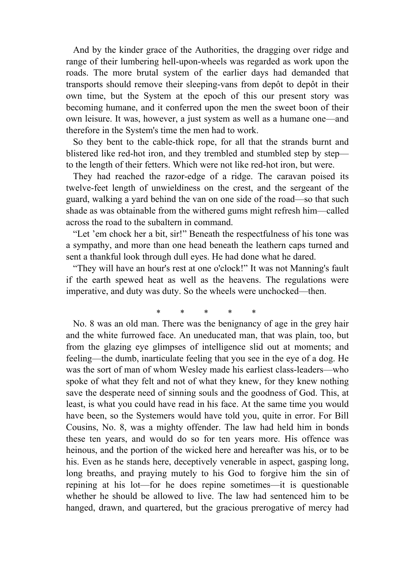And by the kinder grace of the Authorities, the dragging over ridge and range of their lumbering hell-upon-wheels was regarded as work upon the roads. The more brutal system of the earlier days had demanded that transports should remove their sleeping-vans from depôt to depôt in their own time, but the System at the epoch of this our present story was becoming humane, and it conferred upon the men the sweet boon of their own leisure. It was, however, a just system as well as a humane one—and therefore in the System's time the men had to work.

 So they bent to the cable-thick rope, for all that the strands burnt and blistered like red-hot iron, and they trembled and stumbled step by step to the length of their fetters. Which were not like red-hot iron, but were.

 They had reached the razor-edge of a ridge. The caravan poised its twelve-feet length of unwieldiness on the crest, and the sergeant of the guard, walking a yard behind the van on one side of the road—so that such shade as was obtainable from the withered gums might refresh him—called across the road to the subaltern in command.

 "Let 'em chock her a bit, sir!" Beneath the respectfulness of his tone was a sympathy, and more than one head beneath the leathern caps turned and sent a thankful look through dull eyes. He had done what he dared.

 "They will have an hour's rest at one o'clock!" It was not Manning's fault if the earth spewed heat as well as the heavens. The regulations were imperative, and duty was duty. So the wheels were unchocked—then.

## \* \* \* \* \*

 No. 8 was an old man. There was the benignancy of age in the grey hair and the white furrowed face. An uneducated man, that was plain, too, but from the glazing eye glimpses of intelligence slid out at moments; and feeling—the dumb, inarticulate feeling that you see in the eye of a dog. He was the sort of man of whom Wesley made his earliest class-leaders—who spoke of what they felt and not of what they knew, for they knew nothing save the desperate need of sinning souls and the goodness of God. This, at least, is what you could have read in his face. At the same time you would have been, so the Systemers would have told you, quite in error. For Bill Cousins, No. 8, was a mighty offender. The law had held him in bonds these ten years, and would do so for ten years more. His offence was heinous, and the portion of the wicked here and hereafter was his, or to be his. Even as he stands here, deceptively venerable in aspect, gasping long, long breaths, and praying mutely to his God to forgive him the sin of repining at his lot—for he does repine sometimes—it is questionable whether he should be allowed to live. The law had sentenced him to be hanged, drawn, and quartered, but the gracious prerogative of mercy had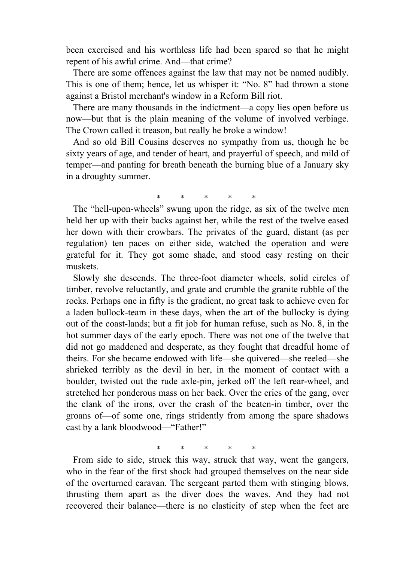been exercised and his worthless life had been spared so that he might repent of his awful crime. And—that crime?

 There are some offences against the law that may not be named audibly. This is one of them; hence, let us whisper it: "No. 8" had thrown a stone against a Bristol merchant's window in a Reform Bill riot.

 There are many thousands in the indictment—a copy lies open before us now—but that is the plain meaning of the volume of involved verbiage. The Crown called it treason, but really he broke a window!

 And so old Bill Cousins deserves no sympathy from us, though he be sixty years of age, and tender of heart, and prayerful of speech, and mild of temper—and panting for breath beneath the burning blue of a January sky in a droughty summer.

\* \* \* \* \*

 The "hell-upon-wheels" swung upon the ridge, as six of the twelve men held her up with their backs against her, while the rest of the twelve eased her down with their crowbars. The privates of the guard, distant (as per regulation) ten paces on either side, watched the operation and were grateful for it. They got some shade, and stood easy resting on their muskets.

 Slowly she descends. The three-foot diameter wheels, solid circles of timber, revolve reluctantly, and grate and crumble the granite rubble of the rocks. Perhaps one in fifty is the gradient, no great task to achieve even for a laden bullock-team in these days, when the art of the bullocky is dying out of the coast-lands; but a fit job for human refuse, such as No. 8, in the hot summer days of the early epoch. There was not one of the twelve that did not go maddened and desperate, as they fought that dreadful home of theirs. For she became endowed with life—she quivered—she reeled—she shrieked terribly as the devil in her, in the moment of contact with a boulder, twisted out the rude axle-pin, jerked off the left rear-wheel, and stretched her ponderous mass on her back. Over the cries of the gang, over the clank of the irons, over the crash of the beaten-in timber, over the groans of—of some one, rings stridently from among the spare shadows cast by a lank bloodwood—"Father!"

\* \* \* \* \*

 From side to side, struck this way, struck that way, went the gangers, who in the fear of the first shock had grouped themselves on the near side of the overturned caravan. The sergeant parted them with stinging blows, thrusting them apart as the diver does the waves. And they had not recovered their balance—there is no elasticity of step when the feet are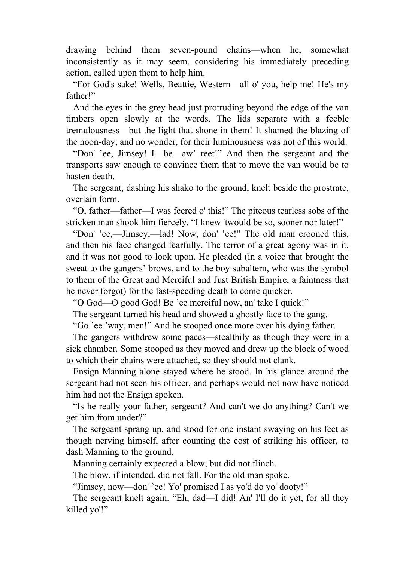drawing behind them seven-pound chains—when he, somewhat inconsistently as it may seem, considering his immediately preceding action, called upon them to help him.

 "For God's sake! Wells, Beattie, Western—all o' you, help me! He's my father!"

 And the eyes in the grey head just protruding beyond the edge of the van timbers open slowly at the words. The lids separate with a feeble tremulousness—but the light that shone in them! It shamed the blazing of the noon-day; and no wonder, for their luminousness was not of this world.

 "Don' 'ee, Jimsey! I—be—aw' reet!" And then the sergeant and the transports saw enough to convince them that to move the van would be to hasten death.

 The sergeant, dashing his shako to the ground, knelt beside the prostrate, overlain form.

 "O, father—father—I was feered o' this!" The piteous tearless sobs of the stricken man shook him fiercely. "I knew 'twould be so, sooner nor later!"

 "Don' 'ee,—Jimsey,—lad! Now, don' 'ee!" The old man crooned this, and then his face changed fearfully. The terror of a great agony was in it, and it was not good to look upon. He pleaded (in a voice that brought the sweat to the gangers' brows, and to the boy subaltern, who was the symbol to them of the Great and Merciful and Just British Empire, a faintness that he never forgot) for the fast-speeding death to come quicker.

"O God—O good God! Be 'ee merciful now, an' take I quick!"

The sergeant turned his head and showed a ghostly face to the gang.

"Go 'ee 'way, men!" And he stooped once more over his dying father.

 The gangers withdrew some paces—stealthily as though they were in a sick chamber. Some stooped as they moved and drew up the block of wood to which their chains were attached, so they should not clank.

 Ensign Manning alone stayed where he stood. In his glance around the sergeant had not seen his officer, and perhaps would not now have noticed him had not the Ensign spoken.

 "Is he really your father, sergeant? And can't we do anything? Can't we get him from under?"

 The sergeant sprang up, and stood for one instant swaying on his feet as though nerving himself, after counting the cost of striking his officer, to dash Manning to the ground.

Manning certainly expected a blow, but did not flinch.

The blow, if intended, did not fall. For the old man spoke.

"Jimsey, now—don' 'ee! Yo' promised I as yo'd do yo' dooty!"

 The sergeant knelt again. "Eh, dad—I did! An' I'll do it yet, for all they killed yo'!"